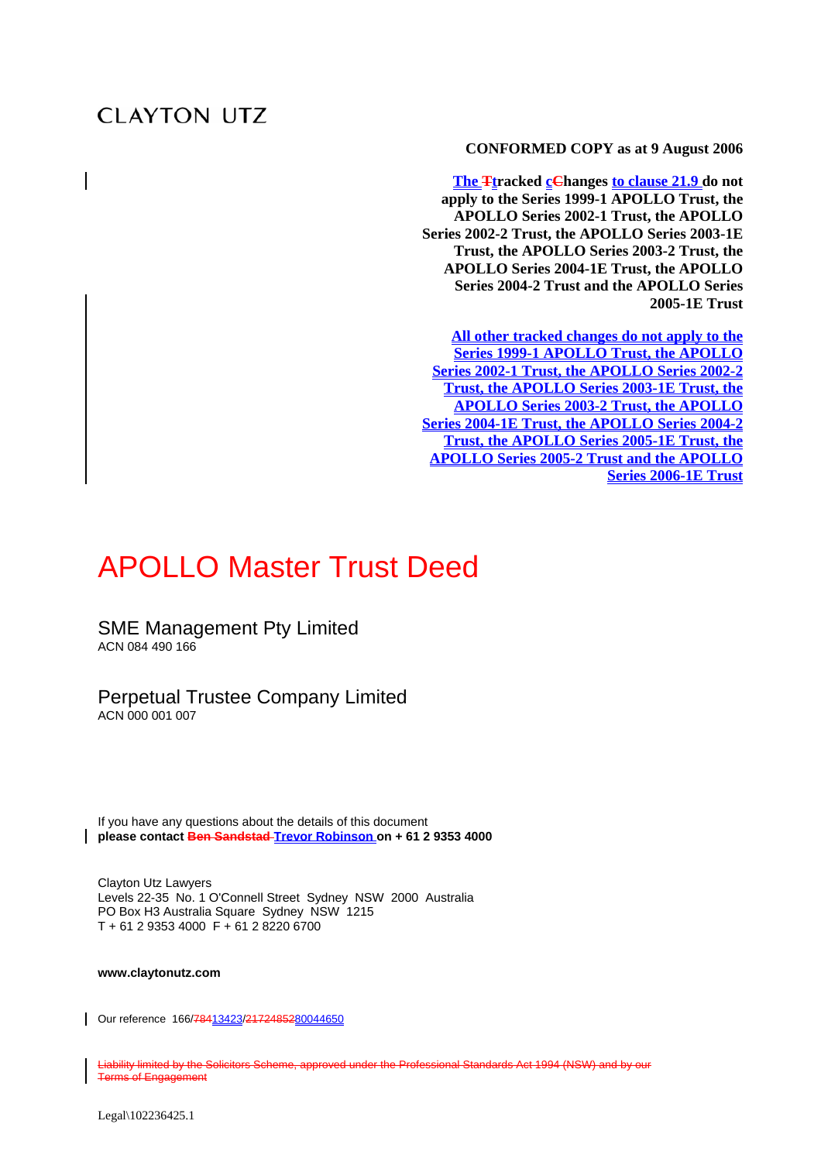# **CLAYTON UTZ**

**CONFORMED COPY as at 9 August 2006** 

**The Ftracked cChanges to clause 21.9 do not apply to the Series 1999-1 APOLLO Trust, the APOLLO Series 2002-1 Trust, the APOLLO Series 2002-2 Trust, the APOLLO Series 2003-1E Trust, the APOLLO Series 2003-2 Trust, the APOLLO Series 2004-1E Trust, the APOLLO Series 2004-2 Trust and the APOLLO Series 2005-1E Trust**

**All other tracked changes do not apply to the Series 1999-1 APOLLO Trust, the APOLLO Series 2002-1 Trust, the APOLLO Series 2002-2 Trust, the APOLLO Series 2003-1E Trust, the APOLLO Series 2003-2 Trust, the APOLLO Series 2004-1E Trust, the APOLLO Series 2004-2 Trust, the APOLLO Series 2005-1E Trust, the APOLLO Series 2005-2 Trust and the APOLLO Series 2006-1E Trust**

# APOLLO Master Trust Deed

SME Management Pty Limited ACN 084 490 166

#### Perpetual Trustee Company Limited ACN 000 001 007

If you have any questions about the details of this document **please contact Ben Sandstad Trevor Robinson on + 61 2 9353 4000** 

Clayton Utz Lawyers Levels 22-35 No. 1 O'Connell Street Sydney NSW 2000 Australia PO Box H3 Australia Square Sydney NSW 1215 T + 61 2 9353 4000 F + 61 2 8220 6700

**www.claytonutz.com** 

Our reference 166/78413423/2172485280044650

Liability limited by the Solicitors Scheme, approved under the Professional Standards Act 1994 (NSW) and by our Terms of Engagement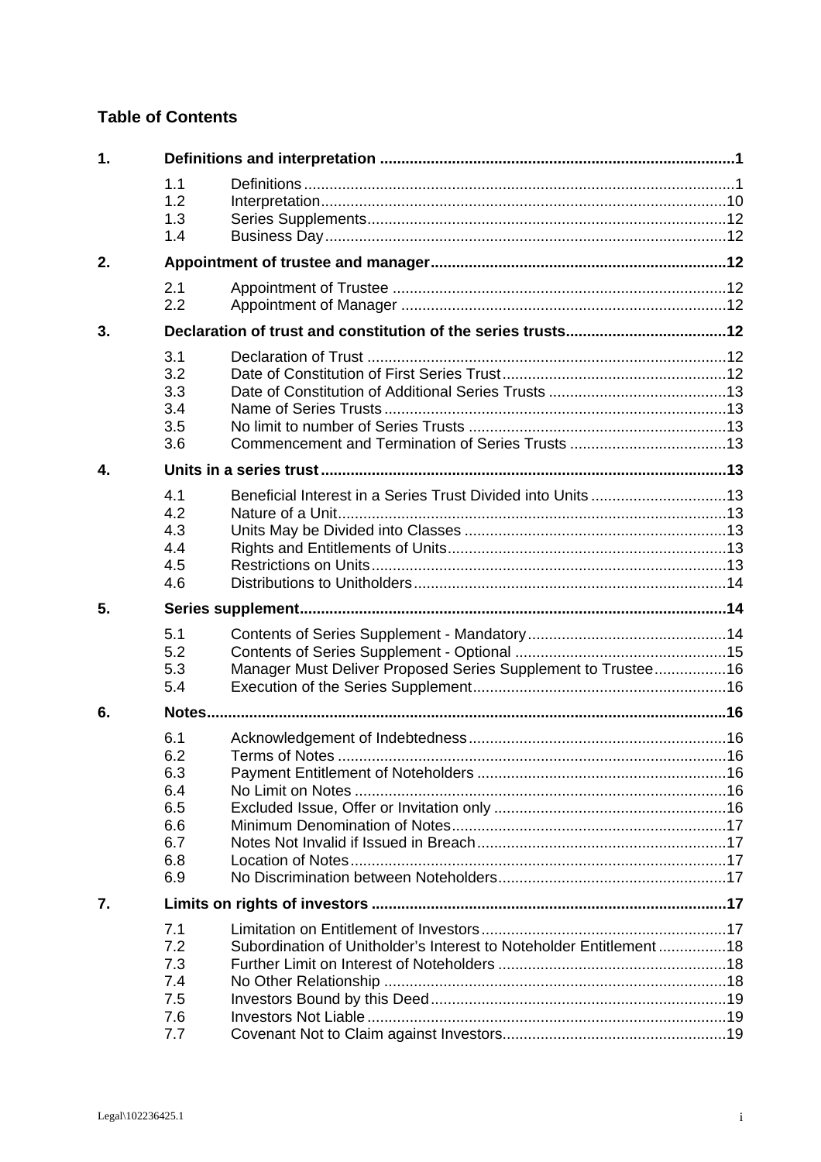# **Table of Contents**

| $\mathbf{1}$ . |                                                             |                                                                    |  |  |  |
|----------------|-------------------------------------------------------------|--------------------------------------------------------------------|--|--|--|
|                | 1.1<br>1.2<br>1.3<br>1.4                                    |                                                                    |  |  |  |
| 2.             |                                                             |                                                                    |  |  |  |
|                | 2.1<br>2.2                                                  |                                                                    |  |  |  |
| 3.             |                                                             |                                                                    |  |  |  |
|                | 3.1<br>3.2<br>3.3<br>3.4<br>3.5<br>3.6                      |                                                                    |  |  |  |
| 4.             |                                                             |                                                                    |  |  |  |
|                | 4.1<br>4.2<br>4.3<br>4.4<br>4.5<br>4.6                      |                                                                    |  |  |  |
| 5.             |                                                             |                                                                    |  |  |  |
|                | 5.1<br>5.2<br>5.3<br>5.4                                    | Manager Must Deliver Proposed Series Supplement to Trustee16       |  |  |  |
| 6.             |                                                             |                                                                    |  |  |  |
|                | 6.1<br>6.2<br>6.3<br>6.4<br>6.5<br>6.6<br>6.7<br>6.8<br>6.9 |                                                                    |  |  |  |
| 7.             |                                                             |                                                                    |  |  |  |
|                | 7.1<br>7.2<br>7.3<br>7.4<br>7.5<br>7.6<br>7.7               | Subordination of Unitholder's Interest to Noteholder Entitlement18 |  |  |  |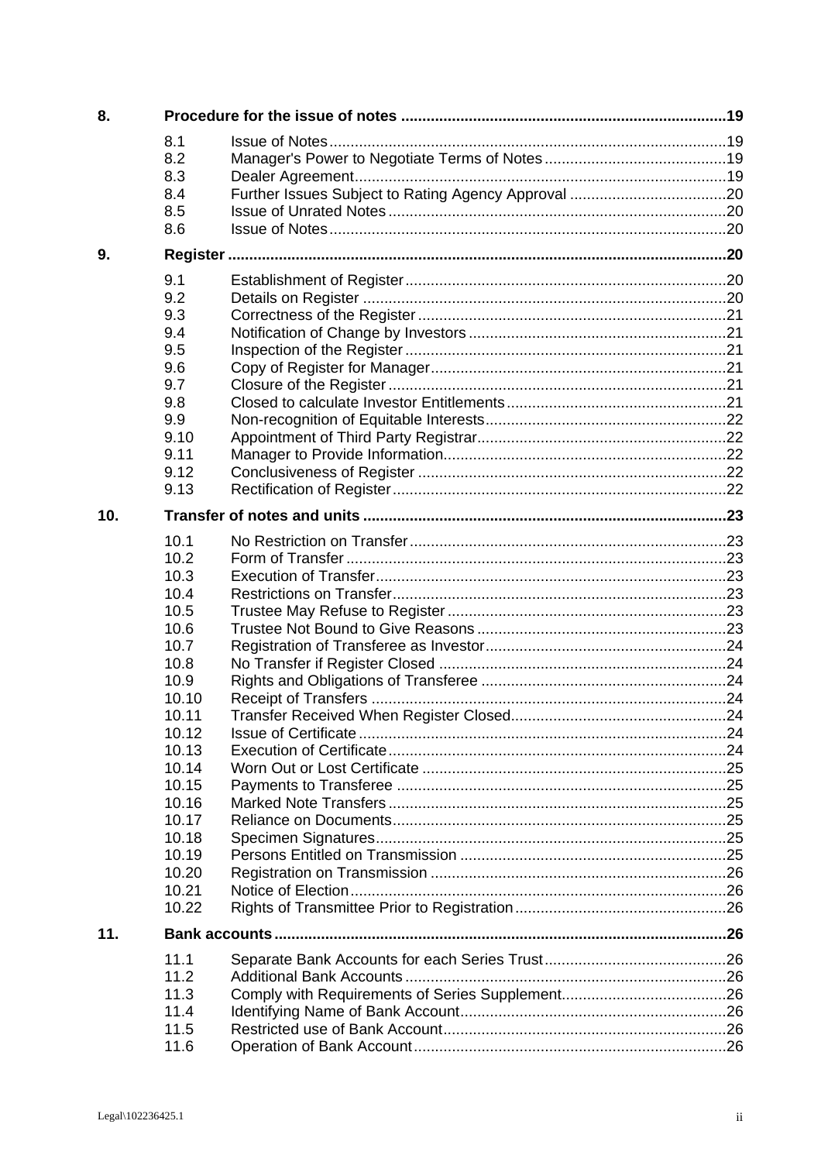| 8.  |                                                                                                                                                                                           |  |
|-----|-------------------------------------------------------------------------------------------------------------------------------------------------------------------------------------------|--|
|     | 8.1<br>8.2<br>8.3<br>8.4<br>8.5<br>8.6                                                                                                                                                    |  |
| 9.  |                                                                                                                                                                                           |  |
|     | 9.1<br>9.2<br>9.3<br>9.4<br>9.5<br>9.6<br>9.7<br>9.8<br>9.9<br>9.10<br>9.11<br>9.12<br>9.13                                                                                               |  |
| 10. |                                                                                                                                                                                           |  |
|     | 10.1<br>10.2<br>10.3<br>10.4<br>10.5<br>10.6<br>10.7<br>10.8<br>10.9<br>10.10<br>10.11<br>10.12<br>10.13<br>10.14<br>10.15<br>10.16<br>10.17<br>10.18<br>10.19<br>10.20<br>10.21<br>10.22 |  |
| 11. |                                                                                                                                                                                           |  |
|     | 11.1<br>11.2<br>11.3<br>11.4<br>11.5<br>11.6                                                                                                                                              |  |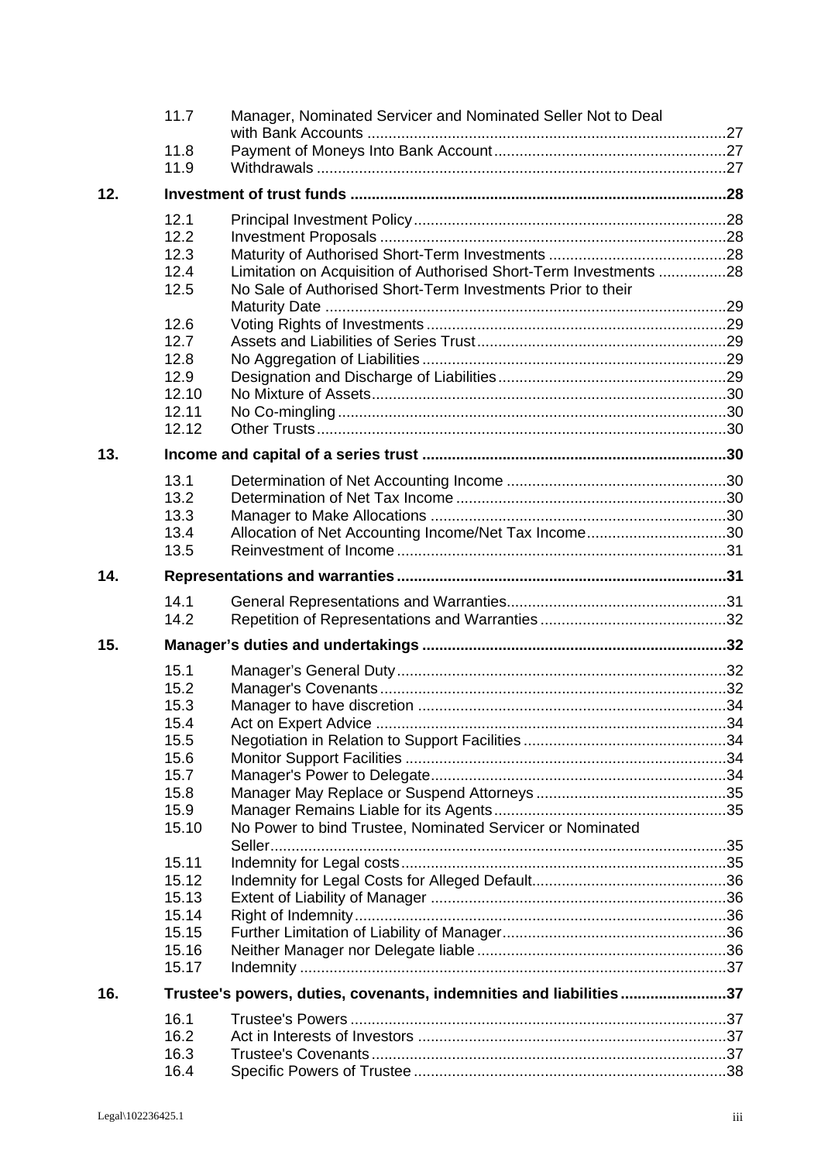|     | 11.7         | Manager, Nominated Servicer and Nominated Seller Not to Deal       |  |
|-----|--------------|--------------------------------------------------------------------|--|
|     |              |                                                                    |  |
|     | 11.8         |                                                                    |  |
|     | 11.9         |                                                                    |  |
| 12. |              |                                                                    |  |
|     | 12.1         |                                                                    |  |
|     | 12.2         |                                                                    |  |
|     |              |                                                                    |  |
|     | 12.3         |                                                                    |  |
|     | 12.4         | Limitation on Acquisition of Authorised Short-Term Investments 28  |  |
|     | 12.5         | No Sale of Authorised Short-Term Investments Prior to their        |  |
|     | 12.6         |                                                                    |  |
|     | 12.7         |                                                                    |  |
|     | 12.8         |                                                                    |  |
|     | 12.9         |                                                                    |  |
|     | 12.10        |                                                                    |  |
|     | 12.11        |                                                                    |  |
|     |              |                                                                    |  |
|     | 12.12        |                                                                    |  |
| 13. |              |                                                                    |  |
|     | 13.1         |                                                                    |  |
|     | 13.2         |                                                                    |  |
|     | 13.3         |                                                                    |  |
|     | 13.4         | Allocation of Net Accounting Income/Net Tax Income30               |  |
|     | 13.5         |                                                                    |  |
| 14. |              |                                                                    |  |
|     |              |                                                                    |  |
|     | 14.1<br>14.2 |                                                                    |  |
|     |              |                                                                    |  |
| 15. |              |                                                                    |  |
|     | 15.1         |                                                                    |  |
|     | 15.2         |                                                                    |  |
|     | 15.3         |                                                                    |  |
|     | 15.4         |                                                                    |  |
|     | 15.5         |                                                                    |  |
|     | 15.6         |                                                                    |  |
|     | 15.7         |                                                                    |  |
|     | 15.8         |                                                                    |  |
|     | 15.9         |                                                                    |  |
|     | 15.10        | No Power to bind Trustee, Nominated Servicer or Nominated          |  |
|     |              |                                                                    |  |
|     | 15.11        |                                                                    |  |
|     | 15.12        |                                                                    |  |
|     | 15.13        |                                                                    |  |
|     | 15.14        |                                                                    |  |
|     | 15.15        |                                                                    |  |
|     | 15.16        |                                                                    |  |
|     | 15.17        |                                                                    |  |
| 16. |              | Trustee's powers, duties, covenants, indemnities and liabilities37 |  |
|     | 16.1         |                                                                    |  |
|     | 16.2         |                                                                    |  |
|     | 16.3         |                                                                    |  |
|     | 16.4         |                                                                    |  |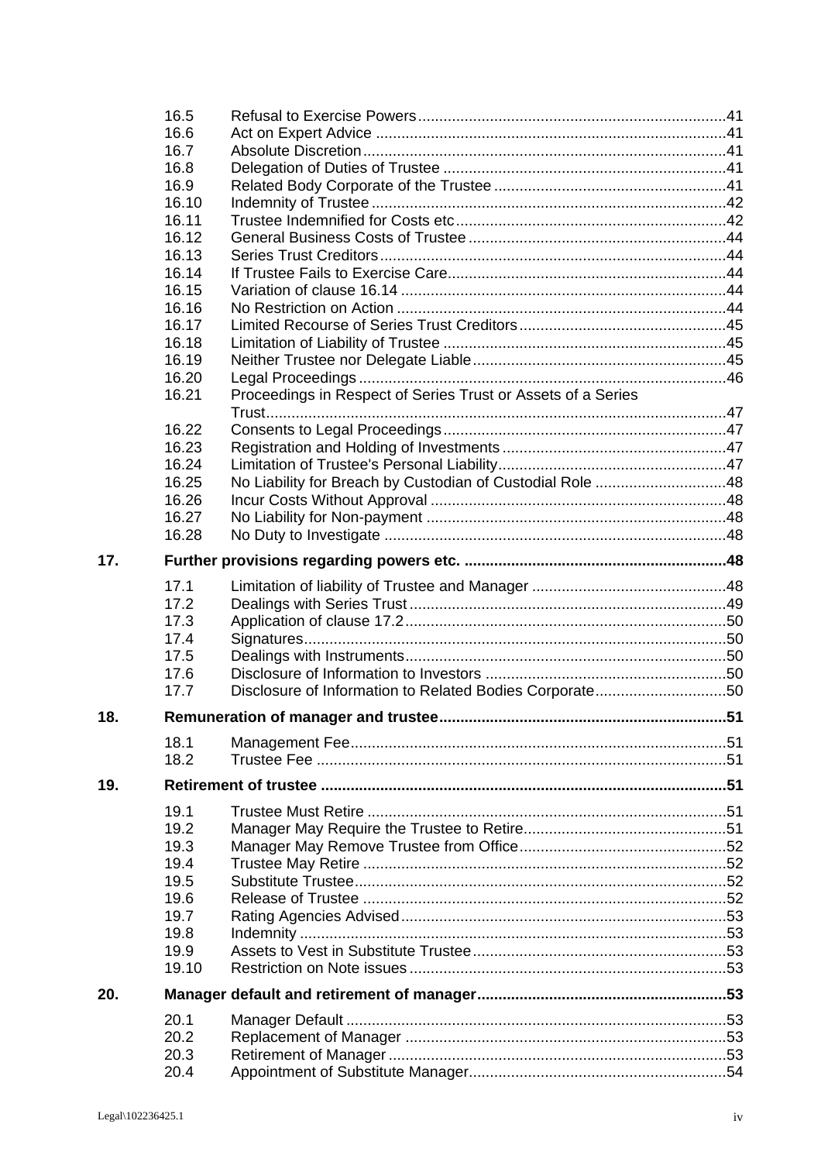|     | 16.5  |                                                              |  |  |
|-----|-------|--------------------------------------------------------------|--|--|
|     | 16.6  |                                                              |  |  |
|     | 16.7  |                                                              |  |  |
|     | 16.8  |                                                              |  |  |
|     | 16.9  |                                                              |  |  |
|     | 16.10 |                                                              |  |  |
|     | 16.11 |                                                              |  |  |
|     | 16.12 |                                                              |  |  |
|     | 16.13 |                                                              |  |  |
|     | 16.14 |                                                              |  |  |
|     | 16.15 |                                                              |  |  |
|     | 16.16 |                                                              |  |  |
|     | 16.17 |                                                              |  |  |
|     | 16.18 |                                                              |  |  |
|     | 16.19 |                                                              |  |  |
|     | 16.20 |                                                              |  |  |
|     | 16.21 | Proceedings in Respect of Series Trust or Assets of a Series |  |  |
|     |       |                                                              |  |  |
|     | 16.22 |                                                              |  |  |
|     | 16.23 |                                                              |  |  |
|     |       |                                                              |  |  |
|     | 16.24 |                                                              |  |  |
|     | 16.25 | No Liability for Breach by Custodian of Custodial Role 48    |  |  |
|     | 16.26 |                                                              |  |  |
|     | 16.27 |                                                              |  |  |
|     | 16.28 |                                                              |  |  |
| 17. |       |                                                              |  |  |
|     | 17.1  |                                                              |  |  |
|     | 17.2  |                                                              |  |  |
|     | 17.3  |                                                              |  |  |
|     | 17.4  |                                                              |  |  |
|     | 17.5  |                                                              |  |  |
|     | 17.6  |                                                              |  |  |
|     | 17.7  | Disclosure of Information to Related Bodies Corporate50      |  |  |
| 18. |       |                                                              |  |  |
|     | 18.1  |                                                              |  |  |
|     | 18.2  |                                                              |  |  |
|     |       |                                                              |  |  |
| 19. |       |                                                              |  |  |
|     | 19.1  |                                                              |  |  |
|     | 19.2  |                                                              |  |  |
|     | 19.3  |                                                              |  |  |
|     | 19.4  |                                                              |  |  |
|     | 19.5  |                                                              |  |  |
|     | 19.6  |                                                              |  |  |
|     | 19.7  |                                                              |  |  |
|     | 19.8  |                                                              |  |  |
|     | 19.9  |                                                              |  |  |
|     | 19.10 |                                                              |  |  |
| 20. |       |                                                              |  |  |
|     | 20.1  |                                                              |  |  |
|     | 20.2  |                                                              |  |  |
|     | 20.3  |                                                              |  |  |
|     | 20.4  |                                                              |  |  |
|     |       |                                                              |  |  |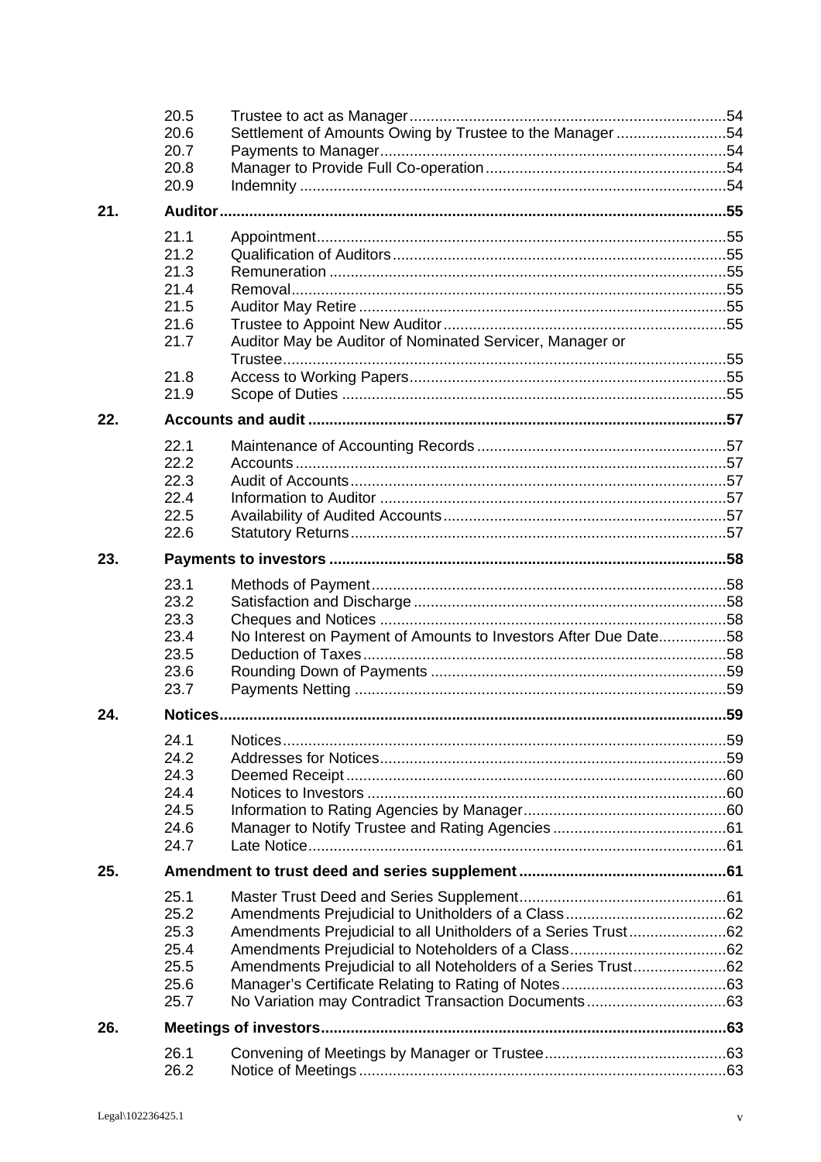|     | 20.5<br>20.6<br>20.7<br>20.8 | Settlement of Amounts Owing by Trustee to the Manager 54        |  |
|-----|------------------------------|-----------------------------------------------------------------|--|
|     | 20.9                         |                                                                 |  |
| 21. |                              |                                                                 |  |
|     | 21.1<br>21.2                 |                                                                 |  |
|     | 21.3                         |                                                                 |  |
|     | 21.4                         |                                                                 |  |
|     | 21.5<br>21.6                 |                                                                 |  |
|     | 21.7                         | Auditor May be Auditor of Nominated Servicer, Manager or        |  |
|     | 21.8                         |                                                                 |  |
|     | 21.9                         |                                                                 |  |
| 22. |                              |                                                                 |  |
|     | 22.1                         |                                                                 |  |
|     | 22.2<br>22.3                 |                                                                 |  |
|     | 22.4                         |                                                                 |  |
|     | 22.5                         |                                                                 |  |
|     | 22.6                         |                                                                 |  |
| 23. |                              |                                                                 |  |
|     | 23.1                         |                                                                 |  |
|     | 23.2                         |                                                                 |  |
|     | 23.3                         |                                                                 |  |
|     | 23.4                         | No Interest on Payment of Amounts to Investors After Due Date58 |  |
|     | 23.5<br>23.6                 |                                                                 |  |
|     | 23.7                         |                                                                 |  |
| 24. |                              |                                                                 |  |
|     | 24.1                         |                                                                 |  |
|     | 24.2                         |                                                                 |  |
|     | 24.3                         |                                                                 |  |
|     | 24.4                         |                                                                 |  |
|     | 24.5<br>24.6                 |                                                                 |  |
|     | 24.7                         |                                                                 |  |
| 25. |                              |                                                                 |  |
|     | 25.1                         |                                                                 |  |
|     | 25.2                         |                                                                 |  |
|     | 25.3                         | Amendments Prejudicial to all Unitholders of a Series Trust62   |  |
|     | 25.4                         |                                                                 |  |
|     | 25.5                         | Amendments Prejudicial to all Noteholders of a Series Trust62   |  |
|     | 25.6                         |                                                                 |  |
|     | 25.7                         |                                                                 |  |
| 26. |                              |                                                                 |  |
|     | 26.1<br>26.2                 |                                                                 |  |
|     |                              |                                                                 |  |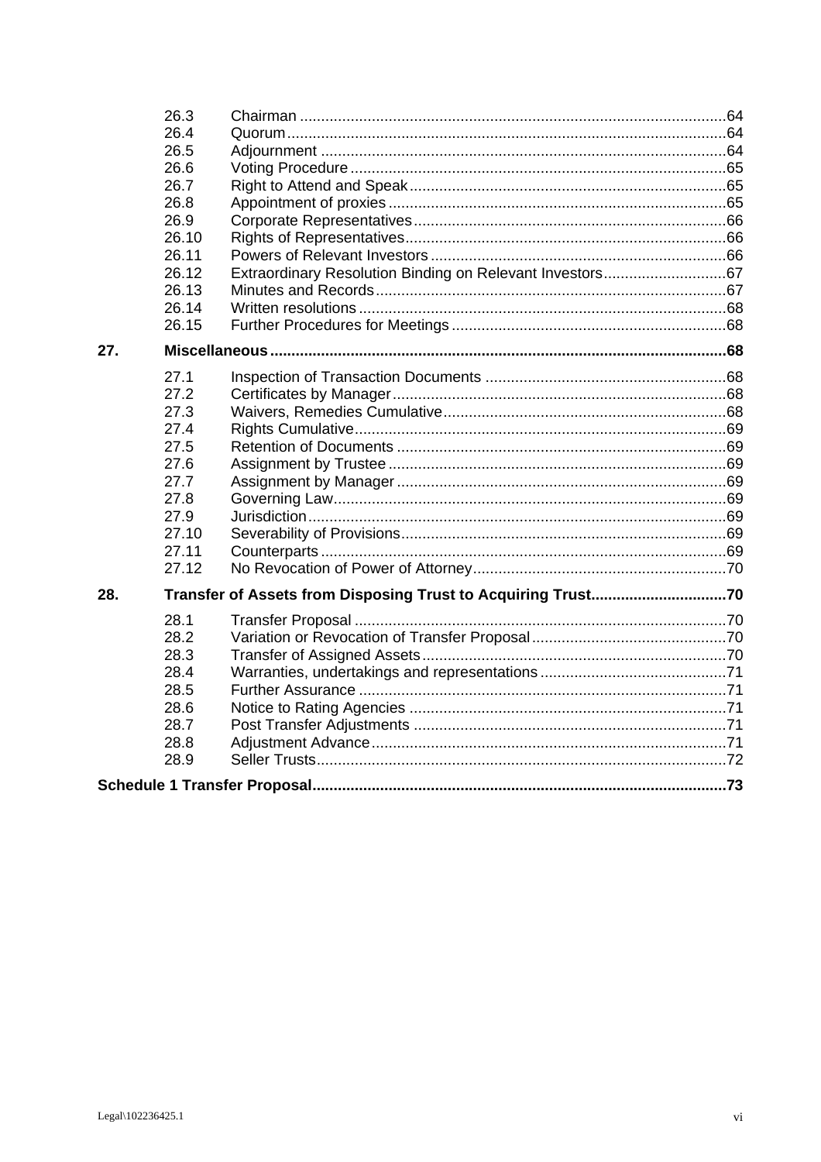|     | 26.3  |                                                              |  |
|-----|-------|--------------------------------------------------------------|--|
|     | 26.4  |                                                              |  |
|     | 26.5  |                                                              |  |
|     | 26.6  |                                                              |  |
|     | 26.7  |                                                              |  |
|     | 26.8  |                                                              |  |
|     | 26.9  |                                                              |  |
|     | 26.10 |                                                              |  |
|     | 26.11 |                                                              |  |
|     | 26.12 | Extraordinary Resolution Binding on Relevant Investors67     |  |
|     | 26.13 |                                                              |  |
|     | 26.14 |                                                              |  |
|     | 26.15 |                                                              |  |
| 27. |       |                                                              |  |
|     | 27.1  |                                                              |  |
|     | 27.2  |                                                              |  |
|     | 27.3  |                                                              |  |
|     | 27.4  |                                                              |  |
|     | 27.5  |                                                              |  |
|     | 27.6  |                                                              |  |
|     | 27.7  |                                                              |  |
|     | 27.8  |                                                              |  |
|     | 27.9  |                                                              |  |
|     | 27.10 |                                                              |  |
|     | 27.11 |                                                              |  |
|     | 27.12 |                                                              |  |
| 28. |       | Transfer of Assets from Disposing Trust to Acquiring Trust70 |  |
|     | 28.1  |                                                              |  |
|     | 28.2  |                                                              |  |
|     | 28.3  |                                                              |  |
|     | 28.4  |                                                              |  |
|     | 28.5  |                                                              |  |
|     | 28.6  |                                                              |  |
|     | 28.7  |                                                              |  |
|     | 28.8  |                                                              |  |
|     | 28.9  |                                                              |  |
|     |       |                                                              |  |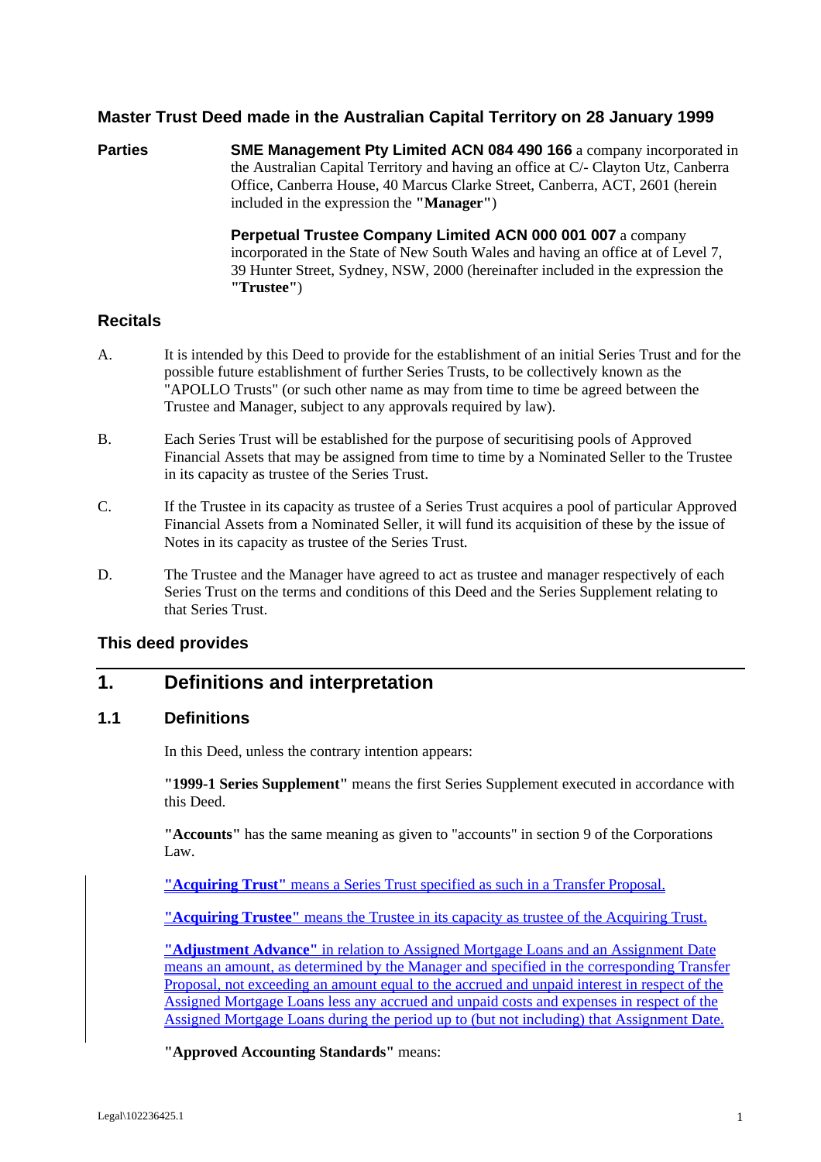#### **Master Trust Deed made in the Australian Capital Territory on 28 January 1999**

**Parties SME Management Pty Limited ACN 084 490 166** a company incorporated in the Australian Capital Territory and having an office at C/- Clayton Utz, Canberra Office, Canberra House, 40 Marcus Clarke Street, Canberra, ACT, 2601 (herein included in the expression the **"Manager"**)

> **Perpetual Trustee Company Limited ACN 000 001 007** a company incorporated in the State of New South Wales and having an office at of Level 7, 39 Hunter Street, Sydney, NSW, 2000 (hereinafter included in the expression the **"Trustee"**)

#### **Recitals**

- A. It is intended by this Deed to provide for the establishment of an initial Series Trust and for the possible future establishment of further Series Trusts, to be collectively known as the "APOLLO Trusts" (or such other name as may from time to time be agreed between the Trustee and Manager, subject to any approvals required by law).
- B. Each Series Trust will be established for the purpose of securitising pools of Approved Financial Assets that may be assigned from time to time by a Nominated Seller to the Trustee in its capacity as trustee of the Series Trust.
- C. If the Trustee in its capacity as trustee of a Series Trust acquires a pool of particular Approved Financial Assets from a Nominated Seller, it will fund its acquisition of these by the issue of Notes in its capacity as trustee of the Series Trust.
- D. The Trustee and the Manager have agreed to act as trustee and manager respectively of each Series Trust on the terms and conditions of this Deed and the Series Supplement relating to that Series Trust.

#### **This deed provides**

# **1. Definitions and interpretation**

#### **1.1 Definitions**

In this Deed, unless the contrary intention appears:

**"1999-1 Series Supplement"** means the first Series Supplement executed in accordance with this Deed.

**"Accounts"** has the same meaning as given to "accounts" in section 9 of the Corporations Law.

**"Acquiring Trust"** means a Series Trust specified as such in a Transfer Proposal.

**"Acquiring Trustee"** means the Trustee in its capacity as trustee of the Acquiring Trust.

**"Adjustment Advance"** in relation to Assigned Mortgage Loans and an Assignment Date means an amount, as determined by the Manager and specified in the corresponding Transfer Proposal, not exceeding an amount equal to the accrued and unpaid interest in respect of the Assigned Mortgage Loans less any accrued and unpaid costs and expenses in respect of the Assigned Mortgage Loans during the period up to (but not including) that Assignment Date.

**"Approved Accounting Standards"** means: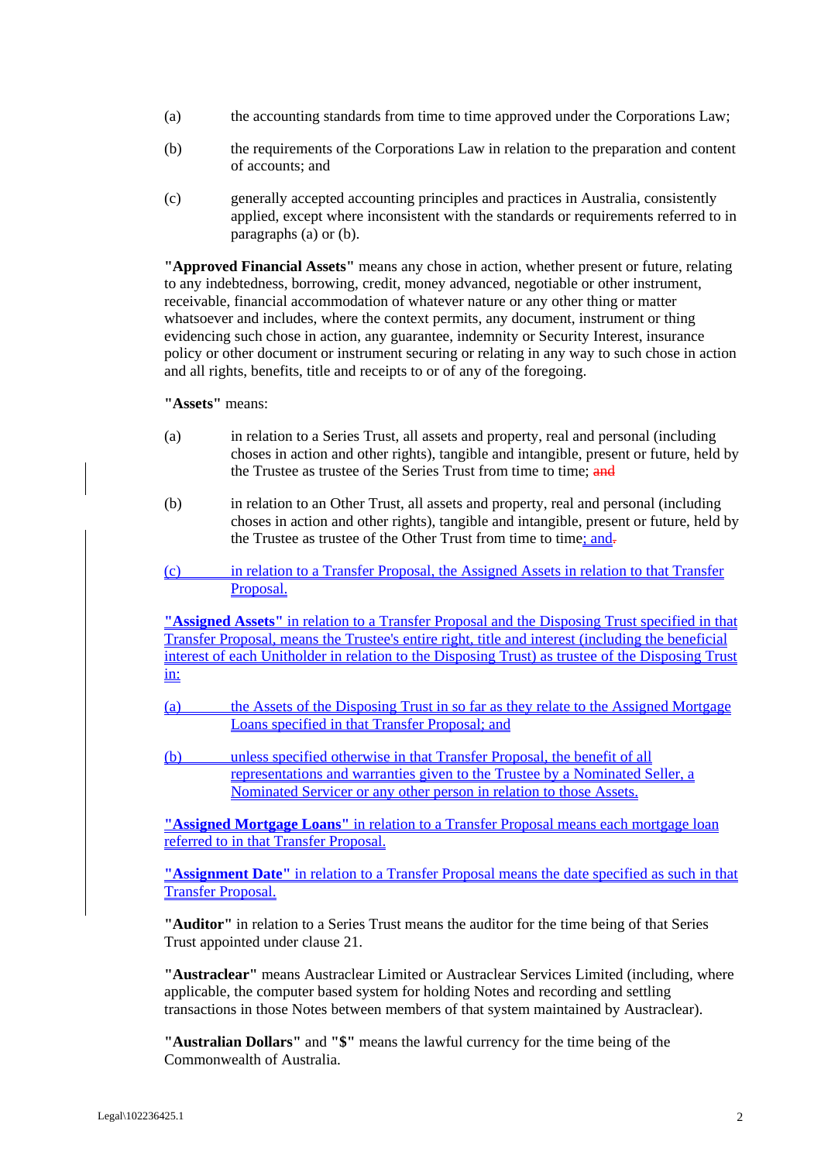- (a) the accounting standards from time to time approved under the Corporations Law;
- (b) the requirements of the Corporations Law in relation to the preparation and content of accounts; and
- (c) generally accepted accounting principles and practices in Australia, consistently applied, except where inconsistent with the standards or requirements referred to in paragraphs (a) or (b).

**"Approved Financial Assets"** means any chose in action, whether present or future, relating to any indebtedness, borrowing, credit, money advanced, negotiable or other instrument, receivable, financial accommodation of whatever nature or any other thing or matter whatsoever and includes, where the context permits, any document, instrument or thing evidencing such chose in action, any guarantee, indemnity or Security Interest, insurance policy or other document or instrument securing or relating in any way to such chose in action and all rights, benefits, title and receipts to or of any of the foregoing.

**"Assets"** means:

- (a) in relation to a Series Trust, all assets and property, real and personal (including choses in action and other rights), tangible and intangible, present or future, held by the Trustee as trustee of the Series Trust from time to time; and
- (b) in relation to an Other Trust, all assets and property, real and personal (including choses in action and other rights), tangible and intangible, present or future, held by the Trustee as trustee of the Other Trust from time to time; and-
- (c) in relation to a Transfer Proposal, the Assigned Assets in relation to that Transfer Proposal.

**"Assigned Assets"** in relation to a Transfer Proposal and the Disposing Trust specified in that Transfer Proposal, means the Trustee's entire right, title and interest (including the beneficial interest of each Unitholder in relation to the Disposing Trust) as trustee of the Disposing Trust in:

- (a) the Assets of the Disposing Trust in so far as they relate to the Assigned Mortgage Loans specified in that Transfer Proposal; and
- (b) unless specified otherwise in that Transfer Proposal, the benefit of all representations and warranties given to the Trustee by a Nominated Seller, a Nominated Servicer or any other person in relation to those Assets.

**"Assigned Mortgage Loans"** in relation to a Transfer Proposal means each mortgage loan referred to in that Transfer Proposal.

**"Assignment Date"** in relation to a Transfer Proposal means the date specified as such in that Transfer Proposal.

**"Auditor"** in relation to a Series Trust means the auditor for the time being of that Series Trust appointed under clause 21.

**"Austraclear"** means Austraclear Limited or Austraclear Services Limited (including, where applicable, the computer based system for holding Notes and recording and settling transactions in those Notes between members of that system maintained by Austraclear).

**"Australian Dollars"** and **"\$"** means the lawful currency for the time being of the Commonwealth of Australia.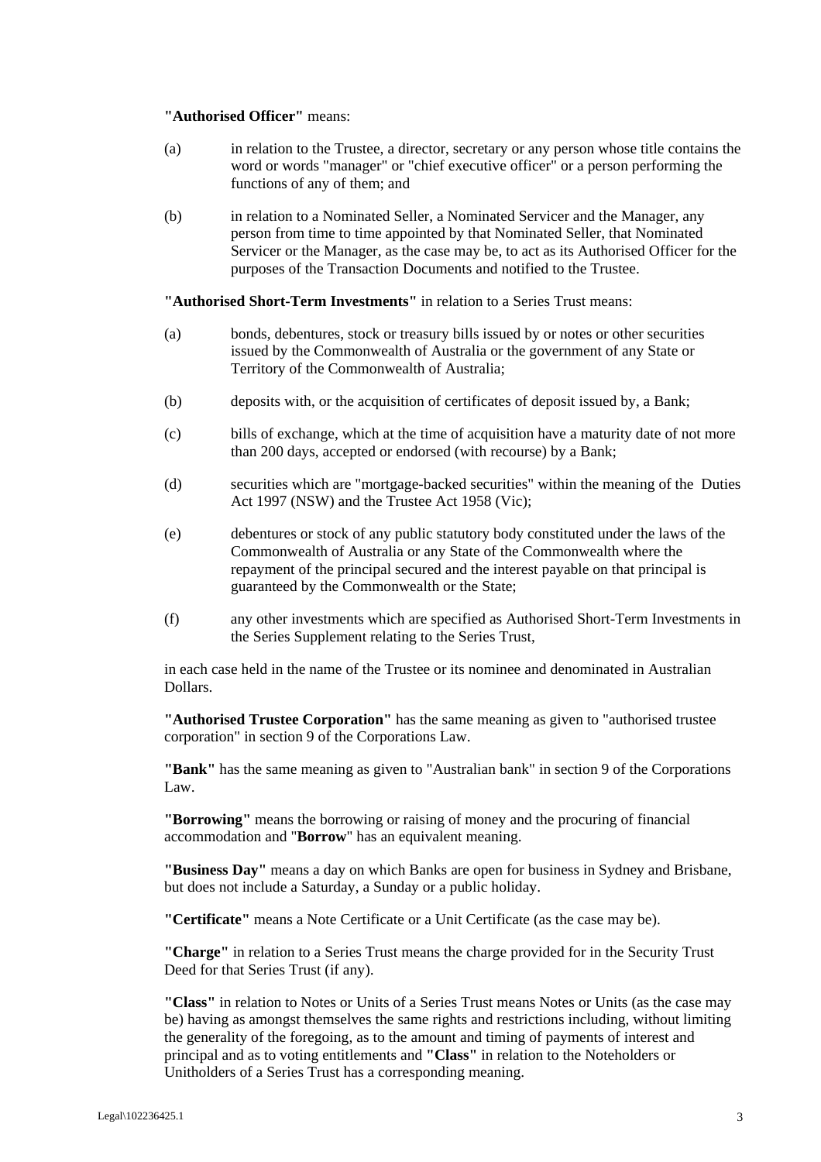#### **"Authorised Officer"** means:

- (a) in relation to the Trustee, a director, secretary or any person whose title contains the word or words "manager" or "chief executive officer" or a person performing the functions of any of them; and
- (b) in relation to a Nominated Seller, a Nominated Servicer and the Manager, any person from time to time appointed by that Nominated Seller, that Nominated Servicer or the Manager, as the case may be, to act as its Authorised Officer for the purposes of the Transaction Documents and notified to the Trustee.

**"Authorised Short-Term Investments"** in relation to a Series Trust means:

- (a) bonds, debentures, stock or treasury bills issued by or notes or other securities issued by the Commonwealth of Australia or the government of any State or Territory of the Commonwealth of Australia;
- (b) deposits with, or the acquisition of certificates of deposit issued by, a Bank;
- (c) bills of exchange, which at the time of acquisition have a maturity date of not more than 200 days, accepted or endorsed (with recourse) by a Bank;
- (d) securities which are "mortgage-backed securities" within the meaning of the Duties Act 1997 (NSW) and the Trustee Act 1958 (Vic);
- (e) debentures or stock of any public statutory body constituted under the laws of the Commonwealth of Australia or any State of the Commonwealth where the repayment of the principal secured and the interest payable on that principal is guaranteed by the Commonwealth or the State;
- (f) any other investments which are specified as Authorised Short-Term Investments in the Series Supplement relating to the Series Trust,

in each case held in the name of the Trustee or its nominee and denominated in Australian Dollars.

**"Authorised Trustee Corporation"** has the same meaning as given to "authorised trustee corporation" in section 9 of the Corporations Law.

**"Bank"** has the same meaning as given to "Australian bank" in section 9 of the Corporations Law.

**"Borrowing"** means the borrowing or raising of money and the procuring of financial accommodation and "**Borrow**" has an equivalent meaning.

**"Business Day"** means a day on which Banks are open for business in Sydney and Brisbane, but does not include a Saturday, a Sunday or a public holiday.

**"Certificate"** means a Note Certificate or a Unit Certificate (as the case may be).

**"Charge"** in relation to a Series Trust means the charge provided for in the Security Trust Deed for that Series Trust (if any).

**"Class"** in relation to Notes or Units of a Series Trust means Notes or Units (as the case may be) having as amongst themselves the same rights and restrictions including, without limiting the generality of the foregoing, as to the amount and timing of payments of interest and principal and as to voting entitlements and **"Class"** in relation to the Noteholders or Unitholders of a Series Trust has a corresponding meaning.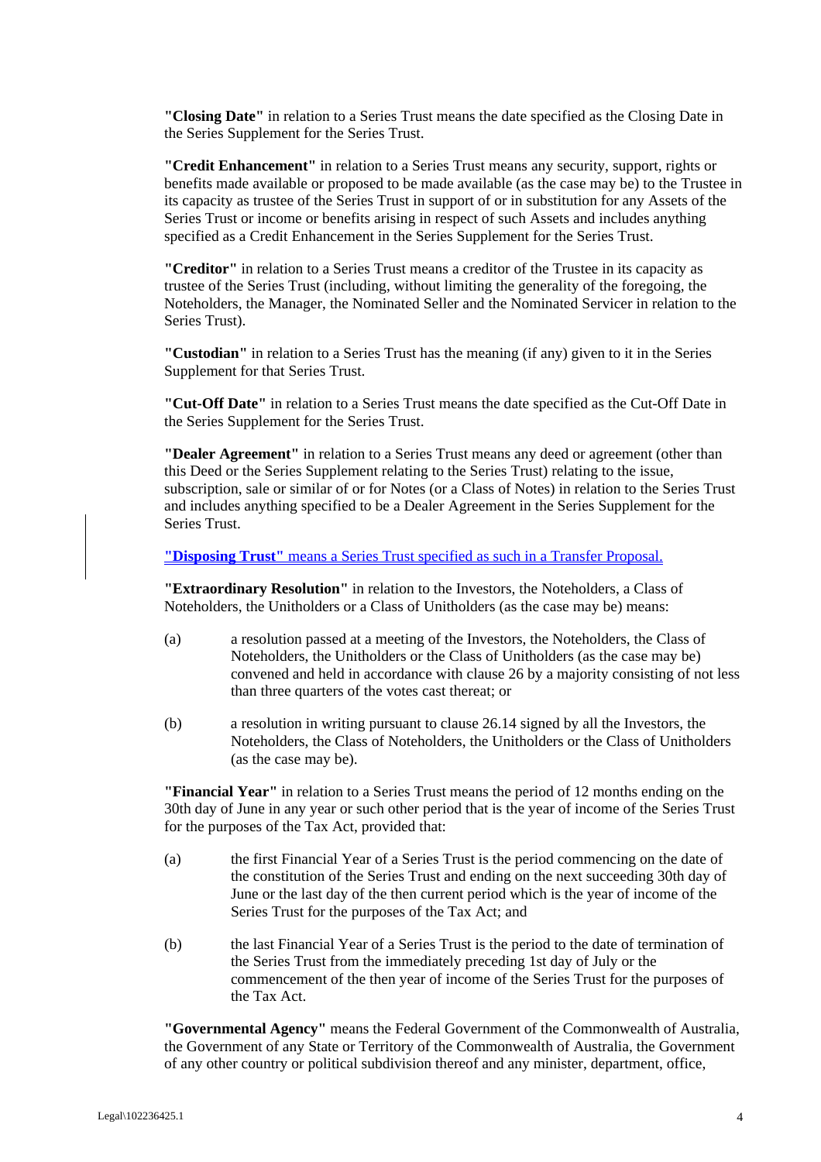**"Closing Date"** in relation to a Series Trust means the date specified as the Closing Date in the Series Supplement for the Series Trust.

**"Credit Enhancement"** in relation to a Series Trust means any security, support, rights or benefits made available or proposed to be made available (as the case may be) to the Trustee in its capacity as trustee of the Series Trust in support of or in substitution for any Assets of the Series Trust or income or benefits arising in respect of such Assets and includes anything specified as a Credit Enhancement in the Series Supplement for the Series Trust.

**"Creditor"** in relation to a Series Trust means a creditor of the Trustee in its capacity as trustee of the Series Trust (including, without limiting the generality of the foregoing, the Noteholders, the Manager, the Nominated Seller and the Nominated Servicer in relation to the Series Trust).

**"Custodian"** in relation to a Series Trust has the meaning (if any) given to it in the Series Supplement for that Series Trust.

**"Cut-Off Date"** in relation to a Series Trust means the date specified as the Cut-Off Date in the Series Supplement for the Series Trust.

**"Dealer Agreement"** in relation to a Series Trust means any deed or agreement (other than this Deed or the Series Supplement relating to the Series Trust) relating to the issue, subscription, sale or similar of or for Notes (or a Class of Notes) in relation to the Series Trust and includes anything specified to be a Dealer Agreement in the Series Supplement for the Series Trust.

**"Disposing Trust"** means a Series Trust specified as such in a Transfer Proposal.

**"Extraordinary Resolution"** in relation to the Investors, the Noteholders, a Class of Noteholders, the Unitholders or a Class of Unitholders (as the case may be) means:

- (a) a resolution passed at a meeting of the Investors, the Noteholders, the Class of Noteholders, the Unitholders or the Class of Unitholders (as the case may be) convened and held in accordance with clause 26 by a majority consisting of not less than three quarters of the votes cast thereat; or
- (b) a resolution in writing pursuant to clause 26.14 signed by all the Investors, the Noteholders, the Class of Noteholders, the Unitholders or the Class of Unitholders (as the case may be).

**"Financial Year"** in relation to a Series Trust means the period of 12 months ending on the 30th day of June in any year or such other period that is the year of income of the Series Trust for the purposes of the Tax Act, provided that:

- (a) the first Financial Year of a Series Trust is the period commencing on the date of the constitution of the Series Trust and ending on the next succeeding 30th day of June or the last day of the then current period which is the year of income of the Series Trust for the purposes of the Tax Act; and
- (b) the last Financial Year of a Series Trust is the period to the date of termination of the Series Trust from the immediately preceding 1st day of July or the commencement of the then year of income of the Series Trust for the purposes of the Tax Act.

**"Governmental Agency"** means the Federal Government of the Commonwealth of Australia, the Government of any State or Territory of the Commonwealth of Australia, the Government of any other country or political subdivision thereof and any minister, department, office,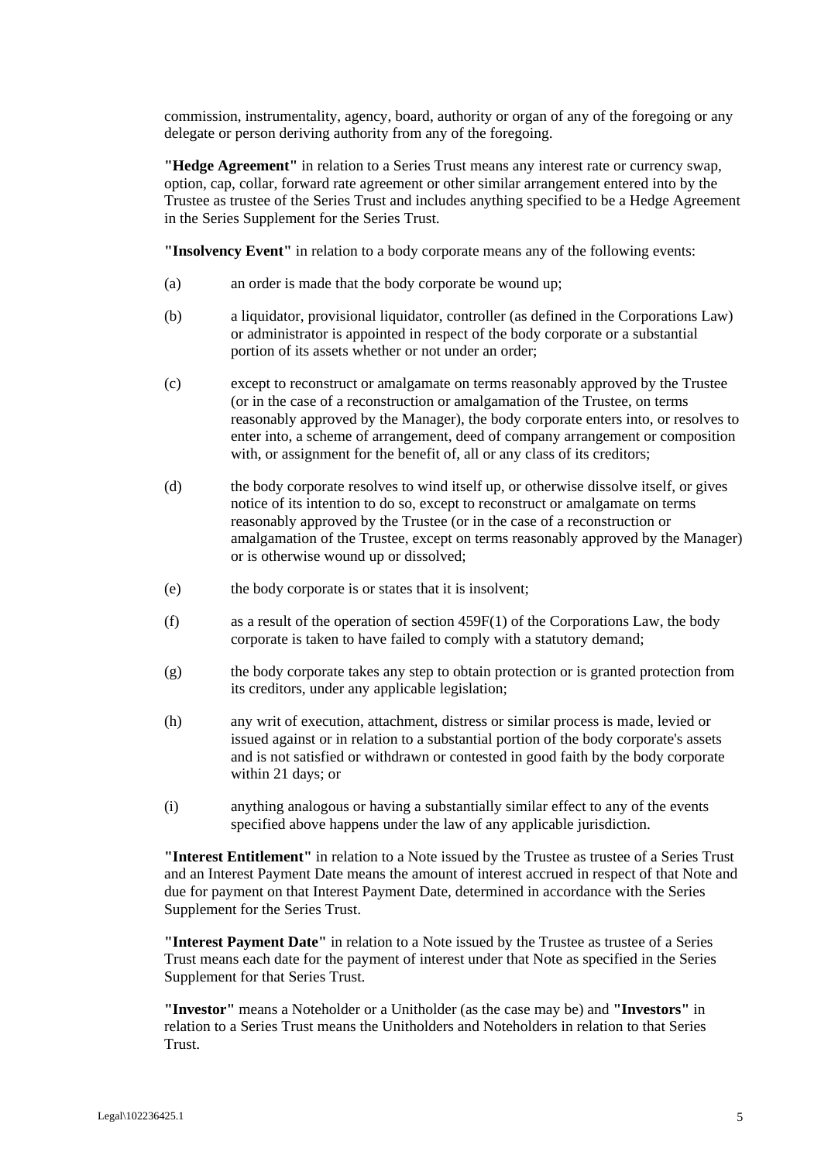commission, instrumentality, agency, board, authority or organ of any of the foregoing or any delegate or person deriving authority from any of the foregoing.

**"Hedge Agreement"** in relation to a Series Trust means any interest rate or currency swap, option, cap, collar, forward rate agreement or other similar arrangement entered into by the Trustee as trustee of the Series Trust and includes anything specified to be a Hedge Agreement in the Series Supplement for the Series Trust.

**"Insolvency Event"** in relation to a body corporate means any of the following events:

- (a) an order is made that the body corporate be wound up;
- (b) a liquidator, provisional liquidator, controller (as defined in the Corporations Law) or administrator is appointed in respect of the body corporate or a substantial portion of its assets whether or not under an order;
- (c) except to reconstruct or amalgamate on terms reasonably approved by the Trustee (or in the case of a reconstruction or amalgamation of the Trustee, on terms reasonably approved by the Manager), the body corporate enters into, or resolves to enter into, a scheme of arrangement, deed of company arrangement or composition with, or assignment for the benefit of, all or any class of its creditors;
- (d) the body corporate resolves to wind itself up, or otherwise dissolve itself, or gives notice of its intention to do so, except to reconstruct or amalgamate on terms reasonably approved by the Trustee (or in the case of a reconstruction or amalgamation of the Trustee, except on terms reasonably approved by the Manager) or is otherwise wound up or dissolved;
- (e) the body corporate is or states that it is insolvent;
- (f) as a result of the operation of section 459F(1) of the Corporations Law, the body corporate is taken to have failed to comply with a statutory demand;
- (g) the body corporate takes any step to obtain protection or is granted protection from its creditors, under any applicable legislation;
- (h) any writ of execution, attachment, distress or similar process is made, levied or issued against or in relation to a substantial portion of the body corporate's assets and is not satisfied or withdrawn or contested in good faith by the body corporate within 21 days; or
- (i) anything analogous or having a substantially similar effect to any of the events specified above happens under the law of any applicable jurisdiction.

**"Interest Entitlement"** in relation to a Note issued by the Trustee as trustee of a Series Trust and an Interest Payment Date means the amount of interest accrued in respect of that Note and due for payment on that Interest Payment Date, determined in accordance with the Series Supplement for the Series Trust.

**"Interest Payment Date"** in relation to a Note issued by the Trustee as trustee of a Series Trust means each date for the payment of interest under that Note as specified in the Series Supplement for that Series Trust.

**"Investor"** means a Noteholder or a Unitholder (as the case may be) and **"Investors"** in relation to a Series Trust means the Unitholders and Noteholders in relation to that Series Trust.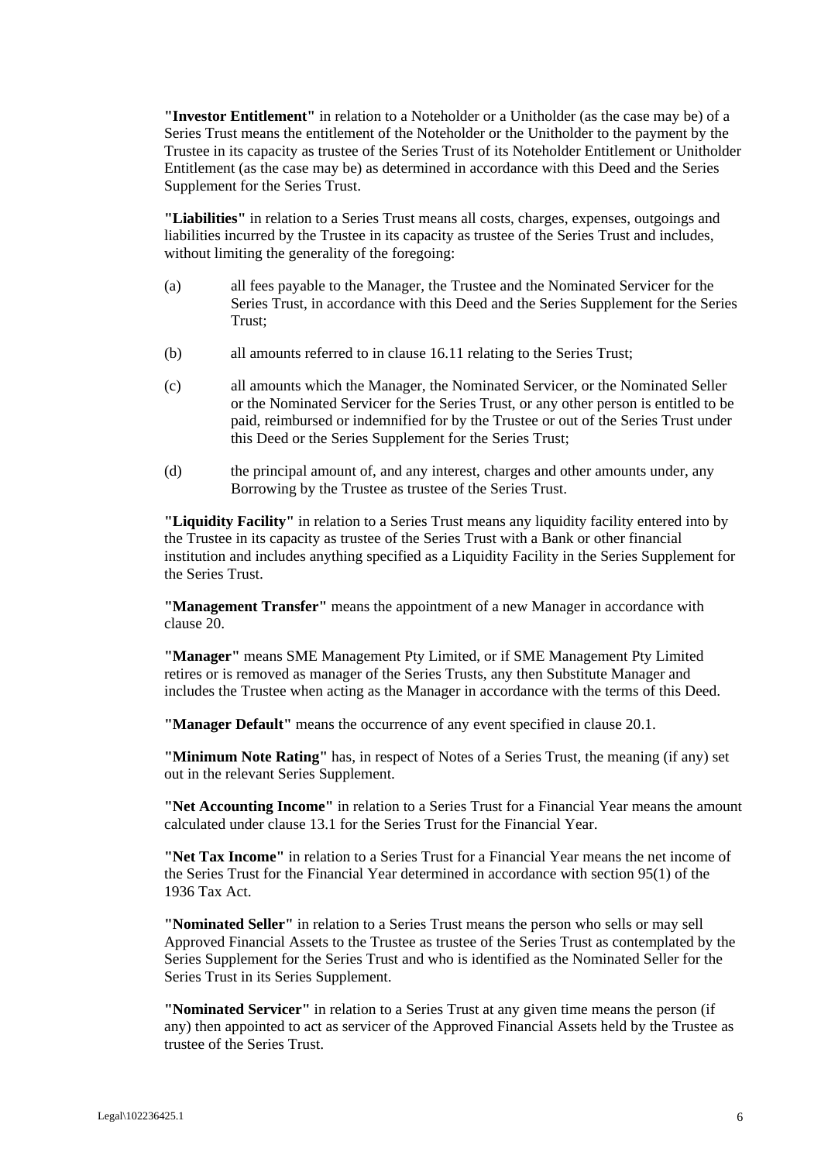**"Investor Entitlement"** in relation to a Noteholder or a Unitholder (as the case may be) of a Series Trust means the entitlement of the Noteholder or the Unitholder to the payment by the Trustee in its capacity as trustee of the Series Trust of its Noteholder Entitlement or Unitholder Entitlement (as the case may be) as determined in accordance with this Deed and the Series Supplement for the Series Trust.

**"Liabilities"** in relation to a Series Trust means all costs, charges, expenses, outgoings and liabilities incurred by the Trustee in its capacity as trustee of the Series Trust and includes, without limiting the generality of the foregoing:

- (a) all fees payable to the Manager, the Trustee and the Nominated Servicer for the Series Trust, in accordance with this Deed and the Series Supplement for the Series Trust;
- (b) all amounts referred to in clause 16.11 relating to the Series Trust;
- (c) all amounts which the Manager, the Nominated Servicer, or the Nominated Seller or the Nominated Servicer for the Series Trust, or any other person is entitled to be paid, reimbursed or indemnified for by the Trustee or out of the Series Trust under this Deed or the Series Supplement for the Series Trust;
- (d) the principal amount of, and any interest, charges and other amounts under, any Borrowing by the Trustee as trustee of the Series Trust.

**"Liquidity Facility"** in relation to a Series Trust means any liquidity facility entered into by the Trustee in its capacity as trustee of the Series Trust with a Bank or other financial institution and includes anything specified as a Liquidity Facility in the Series Supplement for the Series Trust.

**"Management Transfer"** means the appointment of a new Manager in accordance with clause 20.

**"Manager"** means SME Management Pty Limited, or if SME Management Pty Limited retires or is removed as manager of the Series Trusts, any then Substitute Manager and includes the Trustee when acting as the Manager in accordance with the terms of this Deed.

**"Manager Default"** means the occurrence of any event specified in clause 20.1.

**"Minimum Note Rating"** has, in respect of Notes of a Series Trust, the meaning (if any) set out in the relevant Series Supplement.

**"Net Accounting Income"** in relation to a Series Trust for a Financial Year means the amount calculated under clause 13.1 for the Series Trust for the Financial Year.

**"Net Tax Income"** in relation to a Series Trust for a Financial Year means the net income of the Series Trust for the Financial Year determined in accordance with section 95(1) of the 1936 Tax Act.

**"Nominated Seller"** in relation to a Series Trust means the person who sells or may sell Approved Financial Assets to the Trustee as trustee of the Series Trust as contemplated by the Series Supplement for the Series Trust and who is identified as the Nominated Seller for the Series Trust in its Series Supplement.

**"Nominated Servicer"** in relation to a Series Trust at any given time means the person (if any) then appointed to act as servicer of the Approved Financial Assets held by the Trustee as trustee of the Series Trust.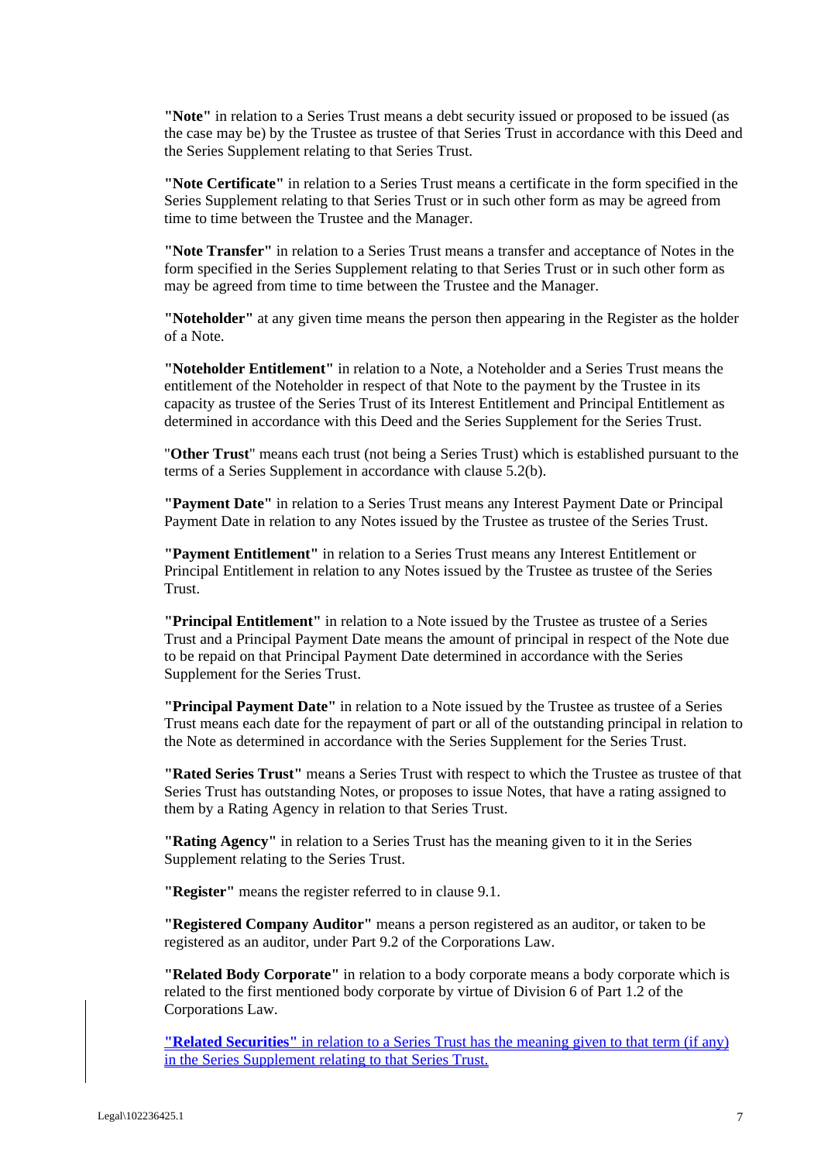**"Note"** in relation to a Series Trust means a debt security issued or proposed to be issued (as the case may be) by the Trustee as trustee of that Series Trust in accordance with this Deed and the Series Supplement relating to that Series Trust.

**"Note Certificate"** in relation to a Series Trust means a certificate in the form specified in the Series Supplement relating to that Series Trust or in such other form as may be agreed from time to time between the Trustee and the Manager.

**"Note Transfer"** in relation to a Series Trust means a transfer and acceptance of Notes in the form specified in the Series Supplement relating to that Series Trust or in such other form as may be agreed from time to time between the Trustee and the Manager.

**"Noteholder"** at any given time means the person then appearing in the Register as the holder of a Note.

**"Noteholder Entitlement"** in relation to a Note, a Noteholder and a Series Trust means the entitlement of the Noteholder in respect of that Note to the payment by the Trustee in its capacity as trustee of the Series Trust of its Interest Entitlement and Principal Entitlement as determined in accordance with this Deed and the Series Supplement for the Series Trust.

"**Other Trust**" means each trust (not being a Series Trust) which is established pursuant to the terms of a Series Supplement in accordance with clause 5.2(b).

**"Payment Date"** in relation to a Series Trust means any Interest Payment Date or Principal Payment Date in relation to any Notes issued by the Trustee as trustee of the Series Trust.

**"Payment Entitlement"** in relation to a Series Trust means any Interest Entitlement or Principal Entitlement in relation to any Notes issued by the Trustee as trustee of the Series Trust.

**"Principal Entitlement"** in relation to a Note issued by the Trustee as trustee of a Series Trust and a Principal Payment Date means the amount of principal in respect of the Note due to be repaid on that Principal Payment Date determined in accordance with the Series Supplement for the Series Trust.

**"Principal Payment Date"** in relation to a Note issued by the Trustee as trustee of a Series Trust means each date for the repayment of part or all of the outstanding principal in relation to the Note as determined in accordance with the Series Supplement for the Series Trust.

**"Rated Series Trust"** means a Series Trust with respect to which the Trustee as trustee of that Series Trust has outstanding Notes, or proposes to issue Notes, that have a rating assigned to them by a Rating Agency in relation to that Series Trust.

**"Rating Agency"** in relation to a Series Trust has the meaning given to it in the Series Supplement relating to the Series Trust.

**"Register"** means the register referred to in clause 9.1.

**"Registered Company Auditor"** means a person registered as an auditor, or taken to be registered as an auditor, under Part 9.2 of the Corporations Law.

**"Related Body Corporate"** in relation to a body corporate means a body corporate which is related to the first mentioned body corporate by virtue of Division 6 of Part 1.2 of the Corporations Law.

**"Related Securities"** in relation to a Series Trust has the meaning given to that term (if any) in the Series Supplement relating to that Series Trust.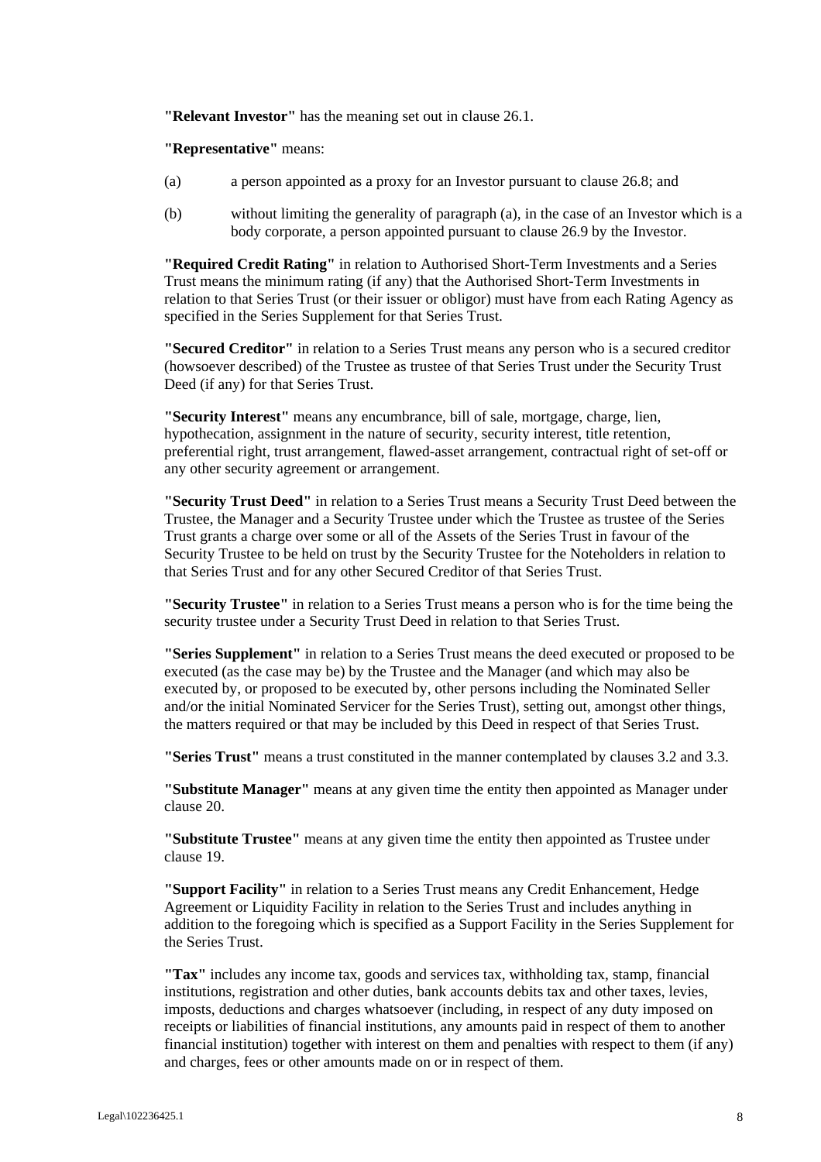**"Relevant Investor"** has the meaning set out in clause 26.1.

**"Representative"** means:

- (a) a person appointed as a proxy for an Investor pursuant to clause 26.8; and
- (b) without limiting the generality of paragraph (a), in the case of an Investor which is a body corporate, a person appointed pursuant to clause 26.9 by the Investor.

**"Required Credit Rating"** in relation to Authorised Short-Term Investments and a Series Trust means the minimum rating (if any) that the Authorised Short-Term Investments in relation to that Series Trust (or their issuer or obligor) must have from each Rating Agency as specified in the Series Supplement for that Series Trust.

**"Secured Creditor"** in relation to a Series Trust means any person who is a secured creditor (howsoever described) of the Trustee as trustee of that Series Trust under the Security Trust Deed (if any) for that Series Trust.

**"Security Interest"** means any encumbrance, bill of sale, mortgage, charge, lien, hypothecation, assignment in the nature of security, security interest, title retention, preferential right, trust arrangement, flawed-asset arrangement, contractual right of set-off or any other security agreement or arrangement.

**"Security Trust Deed"** in relation to a Series Trust means a Security Trust Deed between the Trustee, the Manager and a Security Trustee under which the Trustee as trustee of the Series Trust grants a charge over some or all of the Assets of the Series Trust in favour of the Security Trustee to be held on trust by the Security Trustee for the Noteholders in relation to that Series Trust and for any other Secured Creditor of that Series Trust.

**"Security Trustee"** in relation to a Series Trust means a person who is for the time being the security trustee under a Security Trust Deed in relation to that Series Trust.

**"Series Supplement"** in relation to a Series Trust means the deed executed or proposed to be executed (as the case may be) by the Trustee and the Manager (and which may also be executed by, or proposed to be executed by, other persons including the Nominated Seller and/or the initial Nominated Servicer for the Series Trust), setting out, amongst other things, the matters required or that may be included by this Deed in respect of that Series Trust.

**"Series Trust"** means a trust constituted in the manner contemplated by clauses 3.2 and 3.3.

**"Substitute Manager"** means at any given time the entity then appointed as Manager under clause 20.

**"Substitute Trustee"** means at any given time the entity then appointed as Trustee under clause 19.

**"Support Facility"** in relation to a Series Trust means any Credit Enhancement, Hedge Agreement or Liquidity Facility in relation to the Series Trust and includes anything in addition to the foregoing which is specified as a Support Facility in the Series Supplement for the Series Trust.

**"Tax"** includes any income tax, goods and services tax, withholding tax, stamp, financial institutions, registration and other duties, bank accounts debits tax and other taxes, levies, imposts, deductions and charges whatsoever (including, in respect of any duty imposed on receipts or liabilities of financial institutions, any amounts paid in respect of them to another financial institution) together with interest on them and penalties with respect to them (if any) and charges, fees or other amounts made on or in respect of them.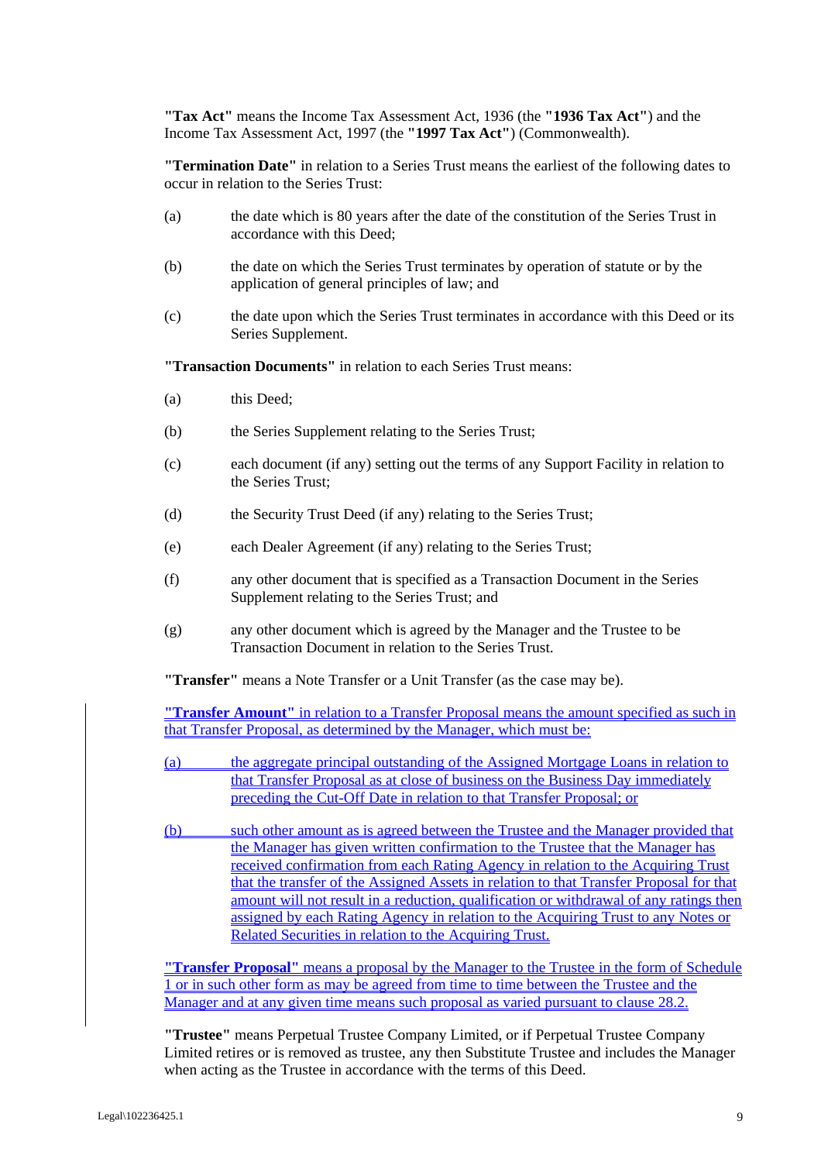**"Tax Act"** means the Income Tax Assessment Act, 1936 (the **"1936 Tax Act"**) and the Income Tax Assessment Act, 1997 (the **"1997 Tax Act"**) (Commonwealth).

**"Termination Date"** in relation to a Series Trust means the earliest of the following dates to occur in relation to the Series Trust:

- (a) the date which is 80 years after the date of the constitution of the Series Trust in accordance with this Deed;
- (b) the date on which the Series Trust terminates by operation of statute or by the application of general principles of law; and
- (c) the date upon which the Series Trust terminates in accordance with this Deed or its Series Supplement.

**"Transaction Documents"** in relation to each Series Trust means:

- (a) this Deed;
- (b) the Series Supplement relating to the Series Trust;
- (c) each document (if any) setting out the terms of any Support Facility in relation to the Series Trust;
- (d) the Security Trust Deed (if any) relating to the Series Trust;
- (e) each Dealer Agreement (if any) relating to the Series Trust;
- (f) any other document that is specified as a Transaction Document in the Series Supplement relating to the Series Trust; and
- (g) any other document which is agreed by the Manager and the Trustee to be Transaction Document in relation to the Series Trust.

**"Transfer"** means a Note Transfer or a Unit Transfer (as the case may be).

**"Transfer Amount"** in relation to a Transfer Proposal means the amount specified as such in that Transfer Proposal, as determined by the Manager, which must be:

(a) the aggregate principal outstanding of the Assigned Mortgage Loans in relation to that Transfer Proposal as at close of business on the Business Day immediately preceding the Cut-Off Date in relation to that Transfer Proposal; or

(b) such other amount as is agreed between the Trustee and the Manager provided that the Manager has given written confirmation to the Trustee that the Manager has received confirmation from each Rating Agency in relation to the Acquiring Trust that the transfer of the Assigned Assets in relation to that Transfer Proposal for that amount will not result in a reduction, qualification or withdrawal of any ratings then assigned by each Rating Agency in relation to the Acquiring Trust to any Notes or Related Securities in relation to the Acquiring Trust.

**"Transfer Proposal"** means a proposal by the Manager to the Trustee in the form of Schedule 1 or in such other form as may be agreed from time to time between the Trustee and the Manager and at any given time means such proposal as varied pursuant to clause 28.2.

**"Trustee"** means Perpetual Trustee Company Limited, or if Perpetual Trustee Company Limited retires or is removed as trustee, any then Substitute Trustee and includes the Manager when acting as the Trustee in accordance with the terms of this Deed.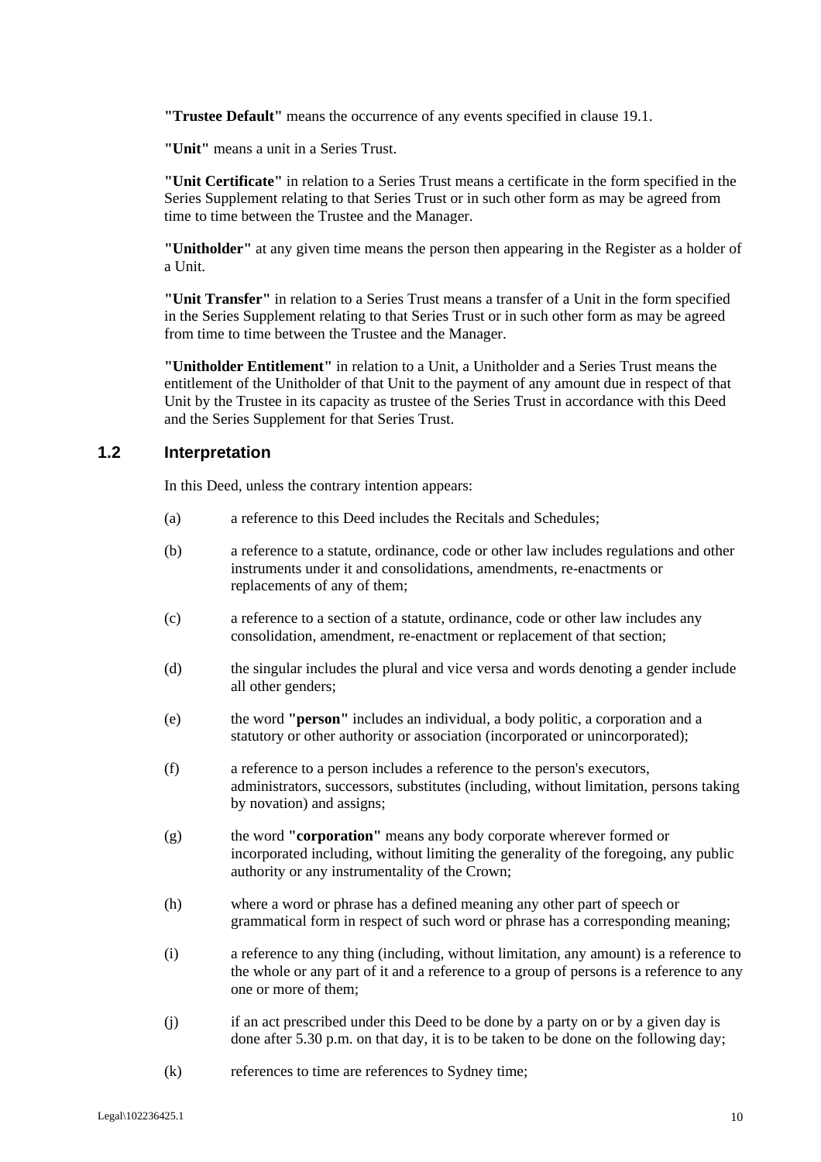**"Trustee Default"** means the occurrence of any events specified in clause 19.1.

**"Unit"** means a unit in a Series Trust.

**"Unit Certificate"** in relation to a Series Trust means a certificate in the form specified in the Series Supplement relating to that Series Trust or in such other form as may be agreed from time to time between the Trustee and the Manager.

**"Unitholder"** at any given time means the person then appearing in the Register as a holder of a Unit.

**"Unit Transfer"** in relation to a Series Trust means a transfer of a Unit in the form specified in the Series Supplement relating to that Series Trust or in such other form as may be agreed from time to time between the Trustee and the Manager.

**"Unitholder Entitlement"** in relation to a Unit, a Unitholder and a Series Trust means the entitlement of the Unitholder of that Unit to the payment of any amount due in respect of that Unit by the Trustee in its capacity as trustee of the Series Trust in accordance with this Deed and the Series Supplement for that Series Trust.

#### **1.2 Interpretation**

In this Deed, unless the contrary intention appears:

- (a) a reference to this Deed includes the Recitals and Schedules;
- (b) a reference to a statute, ordinance, code or other law includes regulations and other instruments under it and consolidations, amendments, re-enactments or replacements of any of them;
- (c) a reference to a section of a statute, ordinance, code or other law includes any consolidation, amendment, re-enactment or replacement of that section;
- (d) the singular includes the plural and vice versa and words denoting a gender include all other genders;
- (e) the word **"person"** includes an individual, a body politic, a corporation and a statutory or other authority or association (incorporated or unincorporated);
- (f) a reference to a person includes a reference to the person's executors, administrators, successors, substitutes (including, without limitation, persons taking by novation) and assigns;
- (g) the word **"corporation"** means any body corporate wherever formed or incorporated including, without limiting the generality of the foregoing, any public authority or any instrumentality of the Crown;
- (h) where a word or phrase has a defined meaning any other part of speech or grammatical form in respect of such word or phrase has a corresponding meaning;
- (i) a reference to any thing (including, without limitation, any amount) is a reference to the whole or any part of it and a reference to a group of persons is a reference to any one or more of them;
- (j) if an act prescribed under this Deed to be done by a party on or by a given day is done after 5.30 p.m. on that day, it is to be taken to be done on the following day;
- (k) references to time are references to Sydney time;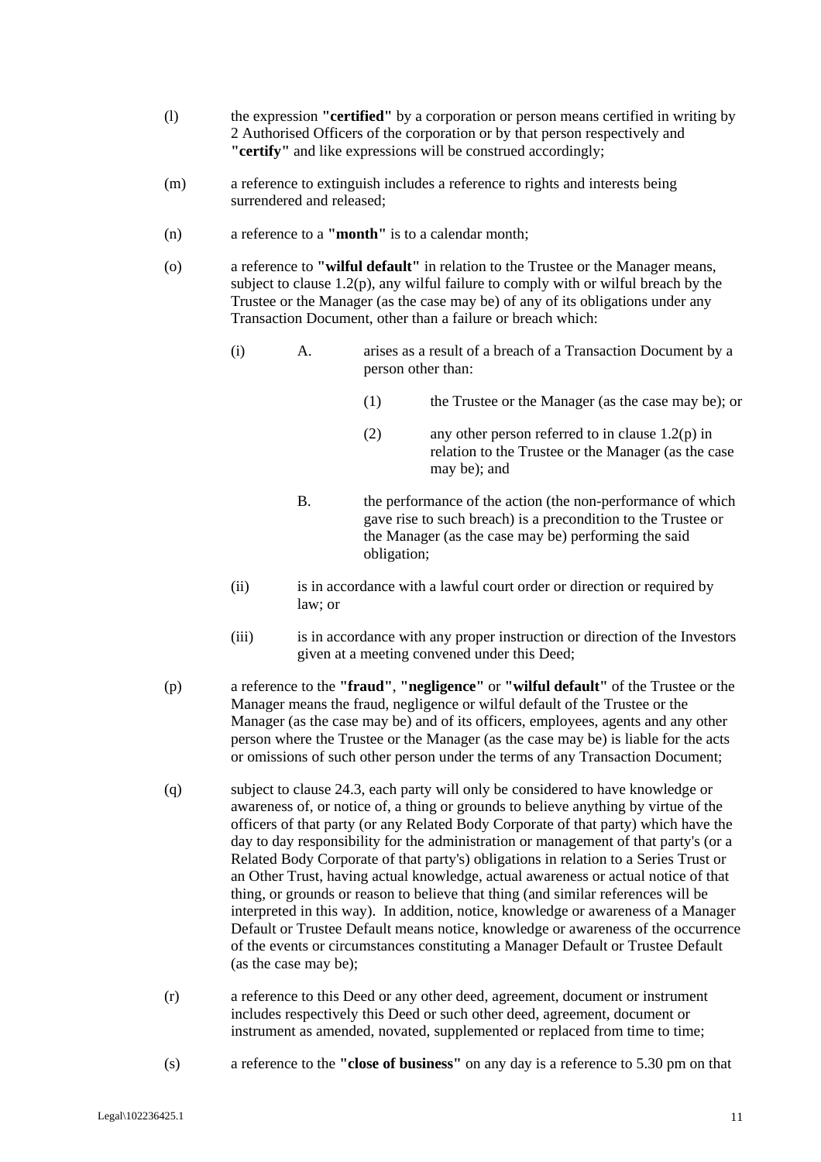- (l) the expression **"certified"** by a corporation or person means certified in writing by 2 Authorised Officers of the corporation or by that person respectively and **"certify"** and like expressions will be construed accordingly;
- (m) a reference to extinguish includes a reference to rights and interests being surrendered and released;
- (n) a reference to a **"month"** is to a calendar month;
- (o) a reference to **"wilful default"** in relation to the Trustee or the Manager means, subject to clause 1.2(p), any wilful failure to comply with or wilful breach by the Trustee or the Manager (as the case may be) of any of its obligations under any Transaction Document, other than a failure or breach which:
	- (i) A. arises as a result of a breach of a Transaction Document by a person other than:
		- (1) the Trustee or the Manager (as the case may be); or
		- (2) any other person referred to in clause 1.2(p) in relation to the Trustee or the Manager (as the case may be); and
		- B. the performance of the action (the non-performance of which gave rise to such breach) is a precondition to the Trustee or the Manager (as the case may be) performing the said obligation;
	- (ii) is in accordance with a lawful court order or direction or required by law; or
	- (iii) is in accordance with any proper instruction or direction of the Investors given at a meeting convened under this Deed;
- (p) a reference to the **"fraud"**, **"negligence"** or **"wilful default"** of the Trustee or the Manager means the fraud, negligence or wilful default of the Trustee or the Manager (as the case may be) and of its officers, employees, agents and any other person where the Trustee or the Manager (as the case may be) is liable for the acts or omissions of such other person under the terms of any Transaction Document;
- (q) subject to clause 24.3, each party will only be considered to have knowledge or awareness of, or notice of, a thing or grounds to believe anything by virtue of the officers of that party (or any Related Body Corporate of that party) which have the day to day responsibility for the administration or management of that party's (or a Related Body Corporate of that party's) obligations in relation to a Series Trust or an Other Trust, having actual knowledge, actual awareness or actual notice of that thing, or grounds or reason to believe that thing (and similar references will be interpreted in this way). In addition, notice, knowledge or awareness of a Manager Default or Trustee Default means notice, knowledge or awareness of the occurrence of the events or circumstances constituting a Manager Default or Trustee Default (as the case may be);
- (r) a reference to this Deed or any other deed, agreement, document or instrument includes respectively this Deed or such other deed, agreement, document or instrument as amended, novated, supplemented or replaced from time to time;
- (s) a reference to the **"close of business"** on any day is a reference to 5.30 pm on that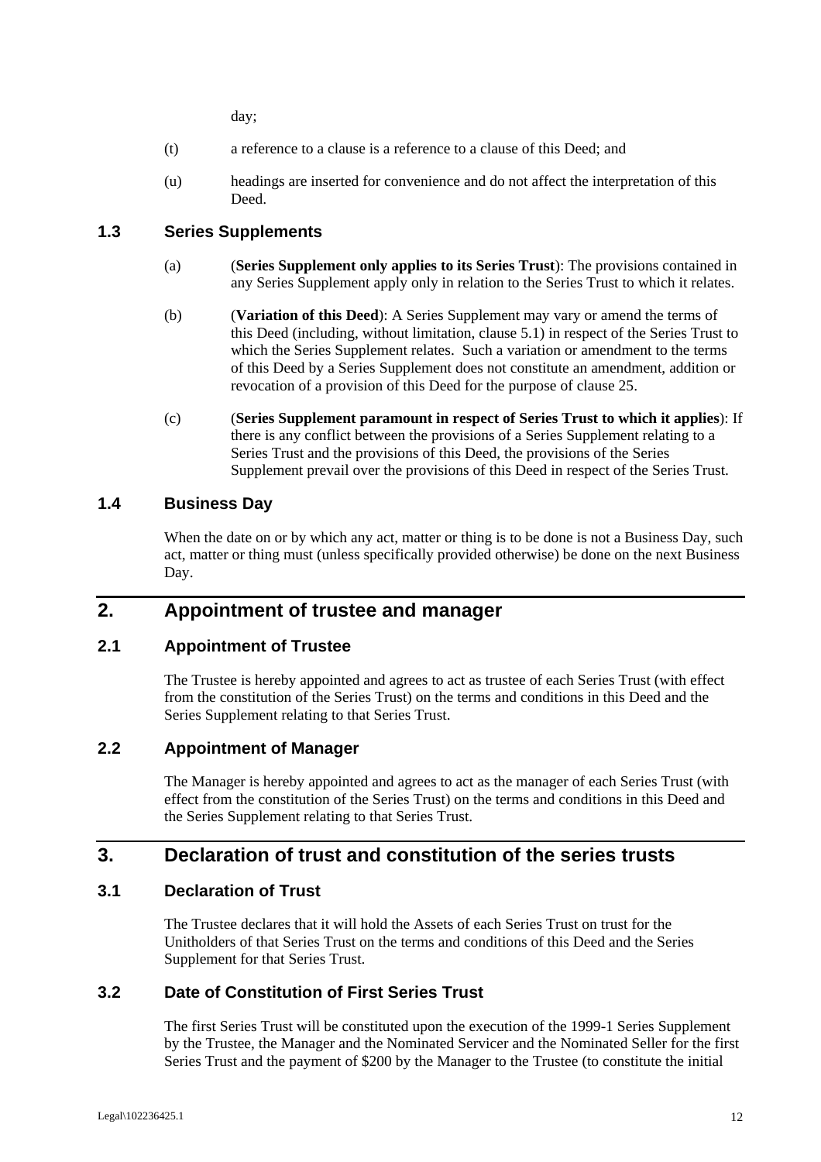day;

- (t) a reference to a clause is a reference to a clause of this Deed; and
- (u) headings are inserted for convenience and do not affect the interpretation of this Deed.

## **1.3 Series Supplements**

- (a) (**Series Supplement only applies to its Series Trust**): The provisions contained in any Series Supplement apply only in relation to the Series Trust to which it relates.
- (b) (**Variation of this Deed**): A Series Supplement may vary or amend the terms of this Deed (including, without limitation, clause 5.1) in respect of the Series Trust to which the Series Supplement relates. Such a variation or amendment to the terms of this Deed by a Series Supplement does not constitute an amendment, addition or revocation of a provision of this Deed for the purpose of clause 25.
- (c) (**Series Supplement paramount in respect of Series Trust to which it applies**): If there is any conflict between the provisions of a Series Supplement relating to a Series Trust and the provisions of this Deed, the provisions of the Series Supplement prevail over the provisions of this Deed in respect of the Series Trust.

## **1.4 Business Day**

When the date on or by which any act, matter or thing is to be done is not a Business Day, such act, matter or thing must (unless specifically provided otherwise) be done on the next Business Day.

# **2. Appointment of trustee and manager**

## **2.1 Appointment of Trustee**

The Trustee is hereby appointed and agrees to act as trustee of each Series Trust (with effect from the constitution of the Series Trust) on the terms and conditions in this Deed and the Series Supplement relating to that Series Trust.

## **2.2 Appointment of Manager**

The Manager is hereby appointed and agrees to act as the manager of each Series Trust (with effect from the constitution of the Series Trust) on the terms and conditions in this Deed and the Series Supplement relating to that Series Trust.

# **3. Declaration of trust and constitution of the series trusts**

#### **3.1 Declaration of Trust**

The Trustee declares that it will hold the Assets of each Series Trust on trust for the Unitholders of that Series Trust on the terms and conditions of this Deed and the Series Supplement for that Series Trust.

## **3.2 Date of Constitution of First Series Trust**

The first Series Trust will be constituted upon the execution of the 1999-1 Series Supplement by the Trustee, the Manager and the Nominated Servicer and the Nominated Seller for the first Series Trust and the payment of \$200 by the Manager to the Trustee (to constitute the initial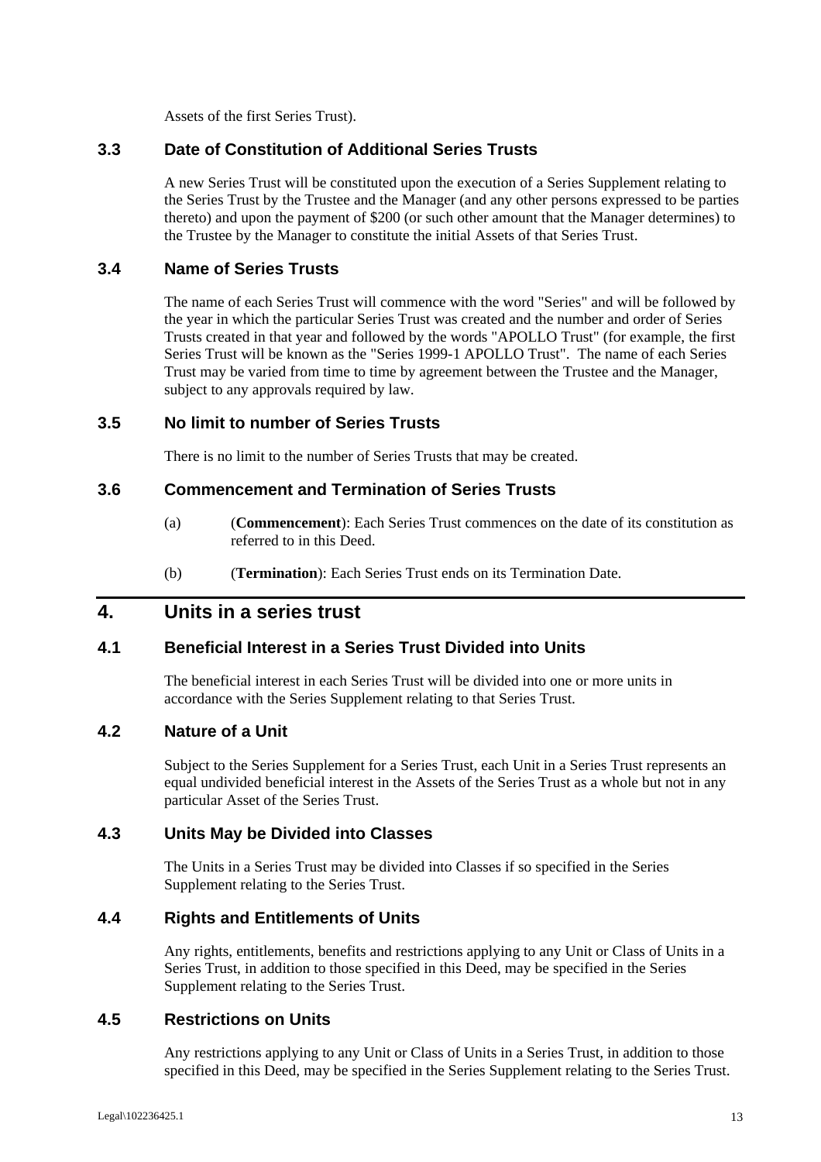Assets of the first Series Trust).

## **3.3 Date of Constitution of Additional Series Trusts**

A new Series Trust will be constituted upon the execution of a Series Supplement relating to the Series Trust by the Trustee and the Manager (and any other persons expressed to be parties thereto) and upon the payment of \$200 (or such other amount that the Manager determines) to the Trustee by the Manager to constitute the initial Assets of that Series Trust.

#### **3.4 Name of Series Trusts**

The name of each Series Trust will commence with the word "Series" and will be followed by the year in which the particular Series Trust was created and the number and order of Series Trusts created in that year and followed by the words "APOLLO Trust" (for example, the first Series Trust will be known as the "Series 1999-1 APOLLO Trust". The name of each Series Trust may be varied from time to time by agreement between the Trustee and the Manager, subject to any approvals required by law.

#### **3.5 No limit to number of Series Trusts**

There is no limit to the number of Series Trusts that may be created.

#### **3.6 Commencement and Termination of Series Trusts**

- (a) (**Commencement**): Each Series Trust commences on the date of its constitution as referred to in this Deed.
- (b) (**Termination**): Each Series Trust ends on its Termination Date.

# **4. Units in a series trust**

## **4.1 Beneficial Interest in a Series Trust Divided into Units**

The beneficial interest in each Series Trust will be divided into one or more units in accordance with the Series Supplement relating to that Series Trust.

#### **4.2 Nature of a Unit**

Subject to the Series Supplement for a Series Trust, each Unit in a Series Trust represents an equal undivided beneficial interest in the Assets of the Series Trust as a whole but not in any particular Asset of the Series Trust.

#### **4.3 Units May be Divided into Classes**

The Units in a Series Trust may be divided into Classes if so specified in the Series Supplement relating to the Series Trust.

#### **4.4 Rights and Entitlements of Units**

Any rights, entitlements, benefits and restrictions applying to any Unit or Class of Units in a Series Trust, in addition to those specified in this Deed, may be specified in the Series Supplement relating to the Series Trust.

#### **4.5 Restrictions on Units**

Any restrictions applying to any Unit or Class of Units in a Series Trust, in addition to those specified in this Deed, may be specified in the Series Supplement relating to the Series Trust.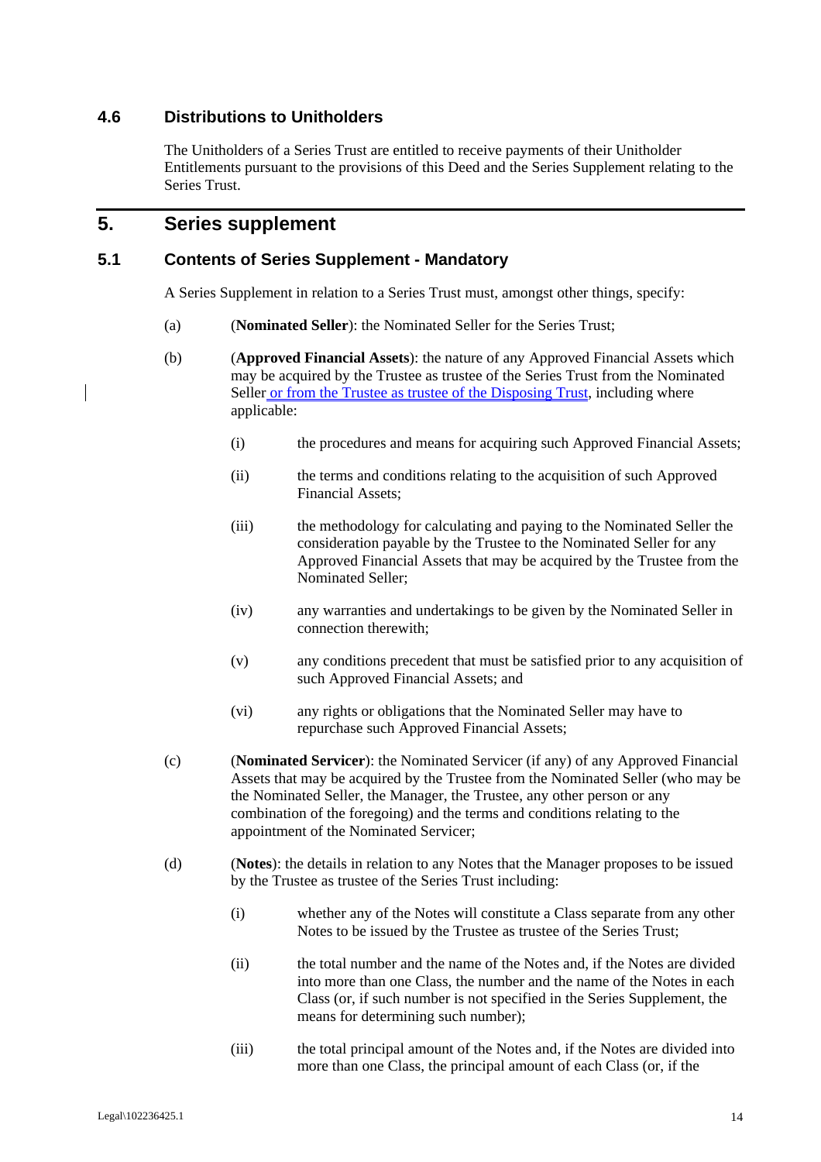## **4.6 Distributions to Unitholders**

The Unitholders of a Series Trust are entitled to receive payments of their Unitholder Entitlements pursuant to the provisions of this Deed and the Series Supplement relating to the Series Trust.

# **5. Series supplement**

#### **5.1 Contents of Series Supplement - Mandatory**

A Series Supplement in relation to a Series Trust must, amongst other things, specify:

- (a) (**Nominated Seller**): the Nominated Seller for the Series Trust;
- (b) (**Approved Financial Assets**): the nature of any Approved Financial Assets which may be acquired by the Trustee as trustee of the Series Trust from the Nominated Seller or from the Trustee as trustee of the Disposing Trust, including where applicable:
	- (i) the procedures and means for acquiring such Approved Financial Assets;
	- (ii) the terms and conditions relating to the acquisition of such Approved Financial Assets;
	- (iii) the methodology for calculating and paying to the Nominated Seller the consideration payable by the Trustee to the Nominated Seller for any Approved Financial Assets that may be acquired by the Trustee from the Nominated Seller;
	- (iv) any warranties and undertakings to be given by the Nominated Seller in connection therewith;
	- (v) any conditions precedent that must be satisfied prior to any acquisition of such Approved Financial Assets; and
	- (vi) any rights or obligations that the Nominated Seller may have to repurchase such Approved Financial Assets;
	- (c) (**Nominated Servicer**): the Nominated Servicer (if any) of any Approved Financial Assets that may be acquired by the Trustee from the Nominated Seller (who may be the Nominated Seller, the Manager, the Trustee, any other person or any combination of the foregoing) and the terms and conditions relating to the appointment of the Nominated Servicer;
	- (d) (**Notes**): the details in relation to any Notes that the Manager proposes to be issued by the Trustee as trustee of the Series Trust including:
		- (i) whether any of the Notes will constitute a Class separate from any other Notes to be issued by the Trustee as trustee of the Series Trust;
		- (ii) the total number and the name of the Notes and, if the Notes are divided into more than one Class, the number and the name of the Notes in each Class (or, if such number is not specified in the Series Supplement, the means for determining such number);
		- (iii) the total principal amount of the Notes and, if the Notes are divided into more than one Class, the principal amount of each Class (or, if the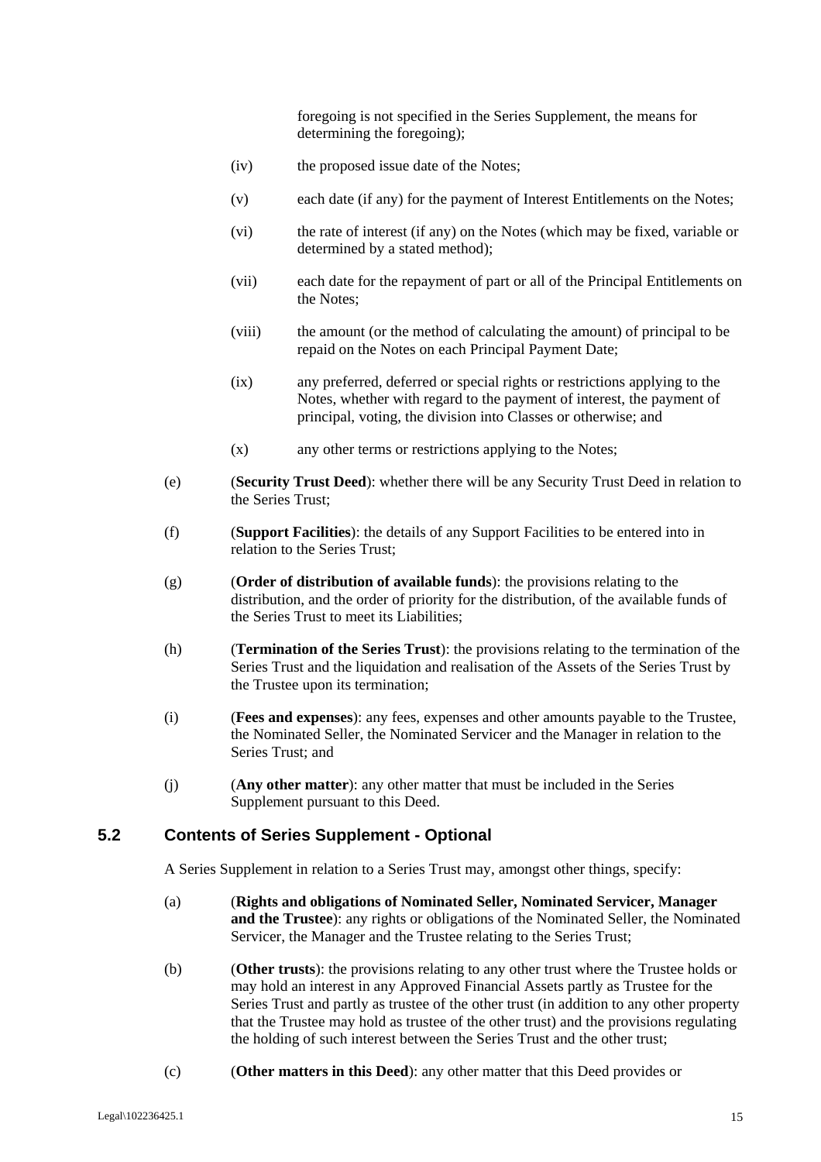foregoing is not specified in the Series Supplement, the means for determining the foregoing);

- (iv) the proposed issue date of the Notes;
- (v) each date (if any) for the payment of Interest Entitlements on the Notes;
- (vi) the rate of interest (if any) on the Notes (which may be fixed, variable or determined by a stated method);
- (vii) each date for the repayment of part or all of the Principal Entitlements on the Notes;
- (viii) the amount (or the method of calculating the amount) of principal to be repaid on the Notes on each Principal Payment Date;
- (ix) any preferred, deferred or special rights or restrictions applying to the Notes, whether with regard to the payment of interest, the payment of principal, voting, the division into Classes or otherwise; and
- (x) any other terms or restrictions applying to the Notes;
- (e) (**Security Trust Deed**): whether there will be any Security Trust Deed in relation to the Series Trust;
- (f) (**Support Facilities**): the details of any Support Facilities to be entered into in relation to the Series Trust;
- (g) (**Order of distribution of available funds**): the provisions relating to the distribution, and the order of priority for the distribution, of the available funds of the Series Trust to meet its Liabilities;
- (h) (**Termination of the Series Trust**): the provisions relating to the termination of the Series Trust and the liquidation and realisation of the Assets of the Series Trust by the Trustee upon its termination;
- (i) (**Fees and expenses**): any fees, expenses and other amounts payable to the Trustee, the Nominated Seller, the Nominated Servicer and the Manager in relation to the Series Trust; and
- (j) (**Any other matter**): any other matter that must be included in the Series Supplement pursuant to this Deed.

#### **5.2 Contents of Series Supplement - Optional**

A Series Supplement in relation to a Series Trust may, amongst other things, specify:

- (a) (**Rights and obligations of Nominated Seller, Nominated Servicer, Manager and the Trustee**): any rights or obligations of the Nominated Seller, the Nominated Servicer, the Manager and the Trustee relating to the Series Trust;
- (b) (**Other trusts**): the provisions relating to any other trust where the Trustee holds or may hold an interest in any Approved Financial Assets partly as Trustee for the Series Trust and partly as trustee of the other trust (in addition to any other property that the Trustee may hold as trustee of the other trust) and the provisions regulating the holding of such interest between the Series Trust and the other trust;
- (c) (**Other matters in this Deed**): any other matter that this Deed provides or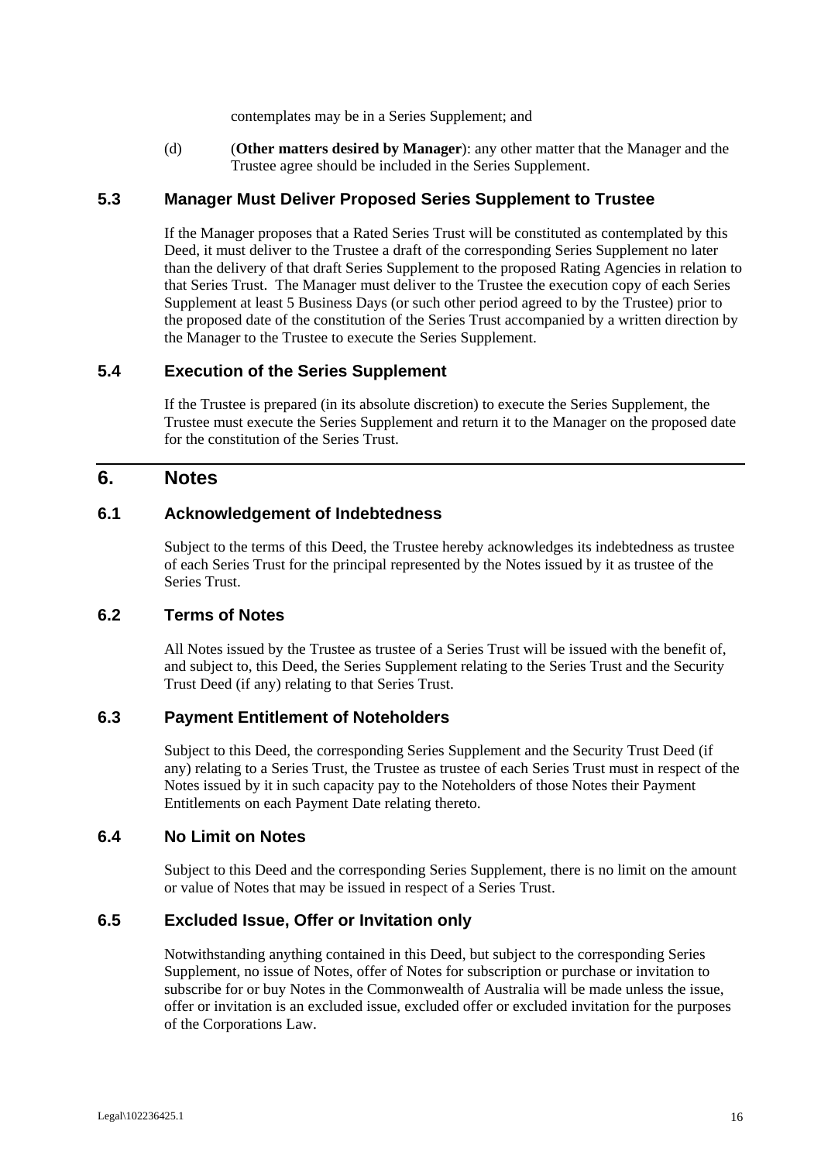contemplates may be in a Series Supplement; and

(d) (**Other matters desired by Manager**): any other matter that the Manager and the Trustee agree should be included in the Series Supplement.

#### **5.3 Manager Must Deliver Proposed Series Supplement to Trustee**

If the Manager proposes that a Rated Series Trust will be constituted as contemplated by this Deed, it must deliver to the Trustee a draft of the corresponding Series Supplement no later than the delivery of that draft Series Supplement to the proposed Rating Agencies in relation to that Series Trust. The Manager must deliver to the Trustee the execution copy of each Series Supplement at least 5 Business Days (or such other period agreed to by the Trustee) prior to the proposed date of the constitution of the Series Trust accompanied by a written direction by the Manager to the Trustee to execute the Series Supplement.

#### **5.4 Execution of the Series Supplement**

If the Trustee is prepared (in its absolute discretion) to execute the Series Supplement, the Trustee must execute the Series Supplement and return it to the Manager on the proposed date for the constitution of the Series Trust.

## **6. Notes**

#### **6.1 Acknowledgement of Indebtedness**

Subject to the terms of this Deed, the Trustee hereby acknowledges its indebtedness as trustee of each Series Trust for the principal represented by the Notes issued by it as trustee of the Series Trust.

#### **6.2 Terms of Notes**

All Notes issued by the Trustee as trustee of a Series Trust will be issued with the benefit of, and subject to, this Deed, the Series Supplement relating to the Series Trust and the Security Trust Deed (if any) relating to that Series Trust.

#### **6.3 Payment Entitlement of Noteholders**

Subject to this Deed, the corresponding Series Supplement and the Security Trust Deed (if any) relating to a Series Trust, the Trustee as trustee of each Series Trust must in respect of the Notes issued by it in such capacity pay to the Noteholders of those Notes their Payment Entitlements on each Payment Date relating thereto.

#### **6.4 No Limit on Notes**

Subject to this Deed and the corresponding Series Supplement, there is no limit on the amount or value of Notes that may be issued in respect of a Series Trust.

#### **6.5 Excluded Issue, Offer or Invitation only**

Notwithstanding anything contained in this Deed, but subject to the corresponding Series Supplement, no issue of Notes, offer of Notes for subscription or purchase or invitation to subscribe for or buy Notes in the Commonwealth of Australia will be made unless the issue, offer or invitation is an excluded issue, excluded offer or excluded invitation for the purposes of the Corporations Law.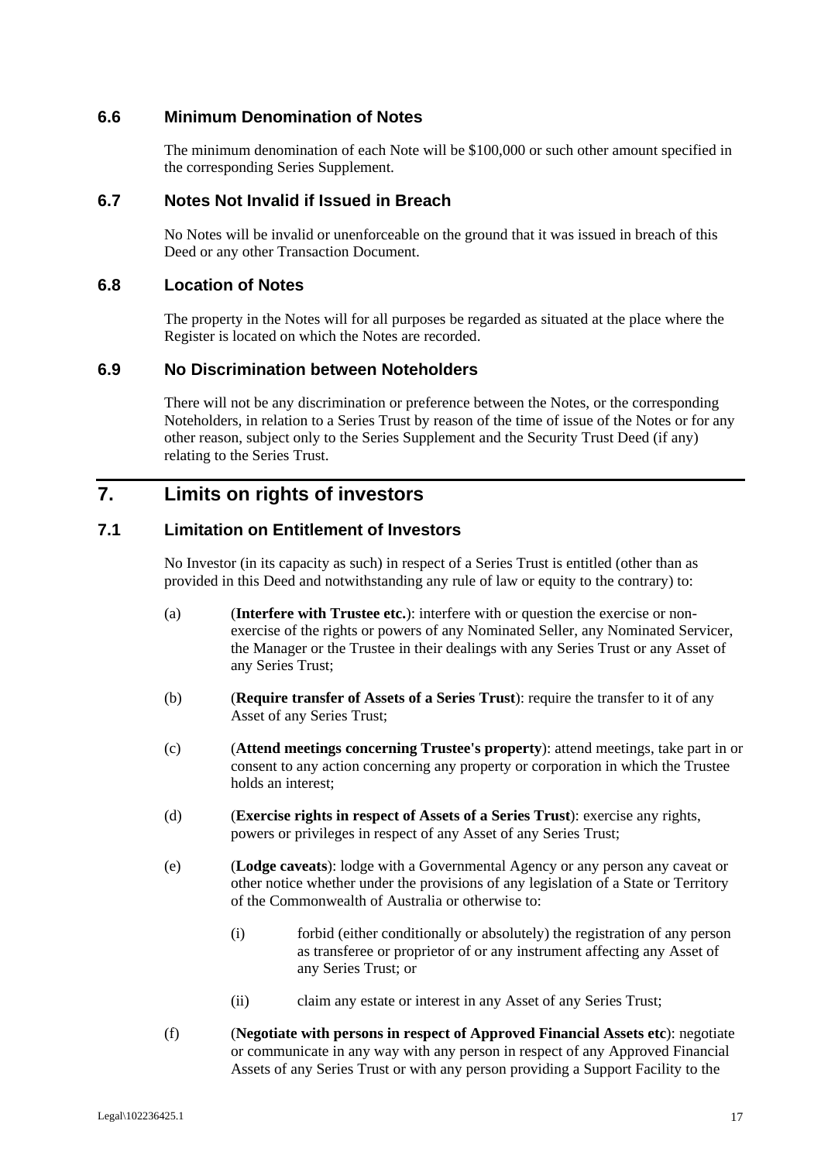#### **6.6 Minimum Denomination of Notes**

The minimum denomination of each Note will be \$100,000 or such other amount specified in the corresponding Series Supplement.

#### **6.7 Notes Not Invalid if Issued in Breach**

No Notes will be invalid or unenforceable on the ground that it was issued in breach of this Deed or any other Transaction Document.

#### **6.8 Location of Notes**

The property in the Notes will for all purposes be regarded as situated at the place where the Register is located on which the Notes are recorded.

#### **6.9 No Discrimination between Noteholders**

There will not be any discrimination or preference between the Notes, or the corresponding Noteholders, in relation to a Series Trust by reason of the time of issue of the Notes or for any other reason, subject only to the Series Supplement and the Security Trust Deed (if any) relating to the Series Trust.

## **7. Limits on rights of investors**

#### **7.1 Limitation on Entitlement of Investors**

No Investor (in its capacity as such) in respect of a Series Trust is entitled (other than as provided in this Deed and notwithstanding any rule of law or equity to the contrary) to:

- (a) (**Interfere with Trustee etc.**): interfere with or question the exercise or nonexercise of the rights or powers of any Nominated Seller, any Nominated Servicer, the Manager or the Trustee in their dealings with any Series Trust or any Asset of any Series Trust;
- (b) (**Require transfer of Assets of a Series Trust**): require the transfer to it of any Asset of any Series Trust;
- (c) (**Attend meetings concerning Trustee's property**): attend meetings, take part in or consent to any action concerning any property or corporation in which the Trustee holds an interest:
- (d) (**Exercise rights in respect of Assets of a Series Trust**): exercise any rights, powers or privileges in respect of any Asset of any Series Trust;
- (e) (**Lodge caveats**): lodge with a Governmental Agency or any person any caveat or other notice whether under the provisions of any legislation of a State or Territory of the Commonwealth of Australia or otherwise to:
	- (i) forbid (either conditionally or absolutely) the registration of any person as transferee or proprietor of or any instrument affecting any Asset of any Series Trust; or
	- (ii) claim any estate or interest in any Asset of any Series Trust;
- (f) (**Negotiate with persons in respect of Approved Financial Assets etc**): negotiate or communicate in any way with any person in respect of any Approved Financial Assets of any Series Trust or with any person providing a Support Facility to the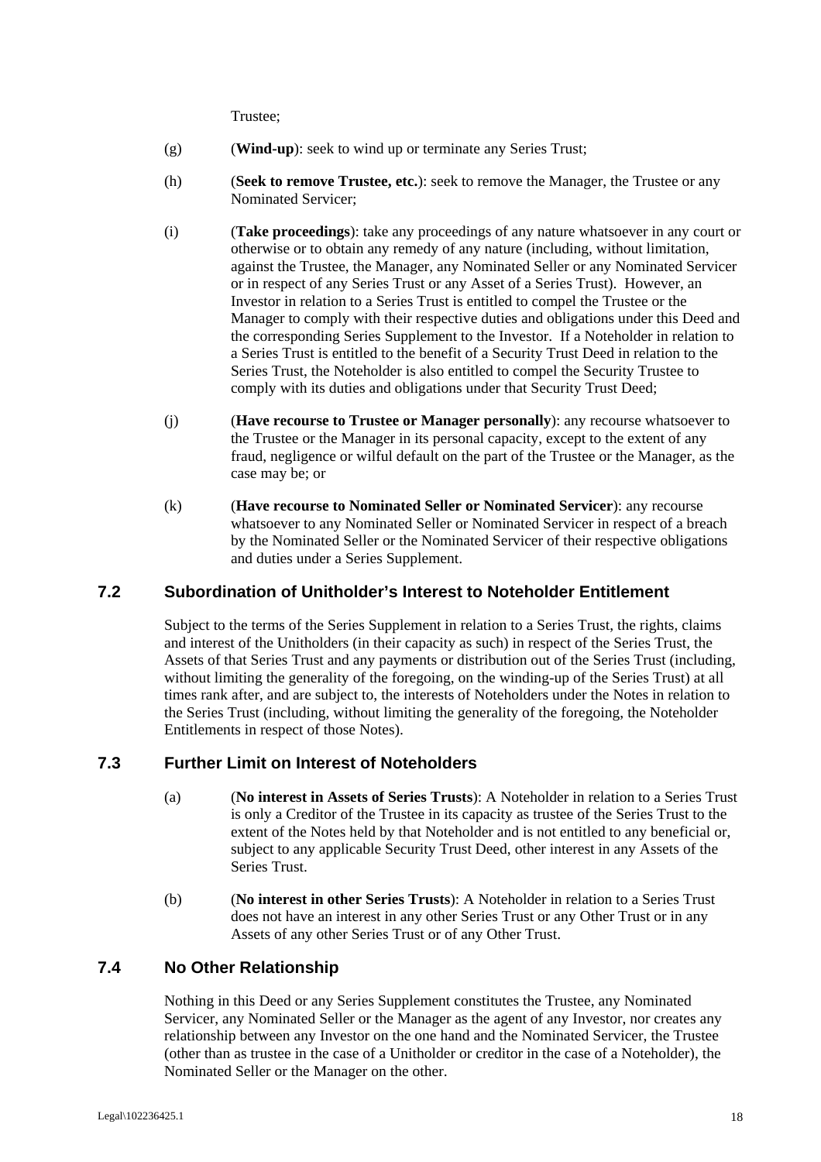Trustee;

- (g) (**Wind-up**): seek to wind up or terminate any Series Trust;
- (h) (**Seek to remove Trustee, etc.**): seek to remove the Manager, the Trustee or any Nominated Servicer;
- (i) (**Take proceedings**): take any proceedings of any nature whatsoever in any court or otherwise or to obtain any remedy of any nature (including, without limitation, against the Trustee, the Manager, any Nominated Seller or any Nominated Servicer or in respect of any Series Trust or any Asset of a Series Trust). However, an Investor in relation to a Series Trust is entitled to compel the Trustee or the Manager to comply with their respective duties and obligations under this Deed and the corresponding Series Supplement to the Investor. If a Noteholder in relation to a Series Trust is entitled to the benefit of a Security Trust Deed in relation to the Series Trust, the Noteholder is also entitled to compel the Security Trustee to comply with its duties and obligations under that Security Trust Deed;
- (j) (**Have recourse to Trustee or Manager personally**): any recourse whatsoever to the Trustee or the Manager in its personal capacity, except to the extent of any fraud, negligence or wilful default on the part of the Trustee or the Manager, as the case may be; or
- (k) (**Have recourse to Nominated Seller or Nominated Servicer**): any recourse whatsoever to any Nominated Seller or Nominated Servicer in respect of a breach by the Nominated Seller or the Nominated Servicer of their respective obligations and duties under a Series Supplement.

## **7.2 Subordination of Unitholder's Interest to Noteholder Entitlement**

Subject to the terms of the Series Supplement in relation to a Series Trust, the rights, claims and interest of the Unitholders (in their capacity as such) in respect of the Series Trust, the Assets of that Series Trust and any payments or distribution out of the Series Trust (including, without limiting the generality of the foregoing, on the winding-up of the Series Trust) at all times rank after, and are subject to, the interests of Noteholders under the Notes in relation to the Series Trust (including, without limiting the generality of the foregoing, the Noteholder Entitlements in respect of those Notes).

#### **7.3 Further Limit on Interest of Noteholders**

- (a) (**No interest in Assets of Series Trusts**): A Noteholder in relation to a Series Trust is only a Creditor of the Trustee in its capacity as trustee of the Series Trust to the extent of the Notes held by that Noteholder and is not entitled to any beneficial or, subject to any applicable Security Trust Deed, other interest in any Assets of the Series Trust.
- (b) (**No interest in other Series Trusts**): A Noteholder in relation to a Series Trust does not have an interest in any other Series Trust or any Other Trust or in any Assets of any other Series Trust or of any Other Trust.

## **7.4 No Other Relationship**

Nothing in this Deed or any Series Supplement constitutes the Trustee, any Nominated Servicer, any Nominated Seller or the Manager as the agent of any Investor, nor creates any relationship between any Investor on the one hand and the Nominated Servicer, the Trustee (other than as trustee in the case of a Unitholder or creditor in the case of a Noteholder), the Nominated Seller or the Manager on the other.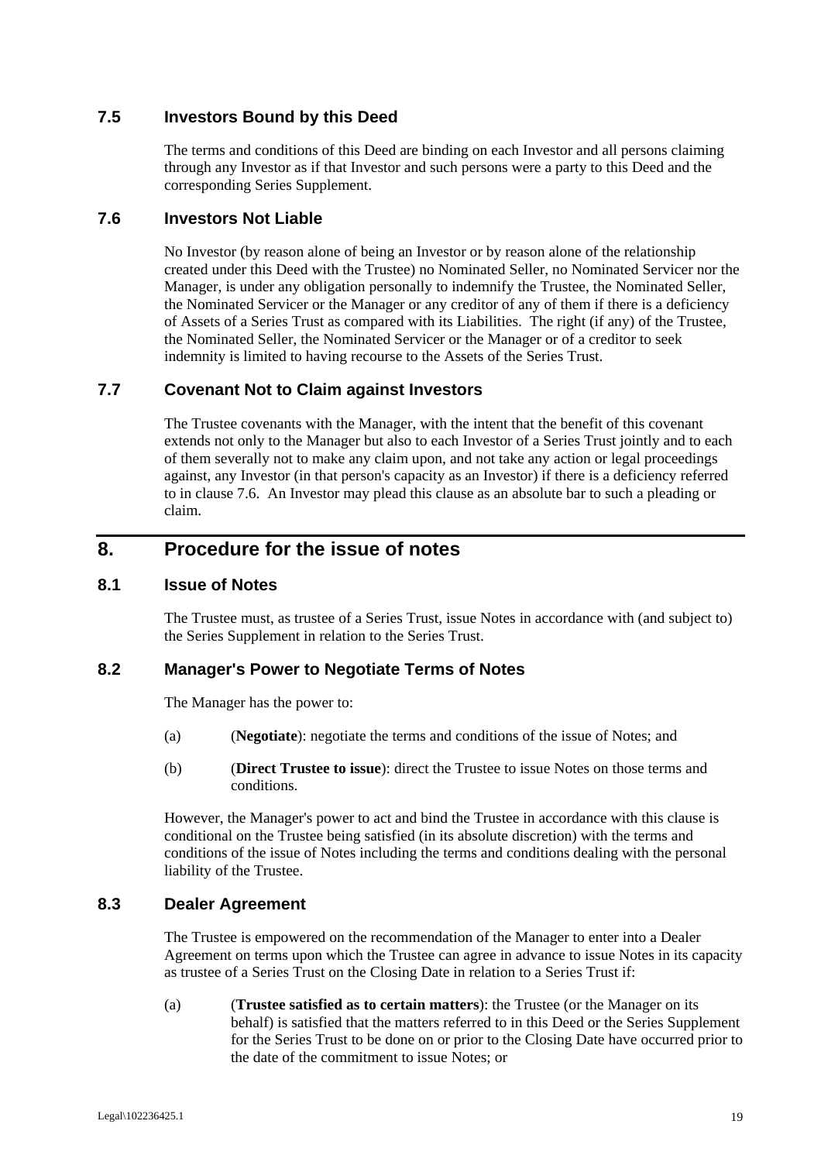## **7.5 Investors Bound by this Deed**

The terms and conditions of this Deed are binding on each Investor and all persons claiming through any Investor as if that Investor and such persons were a party to this Deed and the corresponding Series Supplement.

#### **7.6 Investors Not Liable**

No Investor (by reason alone of being an Investor or by reason alone of the relationship created under this Deed with the Trustee) no Nominated Seller, no Nominated Servicer nor the Manager, is under any obligation personally to indemnify the Trustee, the Nominated Seller, the Nominated Servicer or the Manager or any creditor of any of them if there is a deficiency of Assets of a Series Trust as compared with its Liabilities. The right (if any) of the Trustee, the Nominated Seller, the Nominated Servicer or the Manager or of a creditor to seek indemnity is limited to having recourse to the Assets of the Series Trust.

#### **7.7 Covenant Not to Claim against Investors**

The Trustee covenants with the Manager, with the intent that the benefit of this covenant extends not only to the Manager but also to each Investor of a Series Trust jointly and to each of them severally not to make any claim upon, and not take any action or legal proceedings against, any Investor (in that person's capacity as an Investor) if there is a deficiency referred to in clause 7.6. An Investor may plead this clause as an absolute bar to such a pleading or claim.

# **8. Procedure for the issue of notes**

#### **8.1 Issue of Notes**

The Trustee must, as trustee of a Series Trust, issue Notes in accordance with (and subject to) the Series Supplement in relation to the Series Trust.

## **8.2 Manager's Power to Negotiate Terms of Notes**

The Manager has the power to:

- (a) **(***Negotiate*): negotiate the terms and conditions of the issue of Notes; and
- (b) (**Direct Trustee to issue**): direct the Trustee to issue Notes on those terms and conditions.

However, the Manager's power to act and bind the Trustee in accordance with this clause is conditional on the Trustee being satisfied (in its absolute discretion) with the terms and conditions of the issue of Notes including the terms and conditions dealing with the personal liability of the Trustee.

#### **8.3 Dealer Agreement**

The Trustee is empowered on the recommendation of the Manager to enter into a Dealer Agreement on terms upon which the Trustee can agree in advance to issue Notes in its capacity as trustee of a Series Trust on the Closing Date in relation to a Series Trust if:

(a) (**Trustee satisfied as to certain matters**): the Trustee (or the Manager on its behalf) is satisfied that the matters referred to in this Deed or the Series Supplement for the Series Trust to be done on or prior to the Closing Date have occurred prior to the date of the commitment to issue Notes; or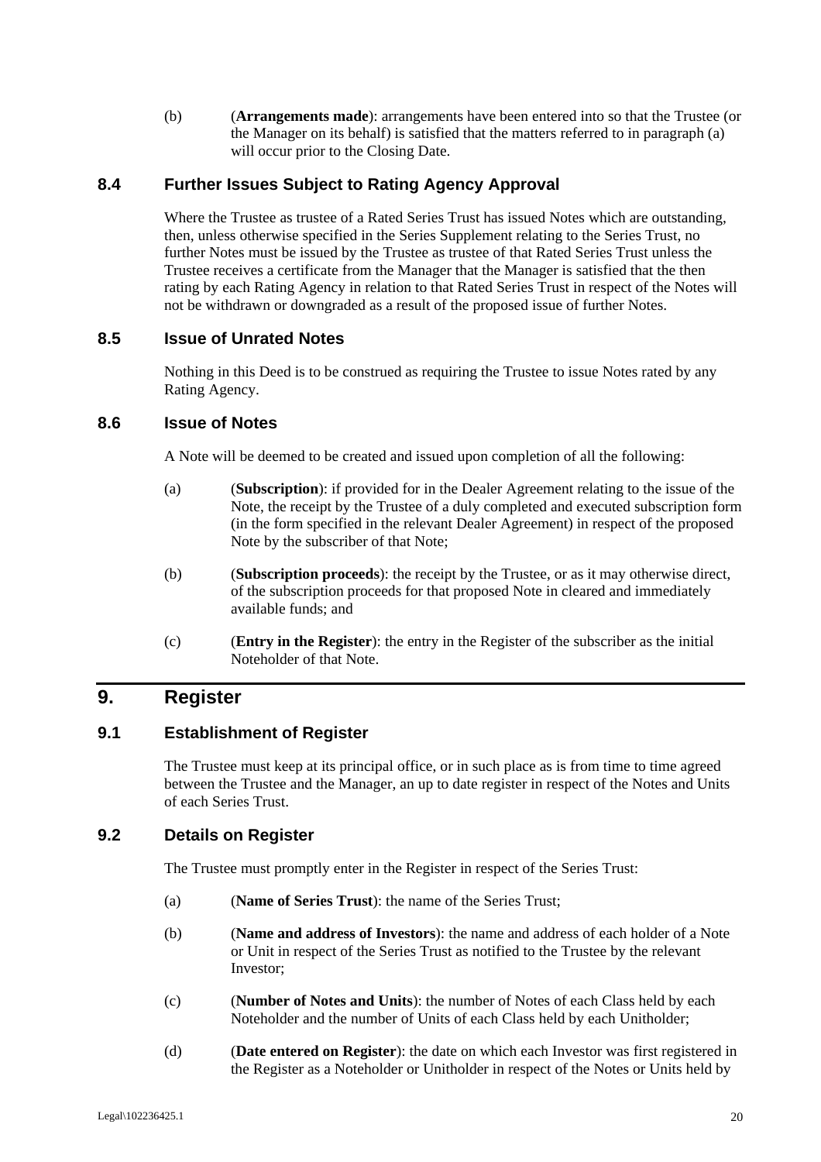(b) (**Arrangements made**): arrangements have been entered into so that the Trustee (or the Manager on its behalf) is satisfied that the matters referred to in paragraph (a) will occur prior to the Closing Date.

## **8.4 Further Issues Subject to Rating Agency Approval**

Where the Trustee as trustee of a Rated Series Trust has issued Notes which are outstanding, then, unless otherwise specified in the Series Supplement relating to the Series Trust, no further Notes must be issued by the Trustee as trustee of that Rated Series Trust unless the Trustee receives a certificate from the Manager that the Manager is satisfied that the then rating by each Rating Agency in relation to that Rated Series Trust in respect of the Notes will not be withdrawn or downgraded as a result of the proposed issue of further Notes.

#### **8.5 Issue of Unrated Notes**

Nothing in this Deed is to be construed as requiring the Trustee to issue Notes rated by any Rating Agency.

#### **8.6 Issue of Notes**

A Note will be deemed to be created and issued upon completion of all the following:

- (a) (**Subscription**): if provided for in the Dealer Agreement relating to the issue of the Note, the receipt by the Trustee of a duly completed and executed subscription form (in the form specified in the relevant Dealer Agreement) in respect of the proposed Note by the subscriber of that Note;
- (b) (**Subscription proceeds**): the receipt by the Trustee, or as it may otherwise direct, of the subscription proceeds for that proposed Note in cleared and immediately available funds; and
- (c) (**Entry in the Register**): the entry in the Register of the subscriber as the initial Noteholder of that Note.

# **9. Register**

#### **9.1 Establishment of Register**

The Trustee must keep at its principal office, or in such place as is from time to time agreed between the Trustee and the Manager, an up to date register in respect of the Notes and Units of each Series Trust.

## **9.2 Details on Register**

The Trustee must promptly enter in the Register in respect of the Series Trust:

- (a) (**Name of Series Trust**): the name of the Series Trust;
- (b) (**Name and address of Investors**): the name and address of each holder of a Note or Unit in respect of the Series Trust as notified to the Trustee by the relevant Investor;
- (c) (**Number of Notes and Units**): the number of Notes of each Class held by each Noteholder and the number of Units of each Class held by each Unitholder;
- (d) (**Date entered on Register**): the date on which each Investor was first registered in the Register as a Noteholder or Unitholder in respect of the Notes or Units held by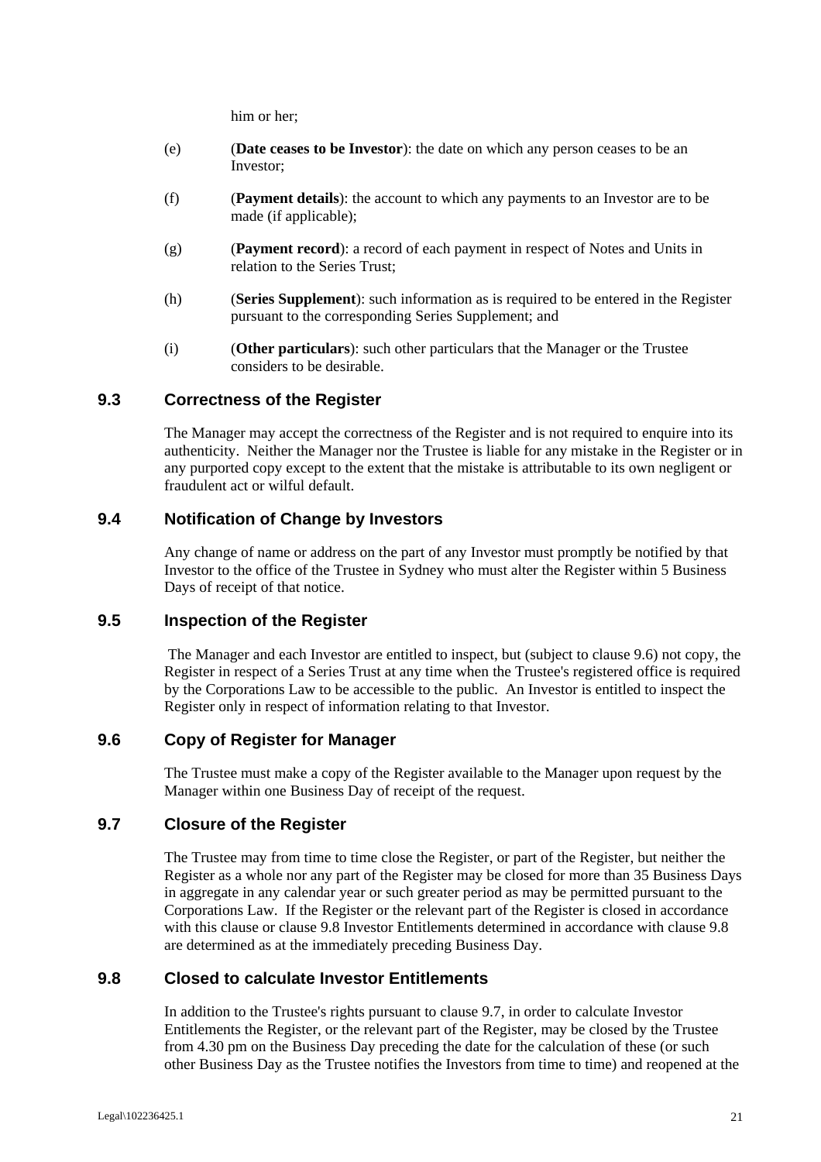him or her;

- (e) (**Date ceases to be Investor**): the date on which any person ceases to be an Investor;
- (f) (**Payment details**): the account to which any payments to an Investor are to be made (if applicable);
- (g) (**Payment record**): a record of each payment in respect of Notes and Units in relation to the Series Trust;
- (h) (**Series Supplement**): such information as is required to be entered in the Register pursuant to the corresponding Series Supplement; and
- (i) (**Other particulars**): such other particulars that the Manager or the Trustee considers to be desirable.

#### **9.3 Correctness of the Register**

The Manager may accept the correctness of the Register and is not required to enquire into its authenticity. Neither the Manager nor the Trustee is liable for any mistake in the Register or in any purported copy except to the extent that the mistake is attributable to its own negligent or fraudulent act or wilful default.

#### **9.4 Notification of Change by Investors**

Any change of name or address on the part of any Investor must promptly be notified by that Investor to the office of the Trustee in Sydney who must alter the Register within 5 Business Days of receipt of that notice.

#### **9.5 Inspection of the Register**

 The Manager and each Investor are entitled to inspect, but (subject to clause 9.6) not copy, the Register in respect of a Series Trust at any time when the Trustee's registered office is required by the Corporations Law to be accessible to the public. An Investor is entitled to inspect the Register only in respect of information relating to that Investor.

#### **9.6 Copy of Register for Manager**

The Trustee must make a copy of the Register available to the Manager upon request by the Manager within one Business Day of receipt of the request.

#### **9.7 Closure of the Register**

The Trustee may from time to time close the Register, or part of the Register, but neither the Register as a whole nor any part of the Register may be closed for more than 35 Business Days in aggregate in any calendar year or such greater period as may be permitted pursuant to the Corporations Law. If the Register or the relevant part of the Register is closed in accordance with this clause or clause 9.8 Investor Entitlements determined in accordance with clause 9.8 are determined as at the immediately preceding Business Day.

#### **9.8 Closed to calculate Investor Entitlements**

In addition to the Trustee's rights pursuant to clause 9.7, in order to calculate Investor Entitlements the Register, or the relevant part of the Register, may be closed by the Trustee from 4.30 pm on the Business Day preceding the date for the calculation of these (or such other Business Day as the Trustee notifies the Investors from time to time) and reopened at the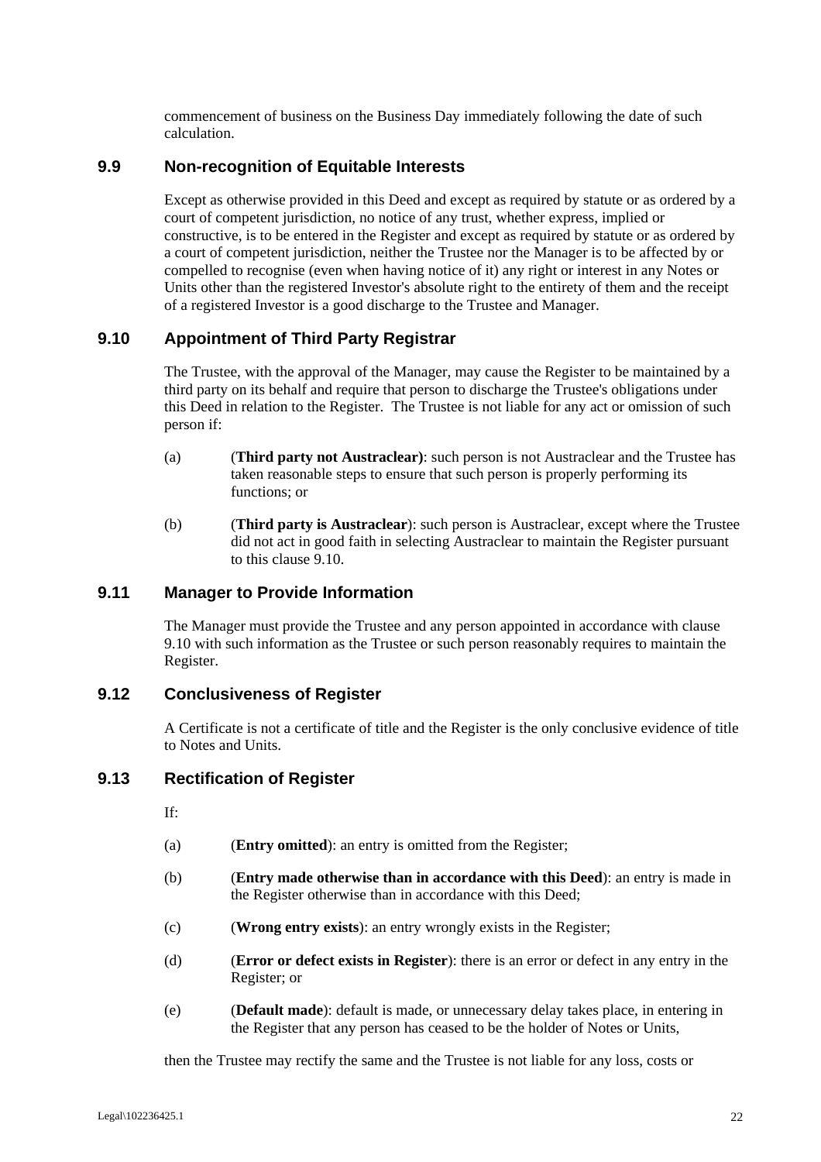commencement of business on the Business Day immediately following the date of such calculation.

#### **9.9 Non-recognition of Equitable Interests**

Except as otherwise provided in this Deed and except as required by statute or as ordered by a court of competent jurisdiction, no notice of any trust, whether express, implied or constructive, is to be entered in the Register and except as required by statute or as ordered by a court of competent jurisdiction, neither the Trustee nor the Manager is to be affected by or compelled to recognise (even when having notice of it) any right or interest in any Notes or Units other than the registered Investor's absolute right to the entirety of them and the receipt of a registered Investor is a good discharge to the Trustee and Manager.

## **9.10 Appointment of Third Party Registrar**

The Trustee, with the approval of the Manager, may cause the Register to be maintained by a third party on its behalf and require that person to discharge the Trustee's obligations under this Deed in relation to the Register. The Trustee is not liable for any act or omission of such person if:

- (a) (**Third party not Austraclear)**: such person is not Austraclear and the Trustee has taken reasonable steps to ensure that such person is properly performing its functions; or
- (b) (**Third party is Austraclear**): such person is Austraclear, except where the Trustee did not act in good faith in selecting Austraclear to maintain the Register pursuant to this clause 9.10.

## **9.11 Manager to Provide Information**

The Manager must provide the Trustee and any person appointed in accordance with clause 9.10 with such information as the Trustee or such person reasonably requires to maintain the Register.

## **9.12 Conclusiveness of Register**

A Certificate is not a certificate of title and the Register is the only conclusive evidence of title to Notes and Units.

#### **9.13 Rectification of Register**

If:

- (a) (**Entry omitted**): an entry is omitted from the Register;
- (b) (**Entry made otherwise than in accordance with this Deed**): an entry is made in the Register otherwise than in accordance with this Deed;
- (c) (**Wrong entry exists**): an entry wrongly exists in the Register;
- (d) (**Error or defect exists in Register**): there is an error or defect in any entry in the Register; or
- (e) (**Default made**): default is made, or unnecessary delay takes place, in entering in the Register that any person has ceased to be the holder of Notes or Units,

then the Trustee may rectify the same and the Trustee is not liable for any loss, costs or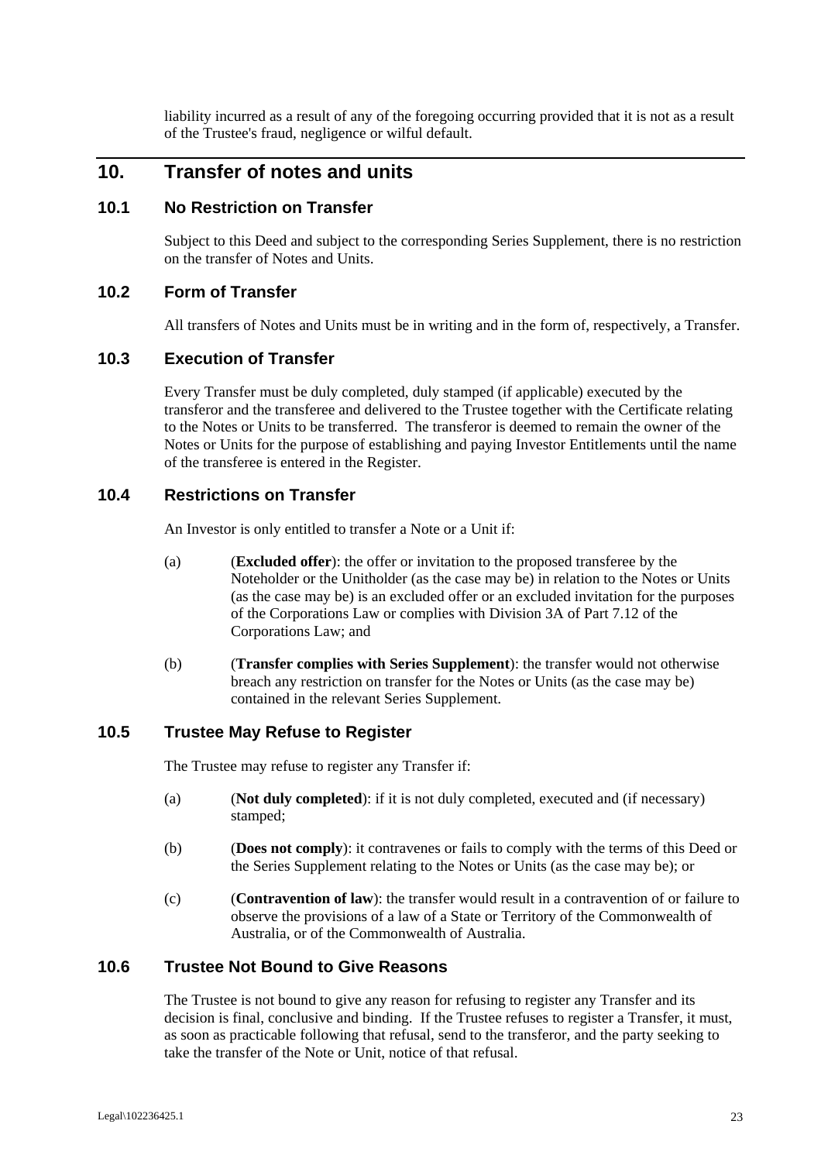liability incurred as a result of any of the foregoing occurring provided that it is not as a result of the Trustee's fraud, negligence or wilful default.

## **10. Transfer of notes and units**

#### **10.1 No Restriction on Transfer**

Subject to this Deed and subject to the corresponding Series Supplement, there is no restriction on the transfer of Notes and Units.

#### **10.2 Form of Transfer**

All transfers of Notes and Units must be in writing and in the form of, respectively, a Transfer.

#### **10.3 Execution of Transfer**

Every Transfer must be duly completed, duly stamped (if applicable) executed by the transferor and the transferee and delivered to the Trustee together with the Certificate relating to the Notes or Units to be transferred. The transferor is deemed to remain the owner of the Notes or Units for the purpose of establishing and paying Investor Entitlements until the name of the transferee is entered in the Register.

## **10.4 Restrictions on Transfer**

An Investor is only entitled to transfer a Note or a Unit if:

- (a) (**Excluded offer**): the offer or invitation to the proposed transferee by the Noteholder or the Unitholder (as the case may be) in relation to the Notes or Units (as the case may be) is an excluded offer or an excluded invitation for the purposes of the Corporations Law or complies with Division 3A of Part 7.12 of the Corporations Law; and
- (b) (**Transfer complies with Series Supplement**): the transfer would not otherwise breach any restriction on transfer for the Notes or Units (as the case may be) contained in the relevant Series Supplement.

#### **10.5 Trustee May Refuse to Register**

The Trustee may refuse to register any Transfer if:

- (a) (**Not duly completed**): if it is not duly completed, executed and (if necessary) stamped;
- (b) (**Does not comply**): it contravenes or fails to comply with the terms of this Deed or the Series Supplement relating to the Notes or Units (as the case may be); or
- (c) (**Contravention of law**): the transfer would result in a contravention of or failure to observe the provisions of a law of a State or Territory of the Commonwealth of Australia, or of the Commonwealth of Australia.

#### **10.6 Trustee Not Bound to Give Reasons**

The Trustee is not bound to give any reason for refusing to register any Transfer and its decision is final, conclusive and binding. If the Trustee refuses to register a Transfer, it must, as soon as practicable following that refusal, send to the transferor, and the party seeking to take the transfer of the Note or Unit, notice of that refusal.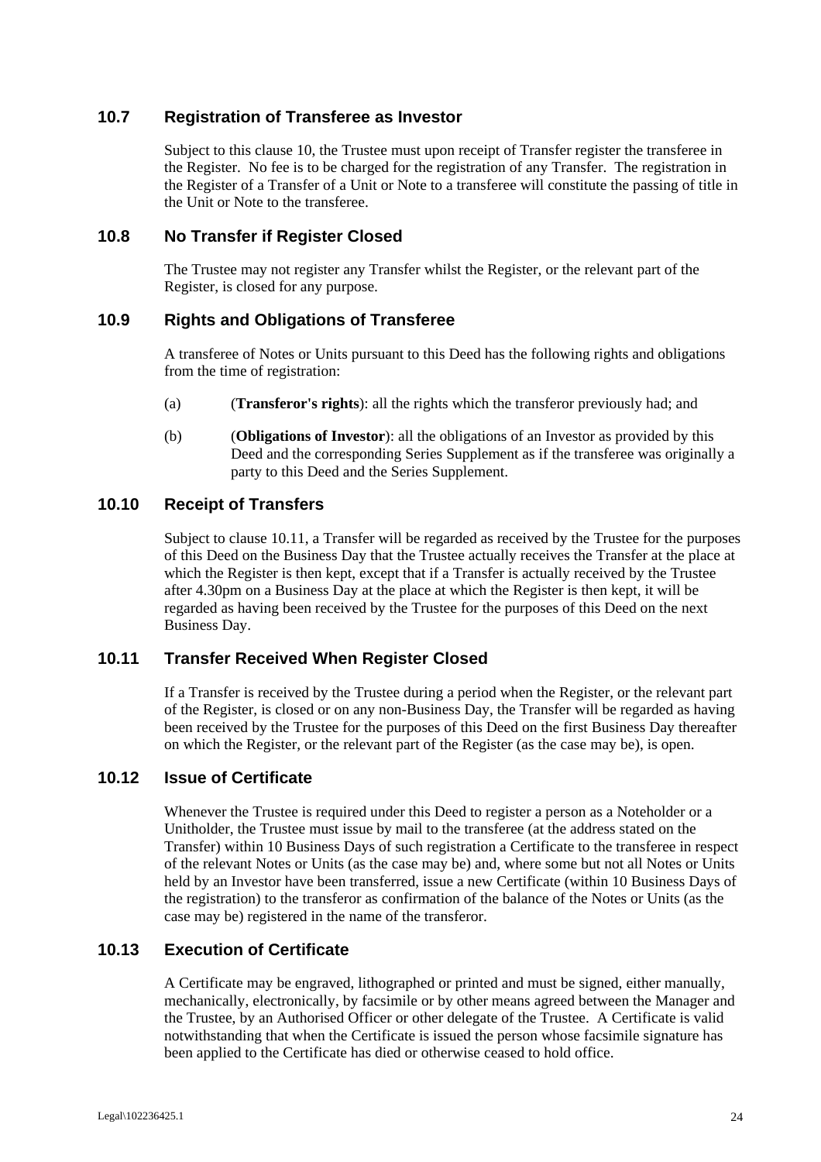#### **10.7 Registration of Transferee as Investor**

Subject to this clause 10, the Trustee must upon receipt of Transfer register the transferee in the Register. No fee is to be charged for the registration of any Transfer. The registration in the Register of a Transfer of a Unit or Note to a transferee will constitute the passing of title in the Unit or Note to the transferee.

#### **10.8 No Transfer if Register Closed**

The Trustee may not register any Transfer whilst the Register, or the relevant part of the Register, is closed for any purpose.

#### **10.9 Rights and Obligations of Transferee**

A transferee of Notes or Units pursuant to this Deed has the following rights and obligations from the time of registration:

- (a) (**Transferor's rights**): all the rights which the transferor previously had; and
- (b) (**Obligations of Investor**): all the obligations of an Investor as provided by this Deed and the corresponding Series Supplement as if the transferee was originally a party to this Deed and the Series Supplement.

#### **10.10 Receipt of Transfers**

Subject to clause 10.11, a Transfer will be regarded as received by the Trustee for the purposes of this Deed on the Business Day that the Trustee actually receives the Transfer at the place at which the Register is then kept, except that if a Transfer is actually received by the Trustee after 4.30pm on a Business Day at the place at which the Register is then kept, it will be regarded as having been received by the Trustee for the purposes of this Deed on the next Business Day.

#### **10.11 Transfer Received When Register Closed**

If a Transfer is received by the Trustee during a period when the Register, or the relevant part of the Register, is closed or on any non-Business Day, the Transfer will be regarded as having been received by the Trustee for the purposes of this Deed on the first Business Day thereafter on which the Register, or the relevant part of the Register (as the case may be), is open.

#### **10.12 Issue of Certificate**

Whenever the Trustee is required under this Deed to register a person as a Noteholder or a Unitholder, the Trustee must issue by mail to the transferee (at the address stated on the Transfer) within 10 Business Days of such registration a Certificate to the transferee in respect of the relevant Notes or Units (as the case may be) and, where some but not all Notes or Units held by an Investor have been transferred, issue a new Certificate (within 10 Business Days of the registration) to the transferor as confirmation of the balance of the Notes or Units (as the case may be) registered in the name of the transferor.

#### **10.13 Execution of Certificate**

A Certificate may be engraved, lithographed or printed and must be signed, either manually, mechanically, electronically, by facsimile or by other means agreed between the Manager and the Trustee, by an Authorised Officer or other delegate of the Trustee. A Certificate is valid notwithstanding that when the Certificate is issued the person whose facsimile signature has been applied to the Certificate has died or otherwise ceased to hold office.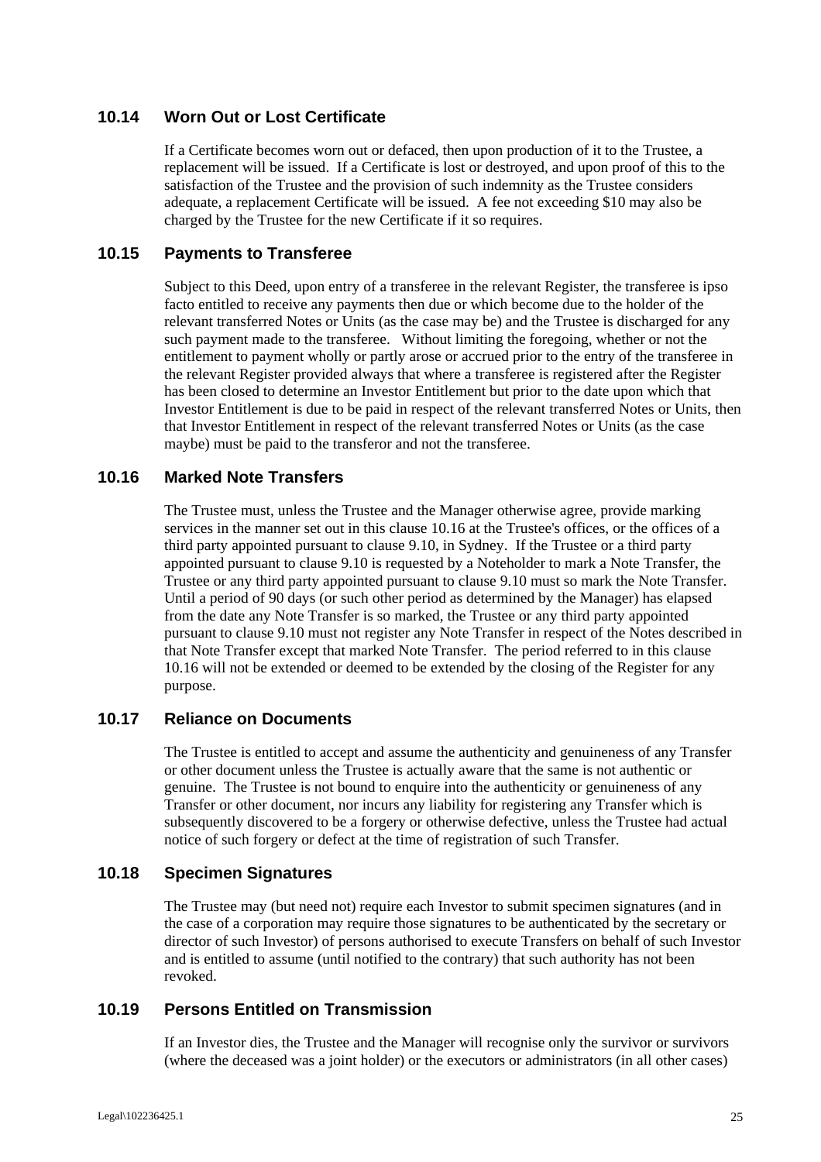## **10.14 Worn Out or Lost Certificate**

If a Certificate becomes worn out or defaced, then upon production of it to the Trustee, a replacement will be issued. If a Certificate is lost or destroyed, and upon proof of this to the satisfaction of the Trustee and the provision of such indemnity as the Trustee considers adequate, a replacement Certificate will be issued. A fee not exceeding \$10 may also be charged by the Trustee for the new Certificate if it so requires.

#### **10.15 Payments to Transferee**

Subject to this Deed, upon entry of a transferee in the relevant Register, the transferee is ipso facto entitled to receive any payments then due or which become due to the holder of the relevant transferred Notes or Units (as the case may be) and the Trustee is discharged for any such payment made to the transferee. Without limiting the foregoing, whether or not the entitlement to payment wholly or partly arose or accrued prior to the entry of the transferee in the relevant Register provided always that where a transferee is registered after the Register has been closed to determine an Investor Entitlement but prior to the date upon which that Investor Entitlement is due to be paid in respect of the relevant transferred Notes or Units, then that Investor Entitlement in respect of the relevant transferred Notes or Units (as the case maybe) must be paid to the transferor and not the transferee.

#### **10.16 Marked Note Transfers**

The Trustee must, unless the Trustee and the Manager otherwise agree, provide marking services in the manner set out in this clause 10.16 at the Trustee's offices, or the offices of a third party appointed pursuant to clause 9.10, in Sydney. If the Trustee or a third party appointed pursuant to clause 9.10 is requested by a Noteholder to mark a Note Transfer, the Trustee or any third party appointed pursuant to clause 9.10 must so mark the Note Transfer. Until a period of 90 days (or such other period as determined by the Manager) has elapsed from the date any Note Transfer is so marked, the Trustee or any third party appointed pursuant to clause 9.10 must not register any Note Transfer in respect of the Notes described in that Note Transfer except that marked Note Transfer. The period referred to in this clause 10.16 will not be extended or deemed to be extended by the closing of the Register for any purpose.

## **10.17 Reliance on Documents**

The Trustee is entitled to accept and assume the authenticity and genuineness of any Transfer or other document unless the Trustee is actually aware that the same is not authentic or genuine. The Trustee is not bound to enquire into the authenticity or genuineness of any Transfer or other document, nor incurs any liability for registering any Transfer which is subsequently discovered to be a forgery or otherwise defective, unless the Trustee had actual notice of such forgery or defect at the time of registration of such Transfer.

#### **10.18 Specimen Signatures**

The Trustee may (but need not) require each Investor to submit specimen signatures (and in the case of a corporation may require those signatures to be authenticated by the secretary or director of such Investor) of persons authorised to execute Transfers on behalf of such Investor and is entitled to assume (until notified to the contrary) that such authority has not been revoked.

#### **10.19 Persons Entitled on Transmission**

If an Investor dies, the Trustee and the Manager will recognise only the survivor or survivors (where the deceased was a joint holder) or the executors or administrators (in all other cases)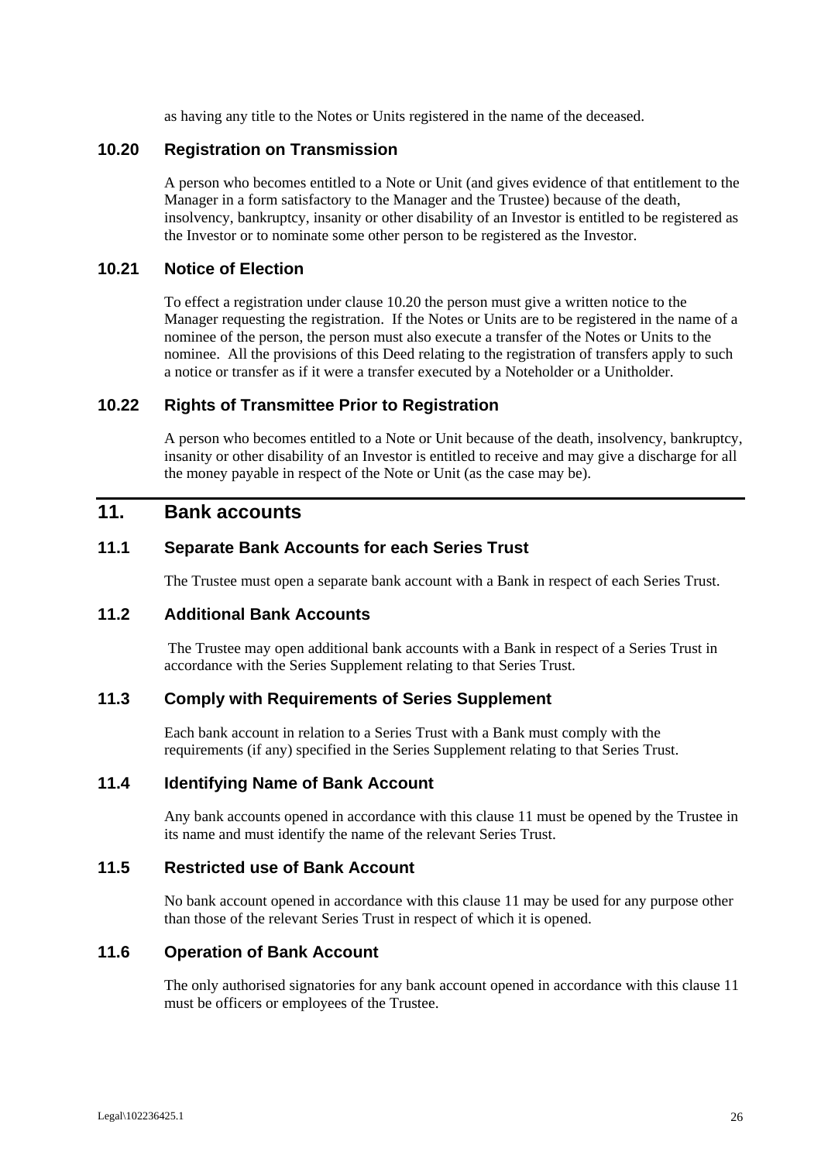as having any title to the Notes or Units registered in the name of the deceased.

#### **10.20 Registration on Transmission**

A person who becomes entitled to a Note or Unit (and gives evidence of that entitlement to the Manager in a form satisfactory to the Manager and the Trustee) because of the death, insolvency, bankruptcy, insanity or other disability of an Investor is entitled to be registered as the Investor or to nominate some other person to be registered as the Investor.

#### **10.21 Notice of Election**

To effect a registration under clause 10.20 the person must give a written notice to the Manager requesting the registration. If the Notes or Units are to be registered in the name of a nominee of the person, the person must also execute a transfer of the Notes or Units to the nominee. All the provisions of this Deed relating to the registration of transfers apply to such a notice or transfer as if it were a transfer executed by a Noteholder or a Unitholder.

#### **10.22 Rights of Transmittee Prior to Registration**

A person who becomes entitled to a Note or Unit because of the death, insolvency, bankruptcy, insanity or other disability of an Investor is entitled to receive and may give a discharge for all the money payable in respect of the Note or Unit (as the case may be).

# **11. Bank accounts**

#### **11.1 Separate Bank Accounts for each Series Trust**

The Trustee must open a separate bank account with a Bank in respect of each Series Trust.

#### **11.2 Additional Bank Accounts**

 The Trustee may open additional bank accounts with a Bank in respect of a Series Trust in accordance with the Series Supplement relating to that Series Trust.

#### **11.3 Comply with Requirements of Series Supplement**

Each bank account in relation to a Series Trust with a Bank must comply with the requirements (if any) specified in the Series Supplement relating to that Series Trust.

#### **11.4 Identifying Name of Bank Account**

Any bank accounts opened in accordance with this clause 11 must be opened by the Trustee in its name and must identify the name of the relevant Series Trust.

#### **11.5 Restricted use of Bank Account**

No bank account opened in accordance with this clause 11 may be used for any purpose other than those of the relevant Series Trust in respect of which it is opened.

#### **11.6 Operation of Bank Account**

The only authorised signatories for any bank account opened in accordance with this clause 11 must be officers or employees of the Trustee.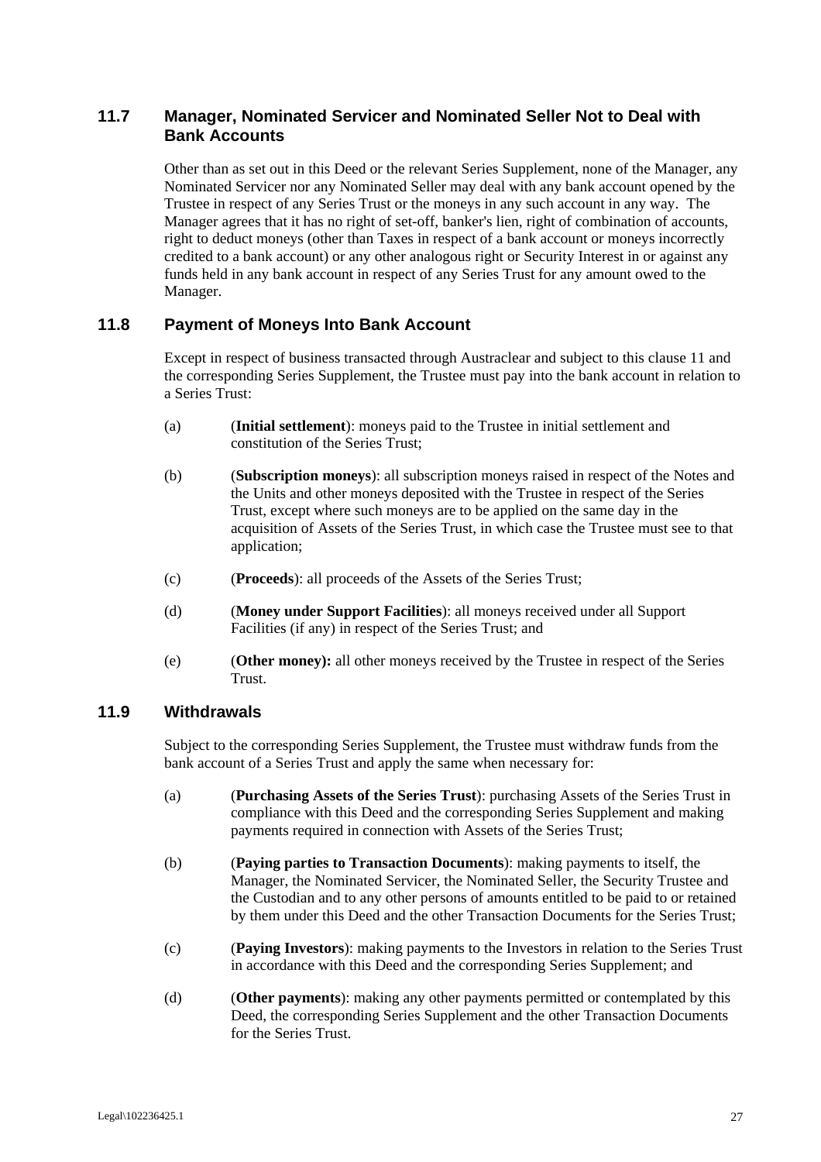## **11.7 Manager, Nominated Servicer and Nominated Seller Not to Deal with Bank Accounts**

Other than as set out in this Deed or the relevant Series Supplement, none of the Manager, any Nominated Servicer nor any Nominated Seller may deal with any bank account opened by the Trustee in respect of any Series Trust or the moneys in any such account in any way. The Manager agrees that it has no right of set-off, banker's lien, right of combination of accounts, right to deduct moneys (other than Taxes in respect of a bank account or moneys incorrectly credited to a bank account) or any other analogous right or Security Interest in or against any funds held in any bank account in respect of any Series Trust for any amount owed to the Manager.

#### **11.8 Payment of Moneys Into Bank Account**

Except in respect of business transacted through Austraclear and subject to this clause 11 and the corresponding Series Supplement, the Trustee must pay into the bank account in relation to a Series Trust:

- (a) (**Initial settlement**): moneys paid to the Trustee in initial settlement and constitution of the Series Trust;
- (b) (**Subscription moneys**): all subscription moneys raised in respect of the Notes and the Units and other moneys deposited with the Trustee in respect of the Series Trust, except where such moneys are to be applied on the same day in the acquisition of Assets of the Series Trust, in which case the Trustee must see to that application;
- (c) (**Proceeds**): all proceeds of the Assets of the Series Trust;
- (d) (**Money under Support Facilities**): all moneys received under all Support Facilities (if any) in respect of the Series Trust; and
- (e) (**Other money):** all other moneys received by the Trustee in respect of the Series Trust.

#### **11.9 Withdrawals**

Subject to the corresponding Series Supplement, the Trustee must withdraw funds from the bank account of a Series Trust and apply the same when necessary for:

- (a) (**Purchasing Assets of the Series Trust**): purchasing Assets of the Series Trust in compliance with this Deed and the corresponding Series Supplement and making payments required in connection with Assets of the Series Trust;
- (b) (**Paying parties to Transaction Documents**): making payments to itself, the Manager, the Nominated Servicer, the Nominated Seller, the Security Trustee and the Custodian and to any other persons of amounts entitled to be paid to or retained by them under this Deed and the other Transaction Documents for the Series Trust;
- (c) (**Paying Investors**): making payments to the Investors in relation to the Series Trust in accordance with this Deed and the corresponding Series Supplement; and
- (d) (**Other payments**): making any other payments permitted or contemplated by this Deed, the corresponding Series Supplement and the other Transaction Documents for the Series Trust.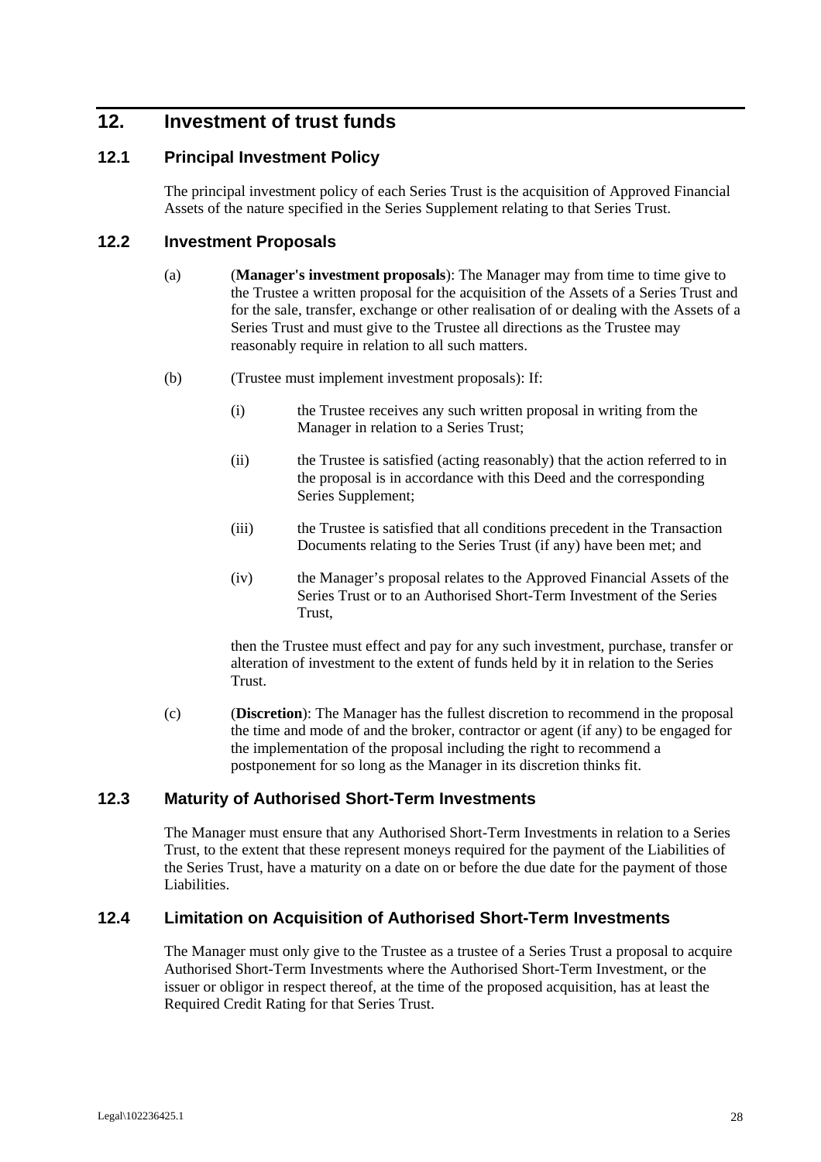# **12. Investment of trust funds**

#### **12.1 Principal Investment Policy**

The principal investment policy of each Series Trust is the acquisition of Approved Financial Assets of the nature specified in the Series Supplement relating to that Series Trust.

#### **12.2 Investment Proposals**

- (a) (**Manager's investment proposals**): The Manager may from time to time give to the Trustee a written proposal for the acquisition of the Assets of a Series Trust and for the sale, transfer, exchange or other realisation of or dealing with the Assets of a Series Trust and must give to the Trustee all directions as the Trustee may reasonably require in relation to all such matters.
- (b) (Trustee must implement investment proposals): If:
	- (i) the Trustee receives any such written proposal in writing from the Manager in relation to a Series Trust;
	- (ii) the Trustee is satisfied (acting reasonably) that the action referred to in the proposal is in accordance with this Deed and the corresponding Series Supplement;
	- (iii) the Trustee is satisfied that all conditions precedent in the Transaction Documents relating to the Series Trust (if any) have been met; and
	- (iv) the Manager's proposal relates to the Approved Financial Assets of the Series Trust or to an Authorised Short-Term Investment of the Series Trust,

then the Trustee must effect and pay for any such investment, purchase, transfer or alteration of investment to the extent of funds held by it in relation to the Series Trust.

(c) (**Discretion**): The Manager has the fullest discretion to recommend in the proposal the time and mode of and the broker, contractor or agent (if any) to be engaged for the implementation of the proposal including the right to recommend a postponement for so long as the Manager in its discretion thinks fit.

#### **12.3 Maturity of Authorised Short-Term Investments**

The Manager must ensure that any Authorised Short-Term Investments in relation to a Series Trust, to the extent that these represent moneys required for the payment of the Liabilities of the Series Trust, have a maturity on a date on or before the due date for the payment of those Liabilities.

#### **12.4 Limitation on Acquisition of Authorised Short-Term Investments**

The Manager must only give to the Trustee as a trustee of a Series Trust a proposal to acquire Authorised Short-Term Investments where the Authorised Short-Term Investment, or the issuer or obligor in respect thereof, at the time of the proposed acquisition, has at least the Required Credit Rating for that Series Trust.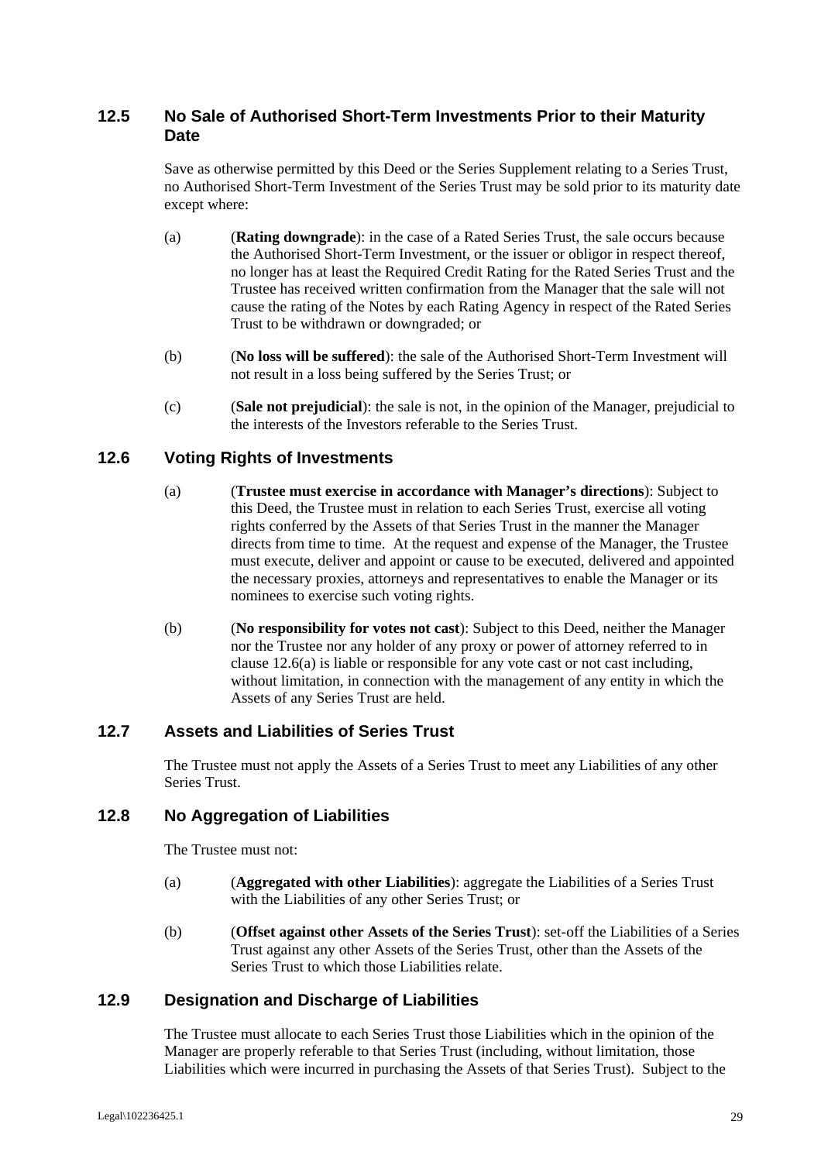## **12.5 No Sale of Authorised Short-Term Investments Prior to their Maturity Date**

Save as otherwise permitted by this Deed or the Series Supplement relating to a Series Trust, no Authorised Short-Term Investment of the Series Trust may be sold prior to its maturity date except where:

- (a) (**Rating downgrade**): in the case of a Rated Series Trust, the sale occurs because the Authorised Short-Term Investment, or the issuer or obligor in respect thereof, no longer has at least the Required Credit Rating for the Rated Series Trust and the Trustee has received written confirmation from the Manager that the sale will not cause the rating of the Notes by each Rating Agency in respect of the Rated Series Trust to be withdrawn or downgraded; or
- (b) (**No loss will be suffered**): the sale of the Authorised Short-Term Investment will not result in a loss being suffered by the Series Trust; or
- (c) (**Sale not prejudicial**): the sale is not, in the opinion of the Manager, prejudicial to the interests of the Investors referable to the Series Trust.

#### **12.6 Voting Rights of Investments**

- (a) (**Trustee must exercise in accordance with Manager's directions**): Subject to this Deed, the Trustee must in relation to each Series Trust, exercise all voting rights conferred by the Assets of that Series Trust in the manner the Manager directs from time to time. At the request and expense of the Manager, the Trustee must execute, deliver and appoint or cause to be executed, delivered and appointed the necessary proxies, attorneys and representatives to enable the Manager or its nominees to exercise such voting rights.
- (b) (**No responsibility for votes not cast**): Subject to this Deed, neither the Manager nor the Trustee nor any holder of any proxy or power of attorney referred to in clause 12.6(a) is liable or responsible for any vote cast or not cast including, without limitation, in connection with the management of any entity in which the Assets of any Series Trust are held.

#### **12.7 Assets and Liabilities of Series Trust**

The Trustee must not apply the Assets of a Series Trust to meet any Liabilities of any other Series Trust.

#### **12.8 No Aggregation of Liabilities**

The Trustee must not:

- (a) (**Aggregated with other Liabilities**): aggregate the Liabilities of a Series Trust with the Liabilities of any other Series Trust; or
- (b) (**Offset against other Assets of the Series Trust**): set-off the Liabilities of a Series Trust against any other Assets of the Series Trust, other than the Assets of the Series Trust to which those Liabilities relate.

## **12.9 Designation and Discharge of Liabilities**

The Trustee must allocate to each Series Trust those Liabilities which in the opinion of the Manager are properly referable to that Series Trust (including, without limitation, those Liabilities which were incurred in purchasing the Assets of that Series Trust). Subject to the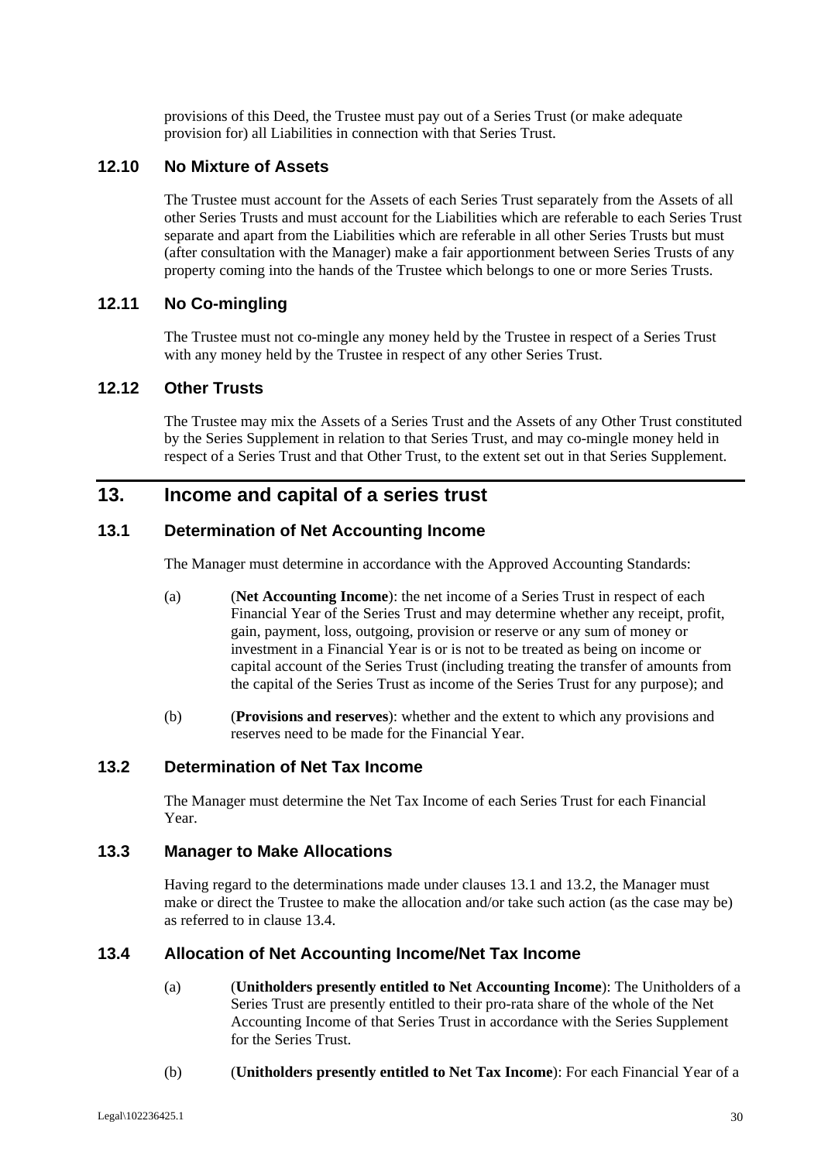provisions of this Deed, the Trustee must pay out of a Series Trust (or make adequate provision for) all Liabilities in connection with that Series Trust.

#### **12.10 No Mixture of Assets**

The Trustee must account for the Assets of each Series Trust separately from the Assets of all other Series Trusts and must account for the Liabilities which are referable to each Series Trust separate and apart from the Liabilities which are referable in all other Series Trusts but must (after consultation with the Manager) make a fair apportionment between Series Trusts of any property coming into the hands of the Trustee which belongs to one or more Series Trusts.

## **12.11 No Co-mingling**

The Trustee must not co-mingle any money held by the Trustee in respect of a Series Trust with any money held by the Trustee in respect of any other Series Trust.

## **12.12 Other Trusts**

The Trustee may mix the Assets of a Series Trust and the Assets of any Other Trust constituted by the Series Supplement in relation to that Series Trust, and may co-mingle money held in respect of a Series Trust and that Other Trust, to the extent set out in that Series Supplement.

# **13. Income and capital of a series trust**

#### **13.1 Determination of Net Accounting Income**

The Manager must determine in accordance with the Approved Accounting Standards:

- (a) (**Net Accounting Income**): the net income of a Series Trust in respect of each Financial Year of the Series Trust and may determine whether any receipt, profit, gain, payment, loss, outgoing, provision or reserve or any sum of money or investment in a Financial Year is or is not to be treated as being on income or capital account of the Series Trust (including treating the transfer of amounts from the capital of the Series Trust as income of the Series Trust for any purpose); and
- (b) (**Provisions and reserves**): whether and the extent to which any provisions and reserves need to be made for the Financial Year.

# **13.2 Determination of Net Tax Income**

The Manager must determine the Net Tax Income of each Series Trust for each Financial Year.

#### **13.3 Manager to Make Allocations**

Having regard to the determinations made under clauses 13.1 and 13.2, the Manager must make or direct the Trustee to make the allocation and/or take such action (as the case may be) as referred to in clause 13.4.

#### **13.4 Allocation of Net Accounting Income/Net Tax Income**

- (a) (**Unitholders presently entitled to Net Accounting Income**): The Unitholders of a Series Trust are presently entitled to their pro-rata share of the whole of the Net Accounting Income of that Series Trust in accordance with the Series Supplement for the Series Trust.
- (b) (**Unitholders presently entitled to Net Tax Income**): For each Financial Year of a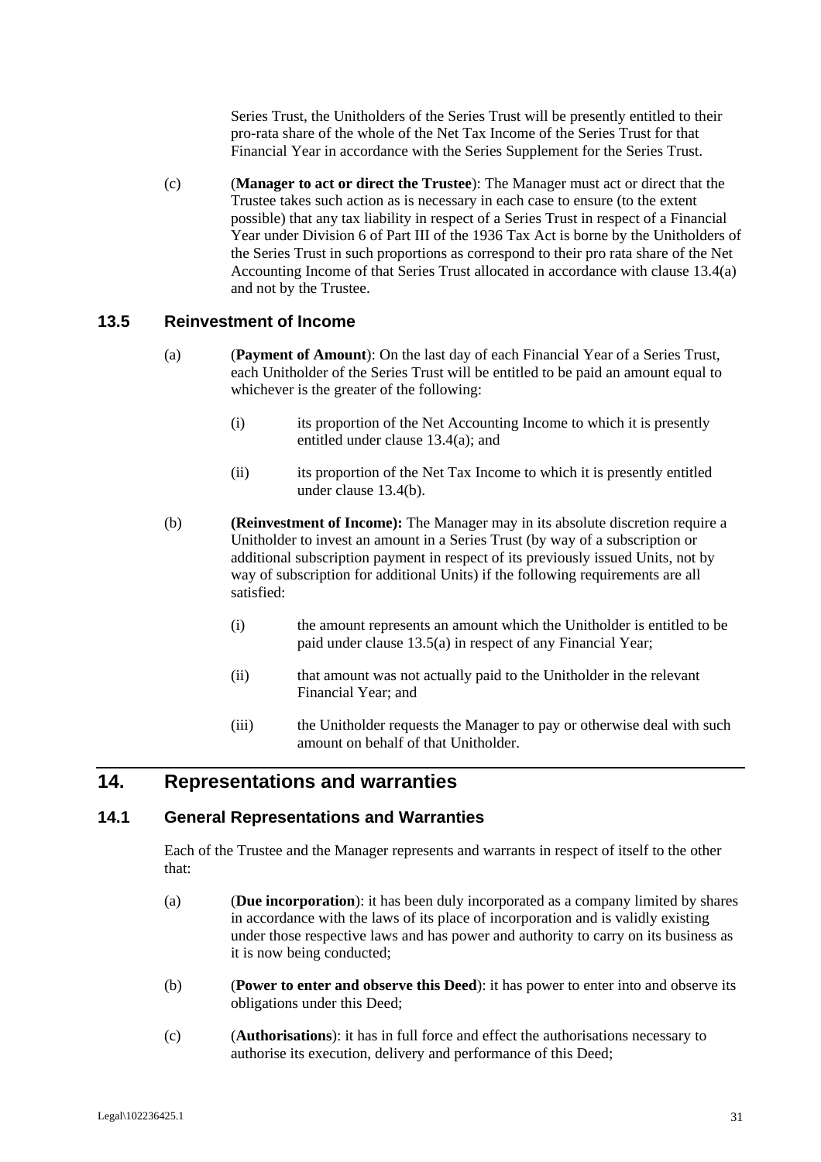Series Trust, the Unitholders of the Series Trust will be presently entitled to their pro-rata share of the whole of the Net Tax Income of the Series Trust for that Financial Year in accordance with the Series Supplement for the Series Trust.

(c) (**Manager to act or direct the Trustee**): The Manager must act or direct that the Trustee takes such action as is necessary in each case to ensure (to the extent possible) that any tax liability in respect of a Series Trust in respect of a Financial Year under Division 6 of Part III of the 1936 Tax Act is borne by the Unitholders of the Series Trust in such proportions as correspond to their pro rata share of the Net Accounting Income of that Series Trust allocated in accordance with clause 13.4(a) and not by the Trustee.

#### **13.5 Reinvestment of Income**

- (a) (**Payment of Amount**): On the last day of each Financial Year of a Series Trust, each Unitholder of the Series Trust will be entitled to be paid an amount equal to whichever is the greater of the following:
	- (i) its proportion of the Net Accounting Income to which it is presently entitled under clause 13.4(a); and
	- (ii) its proportion of the Net Tax Income to which it is presently entitled under clause 13.4(b).
- (b) **(Reinvestment of Income):** The Manager may in its absolute discretion require a Unitholder to invest an amount in a Series Trust (by way of a subscription or additional subscription payment in respect of its previously issued Units, not by way of subscription for additional Units) if the following requirements are all satisfied:
	- (i) the amount represents an amount which the Unitholder is entitled to be paid under clause 13.5(a) in respect of any Financial Year;
	- (ii) that amount was not actually paid to the Unitholder in the relevant Financial Year; and
	- (iii) the Unitholder requests the Manager to pay or otherwise deal with such amount on behalf of that Unitholder.

# **14. Representations and warranties**

#### **14.1 General Representations and Warranties**

Each of the Trustee and the Manager represents and warrants in respect of itself to the other that:

- (a) (**Due incorporation**): it has been duly incorporated as a company limited by shares in accordance with the laws of its place of incorporation and is validly existing under those respective laws and has power and authority to carry on its business as it is now being conducted;
- (b) (**Power to enter and observe this Deed**): it has power to enter into and observe its obligations under this Deed;
- (c) (**Authorisations**): it has in full force and effect the authorisations necessary to authorise its execution, delivery and performance of this Deed;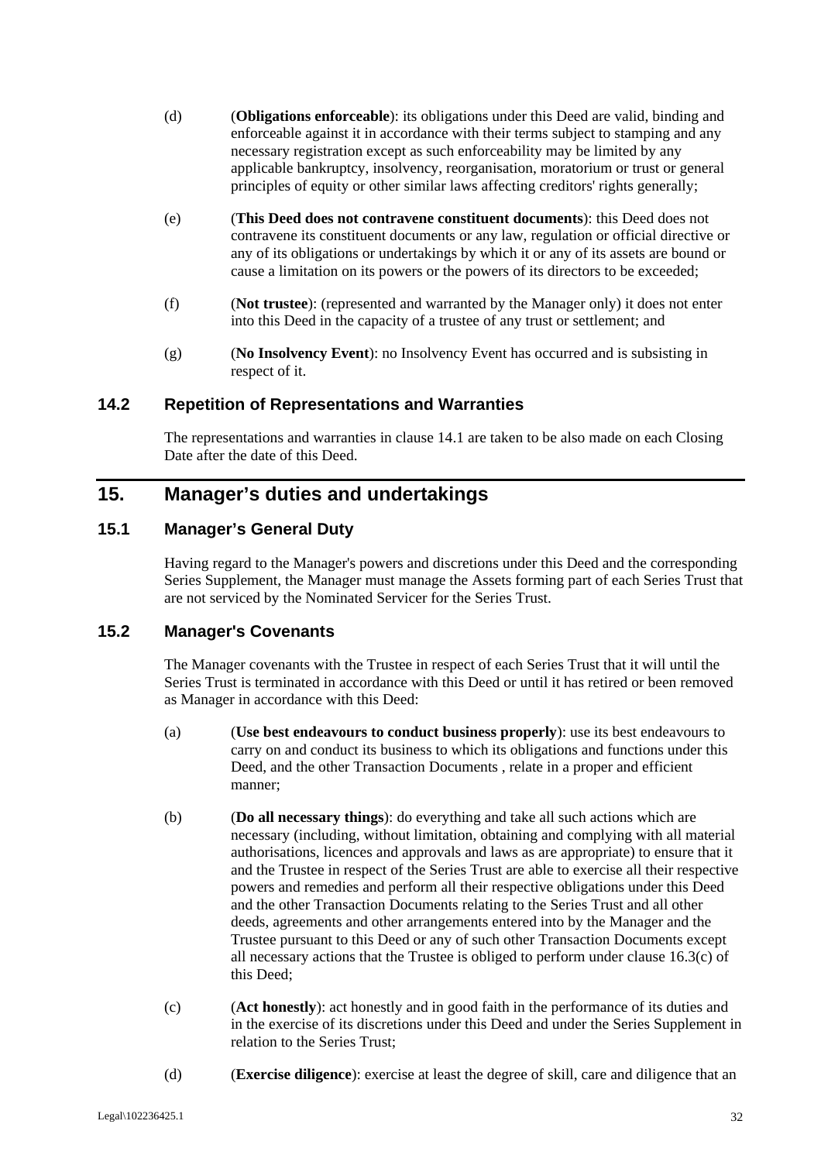- (d) (**Obligations enforceable**): its obligations under this Deed are valid, binding and enforceable against it in accordance with their terms subject to stamping and any necessary registration except as such enforceability may be limited by any applicable bankruptcy, insolvency, reorganisation, moratorium or trust or general principles of equity or other similar laws affecting creditors' rights generally;
- (e) (**This Deed does not contravene constituent documents**): this Deed does not contravene its constituent documents or any law, regulation or official directive or any of its obligations or undertakings by which it or any of its assets are bound or cause a limitation on its powers or the powers of its directors to be exceeded;
- (f) (**Not trustee**): (represented and warranted by the Manager only) it does not enter into this Deed in the capacity of a trustee of any trust or settlement; and
- (g) (**No Insolvency Event**): no Insolvency Event has occurred and is subsisting in respect of it.

# **14.2 Repetition of Representations and Warranties**

The representations and warranties in clause 14.1 are taken to be also made on each Closing Date after the date of this Deed.

# **15. Manager's duties and undertakings**

# **15.1 Manager's General Duty**

Having regard to the Manager's powers and discretions under this Deed and the corresponding Series Supplement, the Manager must manage the Assets forming part of each Series Trust that are not serviced by the Nominated Servicer for the Series Trust.

### **15.2 Manager's Covenants**

The Manager covenants with the Trustee in respect of each Series Trust that it will until the Series Trust is terminated in accordance with this Deed or until it has retired or been removed as Manager in accordance with this Deed:

- (a) (**Use best endeavours to conduct business properly**): use its best endeavours to carry on and conduct its business to which its obligations and functions under this Deed, and the other Transaction Documents , relate in a proper and efficient manner;
- (b) (**Do all necessary things**): do everything and take all such actions which are necessary (including, without limitation, obtaining and complying with all material authorisations, licences and approvals and laws as are appropriate) to ensure that it and the Trustee in respect of the Series Trust are able to exercise all their respective powers and remedies and perform all their respective obligations under this Deed and the other Transaction Documents relating to the Series Trust and all other deeds, agreements and other arrangements entered into by the Manager and the Trustee pursuant to this Deed or any of such other Transaction Documents except all necessary actions that the Trustee is obliged to perform under clause 16.3(c) of this Deed;
- (c) (**Act honestly**): act honestly and in good faith in the performance of its duties and in the exercise of its discretions under this Deed and under the Series Supplement in relation to the Series Trust;
- (d) (**Exercise diligence**): exercise at least the degree of skill, care and diligence that an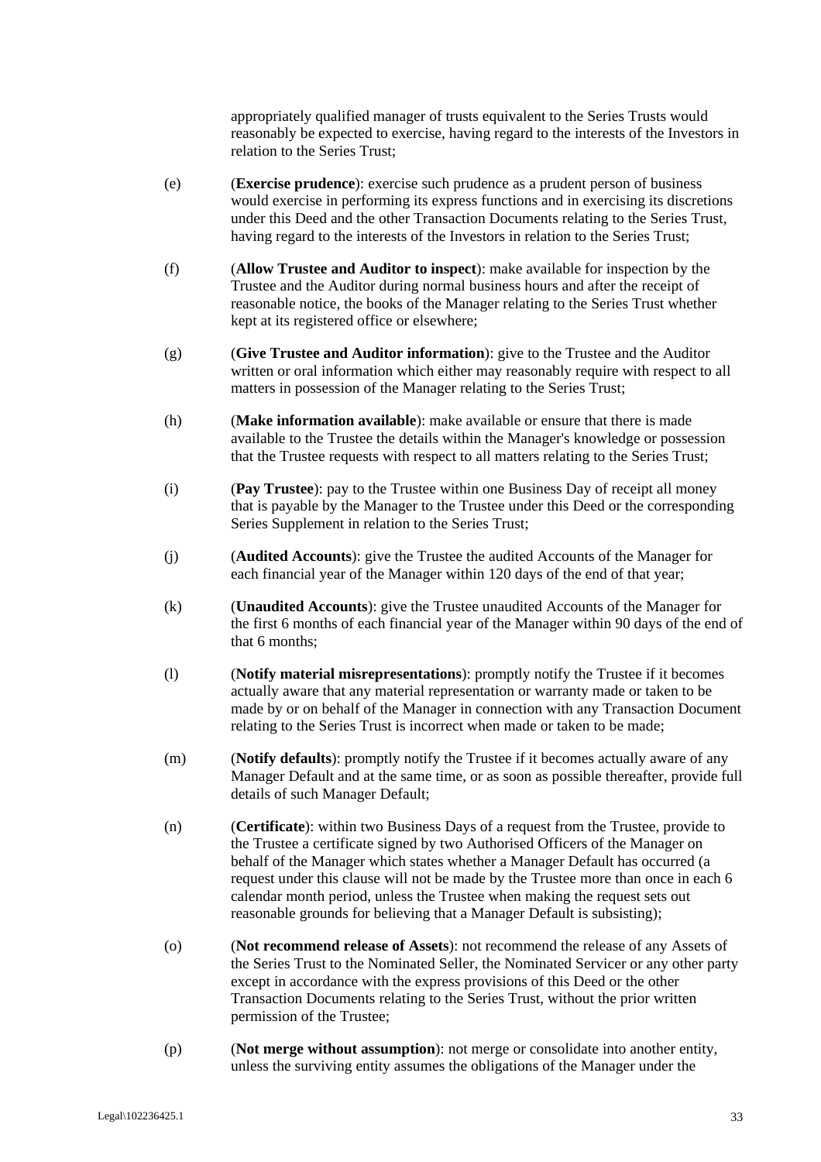appropriately qualified manager of trusts equivalent to the Series Trusts would reasonably be expected to exercise, having regard to the interests of the Investors in relation to the Series Trust;

- (e) (**Exercise prudence**): exercise such prudence as a prudent person of business would exercise in performing its express functions and in exercising its discretions under this Deed and the other Transaction Documents relating to the Series Trust, having regard to the interests of the Investors in relation to the Series Trust;
- (f) (**Allow Trustee and Auditor to inspect**): make available for inspection by the Trustee and the Auditor during normal business hours and after the receipt of reasonable notice, the books of the Manager relating to the Series Trust whether kept at its registered office or elsewhere;
- (g) (**Give Trustee and Auditor information**): give to the Trustee and the Auditor written or oral information which either may reasonably require with respect to all matters in possession of the Manager relating to the Series Trust;
- (h) (**Make information available**): make available or ensure that there is made available to the Trustee the details within the Manager's knowledge or possession that the Trustee requests with respect to all matters relating to the Series Trust;
- (i) (**Pay Trustee**): pay to the Trustee within one Business Day of receipt all money that is payable by the Manager to the Trustee under this Deed or the corresponding Series Supplement in relation to the Series Trust;
- (j) (**Audited Accounts**): give the Trustee the audited Accounts of the Manager for each financial year of the Manager within 120 days of the end of that year;
- (k) (**Unaudited Accounts**): give the Trustee unaudited Accounts of the Manager for the first 6 months of each financial year of the Manager within 90 days of the end of that 6 months;
- (l) (**Notify material misrepresentations**): promptly notify the Trustee if it becomes actually aware that any material representation or warranty made or taken to be made by or on behalf of the Manager in connection with any Transaction Document relating to the Series Trust is incorrect when made or taken to be made;
- (m) (**Notify defaults**): promptly notify the Trustee if it becomes actually aware of any Manager Default and at the same time, or as soon as possible thereafter, provide full details of such Manager Default;
- (n) (**Certificate**): within two Business Days of a request from the Trustee, provide to the Trustee a certificate signed by two Authorised Officers of the Manager on behalf of the Manager which states whether a Manager Default has occurred (a request under this clause will not be made by the Trustee more than once in each 6 calendar month period, unless the Trustee when making the request sets out reasonable grounds for believing that a Manager Default is subsisting);
- (o) (**Not recommend release of Assets**): not recommend the release of any Assets of the Series Trust to the Nominated Seller, the Nominated Servicer or any other party except in accordance with the express provisions of this Deed or the other Transaction Documents relating to the Series Trust, without the prior written permission of the Trustee;
- (p) (**Not merge without assumption**): not merge or consolidate into another entity, unless the surviving entity assumes the obligations of the Manager under the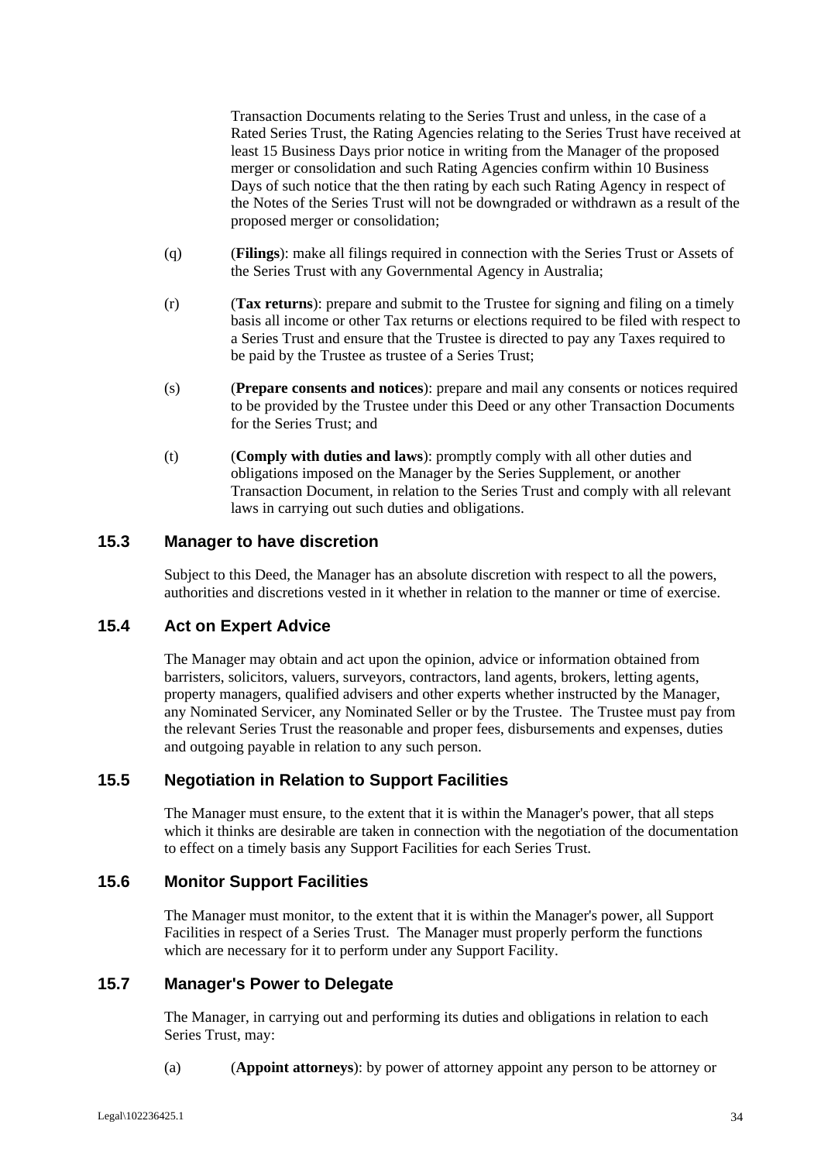Transaction Documents relating to the Series Trust and unless, in the case of a Rated Series Trust, the Rating Agencies relating to the Series Trust have received at least 15 Business Days prior notice in writing from the Manager of the proposed merger or consolidation and such Rating Agencies confirm within 10 Business Days of such notice that the then rating by each such Rating Agency in respect of the Notes of the Series Trust will not be downgraded or withdrawn as a result of the proposed merger or consolidation;

- (q) (**Filings**): make all filings required in connection with the Series Trust or Assets of the Series Trust with any Governmental Agency in Australia;
- (r) (**Tax returns**): prepare and submit to the Trustee for signing and filing on a timely basis all income or other Tax returns or elections required to be filed with respect to a Series Trust and ensure that the Trustee is directed to pay any Taxes required to be paid by the Trustee as trustee of a Series Trust;
- (s) (**Prepare consents and notices**): prepare and mail any consents or notices required to be provided by the Trustee under this Deed or any other Transaction Documents for the Series Trust; and
- (t) (**Comply with duties and laws**): promptly comply with all other duties and obligations imposed on the Manager by the Series Supplement, or another Transaction Document, in relation to the Series Trust and comply with all relevant laws in carrying out such duties and obligations.

# **15.3 Manager to have discretion**

Subject to this Deed, the Manager has an absolute discretion with respect to all the powers, authorities and discretions vested in it whether in relation to the manner or time of exercise.

# **15.4 Act on Expert Advice**

The Manager may obtain and act upon the opinion, advice or information obtained from barristers, solicitors, valuers, surveyors, contractors, land agents, brokers, letting agents, property managers, qualified advisers and other experts whether instructed by the Manager, any Nominated Servicer, any Nominated Seller or by the Trustee. The Trustee must pay from the relevant Series Trust the reasonable and proper fees, disbursements and expenses, duties and outgoing payable in relation to any such person.

# **15.5 Negotiation in Relation to Support Facilities**

The Manager must ensure, to the extent that it is within the Manager's power, that all steps which it thinks are desirable are taken in connection with the negotiation of the documentation to effect on a timely basis any Support Facilities for each Series Trust.

#### **15.6 Monitor Support Facilities**

The Manager must monitor, to the extent that it is within the Manager's power, all Support Facilities in respect of a Series Trust. The Manager must properly perform the functions which are necessary for it to perform under any Support Facility.

#### **15.7 Manager's Power to Delegate**

The Manager, in carrying out and performing its duties and obligations in relation to each Series Trust, may:

(a) (**Appoint attorneys**): by power of attorney appoint any person to be attorney or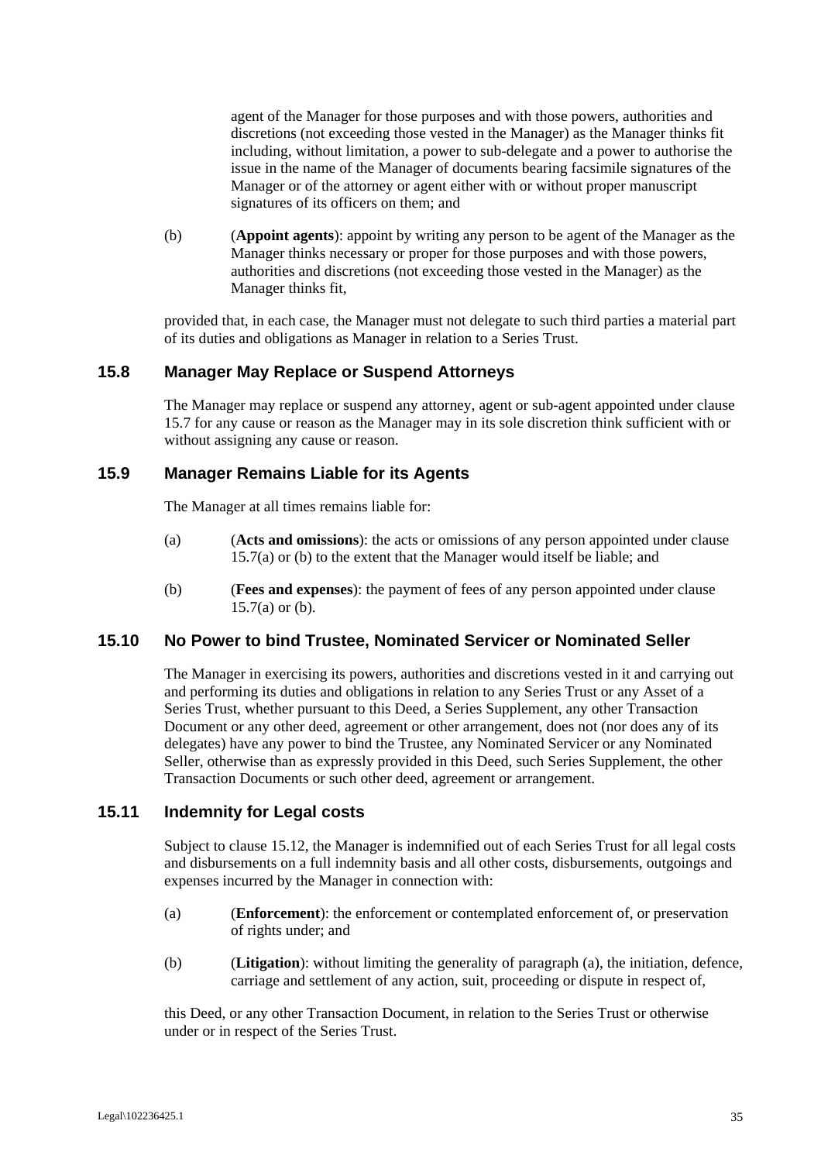agent of the Manager for those purposes and with those powers, authorities and discretions (not exceeding those vested in the Manager) as the Manager thinks fit including, without limitation, a power to sub-delegate and a power to authorise the issue in the name of the Manager of documents bearing facsimile signatures of the Manager or of the attorney or agent either with or without proper manuscript signatures of its officers on them; and

(b) (**Appoint agents**): appoint by writing any person to be agent of the Manager as the Manager thinks necessary or proper for those purposes and with those powers, authorities and discretions (not exceeding those vested in the Manager) as the Manager thinks fit,

provided that, in each case, the Manager must not delegate to such third parties a material part of its duties and obligations as Manager in relation to a Series Trust.

# **15.8 Manager May Replace or Suspend Attorneys**

The Manager may replace or suspend any attorney, agent or sub-agent appointed under clause 15.7 for any cause or reason as the Manager may in its sole discretion think sufficient with or without assigning any cause or reason.

#### **15.9 Manager Remains Liable for its Agents**

The Manager at all times remains liable for:

- (a) (**Acts and omissions**): the acts or omissions of any person appointed under clause 15.7(a) or (b) to the extent that the Manager would itself be liable; and
- (b) (**Fees and expenses**): the payment of fees of any person appointed under clause 15.7(a) or (b).

#### **15.10 No Power to bind Trustee, Nominated Servicer or Nominated Seller**

The Manager in exercising its powers, authorities and discretions vested in it and carrying out and performing its duties and obligations in relation to any Series Trust or any Asset of a Series Trust, whether pursuant to this Deed, a Series Supplement, any other Transaction Document or any other deed, agreement or other arrangement, does not (nor does any of its delegates) have any power to bind the Trustee, any Nominated Servicer or any Nominated Seller, otherwise than as expressly provided in this Deed, such Series Supplement, the other Transaction Documents or such other deed, agreement or arrangement.

# **15.11 Indemnity for Legal costs**

Subject to clause 15.12, the Manager is indemnified out of each Series Trust for all legal costs and disbursements on a full indemnity basis and all other costs, disbursements, outgoings and expenses incurred by the Manager in connection with:

- (a) (**Enforcement**): the enforcement or contemplated enforcement of, or preservation of rights under; and
- (b) (**Litigation**): without limiting the generality of paragraph (a), the initiation, defence, carriage and settlement of any action, suit, proceeding or dispute in respect of,

this Deed, or any other Transaction Document, in relation to the Series Trust or otherwise under or in respect of the Series Trust.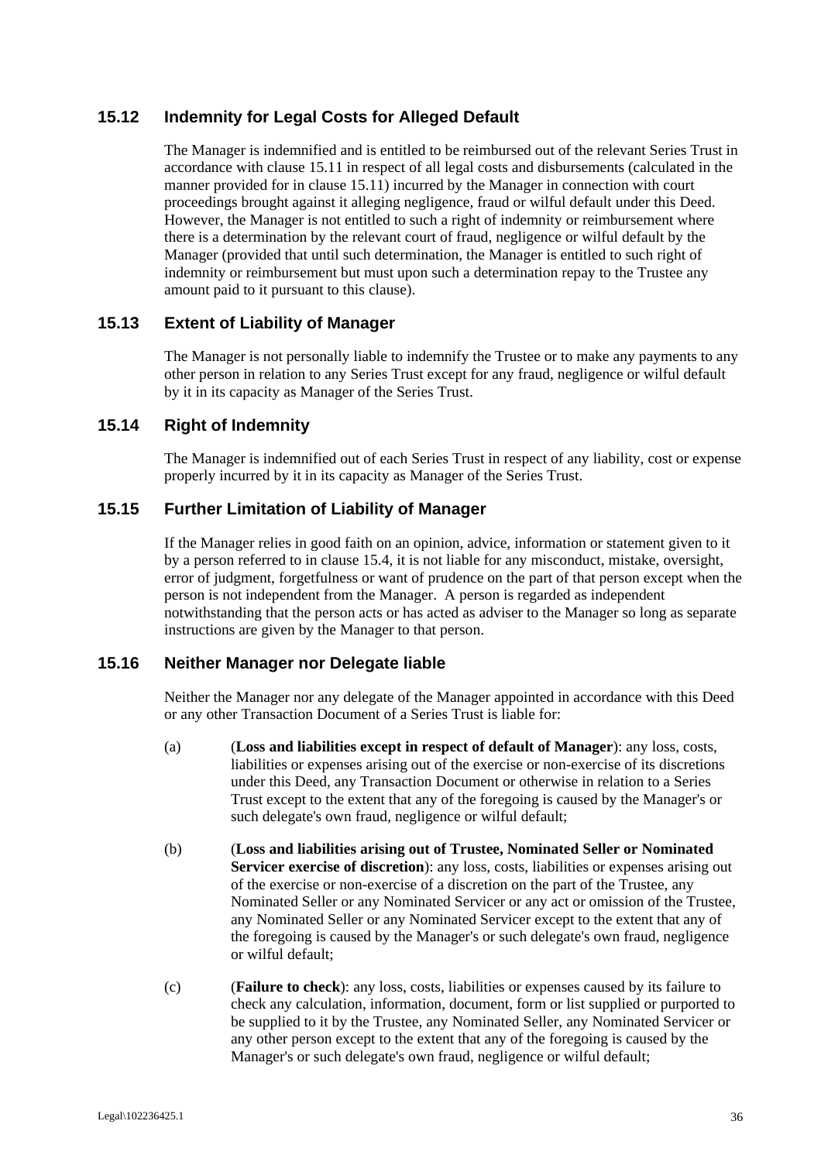# **15.12 Indemnity for Legal Costs for Alleged Default**

The Manager is indemnified and is entitled to be reimbursed out of the relevant Series Trust in accordance with clause 15.11 in respect of all legal costs and disbursements (calculated in the manner provided for in clause 15.11) incurred by the Manager in connection with court proceedings brought against it alleging negligence, fraud or wilful default under this Deed. However, the Manager is not entitled to such a right of indemnity or reimbursement where there is a determination by the relevant court of fraud, negligence or wilful default by the Manager (provided that until such determination, the Manager is entitled to such right of indemnity or reimbursement but must upon such a determination repay to the Trustee any amount paid to it pursuant to this clause).

# **15.13 Extent of Liability of Manager**

The Manager is not personally liable to indemnify the Trustee or to make any payments to any other person in relation to any Series Trust except for any fraud, negligence or wilful default by it in its capacity as Manager of the Series Trust.

# **15.14 Right of Indemnity**

The Manager is indemnified out of each Series Trust in respect of any liability, cost or expense properly incurred by it in its capacity as Manager of the Series Trust.

# **15.15 Further Limitation of Liability of Manager**

If the Manager relies in good faith on an opinion, advice, information or statement given to it by a person referred to in clause 15.4, it is not liable for any misconduct, mistake, oversight, error of judgment, forgetfulness or want of prudence on the part of that person except when the person is not independent from the Manager. A person is regarded as independent notwithstanding that the person acts or has acted as adviser to the Manager so long as separate instructions are given by the Manager to that person.

#### **15.16 Neither Manager nor Delegate liable**

Neither the Manager nor any delegate of the Manager appointed in accordance with this Deed or any other Transaction Document of a Series Trust is liable for:

- (a) (**Loss and liabilities except in respect of default of Manager**): any loss, costs, liabilities or expenses arising out of the exercise or non-exercise of its discretions under this Deed, any Transaction Document or otherwise in relation to a Series Trust except to the extent that any of the foregoing is caused by the Manager's or such delegate's own fraud, negligence or wilful default;
- (b) (**Loss and liabilities arising out of Trustee, Nominated Seller or Nominated Servicer exercise of discretion**): any loss, costs, liabilities or expenses arising out of the exercise or non-exercise of a discretion on the part of the Trustee, any Nominated Seller or any Nominated Servicer or any act or omission of the Trustee, any Nominated Seller or any Nominated Servicer except to the extent that any of the foregoing is caused by the Manager's or such delegate's own fraud, negligence or wilful default;
- (c) (**Failure to check**): any loss, costs, liabilities or expenses caused by its failure to check any calculation, information, document, form or list supplied or purported to be supplied to it by the Trustee, any Nominated Seller, any Nominated Servicer or any other person except to the extent that any of the foregoing is caused by the Manager's or such delegate's own fraud, negligence or wilful default;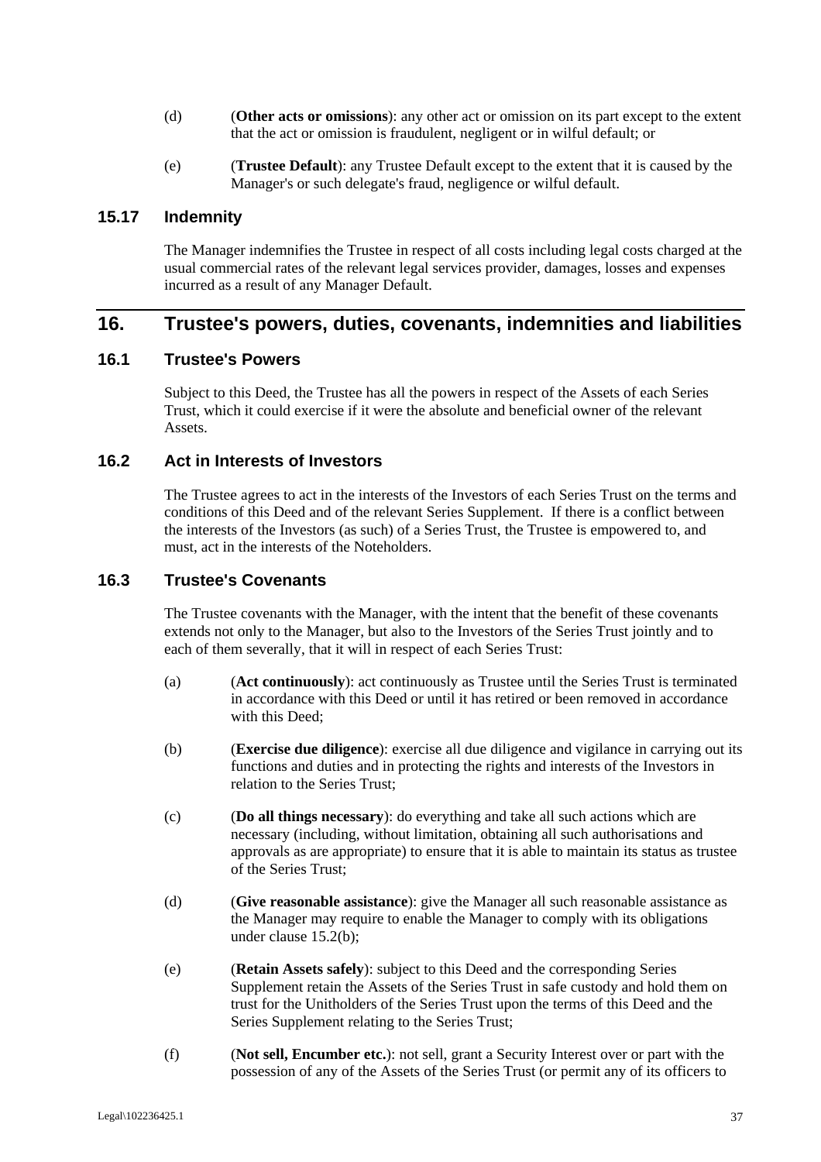- (d) (**Other acts or omissions**): any other act or omission on its part except to the extent that the act or omission is fraudulent, negligent or in wilful default; or
- (e) (**Trustee Default**): any Trustee Default except to the extent that it is caused by the Manager's or such delegate's fraud, negligence or wilful default.

### **15.17 Indemnity**

The Manager indemnifies the Trustee in respect of all costs including legal costs charged at the usual commercial rates of the relevant legal services provider, damages, losses and expenses incurred as a result of any Manager Default.

# **16. Trustee's powers, duties, covenants, indemnities and liabilities**

# **16.1 Trustee's Powers**

Subject to this Deed, the Trustee has all the powers in respect of the Assets of each Series Trust, which it could exercise if it were the absolute and beneficial owner of the relevant **Assets**.

# **16.2 Act in Interests of Investors**

The Trustee agrees to act in the interests of the Investors of each Series Trust on the terms and conditions of this Deed and of the relevant Series Supplement. If there is a conflict between the interests of the Investors (as such) of a Series Trust, the Trustee is empowered to, and must, act in the interests of the Noteholders.

# **16.3 Trustee's Covenants**

The Trustee covenants with the Manager, with the intent that the benefit of these covenants extends not only to the Manager, but also to the Investors of the Series Trust jointly and to each of them severally, that it will in respect of each Series Trust:

- (a) (**Act continuously**): act continuously as Trustee until the Series Trust is terminated in accordance with this Deed or until it has retired or been removed in accordance with this Deed;
- (b) (**Exercise due diligence**): exercise all due diligence and vigilance in carrying out its functions and duties and in protecting the rights and interests of the Investors in relation to the Series Trust;
- (c) (**Do all things necessary**): do everything and take all such actions which are necessary (including, without limitation, obtaining all such authorisations and approvals as are appropriate) to ensure that it is able to maintain its status as trustee of the Series Trust;
- (d) (**Give reasonable assistance**): give the Manager all such reasonable assistance as the Manager may require to enable the Manager to comply with its obligations under clause 15.2(b);
- (e) (**Retain Assets safely**): subject to this Deed and the corresponding Series Supplement retain the Assets of the Series Trust in safe custody and hold them on trust for the Unitholders of the Series Trust upon the terms of this Deed and the Series Supplement relating to the Series Trust;
- (f) (**Not sell, Encumber etc.**): not sell, grant a Security Interest over or part with the possession of any of the Assets of the Series Trust (or permit any of its officers to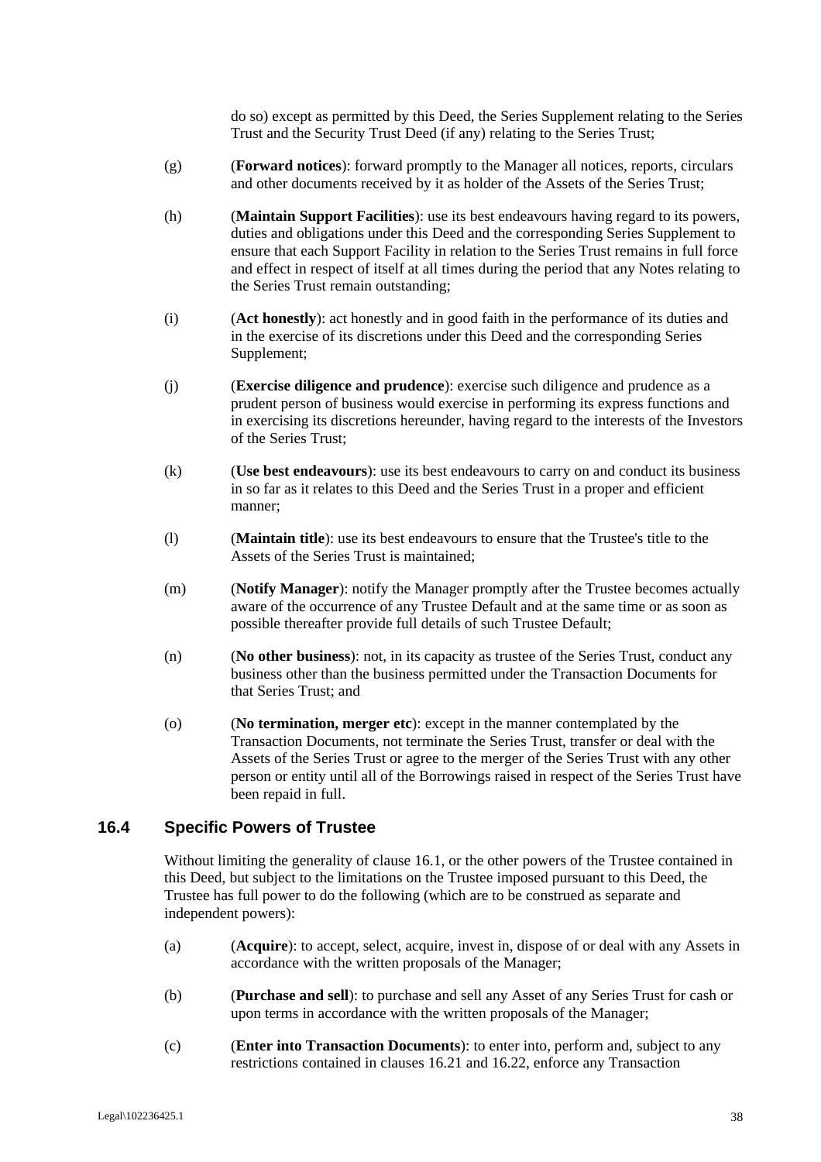do so) except as permitted by this Deed, the Series Supplement relating to the Series Trust and the Security Trust Deed (if any) relating to the Series Trust;

- (g) (**Forward notices**): forward promptly to the Manager all notices, reports, circulars and other documents received by it as holder of the Assets of the Series Trust;
- (h) (**Maintain Support Facilities**): use its best endeavours having regard to its powers, duties and obligations under this Deed and the corresponding Series Supplement to ensure that each Support Facility in relation to the Series Trust remains in full force and effect in respect of itself at all times during the period that any Notes relating to the Series Trust remain outstanding;
- (i) (**Act honestly**): act honestly and in good faith in the performance of its duties and in the exercise of its discretions under this Deed and the corresponding Series Supplement;
- (j) (**Exercise diligence and prudence**): exercise such diligence and prudence as a prudent person of business would exercise in performing its express functions and in exercising its discretions hereunder, having regard to the interests of the Investors of the Series Trust;
- (k) (**Use best endeavours**): use its best endeavours to carry on and conduct its business in so far as it relates to this Deed and the Series Trust in a proper and efficient manner;
- (l) (**Maintain title**): use its best endeavours to ensure that the Trustee's title to the Assets of the Series Trust is maintained;
- (m) (**Notify Manager**): notify the Manager promptly after the Trustee becomes actually aware of the occurrence of any Trustee Default and at the same time or as soon as possible thereafter provide full details of such Trustee Default;
- (n) (**No other business**): not, in its capacity as trustee of the Series Trust, conduct any business other than the business permitted under the Transaction Documents for that Series Trust; and
- (o) (**No termination, merger etc**): except in the manner contemplated by the Transaction Documents, not terminate the Series Trust, transfer or deal with the Assets of the Series Trust or agree to the merger of the Series Trust with any other person or entity until all of the Borrowings raised in respect of the Series Trust have been repaid in full.

#### **16.4 Specific Powers of Trustee**

Without limiting the generality of clause 16.1, or the other powers of the Trustee contained in this Deed, but subject to the limitations on the Trustee imposed pursuant to this Deed, the Trustee has full power to do the following (which are to be construed as separate and independent powers):

- (a) (**Acquire**): to accept, select, acquire, invest in, dispose of or deal with any Assets in accordance with the written proposals of the Manager;
- (b) (**Purchase and sell**): to purchase and sell any Asset of any Series Trust for cash or upon terms in accordance with the written proposals of the Manager;
- (c) (**Enter into Transaction Documents**): to enter into, perform and, subject to any restrictions contained in clauses 16.21 and 16.22, enforce any Transaction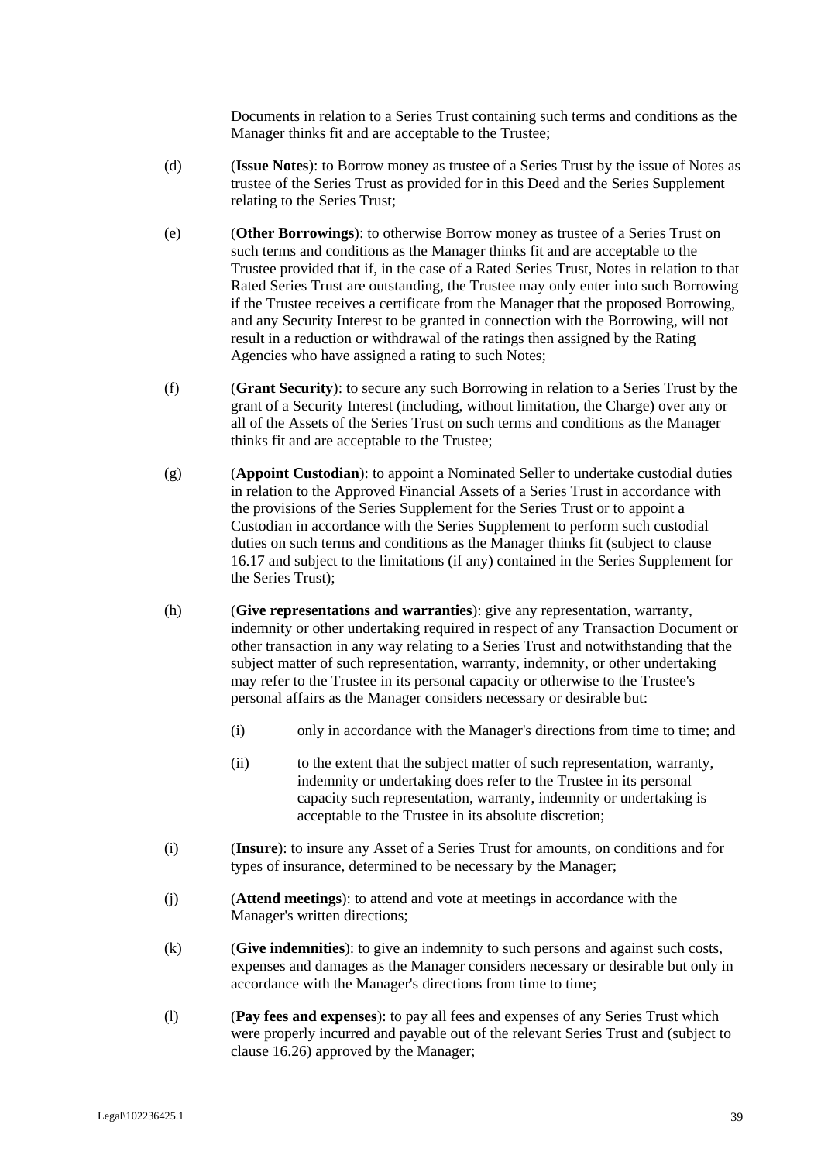Documents in relation to a Series Trust containing such terms and conditions as the Manager thinks fit and are acceptable to the Trustee;

- (d) (**Issue Notes**): to Borrow money as trustee of a Series Trust by the issue of Notes as trustee of the Series Trust as provided for in this Deed and the Series Supplement relating to the Series Trust;
- (e) (**Other Borrowings**): to otherwise Borrow money as trustee of a Series Trust on such terms and conditions as the Manager thinks fit and are acceptable to the Trustee provided that if, in the case of a Rated Series Trust, Notes in relation to that Rated Series Trust are outstanding, the Trustee may only enter into such Borrowing if the Trustee receives a certificate from the Manager that the proposed Borrowing, and any Security Interest to be granted in connection with the Borrowing, will not result in a reduction or withdrawal of the ratings then assigned by the Rating Agencies who have assigned a rating to such Notes;
- (f) (**Grant Security**): to secure any such Borrowing in relation to a Series Trust by the grant of a Security Interest (including, without limitation, the Charge) over any or all of the Assets of the Series Trust on such terms and conditions as the Manager thinks fit and are acceptable to the Trustee;
- (g) (**Appoint Custodian**): to appoint a Nominated Seller to undertake custodial duties in relation to the Approved Financial Assets of a Series Trust in accordance with the provisions of the Series Supplement for the Series Trust or to appoint a Custodian in accordance with the Series Supplement to perform such custodial duties on such terms and conditions as the Manager thinks fit (subject to clause 16.17 and subject to the limitations (if any) contained in the Series Supplement for the Series Trust);
- (h) (**Give representations and warranties**): give any representation, warranty, indemnity or other undertaking required in respect of any Transaction Document or other transaction in any way relating to a Series Trust and notwithstanding that the subject matter of such representation, warranty, indemnity, or other undertaking may refer to the Trustee in its personal capacity or otherwise to the Trustee's personal affairs as the Manager considers necessary or desirable but:
	- (i) only in accordance with the Manager's directions from time to time; and
	- (ii) to the extent that the subject matter of such representation, warranty, indemnity or undertaking does refer to the Trustee in its personal capacity such representation, warranty, indemnity or undertaking is acceptable to the Trustee in its absolute discretion;
- (i) (**Insure**): to insure any Asset of a Series Trust for amounts, on conditions and for types of insurance, determined to be necessary by the Manager;
- (j) (**Attend meetings**): to attend and vote at meetings in accordance with the Manager's written directions;
- (k) (**Give indemnities**): to give an indemnity to such persons and against such costs, expenses and damages as the Manager considers necessary or desirable but only in accordance with the Manager's directions from time to time;
- (l) (**Pay fees and expenses**): to pay all fees and expenses of any Series Trust which were properly incurred and payable out of the relevant Series Trust and (subject to clause 16.26) approved by the Manager;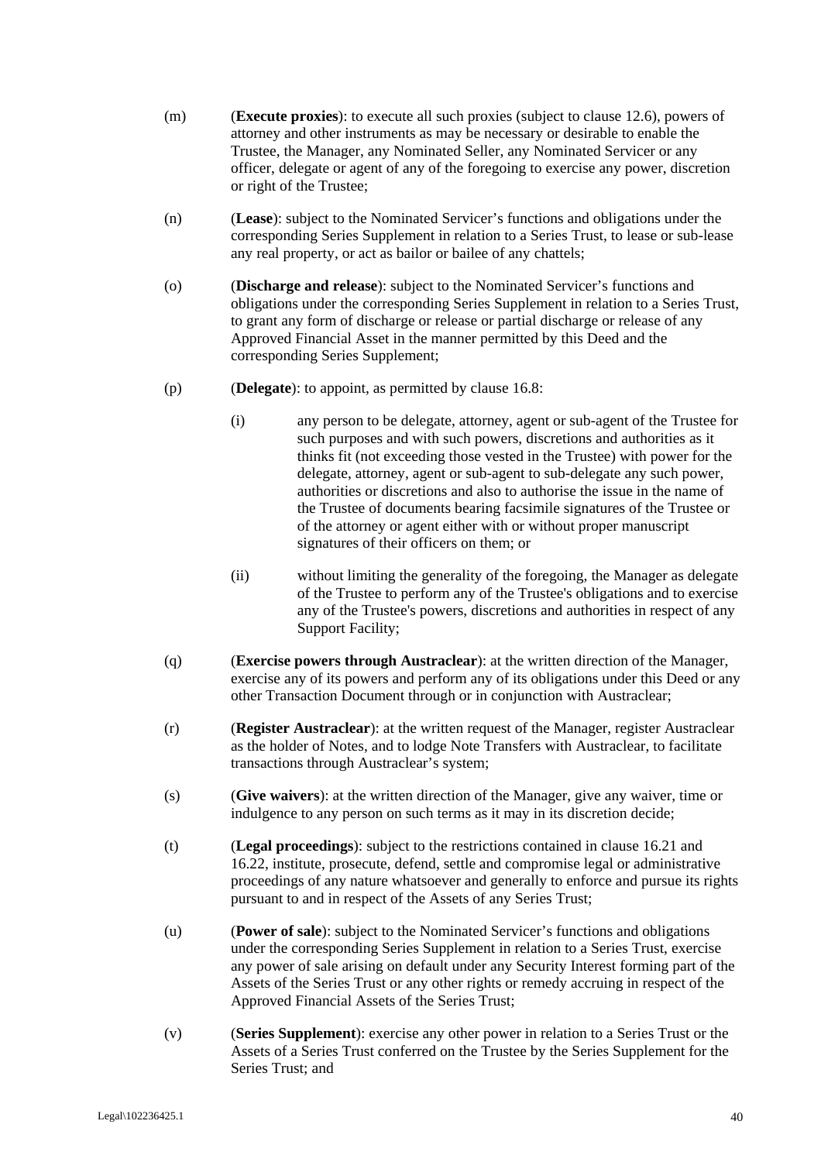- (m) (**Execute proxies**): to execute all such proxies (subject to clause 12.6), powers of attorney and other instruments as may be necessary or desirable to enable the Trustee, the Manager, any Nominated Seller, any Nominated Servicer or any officer, delegate or agent of any of the foregoing to exercise any power, discretion or right of the Trustee;
- (n) (**Lease**): subject to the Nominated Servicer's functions and obligations under the corresponding Series Supplement in relation to a Series Trust, to lease or sub-lease any real property, or act as bailor or bailee of any chattels;
- (o) (**Discharge and release**): subject to the Nominated Servicer's functions and obligations under the corresponding Series Supplement in relation to a Series Trust, to grant any form of discharge or release or partial discharge or release of any Approved Financial Asset in the manner permitted by this Deed and the corresponding Series Supplement;
- (p) (**Delegate**): to appoint, as permitted by clause 16.8:
	- (i) any person to be delegate, attorney, agent or sub-agent of the Trustee for such purposes and with such powers, discretions and authorities as it thinks fit (not exceeding those vested in the Trustee) with power for the delegate, attorney, agent or sub-agent to sub-delegate any such power, authorities or discretions and also to authorise the issue in the name of the Trustee of documents bearing facsimile signatures of the Trustee or of the attorney or agent either with or without proper manuscript signatures of their officers on them; or
	- (ii) without limiting the generality of the foregoing, the Manager as delegate of the Trustee to perform any of the Trustee's obligations and to exercise any of the Trustee's powers, discretions and authorities in respect of any Support Facility;
- (q) (**Exercise powers through Austraclear**): at the written direction of the Manager, exercise any of its powers and perform any of its obligations under this Deed or any other Transaction Document through or in conjunction with Austraclear;
- (r) (**Register Austraclear**): at the written request of the Manager, register Austraclear as the holder of Notes, and to lodge Note Transfers with Austraclear, to facilitate transactions through Austraclear's system;
- (s) (**Give waivers**): at the written direction of the Manager, give any waiver, time or indulgence to any person on such terms as it may in its discretion decide;
- (t) (**Legal proceedings**): subject to the restrictions contained in clause 16.21 and 16.22, institute, prosecute, defend, settle and compromise legal or administrative proceedings of any nature whatsoever and generally to enforce and pursue its rights pursuant to and in respect of the Assets of any Series Trust;
- (u) (**Power of sale**): subject to the Nominated Servicer's functions and obligations under the corresponding Series Supplement in relation to a Series Trust, exercise any power of sale arising on default under any Security Interest forming part of the Assets of the Series Trust or any other rights or remedy accruing in respect of the Approved Financial Assets of the Series Trust;
- (v) (**Series Supplement**): exercise any other power in relation to a Series Trust or the Assets of a Series Trust conferred on the Trustee by the Series Supplement for the Series Trust; and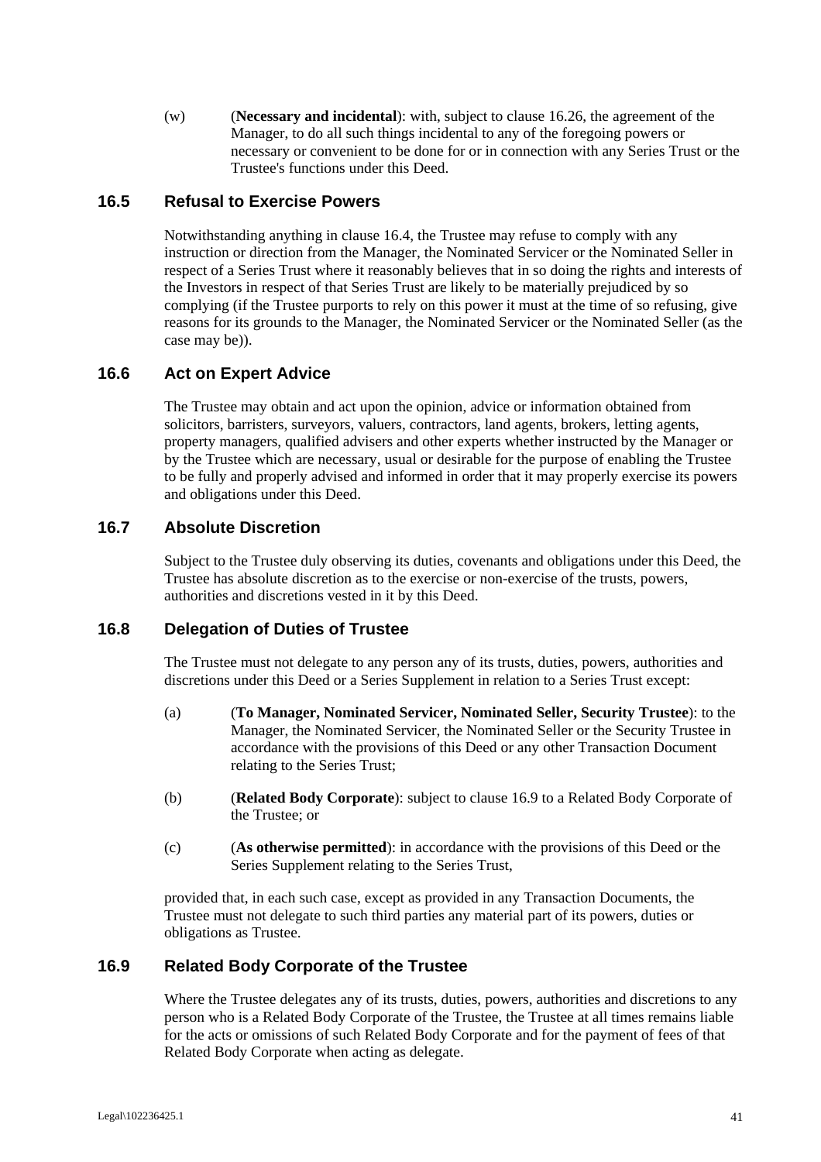(w) (**Necessary and incidental**): with, subject to clause 16.26, the agreement of the Manager, to do all such things incidental to any of the foregoing powers or necessary or convenient to be done for or in connection with any Series Trust or the Trustee's functions under this Deed.

# **16.5 Refusal to Exercise Powers**

Notwithstanding anything in clause 16.4, the Trustee may refuse to comply with any instruction or direction from the Manager, the Nominated Servicer or the Nominated Seller in respect of a Series Trust where it reasonably believes that in so doing the rights and interests of the Investors in respect of that Series Trust are likely to be materially prejudiced by so complying (if the Trustee purports to rely on this power it must at the time of so refusing, give reasons for its grounds to the Manager, the Nominated Servicer or the Nominated Seller (as the case may be)).

# **16.6 Act on Expert Advice**

The Trustee may obtain and act upon the opinion, advice or information obtained from solicitors, barristers, surveyors, valuers, contractors, land agents, brokers, letting agents, property managers, qualified advisers and other experts whether instructed by the Manager or by the Trustee which are necessary, usual or desirable for the purpose of enabling the Trustee to be fully and properly advised and informed in order that it may properly exercise its powers and obligations under this Deed.

# **16.7 Absolute Discretion**

Subject to the Trustee duly observing its duties, covenants and obligations under this Deed, the Trustee has absolute discretion as to the exercise or non-exercise of the trusts, powers, authorities and discretions vested in it by this Deed.

# **16.8 Delegation of Duties of Trustee**

The Trustee must not delegate to any person any of its trusts, duties, powers, authorities and discretions under this Deed or a Series Supplement in relation to a Series Trust except:

- (a) (**To Manager, Nominated Servicer, Nominated Seller, Security Trustee**): to the Manager, the Nominated Servicer, the Nominated Seller or the Security Trustee in accordance with the provisions of this Deed or any other Transaction Document relating to the Series Trust;
- (b) (**Related Body Corporate**): subject to clause 16.9 to a Related Body Corporate of the Trustee; or
- (c) (**As otherwise permitted**): in accordance with the provisions of this Deed or the Series Supplement relating to the Series Trust,

provided that, in each such case, except as provided in any Transaction Documents, the Trustee must not delegate to such third parties any material part of its powers, duties or obligations as Trustee.

#### **16.9 Related Body Corporate of the Trustee**

Where the Trustee delegates any of its trusts, duties, powers, authorities and discretions to any person who is a Related Body Corporate of the Trustee, the Trustee at all times remains liable for the acts or omissions of such Related Body Corporate and for the payment of fees of that Related Body Corporate when acting as delegate.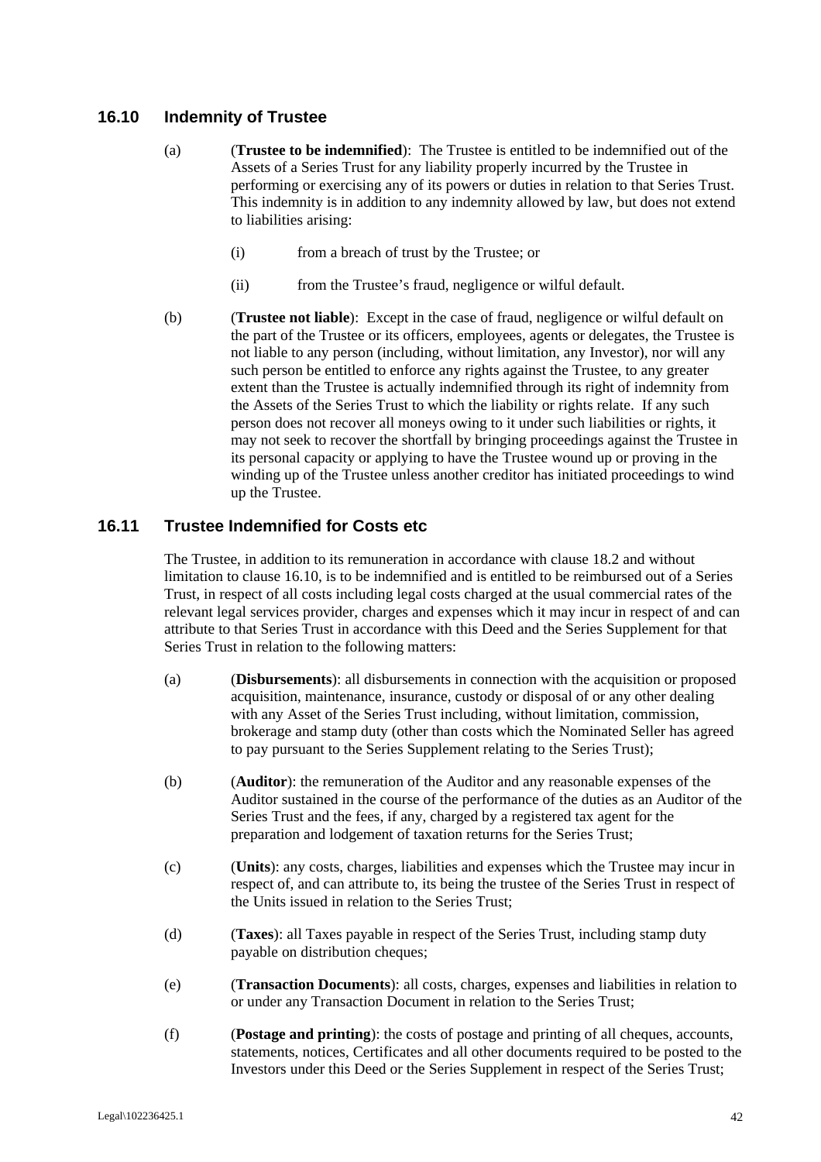# **16.10 Indemnity of Trustee**

- (a) (**Trustee to be indemnified**): The Trustee is entitled to be indemnified out of the Assets of a Series Trust for any liability properly incurred by the Trustee in performing or exercising any of its powers or duties in relation to that Series Trust. This indemnity is in addition to any indemnity allowed by law, but does not extend to liabilities arising:
	- (i) from a breach of trust by the Trustee; or
	- (ii) from the Trustee's fraud, negligence or wilful default.
- (b) (**Trustee not liable**): Except in the case of fraud, negligence or wilful default on the part of the Trustee or its officers, employees, agents or delegates, the Trustee is not liable to any person (including, without limitation, any Investor), nor will any such person be entitled to enforce any rights against the Trustee, to any greater extent than the Trustee is actually indemnified through its right of indemnity from the Assets of the Series Trust to which the liability or rights relate. If any such person does not recover all moneys owing to it under such liabilities or rights, it may not seek to recover the shortfall by bringing proceedings against the Trustee in its personal capacity or applying to have the Trustee wound up or proving in the winding up of the Trustee unless another creditor has initiated proceedings to wind up the Trustee.

# **16.11 Trustee Indemnified for Costs etc**

The Trustee, in addition to its remuneration in accordance with clause 18.2 and without limitation to clause 16.10, is to be indemnified and is entitled to be reimbursed out of a Series Trust, in respect of all costs including legal costs charged at the usual commercial rates of the relevant legal services provider, charges and expenses which it may incur in respect of and can attribute to that Series Trust in accordance with this Deed and the Series Supplement for that Series Trust in relation to the following matters:

- (a) (**Disbursements**): all disbursements in connection with the acquisition or proposed acquisition, maintenance, insurance, custody or disposal of or any other dealing with any Asset of the Series Trust including, without limitation, commission, brokerage and stamp duty (other than costs which the Nominated Seller has agreed to pay pursuant to the Series Supplement relating to the Series Trust);
- (b) (**Auditor**): the remuneration of the Auditor and any reasonable expenses of the Auditor sustained in the course of the performance of the duties as an Auditor of the Series Trust and the fees, if any, charged by a registered tax agent for the preparation and lodgement of taxation returns for the Series Trust;
- (c) (**Units**): any costs, charges, liabilities and expenses which the Trustee may incur in respect of, and can attribute to, its being the trustee of the Series Trust in respect of the Units issued in relation to the Series Trust;
- (d) (**Taxes**): all Taxes payable in respect of the Series Trust, including stamp duty payable on distribution cheques;
- (e) (**Transaction Documents**): all costs, charges, expenses and liabilities in relation to or under any Transaction Document in relation to the Series Trust;
- (f) (**Postage and printing**): the costs of postage and printing of all cheques, accounts, statements, notices, Certificates and all other documents required to be posted to the Investors under this Deed or the Series Supplement in respect of the Series Trust;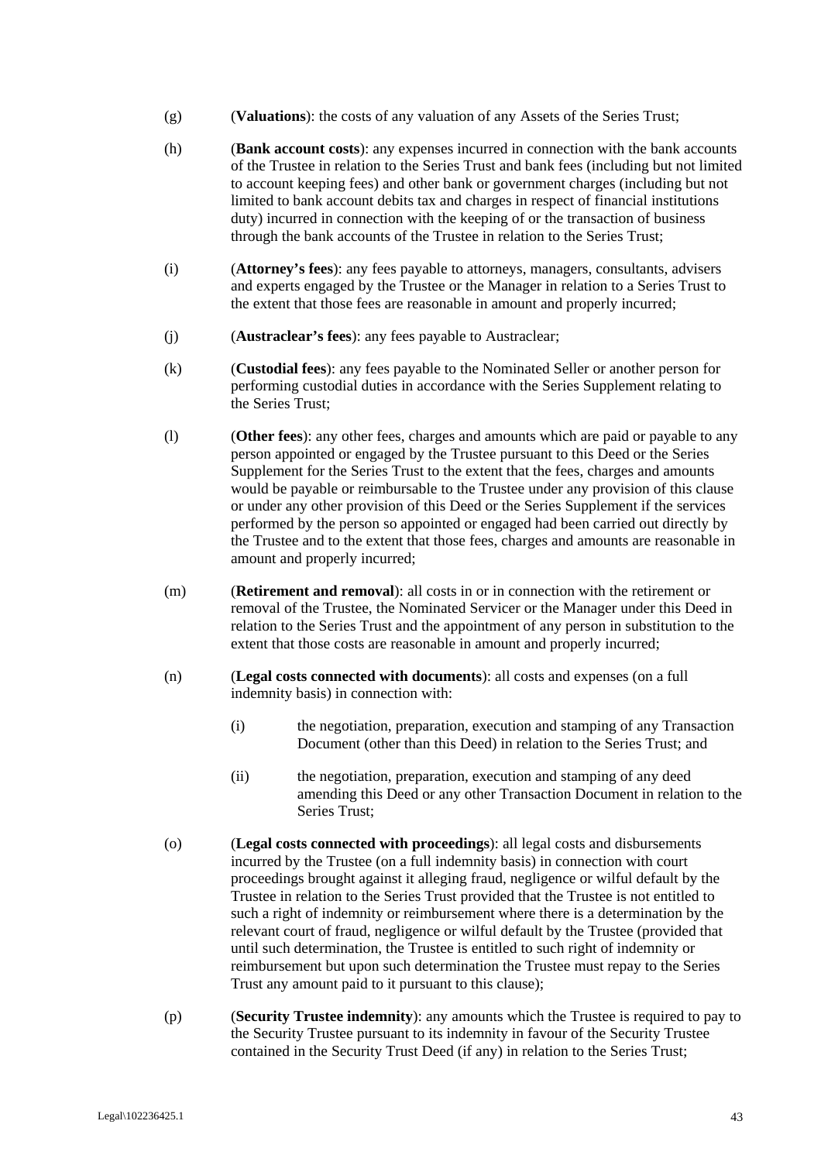- (g) (**Valuations**): the costs of any valuation of any Assets of the Series Trust;
- (h) (**Bank account costs**): any expenses incurred in connection with the bank accounts of the Trustee in relation to the Series Trust and bank fees (including but not limited to account keeping fees) and other bank or government charges (including but not limited to bank account debits tax and charges in respect of financial institutions duty) incurred in connection with the keeping of or the transaction of business through the bank accounts of the Trustee in relation to the Series Trust;
- (i) (**Attorney's fees**): any fees payable to attorneys, managers, consultants, advisers and experts engaged by the Trustee or the Manager in relation to a Series Trust to the extent that those fees are reasonable in amount and properly incurred;
- (j) (**Austraclear's fees**): any fees payable to Austraclear;
- (k) (**Custodial fees**): any fees payable to the Nominated Seller or another person for performing custodial duties in accordance with the Series Supplement relating to the Series Trust;
- (l) (**Other fees**): any other fees, charges and amounts which are paid or payable to any person appointed or engaged by the Trustee pursuant to this Deed or the Series Supplement for the Series Trust to the extent that the fees, charges and amounts would be payable or reimbursable to the Trustee under any provision of this clause or under any other provision of this Deed or the Series Supplement if the services performed by the person so appointed or engaged had been carried out directly by the Trustee and to the extent that those fees, charges and amounts are reasonable in amount and properly incurred;
- (m) (**Retirement and removal**): all costs in or in connection with the retirement or removal of the Trustee, the Nominated Servicer or the Manager under this Deed in relation to the Series Trust and the appointment of any person in substitution to the extent that those costs are reasonable in amount and properly incurred;
- (n) (**Legal costs connected with documents**): all costs and expenses (on a full indemnity basis) in connection with:
	- (i) the negotiation, preparation, execution and stamping of any Transaction Document (other than this Deed) in relation to the Series Trust; and
	- (ii) the negotiation, preparation, execution and stamping of any deed amending this Deed or any other Transaction Document in relation to the Series Trust;
- (o) (**Legal costs connected with proceedings**): all legal costs and disbursements incurred by the Trustee (on a full indemnity basis) in connection with court proceedings brought against it alleging fraud, negligence or wilful default by the Trustee in relation to the Series Trust provided that the Trustee is not entitled to such a right of indemnity or reimbursement where there is a determination by the relevant court of fraud, negligence or wilful default by the Trustee (provided that until such determination, the Trustee is entitled to such right of indemnity or reimbursement but upon such determination the Trustee must repay to the Series Trust any amount paid to it pursuant to this clause);
- (p) (**Security Trustee indemnity**): any amounts which the Trustee is required to pay to the Security Trustee pursuant to its indemnity in favour of the Security Trustee contained in the Security Trust Deed (if any) in relation to the Series Trust;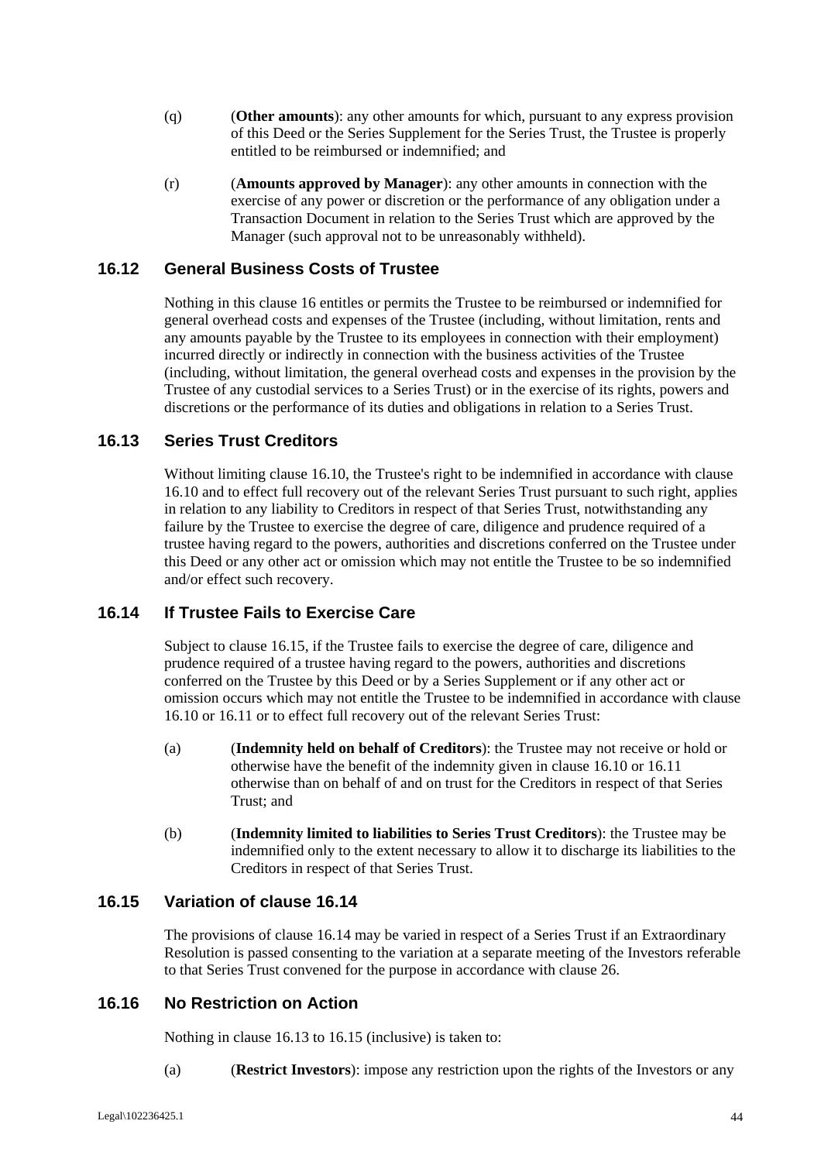- (q) (**Other amounts**): any other amounts for which, pursuant to any express provision of this Deed or the Series Supplement for the Series Trust, the Trustee is properly entitled to be reimbursed or indemnified; and
- (r) (**Amounts approved by Manager**): any other amounts in connection with the exercise of any power or discretion or the performance of any obligation under a Transaction Document in relation to the Series Trust which are approved by the Manager (such approval not to be unreasonably withheld).

# **16.12 General Business Costs of Trustee**

Nothing in this clause 16 entitles or permits the Trustee to be reimbursed or indemnified for general overhead costs and expenses of the Trustee (including, without limitation, rents and any amounts payable by the Trustee to its employees in connection with their employment) incurred directly or indirectly in connection with the business activities of the Trustee (including, without limitation, the general overhead costs and expenses in the provision by the Trustee of any custodial services to a Series Trust) or in the exercise of its rights, powers and discretions or the performance of its duties and obligations in relation to a Series Trust.

#### **16.13 Series Trust Creditors**

Without limiting clause 16.10, the Trustee's right to be indemnified in accordance with clause 16.10 and to effect full recovery out of the relevant Series Trust pursuant to such right, applies in relation to any liability to Creditors in respect of that Series Trust, notwithstanding any failure by the Trustee to exercise the degree of care, diligence and prudence required of a trustee having regard to the powers, authorities and discretions conferred on the Trustee under this Deed or any other act or omission which may not entitle the Trustee to be so indemnified and/or effect such recovery.

# **16.14 If Trustee Fails to Exercise Care**

Subject to clause 16.15, if the Trustee fails to exercise the degree of care, diligence and prudence required of a trustee having regard to the powers, authorities and discretions conferred on the Trustee by this Deed or by a Series Supplement or if any other act or omission occurs which may not entitle the Trustee to be indemnified in accordance with clause 16.10 or 16.11 or to effect full recovery out of the relevant Series Trust:

- (a) (**Indemnity held on behalf of Creditors**): the Trustee may not receive or hold or otherwise have the benefit of the indemnity given in clause 16.10 or 16.11 otherwise than on behalf of and on trust for the Creditors in respect of that Series Trust; and
- (b) (**Indemnity limited to liabilities to Series Trust Creditors**): the Trustee may be indemnified only to the extent necessary to allow it to discharge its liabilities to the Creditors in respect of that Series Trust.

# **16.15 Variation of clause 16.14**

The provisions of clause 16.14 may be varied in respect of a Series Trust if an Extraordinary Resolution is passed consenting to the variation at a separate meeting of the Investors referable to that Series Trust convened for the purpose in accordance with clause 26.

### **16.16 No Restriction on Action**

Nothing in clause 16.13 to 16.15 (inclusive) is taken to:

(a) (**Restrict Investors**): impose any restriction upon the rights of the Investors or any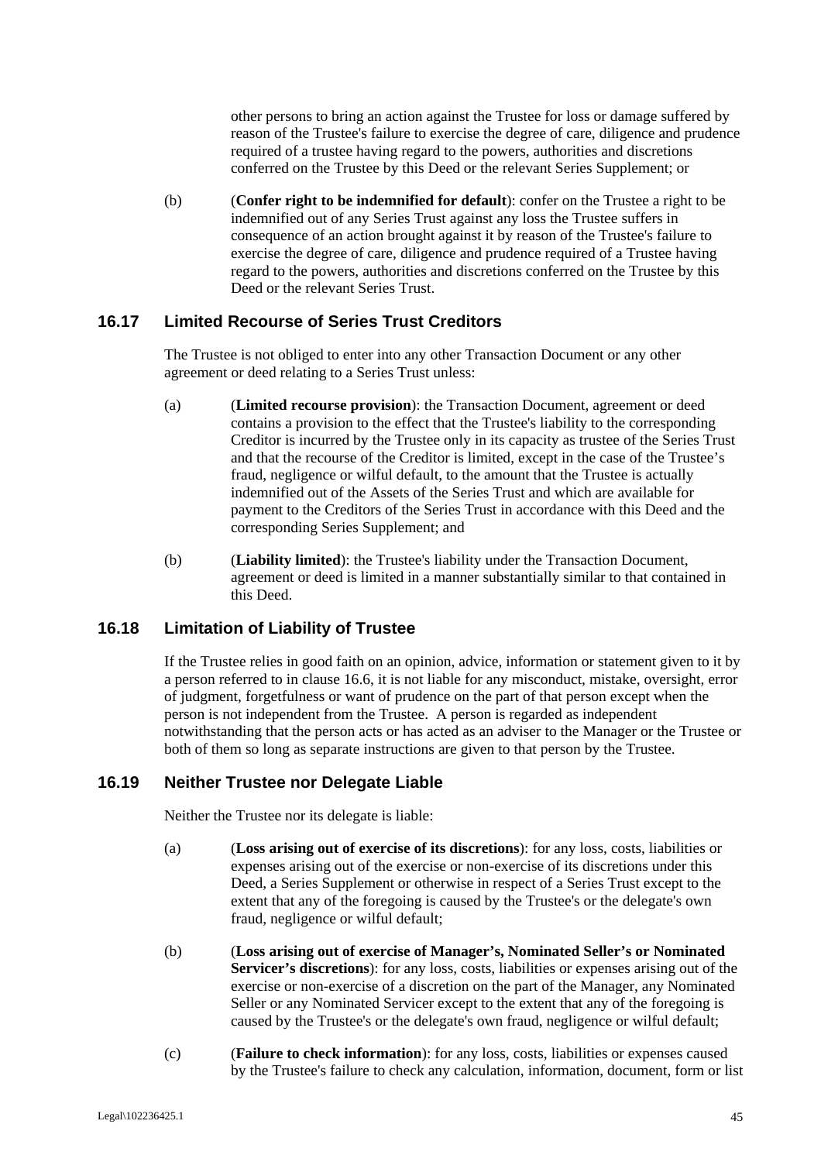other persons to bring an action against the Trustee for loss or damage suffered by reason of the Trustee's failure to exercise the degree of care, diligence and prudence required of a trustee having regard to the powers, authorities and discretions conferred on the Trustee by this Deed or the relevant Series Supplement; or

(b) (**Confer right to be indemnified for default**): confer on the Trustee a right to be indemnified out of any Series Trust against any loss the Trustee suffers in consequence of an action brought against it by reason of the Trustee's failure to exercise the degree of care, diligence and prudence required of a Trustee having regard to the powers, authorities and discretions conferred on the Trustee by this Deed or the relevant Series Trust.

# **16.17 Limited Recourse of Series Trust Creditors**

The Trustee is not obliged to enter into any other Transaction Document or any other agreement or deed relating to a Series Trust unless:

- (a) (**Limited recourse provision**): the Transaction Document, agreement or deed contains a provision to the effect that the Trustee's liability to the corresponding Creditor is incurred by the Trustee only in its capacity as trustee of the Series Trust and that the recourse of the Creditor is limited, except in the case of the Trustee's fraud, negligence or wilful default, to the amount that the Trustee is actually indemnified out of the Assets of the Series Trust and which are available for payment to the Creditors of the Series Trust in accordance with this Deed and the corresponding Series Supplement; and
- (b) (**Liability limited**): the Trustee's liability under the Transaction Document, agreement or deed is limited in a manner substantially similar to that contained in this Deed.

#### **16.18 Limitation of Liability of Trustee**

If the Trustee relies in good faith on an opinion, advice, information or statement given to it by a person referred to in clause 16.6, it is not liable for any misconduct, mistake, oversight, error of judgment, forgetfulness or want of prudence on the part of that person except when the person is not independent from the Trustee. A person is regarded as independent notwithstanding that the person acts or has acted as an adviser to the Manager or the Trustee or both of them so long as separate instructions are given to that person by the Trustee.

#### **16.19 Neither Trustee nor Delegate Liable**

Neither the Trustee nor its delegate is liable:

- (a) (**Loss arising out of exercise of its discretions**): for any loss, costs, liabilities or expenses arising out of the exercise or non-exercise of its discretions under this Deed, a Series Supplement or otherwise in respect of a Series Trust except to the extent that any of the foregoing is caused by the Trustee's or the delegate's own fraud, negligence or wilful default;
- (b) (**Loss arising out of exercise of Manager's, Nominated Seller's or Nominated Servicer's discretions**): for any loss, costs, liabilities or expenses arising out of the exercise or non-exercise of a discretion on the part of the Manager, any Nominated Seller or any Nominated Servicer except to the extent that any of the foregoing is caused by the Trustee's or the delegate's own fraud, negligence or wilful default;
- (c) (**Failure to check information**): for any loss, costs, liabilities or expenses caused by the Trustee's failure to check any calculation, information, document, form or list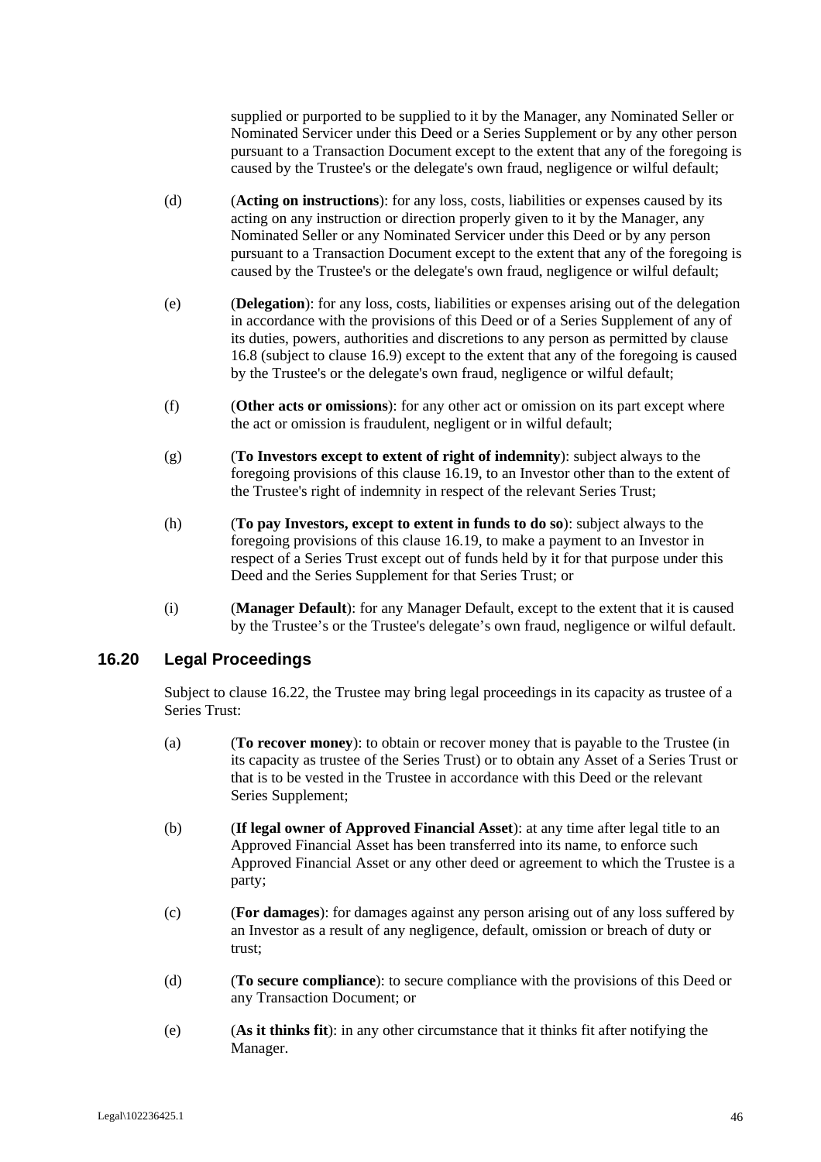supplied or purported to be supplied to it by the Manager, any Nominated Seller or Nominated Servicer under this Deed or a Series Supplement or by any other person pursuant to a Transaction Document except to the extent that any of the foregoing is caused by the Trustee's or the delegate's own fraud, negligence or wilful default;

- (d) (**Acting on instructions**): for any loss, costs, liabilities or expenses caused by its acting on any instruction or direction properly given to it by the Manager, any Nominated Seller or any Nominated Servicer under this Deed or by any person pursuant to a Transaction Document except to the extent that any of the foregoing is caused by the Trustee's or the delegate's own fraud, negligence or wilful default;
- (e) (**Delegation**): for any loss, costs, liabilities or expenses arising out of the delegation in accordance with the provisions of this Deed or of a Series Supplement of any of its duties, powers, authorities and discretions to any person as permitted by clause 16.8 (subject to clause 16.9) except to the extent that any of the foregoing is caused by the Trustee's or the delegate's own fraud, negligence or wilful default;
- (f) (**Other acts or omissions**): for any other act or omission on its part except where the act or omission is fraudulent, negligent or in wilful default;
- (g) (**To Investors except to extent of right of indemnity**): subject always to the foregoing provisions of this clause 16.19, to an Investor other than to the extent of the Trustee's right of indemnity in respect of the relevant Series Trust;
- (h) (**To pay Investors, except to extent in funds to do so**): subject always to the foregoing provisions of this clause 16.19, to make a payment to an Investor in respect of a Series Trust except out of funds held by it for that purpose under this Deed and the Series Supplement for that Series Trust; or
- (i) (**Manager Default**): for any Manager Default, except to the extent that it is caused by the Trustee's or the Trustee's delegate's own fraud, negligence or wilful default.

#### **16.20 Legal Proceedings**

Subject to clause 16.22, the Trustee may bring legal proceedings in its capacity as trustee of a Series Trust:

- (a) (**To recover money**): to obtain or recover money that is payable to the Trustee (in its capacity as trustee of the Series Trust) or to obtain any Asset of a Series Trust or that is to be vested in the Trustee in accordance with this Deed or the relevant Series Supplement;
- (b) (**If legal owner of Approved Financial Asset**): at any time after legal title to an Approved Financial Asset has been transferred into its name, to enforce such Approved Financial Asset or any other deed or agreement to which the Trustee is a party;
- (c) (**For damages**): for damages against any person arising out of any loss suffered by an Investor as a result of any negligence, default, omission or breach of duty or trust;
- (d) (**To secure compliance**): to secure compliance with the provisions of this Deed or any Transaction Document; or
- (e) (**As it thinks fit**): in any other circumstance that it thinks fit after notifying the Manager.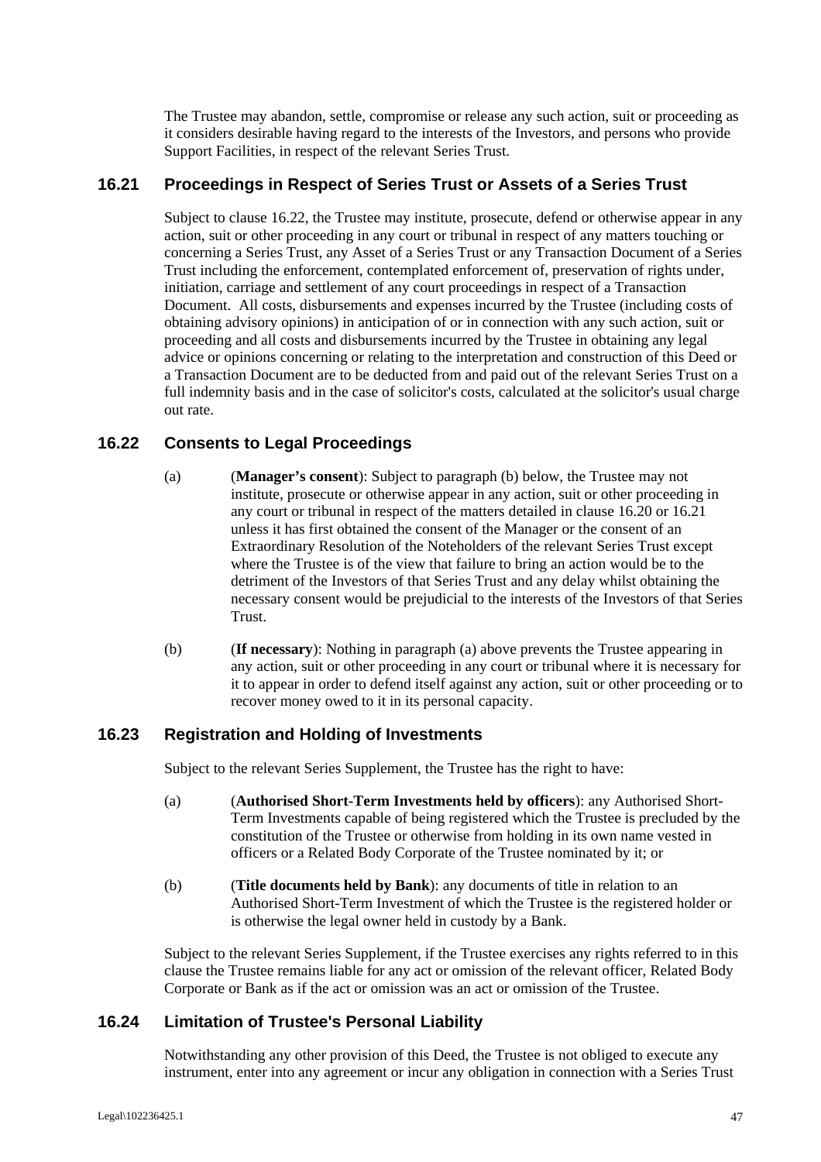The Trustee may abandon, settle, compromise or release any such action, suit or proceeding as it considers desirable having regard to the interests of the Investors, and persons who provide Support Facilities, in respect of the relevant Series Trust.

# **16.21 Proceedings in Respect of Series Trust or Assets of a Series Trust**

Subject to clause 16.22, the Trustee may institute, prosecute, defend or otherwise appear in any action, suit or other proceeding in any court or tribunal in respect of any matters touching or concerning a Series Trust, any Asset of a Series Trust or any Transaction Document of a Series Trust including the enforcement, contemplated enforcement of, preservation of rights under, initiation, carriage and settlement of any court proceedings in respect of a Transaction Document. All costs, disbursements and expenses incurred by the Trustee (including costs of obtaining advisory opinions) in anticipation of or in connection with any such action, suit or proceeding and all costs and disbursements incurred by the Trustee in obtaining any legal advice or opinions concerning or relating to the interpretation and construction of this Deed or a Transaction Document are to be deducted from and paid out of the relevant Series Trust on a full indemnity basis and in the case of solicitor's costs, calculated at the solicitor's usual charge out rate.

# **16.22 Consents to Legal Proceedings**

- (a) (**Manager's consent**): Subject to paragraph (b) below, the Trustee may not institute, prosecute or otherwise appear in any action, suit or other proceeding in any court or tribunal in respect of the matters detailed in clause 16.20 or 16.21 unless it has first obtained the consent of the Manager or the consent of an Extraordinary Resolution of the Noteholders of the relevant Series Trust except where the Trustee is of the view that failure to bring an action would be to the detriment of the Investors of that Series Trust and any delay whilst obtaining the necessary consent would be prejudicial to the interests of the Investors of that Series Trust.
- (b) (**If necessary**): Nothing in paragraph (a) above prevents the Trustee appearing in any action, suit or other proceeding in any court or tribunal where it is necessary for it to appear in order to defend itself against any action, suit or other proceeding or to recover money owed to it in its personal capacity.

### **16.23 Registration and Holding of Investments**

Subject to the relevant Series Supplement, the Trustee has the right to have:

- (a) (**Authorised Short-Term Investments held by officers**): any Authorised Short-Term Investments capable of being registered which the Trustee is precluded by the constitution of the Trustee or otherwise from holding in its own name vested in officers or a Related Body Corporate of the Trustee nominated by it; or
- (b) (**Title documents held by Bank**): any documents of title in relation to an Authorised Short-Term Investment of which the Trustee is the registered holder or is otherwise the legal owner held in custody by a Bank.

Subject to the relevant Series Supplement, if the Trustee exercises any rights referred to in this clause the Trustee remains liable for any act or omission of the relevant officer, Related Body Corporate or Bank as if the act or omission was an act or omission of the Trustee.

#### **16.24 Limitation of Trustee's Personal Liability**

Notwithstanding any other provision of this Deed, the Trustee is not obliged to execute any instrument, enter into any agreement or incur any obligation in connection with a Series Trust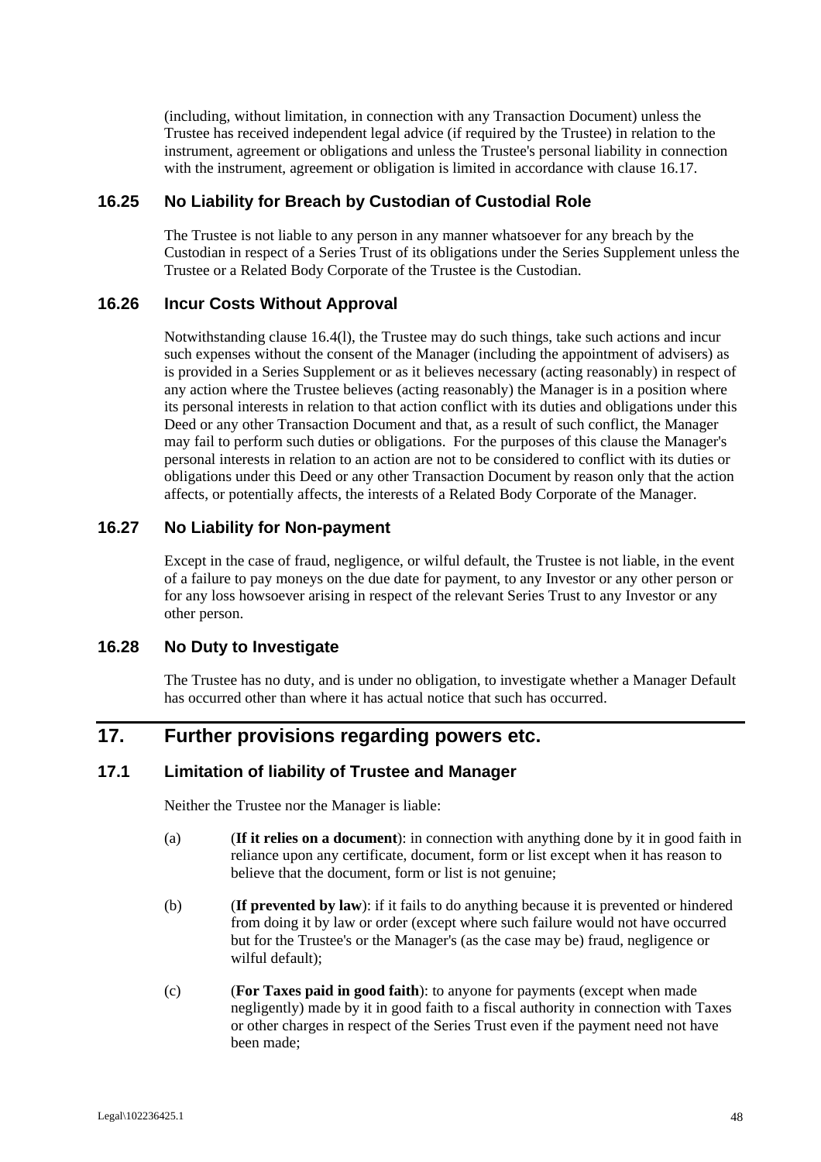(including, without limitation, in connection with any Transaction Document) unless the Trustee has received independent legal advice (if required by the Trustee) in relation to the instrument, agreement or obligations and unless the Trustee's personal liability in connection with the instrument, agreement or obligation is limited in accordance with clause 16.17.

# **16.25 No Liability for Breach by Custodian of Custodial Role**

The Trustee is not liable to any person in any manner whatsoever for any breach by the Custodian in respect of a Series Trust of its obligations under the Series Supplement unless the Trustee or a Related Body Corporate of the Trustee is the Custodian.

# **16.26 Incur Costs Without Approval**

Notwithstanding clause 16.4(l), the Trustee may do such things, take such actions and incur such expenses without the consent of the Manager (including the appointment of advisers) as is provided in a Series Supplement or as it believes necessary (acting reasonably) in respect of any action where the Trustee believes (acting reasonably) the Manager is in a position where its personal interests in relation to that action conflict with its duties and obligations under this Deed or any other Transaction Document and that, as a result of such conflict, the Manager may fail to perform such duties or obligations. For the purposes of this clause the Manager's personal interests in relation to an action are not to be considered to conflict with its duties or obligations under this Deed or any other Transaction Document by reason only that the action affects, or potentially affects, the interests of a Related Body Corporate of the Manager.

# **16.27 No Liability for Non-payment**

Except in the case of fraud, negligence, or wilful default, the Trustee is not liable, in the event of a failure to pay moneys on the due date for payment, to any Investor or any other person or for any loss howsoever arising in respect of the relevant Series Trust to any Investor or any other person.

#### **16.28 No Duty to Investigate**

The Trustee has no duty, and is under no obligation, to investigate whether a Manager Default has occurred other than where it has actual notice that such has occurred.

# **17. Further provisions regarding powers etc.**

### **17.1 Limitation of liability of Trustee and Manager**

Neither the Trustee nor the Manager is liable:

- (a) (**If it relies on a document**): in connection with anything done by it in good faith in reliance upon any certificate, document, form or list except when it has reason to believe that the document, form or list is not genuine;
- (b) (**If prevented by law**): if it fails to do anything because it is prevented or hindered from doing it by law or order (except where such failure would not have occurred but for the Trustee's or the Manager's (as the case may be) fraud, negligence or wilful default);
- (c) (**For Taxes paid in good faith**): to anyone for payments (except when made negligently) made by it in good faith to a fiscal authority in connection with Taxes or other charges in respect of the Series Trust even if the payment need not have been made;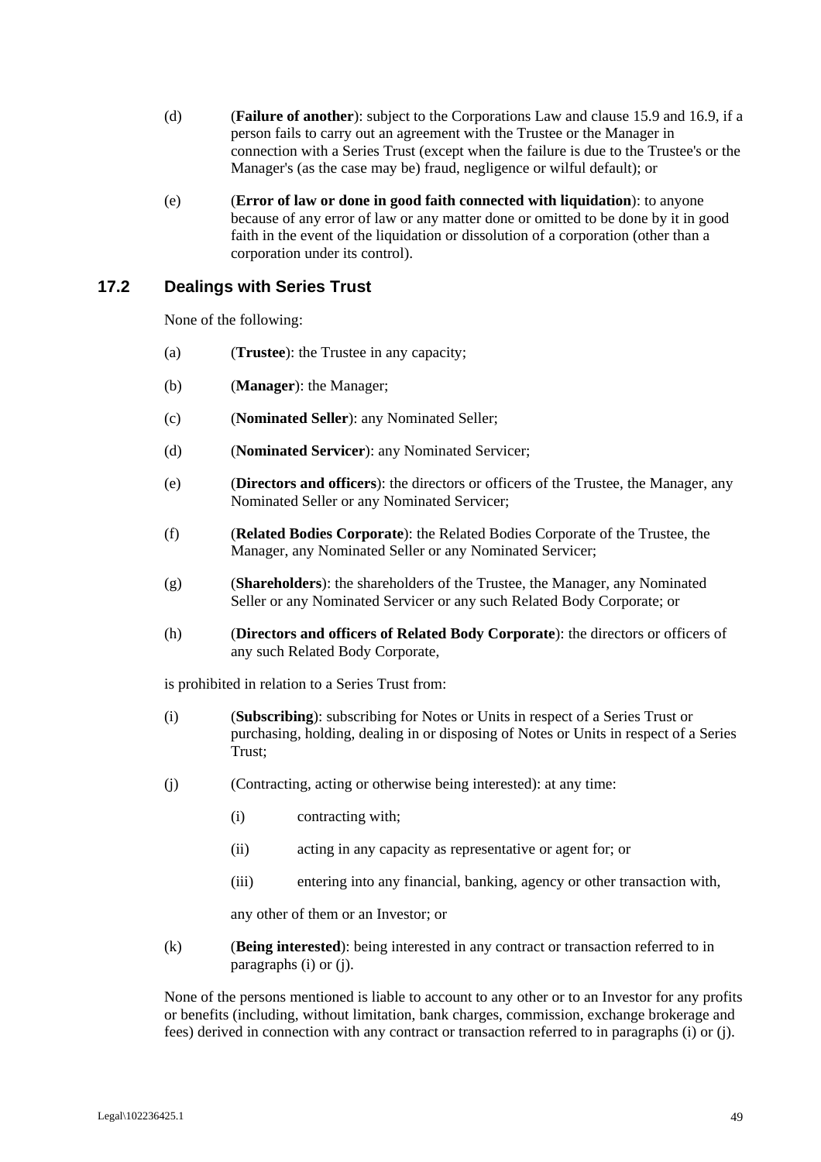- (d) (**Failure of another**): subject to the Corporations Law and clause 15.9 and 16.9, if a person fails to carry out an agreement with the Trustee or the Manager in connection with a Series Trust (except when the failure is due to the Trustee's or the Manager's (as the case may be) fraud, negligence or wilful default); or
- (e) (**Error of law or done in good faith connected with liquidation**): to anyone because of any error of law or any matter done or omitted to be done by it in good faith in the event of the liquidation or dissolution of a corporation (other than a corporation under its control).

# **17.2 Dealings with Series Trust**

None of the following:

- (a) (**Trustee**): the Trustee in any capacity;
- (b) (**Manager**): the Manager;
- (c) (**Nominated Seller**): any Nominated Seller;
- (d) (**Nominated Servicer**): any Nominated Servicer;
- (e) (**Directors and officers**): the directors or officers of the Trustee, the Manager, any Nominated Seller or any Nominated Servicer;
- (f) (**Related Bodies Corporate**): the Related Bodies Corporate of the Trustee, the Manager, any Nominated Seller or any Nominated Servicer;
- (g) (**Shareholders**): the shareholders of the Trustee, the Manager, any Nominated Seller or any Nominated Servicer or any such Related Body Corporate; or
- (h) (**Directors and officers of Related Body Corporate**): the directors or officers of any such Related Body Corporate,

is prohibited in relation to a Series Trust from:

- (i) (**Subscribing**): subscribing for Notes or Units in respect of a Series Trust or purchasing, holding, dealing in or disposing of Notes or Units in respect of a Series Trust;
- (j) (Contracting, acting or otherwise being interested): at any time:
	- (i) contracting with;
	- (ii) acting in any capacity as representative or agent for; or
	- (iii) entering into any financial, banking, agency or other transaction with,

any other of them or an Investor; or

(k) (**Being interested**): being interested in any contract or transaction referred to in paragraphs (i) or (j).

None of the persons mentioned is liable to account to any other or to an Investor for any profits or benefits (including, without limitation, bank charges, commission, exchange brokerage and fees) derived in connection with any contract or transaction referred to in paragraphs (i) or (j).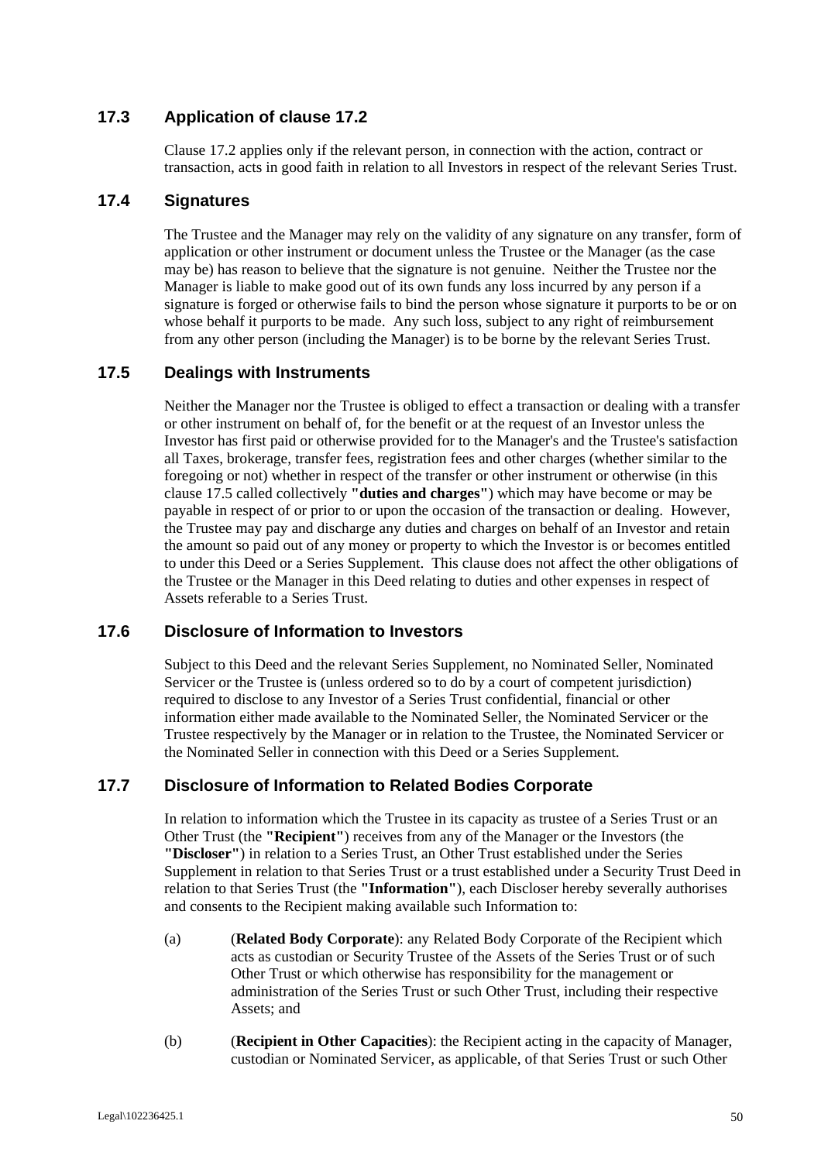# **17.3 Application of clause 17.2**

Clause 17.2 applies only if the relevant person, in connection with the action, contract or transaction, acts in good faith in relation to all Investors in respect of the relevant Series Trust.

# **17.4 Signatures**

The Trustee and the Manager may rely on the validity of any signature on any transfer, form of application or other instrument or document unless the Trustee or the Manager (as the case may be) has reason to believe that the signature is not genuine. Neither the Trustee nor the Manager is liable to make good out of its own funds any loss incurred by any person if a signature is forged or otherwise fails to bind the person whose signature it purports to be or on whose behalf it purports to be made. Any such loss, subject to any right of reimbursement from any other person (including the Manager) is to be borne by the relevant Series Trust.

# **17.5 Dealings with Instruments**

Neither the Manager nor the Trustee is obliged to effect a transaction or dealing with a transfer or other instrument on behalf of, for the benefit or at the request of an Investor unless the Investor has first paid or otherwise provided for to the Manager's and the Trustee's satisfaction all Taxes, brokerage, transfer fees, registration fees and other charges (whether similar to the foregoing or not) whether in respect of the transfer or other instrument or otherwise (in this clause 17.5 called collectively **"duties and charges"**) which may have become or may be payable in respect of or prior to or upon the occasion of the transaction or dealing. However, the Trustee may pay and discharge any duties and charges on behalf of an Investor and retain the amount so paid out of any money or property to which the Investor is or becomes entitled to under this Deed or a Series Supplement. This clause does not affect the other obligations of the Trustee or the Manager in this Deed relating to duties and other expenses in respect of Assets referable to a Series Trust.

#### **17.6 Disclosure of Information to Investors**

Subject to this Deed and the relevant Series Supplement, no Nominated Seller, Nominated Servicer or the Trustee is (unless ordered so to do by a court of competent jurisdiction) required to disclose to any Investor of a Series Trust confidential, financial or other information either made available to the Nominated Seller, the Nominated Servicer or the Trustee respectively by the Manager or in relation to the Trustee, the Nominated Servicer or the Nominated Seller in connection with this Deed or a Series Supplement.

# **17.7 Disclosure of Information to Related Bodies Corporate**

In relation to information which the Trustee in its capacity as trustee of a Series Trust or an Other Trust (the **"Recipient"**) receives from any of the Manager or the Investors (the **"Discloser"**) in relation to a Series Trust, an Other Trust established under the Series Supplement in relation to that Series Trust or a trust established under a Security Trust Deed in relation to that Series Trust (the **"Information"**), each Discloser hereby severally authorises and consents to the Recipient making available such Information to:

- (a) (**Related Body Corporate**): any Related Body Corporate of the Recipient which acts as custodian or Security Trustee of the Assets of the Series Trust or of such Other Trust or which otherwise has responsibility for the management or administration of the Series Trust or such Other Trust, including their respective Assets; and
- (b) (**Recipient in Other Capacities**): the Recipient acting in the capacity of Manager, custodian or Nominated Servicer, as applicable, of that Series Trust or such Other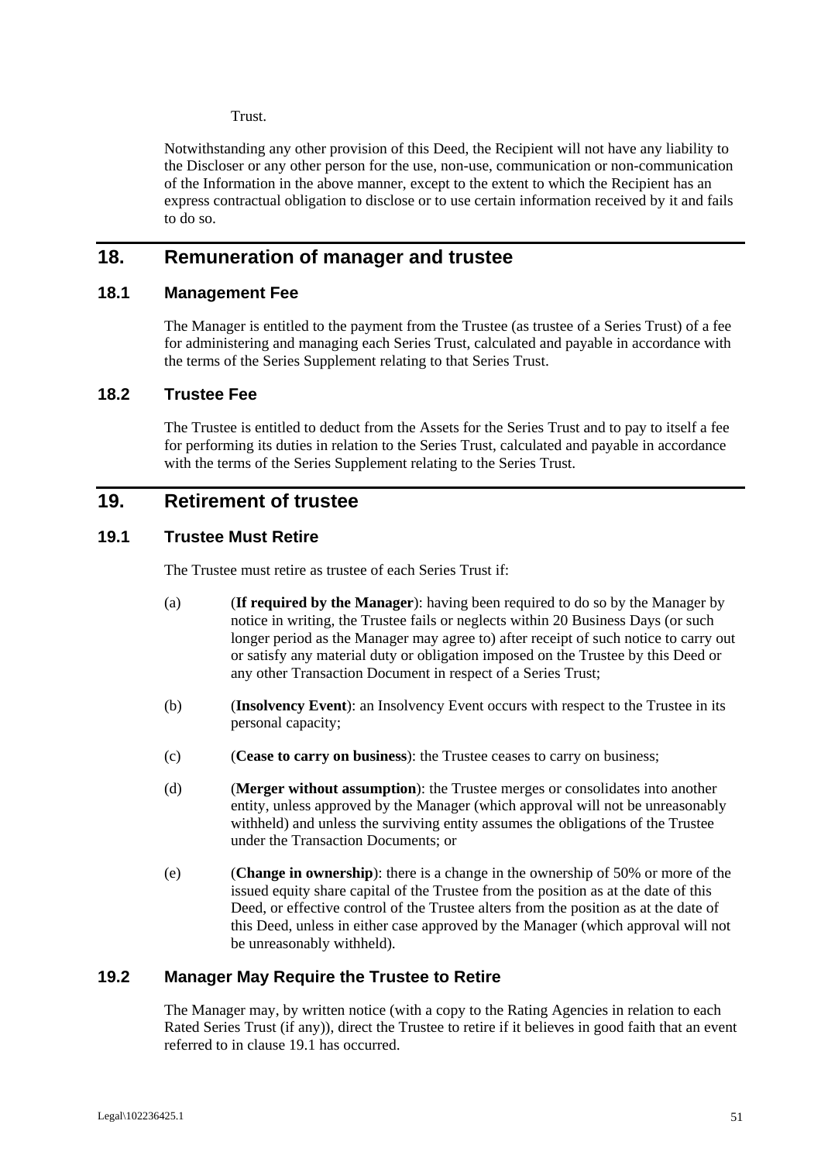Trust.

Notwithstanding any other provision of this Deed, the Recipient will not have any liability to the Discloser or any other person for the use, non-use, communication or non-communication of the Information in the above manner, except to the extent to which the Recipient has an express contractual obligation to disclose or to use certain information received by it and fails to do so.

# **18. Remuneration of manager and trustee**

#### **18.1 Management Fee**

The Manager is entitled to the payment from the Trustee (as trustee of a Series Trust) of a fee for administering and managing each Series Trust, calculated and payable in accordance with the terms of the Series Supplement relating to that Series Trust.

# **18.2 Trustee Fee**

The Trustee is entitled to deduct from the Assets for the Series Trust and to pay to itself a fee for performing its duties in relation to the Series Trust, calculated and payable in accordance with the terms of the Series Supplement relating to the Series Trust.

# **19. Retirement of trustee**

# **19.1 Trustee Must Retire**

The Trustee must retire as trustee of each Series Trust if:

- (a) (**If required by the Manager**): having been required to do so by the Manager by notice in writing, the Trustee fails or neglects within 20 Business Days (or such longer period as the Manager may agree to) after receipt of such notice to carry out or satisfy any material duty or obligation imposed on the Trustee by this Deed or any other Transaction Document in respect of a Series Trust;
- (b) (**Insolvency Event**): an Insolvency Event occurs with respect to the Trustee in its personal capacity;
- (c) (**Cease to carry on business**): the Trustee ceases to carry on business;
- (d) (**Merger without assumption**): the Trustee merges or consolidates into another entity, unless approved by the Manager (which approval will not be unreasonably withheld) and unless the surviving entity assumes the obligations of the Trustee under the Transaction Documents; or
- (e) (**Change in ownership**): there is a change in the ownership of 50% or more of the issued equity share capital of the Trustee from the position as at the date of this Deed, or effective control of the Trustee alters from the position as at the date of this Deed, unless in either case approved by the Manager (which approval will not be unreasonably withheld).

# **19.2 Manager May Require the Trustee to Retire**

The Manager may, by written notice (with a copy to the Rating Agencies in relation to each Rated Series Trust (if any)), direct the Trustee to retire if it believes in good faith that an event referred to in clause 19.1 has occurred.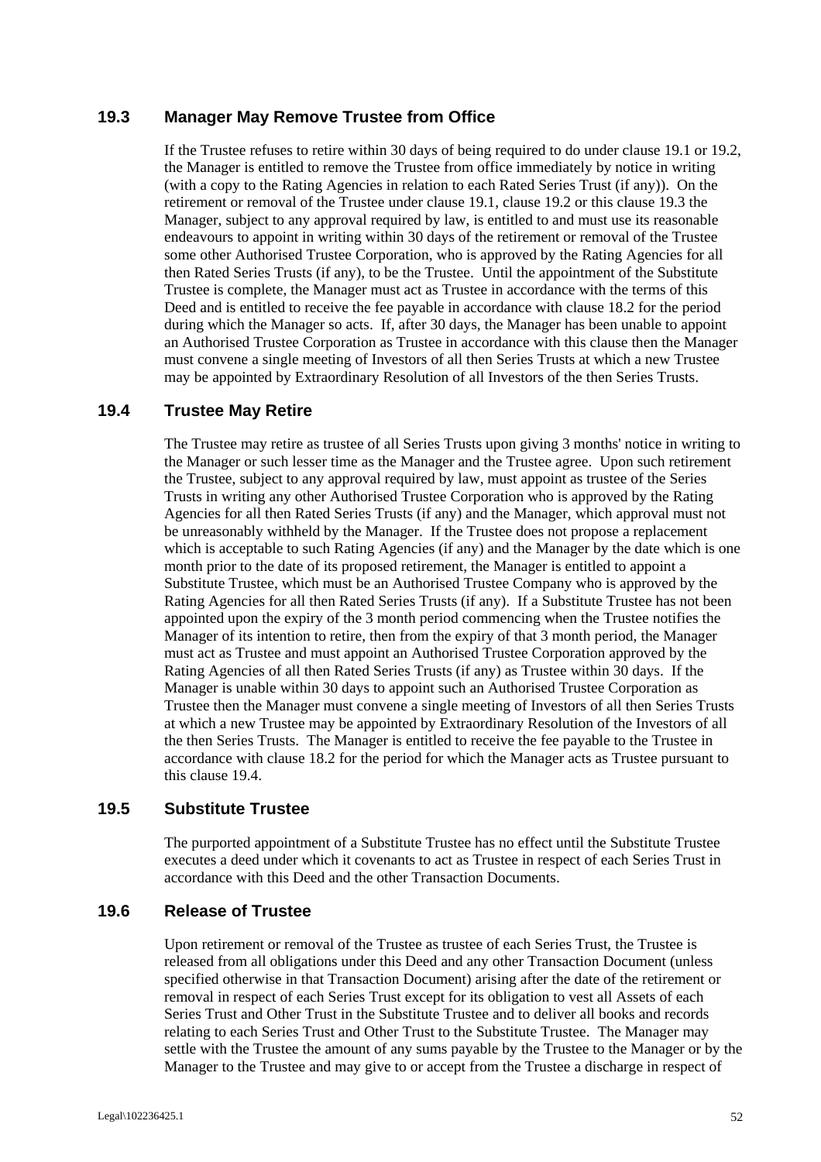# **19.3 Manager May Remove Trustee from Office**

If the Trustee refuses to retire within 30 days of being required to do under clause 19.1 or 19.2, the Manager is entitled to remove the Trustee from office immediately by notice in writing (with a copy to the Rating Agencies in relation to each Rated Series Trust (if any)). On the retirement or removal of the Trustee under clause 19.1, clause 19.2 or this clause 19.3 the Manager, subject to any approval required by law, is entitled to and must use its reasonable endeavours to appoint in writing within 30 days of the retirement or removal of the Trustee some other Authorised Trustee Corporation, who is approved by the Rating Agencies for all then Rated Series Trusts (if any), to be the Trustee. Until the appointment of the Substitute Trustee is complete, the Manager must act as Trustee in accordance with the terms of this Deed and is entitled to receive the fee payable in accordance with clause 18.2 for the period during which the Manager so acts. If, after 30 days, the Manager has been unable to appoint an Authorised Trustee Corporation as Trustee in accordance with this clause then the Manager must convene a single meeting of Investors of all then Series Trusts at which a new Trustee may be appointed by Extraordinary Resolution of all Investors of the then Series Trusts.

# **19.4 Trustee May Retire**

The Trustee may retire as trustee of all Series Trusts upon giving 3 months' notice in writing to the Manager or such lesser time as the Manager and the Trustee agree. Upon such retirement the Trustee, subject to any approval required by law, must appoint as trustee of the Series Trusts in writing any other Authorised Trustee Corporation who is approved by the Rating Agencies for all then Rated Series Trusts (if any) and the Manager, which approval must not be unreasonably withheld by the Manager. If the Trustee does not propose a replacement which is acceptable to such Rating Agencies (if any) and the Manager by the date which is one month prior to the date of its proposed retirement, the Manager is entitled to appoint a Substitute Trustee, which must be an Authorised Trustee Company who is approved by the Rating Agencies for all then Rated Series Trusts (if any). If a Substitute Trustee has not been appointed upon the expiry of the 3 month period commencing when the Trustee notifies the Manager of its intention to retire, then from the expiry of that 3 month period, the Manager must act as Trustee and must appoint an Authorised Trustee Corporation approved by the Rating Agencies of all then Rated Series Trusts (if any) as Trustee within 30 days. If the Manager is unable within 30 days to appoint such an Authorised Trustee Corporation as Trustee then the Manager must convene a single meeting of Investors of all then Series Trusts at which a new Trustee may be appointed by Extraordinary Resolution of the Investors of all the then Series Trusts. The Manager is entitled to receive the fee payable to the Trustee in accordance with clause 18.2 for the period for which the Manager acts as Trustee pursuant to this clause 19.4.

# **19.5 Substitute Trustee**

The purported appointment of a Substitute Trustee has no effect until the Substitute Trustee executes a deed under which it covenants to act as Trustee in respect of each Series Trust in accordance with this Deed and the other Transaction Documents.

#### **19.6 Release of Trustee**

Upon retirement or removal of the Trustee as trustee of each Series Trust, the Trustee is released from all obligations under this Deed and any other Transaction Document (unless specified otherwise in that Transaction Document) arising after the date of the retirement or removal in respect of each Series Trust except for its obligation to vest all Assets of each Series Trust and Other Trust in the Substitute Trustee and to deliver all books and records relating to each Series Trust and Other Trust to the Substitute Trustee. The Manager may settle with the Trustee the amount of any sums payable by the Trustee to the Manager or by the Manager to the Trustee and may give to or accept from the Trustee a discharge in respect of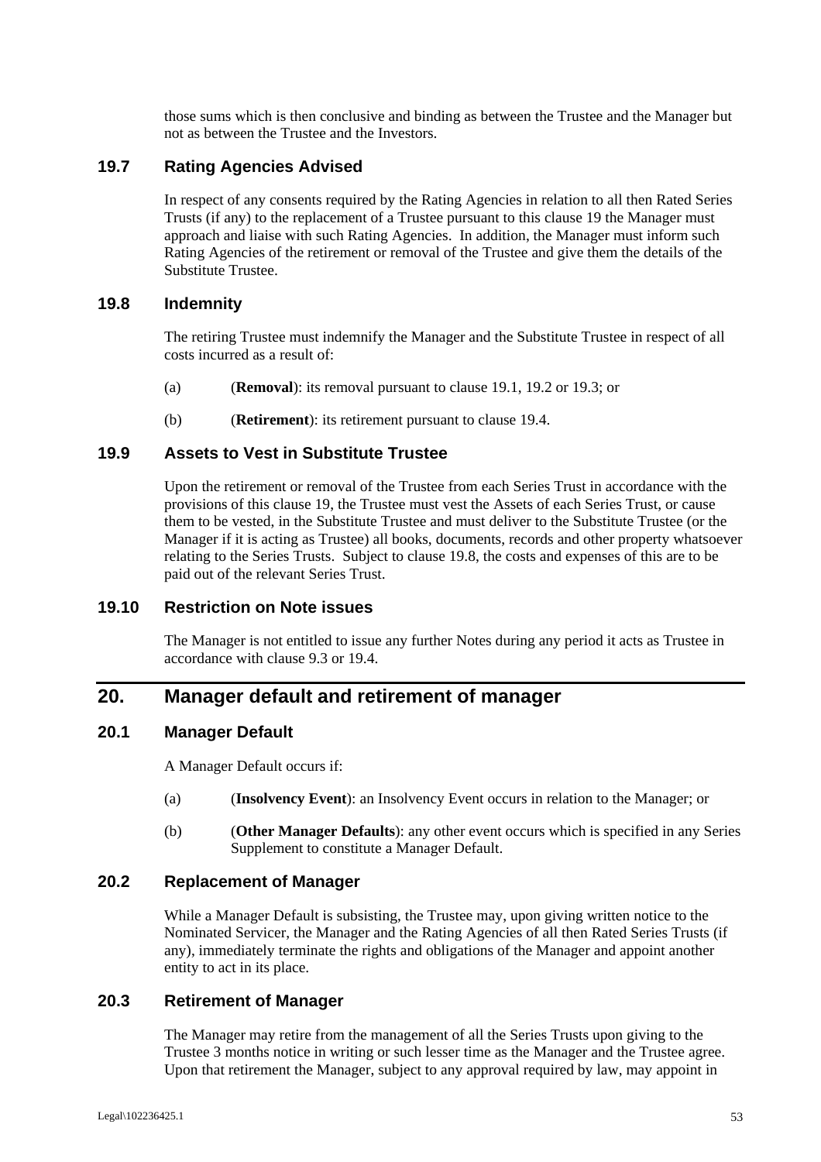those sums which is then conclusive and binding as between the Trustee and the Manager but not as between the Trustee and the Investors.

#### **19.7 Rating Agencies Advised**

In respect of any consents required by the Rating Agencies in relation to all then Rated Series Trusts (if any) to the replacement of a Trustee pursuant to this clause 19 the Manager must approach and liaise with such Rating Agencies. In addition, the Manager must inform such Rating Agencies of the retirement or removal of the Trustee and give them the details of the Substitute Trustee.

#### **19.8 Indemnity**

The retiring Trustee must indemnify the Manager and the Substitute Trustee in respect of all costs incurred as a result of:

- (a) (**Removal**): its removal pursuant to clause 19.1, 19.2 or 19.3; or
- (b) (**Retirement**): its retirement pursuant to clause 19.4.

#### **19.9 Assets to Vest in Substitute Trustee**

Upon the retirement or removal of the Trustee from each Series Trust in accordance with the provisions of this clause 19, the Trustee must vest the Assets of each Series Trust, or cause them to be vested, in the Substitute Trustee and must deliver to the Substitute Trustee (or the Manager if it is acting as Trustee) all books, documents, records and other property whatsoever relating to the Series Trusts. Subject to clause 19.8, the costs and expenses of this are to be paid out of the relevant Series Trust.

#### **19.10 Restriction on Note issues**

The Manager is not entitled to issue any further Notes during any period it acts as Trustee in accordance with clause 9.3 or 19.4.

# **20. Manager default and retirement of manager**

#### **20.1 Manager Default**

A Manager Default occurs if:

- (a) (**Insolvency Event**): an Insolvency Event occurs in relation to the Manager; or
- (b) (**Other Manager Defaults**): any other event occurs which is specified in any Series Supplement to constitute a Manager Default.

#### **20.2 Replacement of Manager**

While a Manager Default is subsisting, the Trustee may, upon giving written notice to the Nominated Servicer, the Manager and the Rating Agencies of all then Rated Series Trusts (if any), immediately terminate the rights and obligations of the Manager and appoint another entity to act in its place.

#### **20.3 Retirement of Manager**

The Manager may retire from the management of all the Series Trusts upon giving to the Trustee 3 months notice in writing or such lesser time as the Manager and the Trustee agree. Upon that retirement the Manager, subject to any approval required by law, may appoint in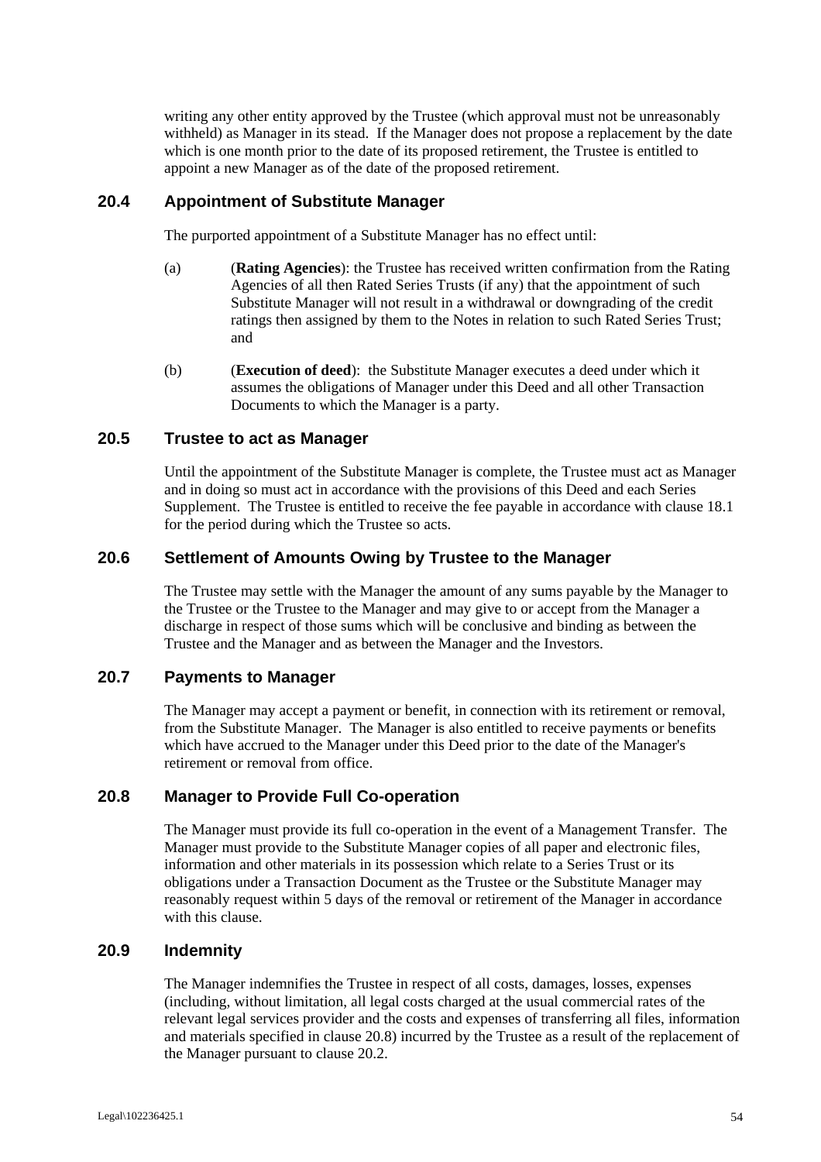writing any other entity approved by the Trustee (which approval must not be unreasonably withheld) as Manager in its stead. If the Manager does not propose a replacement by the date which is one month prior to the date of its proposed retirement, the Trustee is entitled to appoint a new Manager as of the date of the proposed retirement.

#### **20.4 Appointment of Substitute Manager**

The purported appointment of a Substitute Manager has no effect until:

- (a) (**Rating Agencies**): the Trustee has received written confirmation from the Rating Agencies of all then Rated Series Trusts (if any) that the appointment of such Substitute Manager will not result in a withdrawal or downgrading of the credit ratings then assigned by them to the Notes in relation to such Rated Series Trust; and
- (b) (**Execution of deed**): the Substitute Manager executes a deed under which it assumes the obligations of Manager under this Deed and all other Transaction Documents to which the Manager is a party.

### **20.5 Trustee to act as Manager**

Until the appointment of the Substitute Manager is complete, the Trustee must act as Manager and in doing so must act in accordance with the provisions of this Deed and each Series Supplement. The Trustee is entitled to receive the fee payable in accordance with clause 18.1 for the period during which the Trustee so acts.

# **20.6 Settlement of Amounts Owing by Trustee to the Manager**

The Trustee may settle with the Manager the amount of any sums payable by the Manager to the Trustee or the Trustee to the Manager and may give to or accept from the Manager a discharge in respect of those sums which will be conclusive and binding as between the Trustee and the Manager and as between the Manager and the Investors.

## **20.7 Payments to Manager**

The Manager may accept a payment or benefit, in connection with its retirement or removal, from the Substitute Manager. The Manager is also entitled to receive payments or benefits which have accrued to the Manager under this Deed prior to the date of the Manager's retirement or removal from office.

# **20.8 Manager to Provide Full Co-operation**

The Manager must provide its full co-operation in the event of a Management Transfer. The Manager must provide to the Substitute Manager copies of all paper and electronic files, information and other materials in its possession which relate to a Series Trust or its obligations under a Transaction Document as the Trustee or the Substitute Manager may reasonably request within 5 days of the removal or retirement of the Manager in accordance with this clause.

# **20.9 Indemnity**

The Manager indemnifies the Trustee in respect of all costs, damages, losses, expenses (including, without limitation, all legal costs charged at the usual commercial rates of the relevant legal services provider and the costs and expenses of transferring all files, information and materials specified in clause 20.8) incurred by the Trustee as a result of the replacement of the Manager pursuant to clause 20.2.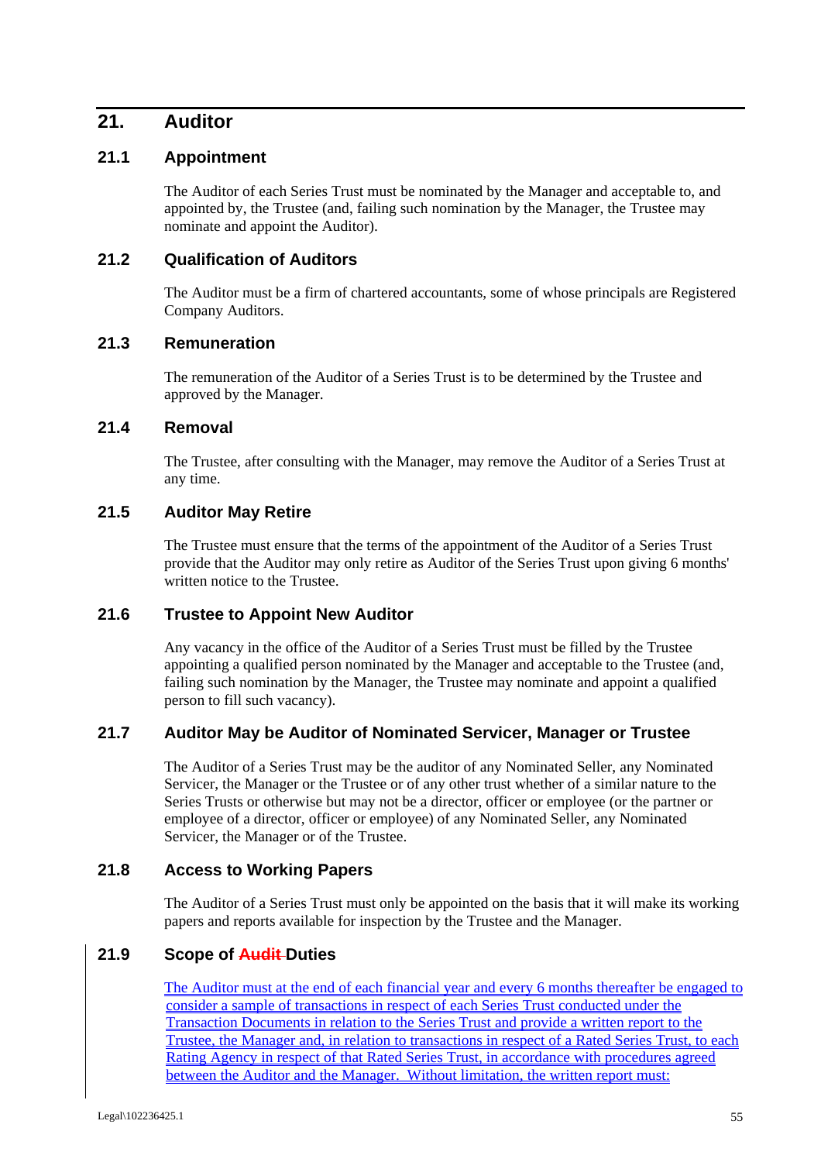# **21. Auditor**

# **21.1 Appointment**

The Auditor of each Series Trust must be nominated by the Manager and acceptable to, and appointed by, the Trustee (and, failing such nomination by the Manager, the Trustee may nominate and appoint the Auditor).

# **21.2 Qualification of Auditors**

The Auditor must be a firm of chartered accountants, some of whose principals are Registered Company Auditors.

# **21.3 Remuneration**

The remuneration of the Auditor of a Series Trust is to be determined by the Trustee and approved by the Manager.

#### **21.4 Removal**

The Trustee, after consulting with the Manager, may remove the Auditor of a Series Trust at any time.

#### **21.5 Auditor May Retire**

The Trustee must ensure that the terms of the appointment of the Auditor of a Series Trust provide that the Auditor may only retire as Auditor of the Series Trust upon giving 6 months' written notice to the Trustee.

# **21.6 Trustee to Appoint New Auditor**

Any vacancy in the office of the Auditor of a Series Trust must be filled by the Trustee appointing a qualified person nominated by the Manager and acceptable to the Trustee (and, failing such nomination by the Manager, the Trustee may nominate and appoint a qualified person to fill such vacancy).

#### **21.7 Auditor May be Auditor of Nominated Servicer, Manager or Trustee**

The Auditor of a Series Trust may be the auditor of any Nominated Seller, any Nominated Servicer, the Manager or the Trustee or of any other trust whether of a similar nature to the Series Trusts or otherwise but may not be a director, officer or employee (or the partner or employee of a director, officer or employee) of any Nominated Seller, any Nominated Servicer, the Manager or of the Trustee.

# **21.8 Access to Working Papers**

The Auditor of a Series Trust must only be appointed on the basis that it will make its working papers and reports available for inspection by the Trustee and the Manager.

# **21.9 Scope of Audit Duties**

The Auditor must at the end of each financial year and every 6 months thereafter be engaged to consider a sample of transactions in respect of each Series Trust conducted under the Transaction Documents in relation to the Series Trust and provide a written report to the Trustee, the Manager and, in relation to transactions in respect of a Rated Series Trust, to each Rating Agency in respect of that Rated Series Trust, in accordance with procedures agreed between the Auditor and the Manager. Without limitation, the written report must: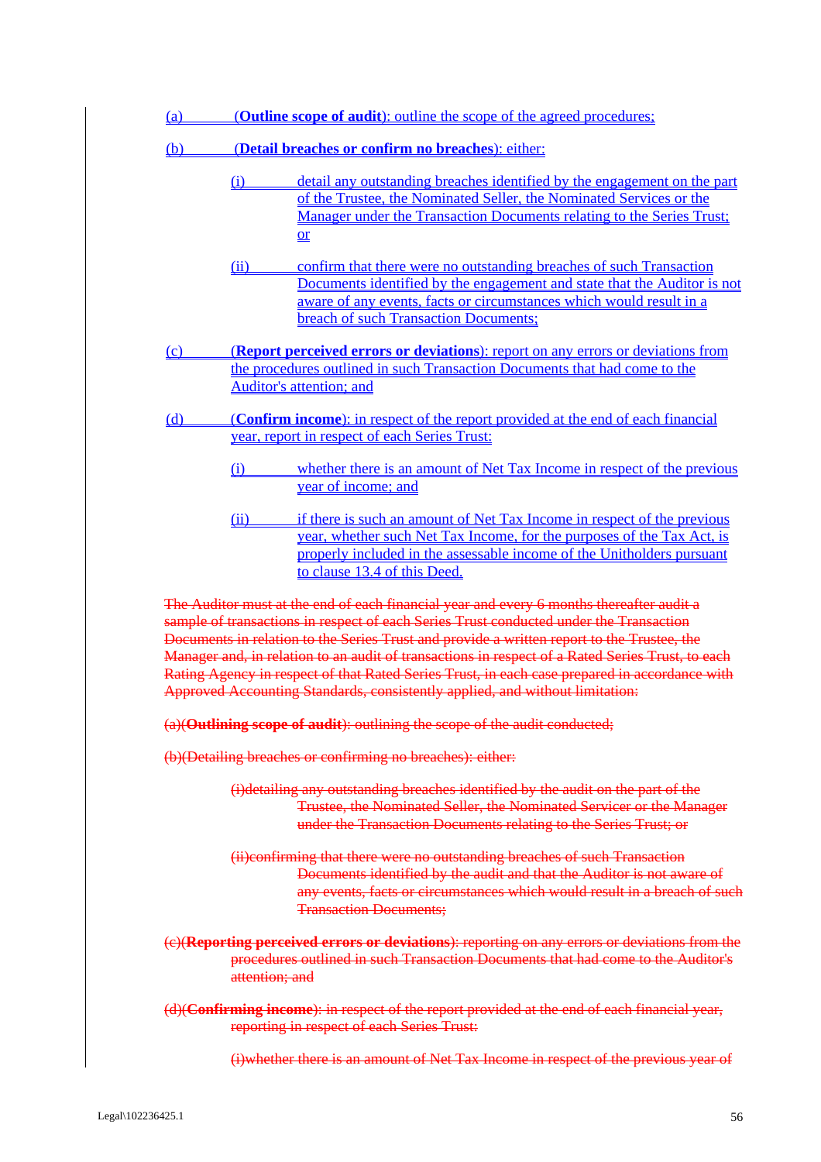|            |                                                                                                                                   | (Outline scope of audit): outline the scope of the agreed procedures;                                                                                                                                                                                                                                                                                                                                                                                                                                                                                                                                                                                           |
|------------|-----------------------------------------------------------------------------------------------------------------------------------|-----------------------------------------------------------------------------------------------------------------------------------------------------------------------------------------------------------------------------------------------------------------------------------------------------------------------------------------------------------------------------------------------------------------------------------------------------------------------------------------------------------------------------------------------------------------------------------------------------------------------------------------------------------------|
| <u>(b)</u> |                                                                                                                                   | (Detail breaches or confirm no breaches): either:                                                                                                                                                                                                                                                                                                                                                                                                                                                                                                                                                                                                               |
|            | (i)                                                                                                                               | detail any outstanding breaches identified by the engagement on the part<br>of the Trustee, the Nominated Seller, the Nominated Services or the<br>Manager under the Transaction Documents relating to the Series Trust;<br>$or$                                                                                                                                                                                                                                                                                                                                                                                                                                |
|            | (ii)                                                                                                                              | confirm that there were no outstanding breaches of such Transaction<br>Documents identified by the engagement and state that the Auditor is not<br>aware of any events, facts or circumstances which would result in a<br>breach of such Transaction Documents;                                                                                                                                                                                                                                                                                                                                                                                                 |
| $\Omega$   |                                                                                                                                   | (Report perceived errors or deviations): report on any errors or deviations from                                                                                                                                                                                                                                                                                                                                                                                                                                                                                                                                                                                |
|            |                                                                                                                                   | the procedures outlined in such Transaction Documents that had come to the<br><b>Auditor's attention; and</b>                                                                                                                                                                                                                                                                                                                                                                                                                                                                                                                                                   |
| (d)        | (Confirm income): in respect of the report provided at the end of each financial<br>year, report in respect of each Series Trust: |                                                                                                                                                                                                                                                                                                                                                                                                                                                                                                                                                                                                                                                                 |
|            | (i)                                                                                                                               | whether there is an amount of Net Tax Income in respect of the previous<br>year of income; and                                                                                                                                                                                                                                                                                                                                                                                                                                                                                                                                                                  |
|            | (ii)                                                                                                                              | if there is such an amount of Net Tax Income in respect of the previous<br>year, whether such Net Tax Income, for the purposes of the Tax Act, is<br>properly included in the assessable income of the Unitholders pursuant<br>to clause 13.4 of this Deed.                                                                                                                                                                                                                                                                                                                                                                                                     |
|            |                                                                                                                                   | The Auditor must at the end of each financial year and every 6 months thereafter audit a<br>sample of transactions in respect of each Series Trust conducted under the Transaction<br>Documents in relation to the Series Trust and provide a written report to the Trustee, the<br>Manager and, in relation to an audit of transactions in respect of a Rated Series Trust, to each                                                                                                                                                                                                                                                                            |
|            |                                                                                                                                   | Approved Accounting Standards, consistently applied, and without limitation:                                                                                                                                                                                                                                                                                                                                                                                                                                                                                                                                                                                    |
|            |                                                                                                                                   | (a)(Outlining scope of audit): outlining the scope of the audit conducted;                                                                                                                                                                                                                                                                                                                                                                                                                                                                                                                                                                                      |
|            |                                                                                                                                   | (b)(Detailing breaches or confirming no breaches): either:                                                                                                                                                                                                                                                                                                                                                                                                                                                                                                                                                                                                      |
|            |                                                                                                                                   | (i)detailing any outstanding breaches identified by the audit on the part of the<br>under the Transaction Documents relating to the Series Trust; or                                                                                                                                                                                                                                                                                                                                                                                                                                                                                                            |
|            |                                                                                                                                   | (ii) confirming that there were no outstanding breaches of such Transaction<br><b>Transaction Documents:</b>                                                                                                                                                                                                                                                                                                                                                                                                                                                                                                                                                    |
|            | attention; and                                                                                                                    |                                                                                                                                                                                                                                                                                                                                                                                                                                                                                                                                                                                                                                                                 |
|            |                                                                                                                                   | Rating Agency in respect of that Rated Series Trust, in each case prepared in accordance with<br>Trustee, the Nominated Seller, the Nominated Servicer or the Manager<br>Documents identified by the audit and that the Auditor is not aware of<br>any events, facts or circumstances which would result in a breach of such<br>(e)(Reporting perceived errors or deviations): reporting on any errors or deviations from the<br>procedures outlined in such Transaction Documents that had come to the Auditor's<br>(d)(Confirming income): in respect of the report provided at the end of each financial year,<br>reporting in respect of each Series Trust: |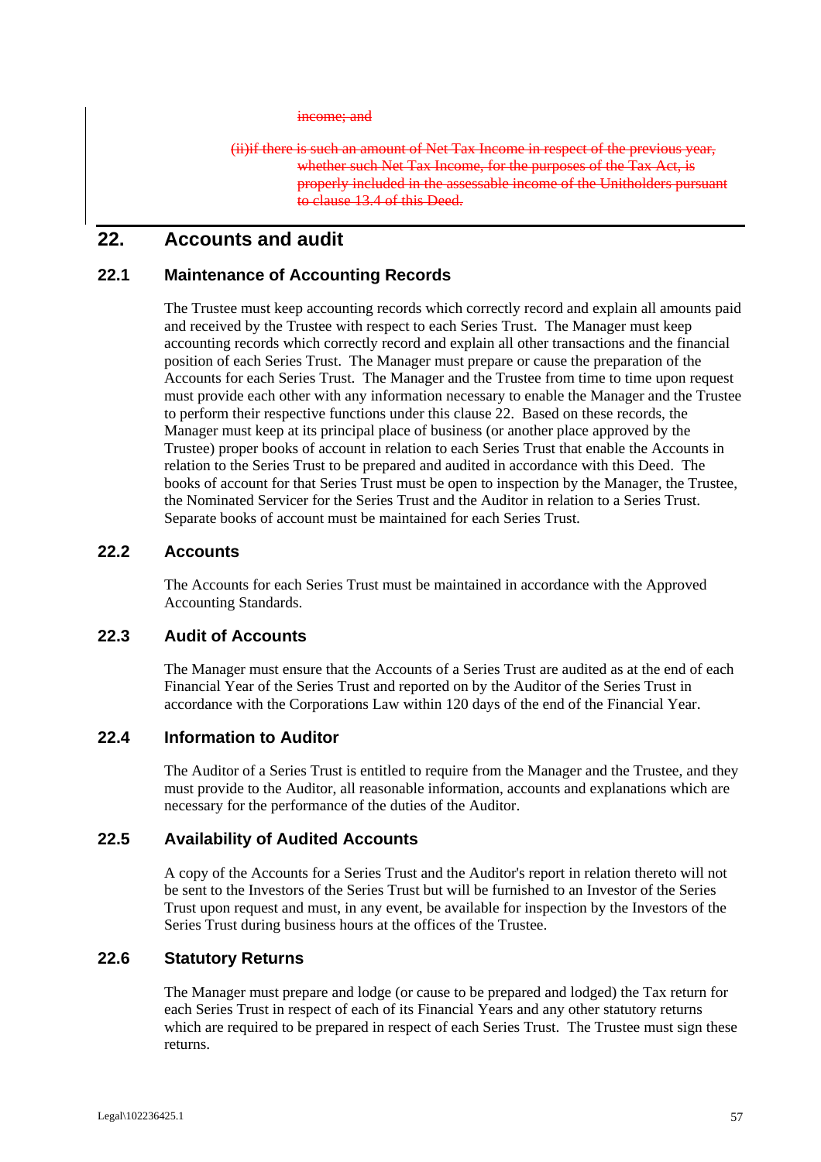#### income: and

(ii)if there is such an amount of Net Tax Income in respect of the previous year, whether such Net Tax Income, for the purposes of the Tax Act, is properly included in the assessable income of the Unitholders pursuant to clause 13.4 of this Deed.

# **22. Accounts and audit**

#### **22.1 Maintenance of Accounting Records**

The Trustee must keep accounting records which correctly record and explain all amounts paid and received by the Trustee with respect to each Series Trust. The Manager must keep accounting records which correctly record and explain all other transactions and the financial position of each Series Trust. The Manager must prepare or cause the preparation of the Accounts for each Series Trust. The Manager and the Trustee from time to time upon request must provide each other with any information necessary to enable the Manager and the Trustee to perform their respective functions under this clause 22. Based on these records, the Manager must keep at its principal place of business (or another place approved by the Trustee) proper books of account in relation to each Series Trust that enable the Accounts in relation to the Series Trust to be prepared and audited in accordance with this Deed. The books of account for that Series Trust must be open to inspection by the Manager, the Trustee, the Nominated Servicer for the Series Trust and the Auditor in relation to a Series Trust. Separate books of account must be maintained for each Series Trust.

## **22.2 Accounts**

The Accounts for each Series Trust must be maintained in accordance with the Approved Accounting Standards.

#### **22.3 Audit of Accounts**

The Manager must ensure that the Accounts of a Series Trust are audited as at the end of each Financial Year of the Series Trust and reported on by the Auditor of the Series Trust in accordance with the Corporations Law within 120 days of the end of the Financial Year.

#### **22.4 Information to Auditor**

The Auditor of a Series Trust is entitled to require from the Manager and the Trustee, and they must provide to the Auditor, all reasonable information, accounts and explanations which are necessary for the performance of the duties of the Auditor.

# **22.5 Availability of Audited Accounts**

A copy of the Accounts for a Series Trust and the Auditor's report in relation thereto will not be sent to the Investors of the Series Trust but will be furnished to an Investor of the Series Trust upon request and must, in any event, be available for inspection by the Investors of the Series Trust during business hours at the offices of the Trustee.

# **22.6 Statutory Returns**

The Manager must prepare and lodge (or cause to be prepared and lodged) the Tax return for each Series Trust in respect of each of its Financial Years and any other statutory returns which are required to be prepared in respect of each Series Trust. The Trustee must sign these returns.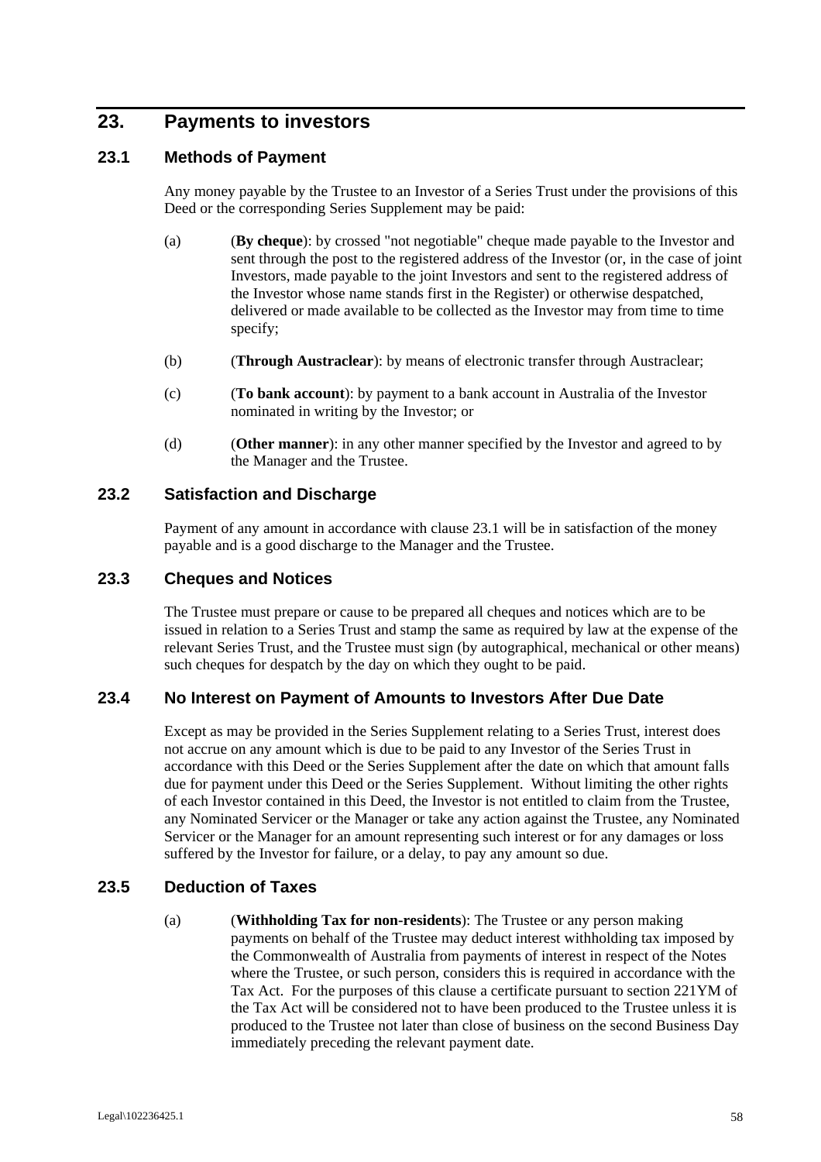# **23. Payments to investors**

# **23.1 Methods of Payment**

Any money payable by the Trustee to an Investor of a Series Trust under the provisions of this Deed or the corresponding Series Supplement may be paid:

- (a) (**By cheque**): by crossed "not negotiable" cheque made payable to the Investor and sent through the post to the registered address of the Investor (or, in the case of joint Investors, made payable to the joint Investors and sent to the registered address of the Investor whose name stands first in the Register) or otherwise despatched, delivered or made available to be collected as the Investor may from time to time specify;
- (b) (**Through Austraclear**): by means of electronic transfer through Austraclear;
- (c) (**To bank account**): by payment to a bank account in Australia of the Investor nominated in writing by the Investor; or
- (d) (**Other manner**): in any other manner specified by the Investor and agreed to by the Manager and the Trustee.

# **23.2 Satisfaction and Discharge**

Payment of any amount in accordance with clause 23.1 will be in satisfaction of the money payable and is a good discharge to the Manager and the Trustee.

#### **23.3 Cheques and Notices**

The Trustee must prepare or cause to be prepared all cheques and notices which are to be issued in relation to a Series Trust and stamp the same as required by law at the expense of the relevant Series Trust, and the Trustee must sign (by autographical, mechanical or other means) such cheques for despatch by the day on which they ought to be paid.

#### **23.4 No Interest on Payment of Amounts to Investors After Due Date**

Except as may be provided in the Series Supplement relating to a Series Trust, interest does not accrue on any amount which is due to be paid to any Investor of the Series Trust in accordance with this Deed or the Series Supplement after the date on which that amount falls due for payment under this Deed or the Series Supplement. Without limiting the other rights of each Investor contained in this Deed, the Investor is not entitled to claim from the Trustee, any Nominated Servicer or the Manager or take any action against the Trustee, any Nominated Servicer or the Manager for an amount representing such interest or for any damages or loss suffered by the Investor for failure, or a delay, to pay any amount so due.

#### **23.5 Deduction of Taxes**

(a) (**Withholding Tax for non-residents**): The Trustee or any person making payments on behalf of the Trustee may deduct interest withholding tax imposed by the Commonwealth of Australia from payments of interest in respect of the Notes where the Trustee, or such person, considers this is required in accordance with the Tax Act. For the purposes of this clause a certificate pursuant to section 221YM of the Tax Act will be considered not to have been produced to the Trustee unless it is produced to the Trustee not later than close of business on the second Business Day immediately preceding the relevant payment date.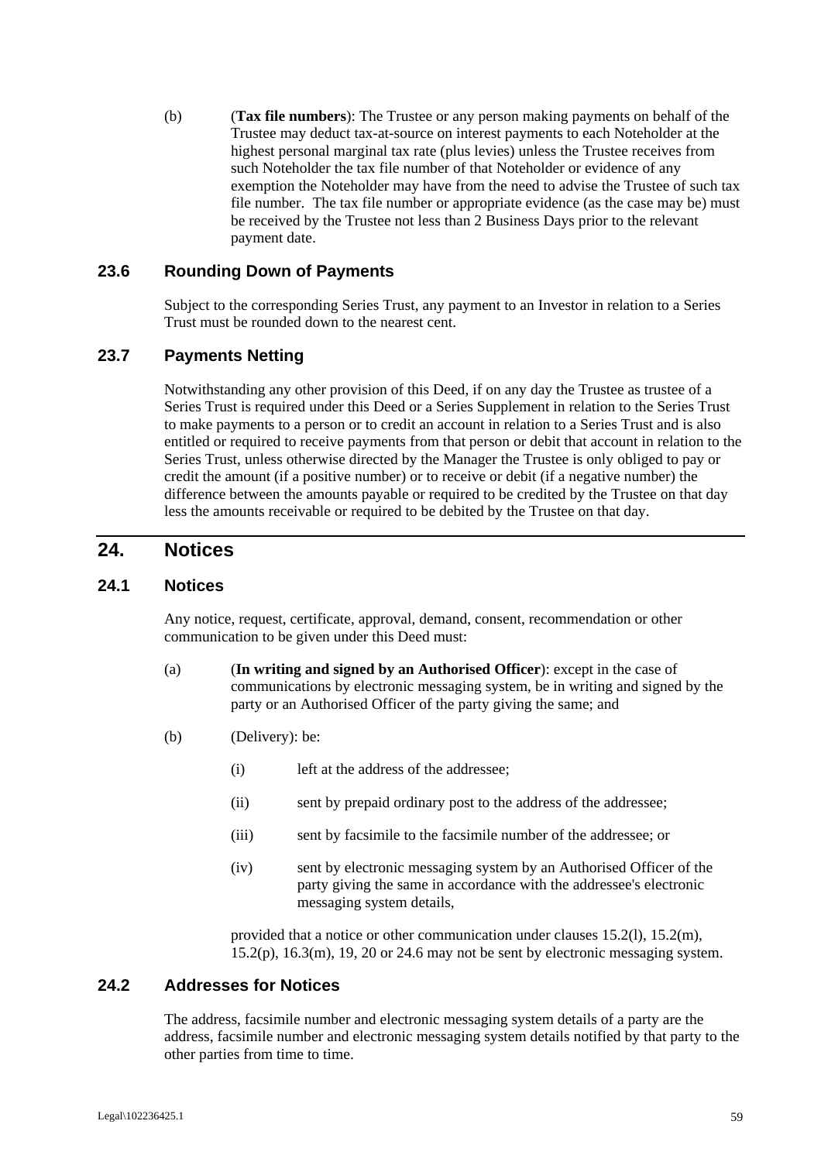(b) (**Tax file numbers**): The Trustee or any person making payments on behalf of the Trustee may deduct tax-at-source on interest payments to each Noteholder at the highest personal marginal tax rate (plus levies) unless the Trustee receives from such Noteholder the tax file number of that Noteholder or evidence of any exemption the Noteholder may have from the need to advise the Trustee of such tax file number. The tax file number or appropriate evidence (as the case may be) must be received by the Trustee not less than 2 Business Days prior to the relevant payment date.

#### **23.6 Rounding Down of Payments**

Subject to the corresponding Series Trust, any payment to an Investor in relation to a Series Trust must be rounded down to the nearest cent.

# **23.7 Payments Netting**

Notwithstanding any other provision of this Deed, if on any day the Trustee as trustee of a Series Trust is required under this Deed or a Series Supplement in relation to the Series Trust to make payments to a person or to credit an account in relation to a Series Trust and is also entitled or required to receive payments from that person or debit that account in relation to the Series Trust, unless otherwise directed by the Manager the Trustee is only obliged to pay or credit the amount (if a positive number) or to receive or debit (if a negative number) the difference between the amounts payable or required to be credited by the Trustee on that day less the amounts receivable or required to be debited by the Trustee on that day.

# **24. Notices**

# **24.1 Notices**

Any notice, request, certificate, approval, demand, consent, recommendation or other communication to be given under this Deed must:

- (a) (**In writing and signed by an Authorised Officer**): except in the case of communications by electronic messaging system, be in writing and signed by the party or an Authorised Officer of the party giving the same; and
- (b) (Delivery): be:
	- (i) left at the address of the addressee;
	- (ii) sent by prepaid ordinary post to the address of the addressee;
	- (iii) sent by facsimile to the facsimile number of the addressee; or
	- (iv) sent by electronic messaging system by an Authorised Officer of the party giving the same in accordance with the addressee's electronic messaging system details,

provided that a notice or other communication under clauses 15.2(l), 15.2(m),  $15.2(p)$ ,  $16.3(m)$ ,  $19$ ,  $20$  or  $24.6$  may not be sent by electronic messaging system.

#### **24.2 Addresses for Notices**

The address, facsimile number and electronic messaging system details of a party are the address, facsimile number and electronic messaging system details notified by that party to the other parties from time to time.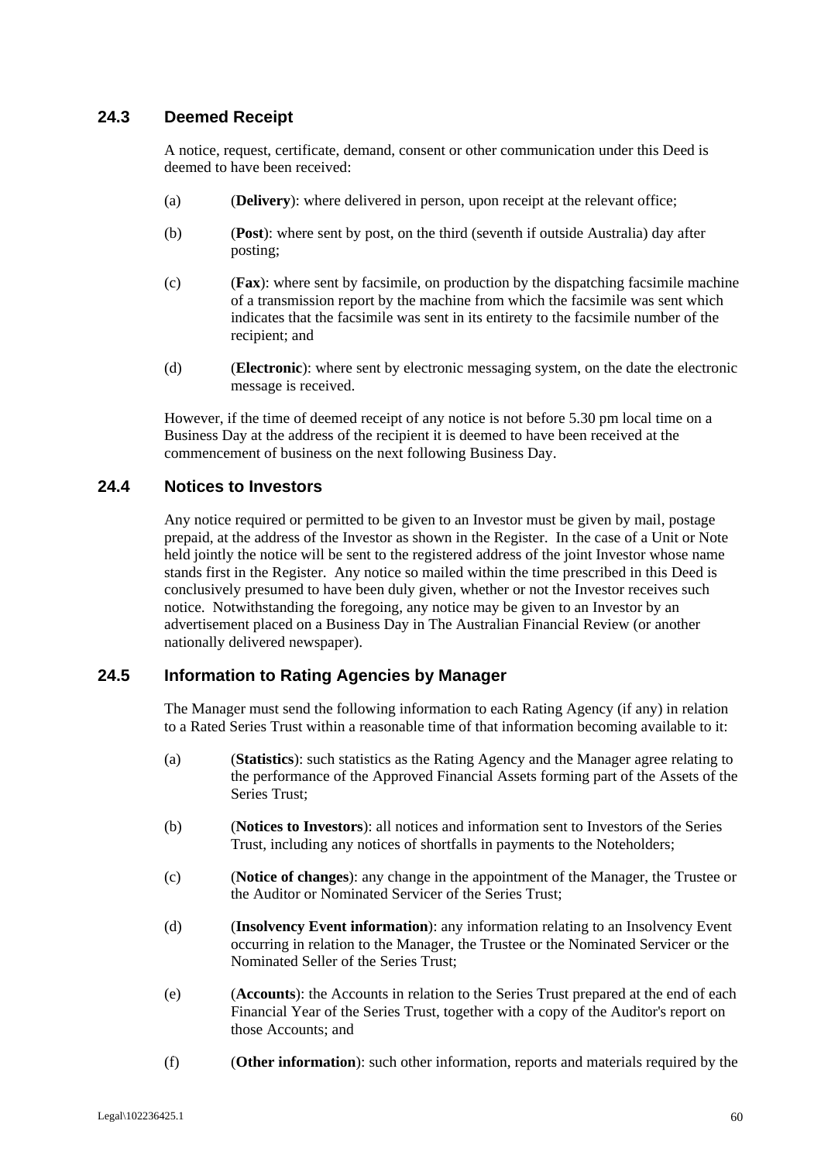# **24.3 Deemed Receipt**

A notice, request, certificate, demand, consent or other communication under this Deed is deemed to have been received:

- (a) (**Delivery**): where delivered in person, upon receipt at the relevant office;
- (b) (**Post**): where sent by post, on the third (seventh if outside Australia) day after posting;
- (c) (**Fax**): where sent by facsimile, on production by the dispatching facsimile machine of a transmission report by the machine from which the facsimile was sent which indicates that the facsimile was sent in its entirety to the facsimile number of the recipient; and
- (d) (**Electronic**): where sent by electronic messaging system, on the date the electronic message is received.

However, if the time of deemed receipt of any notice is not before 5.30 pm local time on a Business Day at the address of the recipient it is deemed to have been received at the commencement of business on the next following Business Day.

#### **24.4 Notices to Investors**

Any notice required or permitted to be given to an Investor must be given by mail, postage prepaid, at the address of the Investor as shown in the Register. In the case of a Unit or Note held jointly the notice will be sent to the registered address of the joint Investor whose name stands first in the Register. Any notice so mailed within the time prescribed in this Deed is conclusively presumed to have been duly given, whether or not the Investor receives such notice. Notwithstanding the foregoing, any notice may be given to an Investor by an advertisement placed on a Business Day in The Australian Financial Review (or another nationally delivered newspaper).

#### **24.5 Information to Rating Agencies by Manager**

The Manager must send the following information to each Rating Agency (if any) in relation to a Rated Series Trust within a reasonable time of that information becoming available to it:

- (a) (**Statistics**): such statistics as the Rating Agency and the Manager agree relating to the performance of the Approved Financial Assets forming part of the Assets of the Series Trust;
- (b) (**Notices to Investors**): all notices and information sent to Investors of the Series Trust, including any notices of shortfalls in payments to the Noteholders;
- (c) (**Notice of changes**): any change in the appointment of the Manager, the Trustee or the Auditor or Nominated Servicer of the Series Trust;
- (d) (**Insolvency Event information**): any information relating to an Insolvency Event occurring in relation to the Manager, the Trustee or the Nominated Servicer or the Nominated Seller of the Series Trust;
- (e) (**Accounts**): the Accounts in relation to the Series Trust prepared at the end of each Financial Year of the Series Trust, together with a copy of the Auditor's report on those Accounts; and
- (f) (**Other information**): such other information, reports and materials required by the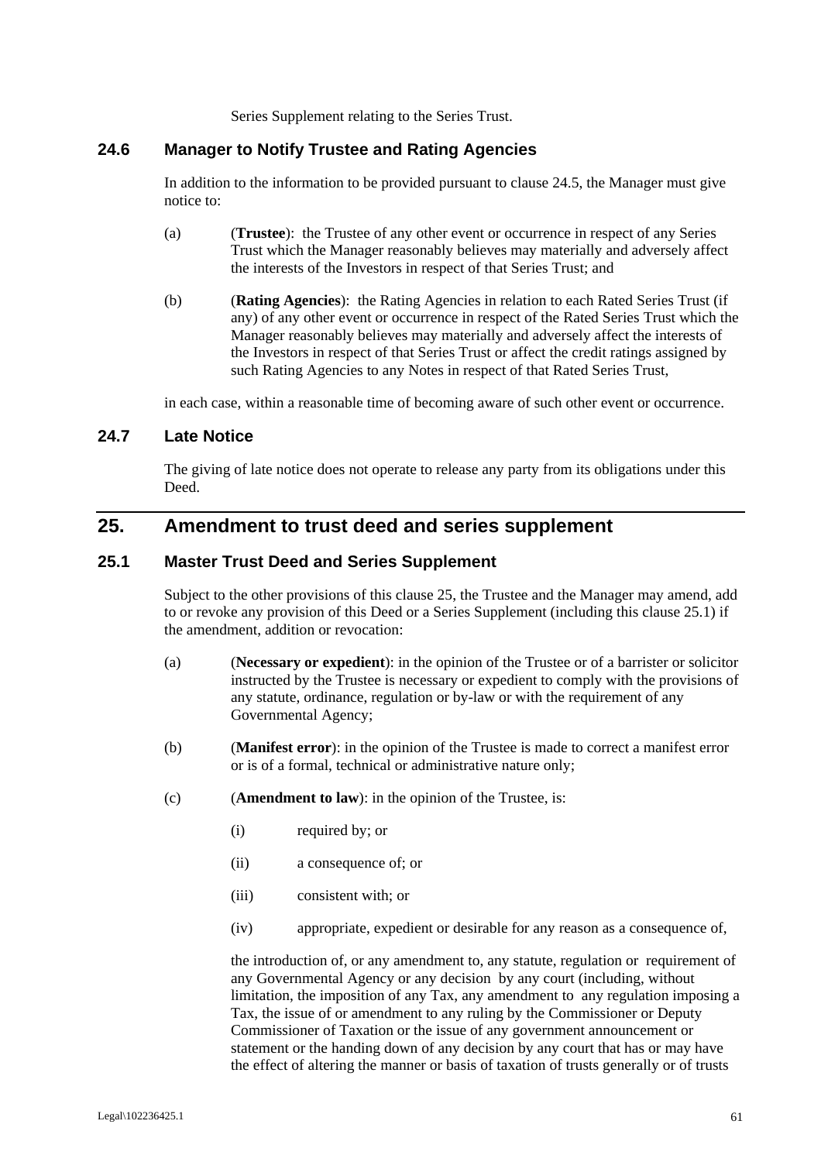Series Supplement relating to the Series Trust.

# **24.6 Manager to Notify Trustee and Rating Agencies**

In addition to the information to be provided pursuant to clause 24.5, the Manager must give notice to:

- (a) (**Trustee**): the Trustee of any other event or occurrence in respect of any Series Trust which the Manager reasonably believes may materially and adversely affect the interests of the Investors in respect of that Series Trust; and
- (b) (**Rating Agencies**): the Rating Agencies in relation to each Rated Series Trust (if any) of any other event or occurrence in respect of the Rated Series Trust which the Manager reasonably believes may materially and adversely affect the interests of the Investors in respect of that Series Trust or affect the credit ratings assigned by such Rating Agencies to any Notes in respect of that Rated Series Trust,

in each case, within a reasonable time of becoming aware of such other event or occurrence.

### **24.7 Late Notice**

The giving of late notice does not operate to release any party from its obligations under this Deed.

# **25. Amendment to trust deed and series supplement**

#### **25.1 Master Trust Deed and Series Supplement**

Subject to the other provisions of this clause 25, the Trustee and the Manager may amend, add to or revoke any provision of this Deed or a Series Supplement (including this clause 25.1) if the amendment, addition or revocation:

- (a) (**Necessary or expedient**): in the opinion of the Trustee or of a barrister or solicitor instructed by the Trustee is necessary or expedient to comply with the provisions of any statute, ordinance, regulation or by-law or with the requirement of any Governmental Agency;
- (b) (**Manifest error**): in the opinion of the Trustee is made to correct a manifest error or is of a formal, technical or administrative nature only;
- (c) (**Amendment to law**): in the opinion of the Trustee, is:
	- (i) required by; or
	- (ii) a consequence of; or
	- (iii) consistent with; or
	- (iv) appropriate, expedient or desirable for any reason as a consequence of,

the introduction of, or any amendment to, any statute, regulation or requirement of any Governmental Agency or any decision by any court (including, without limitation, the imposition of any Tax, any amendment to any regulation imposing a Tax, the issue of or amendment to any ruling by the Commissioner or Deputy Commissioner of Taxation or the issue of any government announcement or statement or the handing down of any decision by any court that has or may have the effect of altering the manner or basis of taxation of trusts generally or of trusts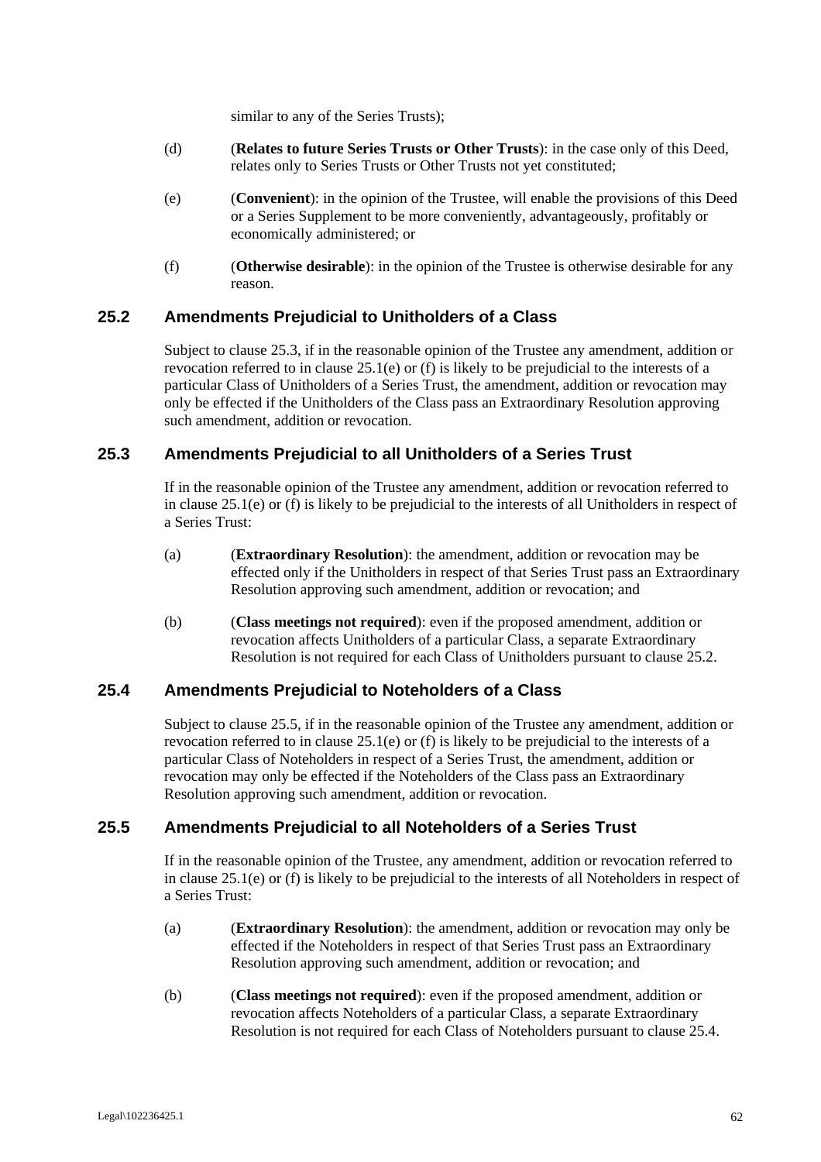similar to any of the Series Trusts);

- (d) (**Relates to future Series Trusts or Other Trusts**): in the case only of this Deed, relates only to Series Trusts or Other Trusts not yet constituted;
- (e) (**Convenient**): in the opinion of the Trustee, will enable the provisions of this Deed or a Series Supplement to be more conveniently, advantageously, profitably or economically administered; or
- (f) (**Otherwise desirable**): in the opinion of the Trustee is otherwise desirable for any reason.

# **25.2 Amendments Prejudicial to Unitholders of a Class**

Subject to clause 25.3, if in the reasonable opinion of the Trustee any amendment, addition or revocation referred to in clause 25.1(e) or (f) is likely to be prejudicial to the interests of a particular Class of Unitholders of a Series Trust, the amendment, addition or revocation may only be effected if the Unitholders of the Class pass an Extraordinary Resolution approving such amendment, addition or revocation.

# **25.3 Amendments Prejudicial to all Unitholders of a Series Trust**

If in the reasonable opinion of the Trustee any amendment, addition or revocation referred to in clause 25.1(e) or (f) is likely to be prejudicial to the interests of all Unitholders in respect of a Series Trust:

- (a) (**Extraordinary Resolution**): the amendment, addition or revocation may be effected only if the Unitholders in respect of that Series Trust pass an Extraordinary Resolution approving such amendment, addition or revocation; and
- (b) (**Class meetings not required**): even if the proposed amendment, addition or revocation affects Unitholders of a particular Class, a separate Extraordinary Resolution is not required for each Class of Unitholders pursuant to clause 25.2.

#### **25.4 Amendments Prejudicial to Noteholders of a Class**

Subject to clause 25.5, if in the reasonable opinion of the Trustee any amendment, addition or revocation referred to in clause  $25.1(e)$  or (f) is likely to be prejudicial to the interests of a particular Class of Noteholders in respect of a Series Trust, the amendment, addition or revocation may only be effected if the Noteholders of the Class pass an Extraordinary Resolution approving such amendment, addition or revocation.

# **25.5 Amendments Prejudicial to all Noteholders of a Series Trust**

If in the reasonable opinion of the Trustee, any amendment, addition or revocation referred to in clause 25.1(e) or (f) is likely to be prejudicial to the interests of all Noteholders in respect of a Series Trust:

- (a) (**Extraordinary Resolution**): the amendment, addition or revocation may only be effected if the Noteholders in respect of that Series Trust pass an Extraordinary Resolution approving such amendment, addition or revocation; and
- (b) (**Class meetings not required**): even if the proposed amendment, addition or revocation affects Noteholders of a particular Class, a separate Extraordinary Resolution is not required for each Class of Noteholders pursuant to clause 25.4.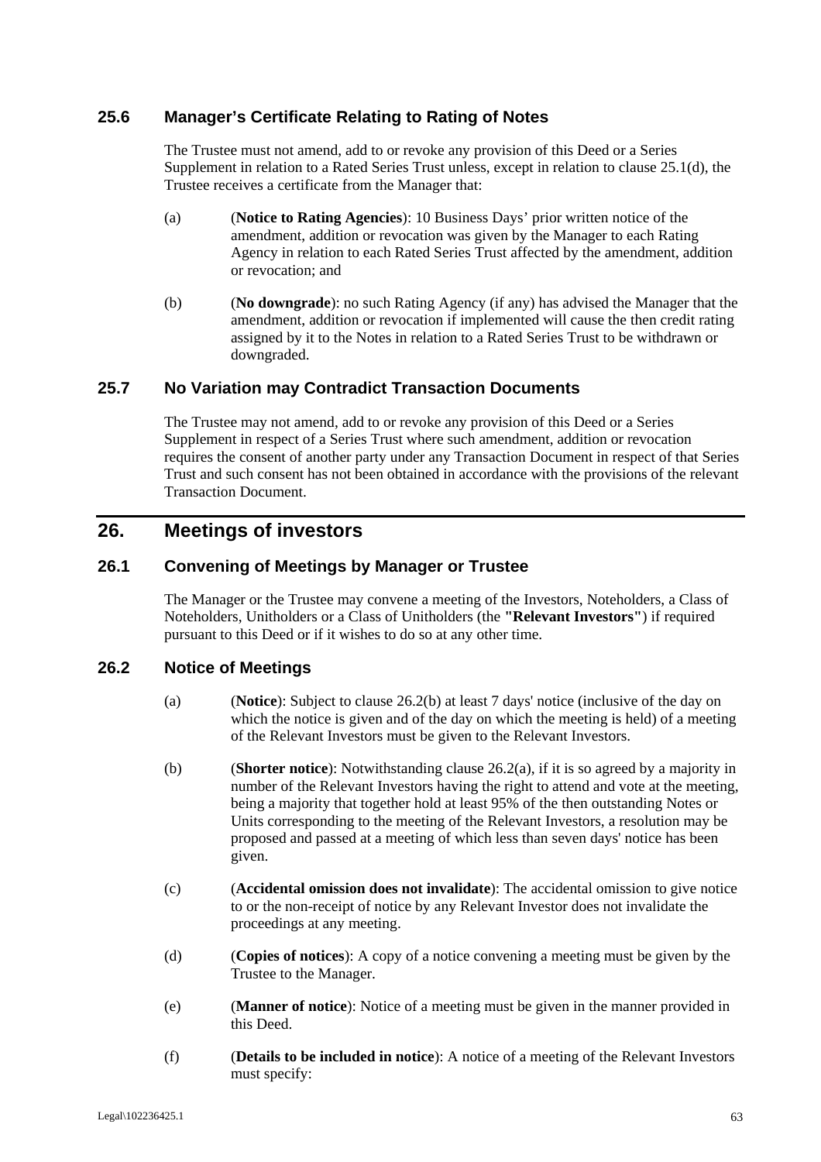# **25.6 Manager's Certificate Relating to Rating of Notes**

The Trustee must not amend, add to or revoke any provision of this Deed or a Series Supplement in relation to a Rated Series Trust unless, except in relation to clause 25.1(d), the Trustee receives a certificate from the Manager that:

- (a) (**Notice to Rating Agencies**): 10 Business Days' prior written notice of the amendment, addition or revocation was given by the Manager to each Rating Agency in relation to each Rated Series Trust affected by the amendment, addition or revocation; and
- (b) (**No downgrade**): no such Rating Agency (if any) has advised the Manager that the amendment, addition or revocation if implemented will cause the then credit rating assigned by it to the Notes in relation to a Rated Series Trust to be withdrawn or downgraded.

# **25.7 No Variation may Contradict Transaction Documents**

The Trustee may not amend, add to or revoke any provision of this Deed or a Series Supplement in respect of a Series Trust where such amendment, addition or revocation requires the consent of another party under any Transaction Document in respect of that Series Trust and such consent has not been obtained in accordance with the provisions of the relevant Transaction Document.

# **26. Meetings of investors**

# **26.1 Convening of Meetings by Manager or Trustee**

The Manager or the Trustee may convene a meeting of the Investors, Noteholders, a Class of Noteholders, Unitholders or a Class of Unitholders (the **"Relevant Investors"**) if required pursuant to this Deed or if it wishes to do so at any other time.

#### **26.2 Notice of Meetings**

- (a) (**Notice**): Subject to clause 26.2(b) at least 7 days' notice (inclusive of the day on which the notice is given and of the day on which the meeting is held) of a meeting of the Relevant Investors must be given to the Relevant Investors.
- (b) (**Shorter notice**): Notwithstanding clause 26.2(a), if it is so agreed by a majority in number of the Relevant Investors having the right to attend and vote at the meeting, being a majority that together hold at least 95% of the then outstanding Notes or Units corresponding to the meeting of the Relevant Investors, a resolution may be proposed and passed at a meeting of which less than seven days' notice has been given.
- (c) (**Accidental omission does not invalidate**): The accidental omission to give notice to or the non-receipt of notice by any Relevant Investor does not invalidate the proceedings at any meeting.
- (d) (**Copies of notices**): A copy of a notice convening a meeting must be given by the Trustee to the Manager.
- (e) (**Manner of notice**): Notice of a meeting must be given in the manner provided in this Deed.
- (f) (**Details to be included in notice**): A notice of a meeting of the Relevant Investors must specify: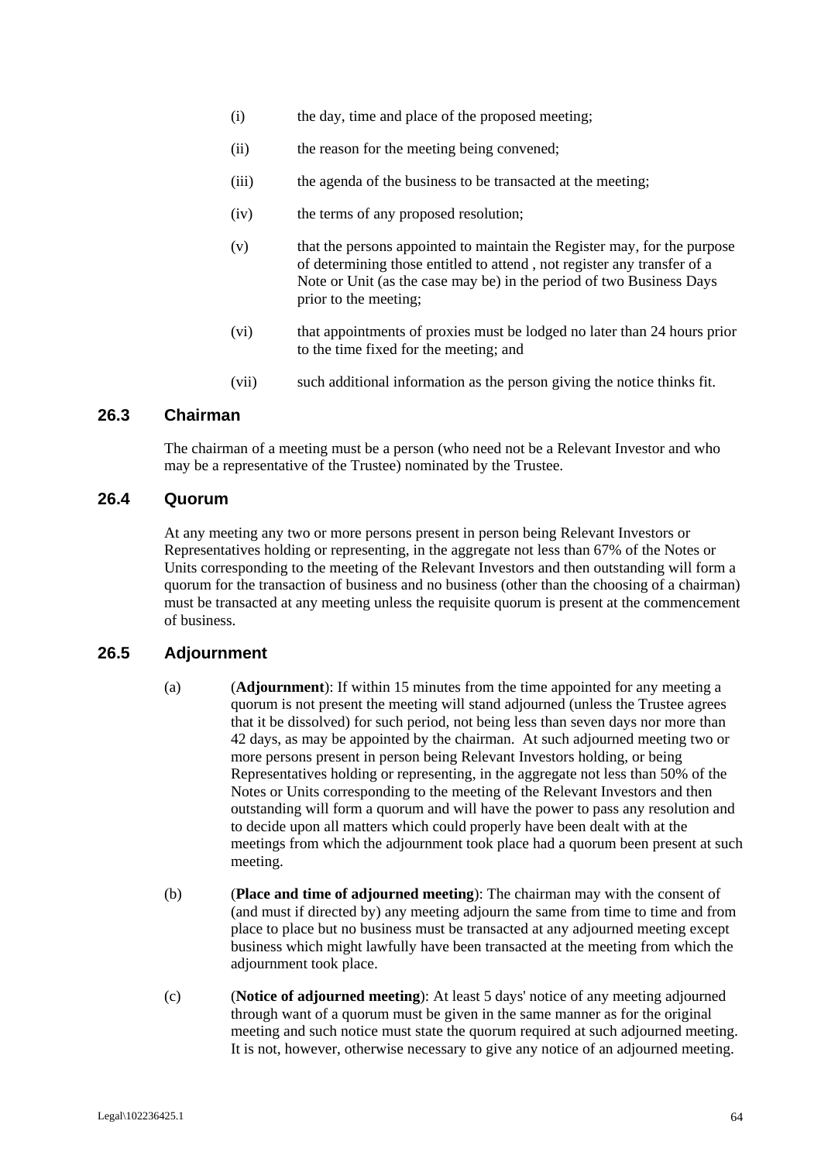- (i) the day, time and place of the proposed meeting;
- (ii) the reason for the meeting being convened;
- (iii) the agenda of the business to be transacted at the meeting;
- (iv) the terms of any proposed resolution;
- (v) that the persons appointed to maintain the Register may, for the purpose of determining those entitled to attend , not register any transfer of a Note or Unit (as the case may be) in the period of two Business Days prior to the meeting;
- (vi) that appointments of proxies must be lodged no later than 24 hours prior to the time fixed for the meeting; and
- (vii) such additional information as the person giving the notice thinks fit.

#### **26.3 Chairman**

The chairman of a meeting must be a person (who need not be a Relevant Investor and who may be a representative of the Trustee) nominated by the Trustee.

#### **26.4 Quorum**

At any meeting any two or more persons present in person being Relevant Investors or Representatives holding or representing, in the aggregate not less than 67% of the Notes or Units corresponding to the meeting of the Relevant Investors and then outstanding will form a quorum for the transaction of business and no business (other than the choosing of a chairman) must be transacted at any meeting unless the requisite quorum is present at the commencement of business.

#### **26.5 Adjournment**

- (a) (**Adjournment**): If within 15 minutes from the time appointed for any meeting a quorum is not present the meeting will stand adjourned (unless the Trustee agrees that it be dissolved) for such period, not being less than seven days nor more than 42 days, as may be appointed by the chairman. At such adjourned meeting two or more persons present in person being Relevant Investors holding, or being Representatives holding or representing, in the aggregate not less than 50% of the Notes or Units corresponding to the meeting of the Relevant Investors and then outstanding will form a quorum and will have the power to pass any resolution and to decide upon all matters which could properly have been dealt with at the meetings from which the adjournment took place had a quorum been present at such meeting.
- (b) (**Place and time of adjourned meeting**): The chairman may with the consent of (and must if directed by) any meeting adjourn the same from time to time and from place to place but no business must be transacted at any adjourned meeting except business which might lawfully have been transacted at the meeting from which the adjournment took place.
- (c) (**Notice of adjourned meeting**): At least 5 days' notice of any meeting adjourned through want of a quorum must be given in the same manner as for the original meeting and such notice must state the quorum required at such adjourned meeting. It is not, however, otherwise necessary to give any notice of an adjourned meeting.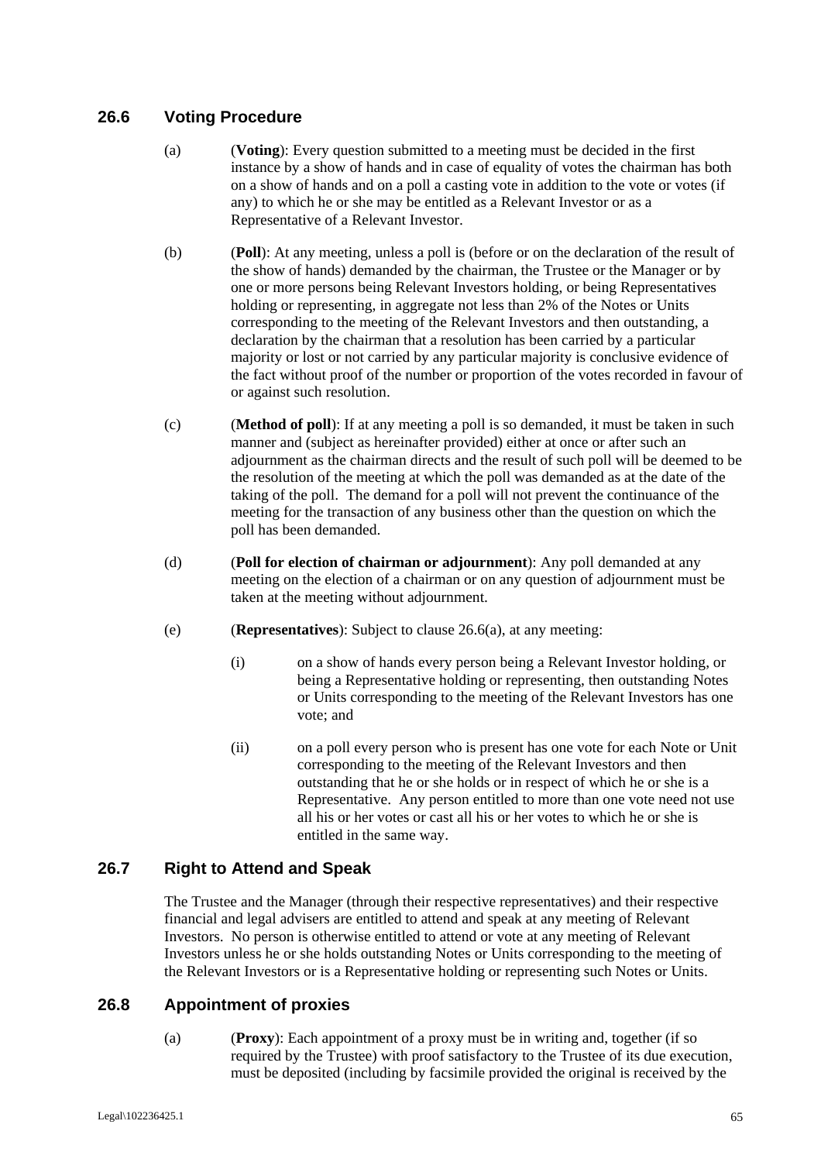# **26.6 Voting Procedure**

- (a) (**Voting**): Every question submitted to a meeting must be decided in the first instance by a show of hands and in case of equality of votes the chairman has both on a show of hands and on a poll a casting vote in addition to the vote or votes (if any) to which he or she may be entitled as a Relevant Investor or as a Representative of a Relevant Investor.
- (b) (**Poll**): At any meeting, unless a poll is (before or on the declaration of the result of the show of hands) demanded by the chairman, the Trustee or the Manager or by one or more persons being Relevant Investors holding, or being Representatives holding or representing, in aggregate not less than 2% of the Notes or Units corresponding to the meeting of the Relevant Investors and then outstanding, a declaration by the chairman that a resolution has been carried by a particular majority or lost or not carried by any particular majority is conclusive evidence of the fact without proof of the number or proportion of the votes recorded in favour of or against such resolution.
- (c) (**Method of poll**): If at any meeting a poll is so demanded, it must be taken in such manner and (subject as hereinafter provided) either at once or after such an adjournment as the chairman directs and the result of such poll will be deemed to be the resolution of the meeting at which the poll was demanded as at the date of the taking of the poll. The demand for a poll will not prevent the continuance of the meeting for the transaction of any business other than the question on which the poll has been demanded.
- (d) (**Poll for election of chairman or adjournment**): Any poll demanded at any meeting on the election of a chairman or on any question of adjournment must be taken at the meeting without adjournment.
- (e) (**Representatives**): Subject to clause 26.6(a), at any meeting:
	- (i) on a show of hands every person being a Relevant Investor holding, or being a Representative holding or representing, then outstanding Notes or Units corresponding to the meeting of the Relevant Investors has one vote; and
	- (ii) on a poll every person who is present has one vote for each Note or Unit corresponding to the meeting of the Relevant Investors and then outstanding that he or she holds or in respect of which he or she is a Representative. Any person entitled to more than one vote need not use all his or her votes or cast all his or her votes to which he or she is entitled in the same way.

# **26.7 Right to Attend and Speak**

The Trustee and the Manager (through their respective representatives) and their respective financial and legal advisers are entitled to attend and speak at any meeting of Relevant Investors. No person is otherwise entitled to attend or vote at any meeting of Relevant Investors unless he or she holds outstanding Notes or Units corresponding to the meeting of the Relevant Investors or is a Representative holding or representing such Notes or Units.

#### **26.8 Appointment of proxies**

(a) (**Proxy**): Each appointment of a proxy must be in writing and, together (if so required by the Trustee) with proof satisfactory to the Trustee of its due execution, must be deposited (including by facsimile provided the original is received by the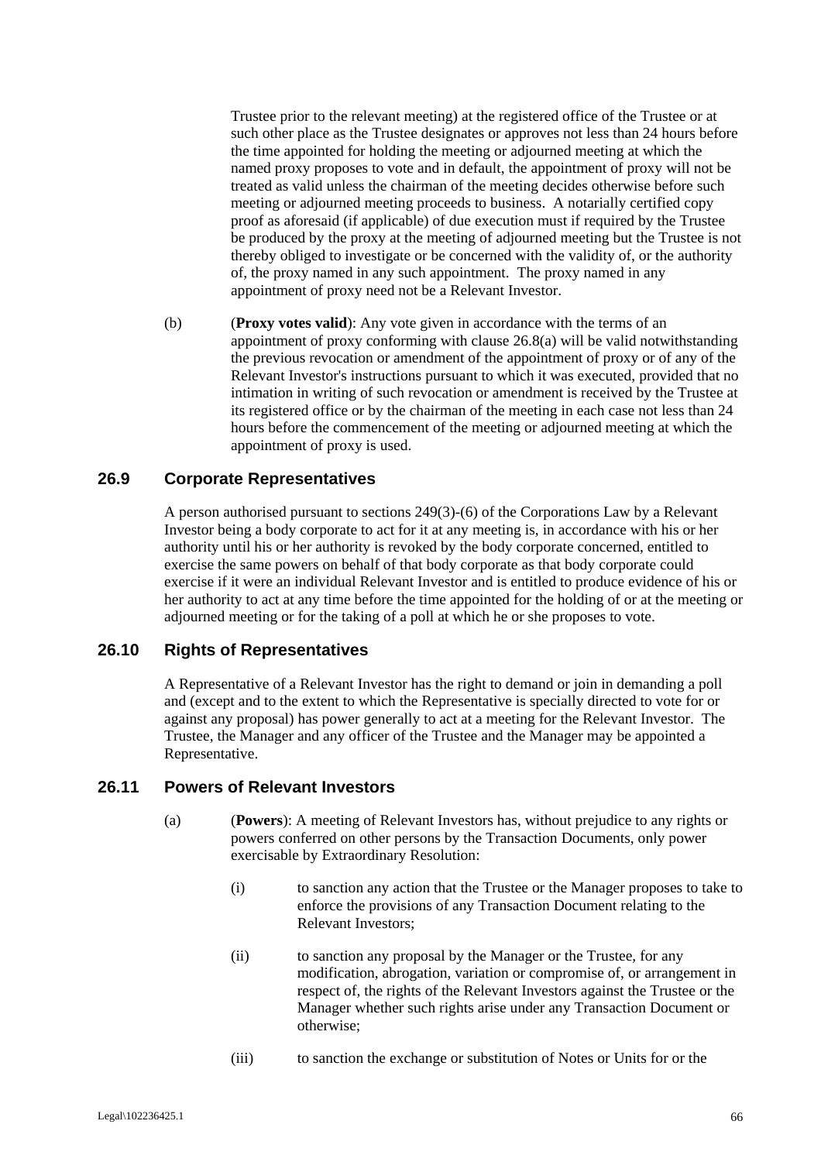Trustee prior to the relevant meeting) at the registered office of the Trustee or at such other place as the Trustee designates or approves not less than 24 hours before the time appointed for holding the meeting or adjourned meeting at which the named proxy proposes to vote and in default, the appointment of proxy will not be treated as valid unless the chairman of the meeting decides otherwise before such meeting or adjourned meeting proceeds to business. A notarially certified copy proof as aforesaid (if applicable) of due execution must if required by the Trustee be produced by the proxy at the meeting of adjourned meeting but the Trustee is not thereby obliged to investigate or be concerned with the validity of, or the authority of, the proxy named in any such appointment. The proxy named in any appointment of proxy need not be a Relevant Investor.

(b) (**Proxy votes valid**): Any vote given in accordance with the terms of an appointment of proxy conforming with clause 26.8(a) will be valid notwithstanding the previous revocation or amendment of the appointment of proxy or of any of the Relevant Investor's instructions pursuant to which it was executed, provided that no intimation in writing of such revocation or amendment is received by the Trustee at its registered office or by the chairman of the meeting in each case not less than 24 hours before the commencement of the meeting or adjourned meeting at which the appointment of proxy is used.

#### **26.9 Corporate Representatives**

A person authorised pursuant to sections 249(3)-(6) of the Corporations Law by a Relevant Investor being a body corporate to act for it at any meeting is, in accordance with his or her authority until his or her authority is revoked by the body corporate concerned, entitled to exercise the same powers on behalf of that body corporate as that body corporate could exercise if it were an individual Relevant Investor and is entitled to produce evidence of his or her authority to act at any time before the time appointed for the holding of or at the meeting or adjourned meeting or for the taking of a poll at which he or she proposes to vote.

### **26.10 Rights of Representatives**

A Representative of a Relevant Investor has the right to demand or join in demanding a poll and (except and to the extent to which the Representative is specially directed to vote for or against any proposal) has power generally to act at a meeting for the Relevant Investor. The Trustee, the Manager and any officer of the Trustee and the Manager may be appointed a Representative.

#### **26.11 Powers of Relevant Investors**

- (a) (**Powers**): A meeting of Relevant Investors has, without prejudice to any rights or powers conferred on other persons by the Transaction Documents, only power exercisable by Extraordinary Resolution:
	- (i) to sanction any action that the Trustee or the Manager proposes to take to enforce the provisions of any Transaction Document relating to the Relevant Investors;
	- (ii) to sanction any proposal by the Manager or the Trustee, for any modification, abrogation, variation or compromise of, or arrangement in respect of, the rights of the Relevant Investors against the Trustee or the Manager whether such rights arise under any Transaction Document or otherwise;
	- (iii) to sanction the exchange or substitution of Notes or Units for or the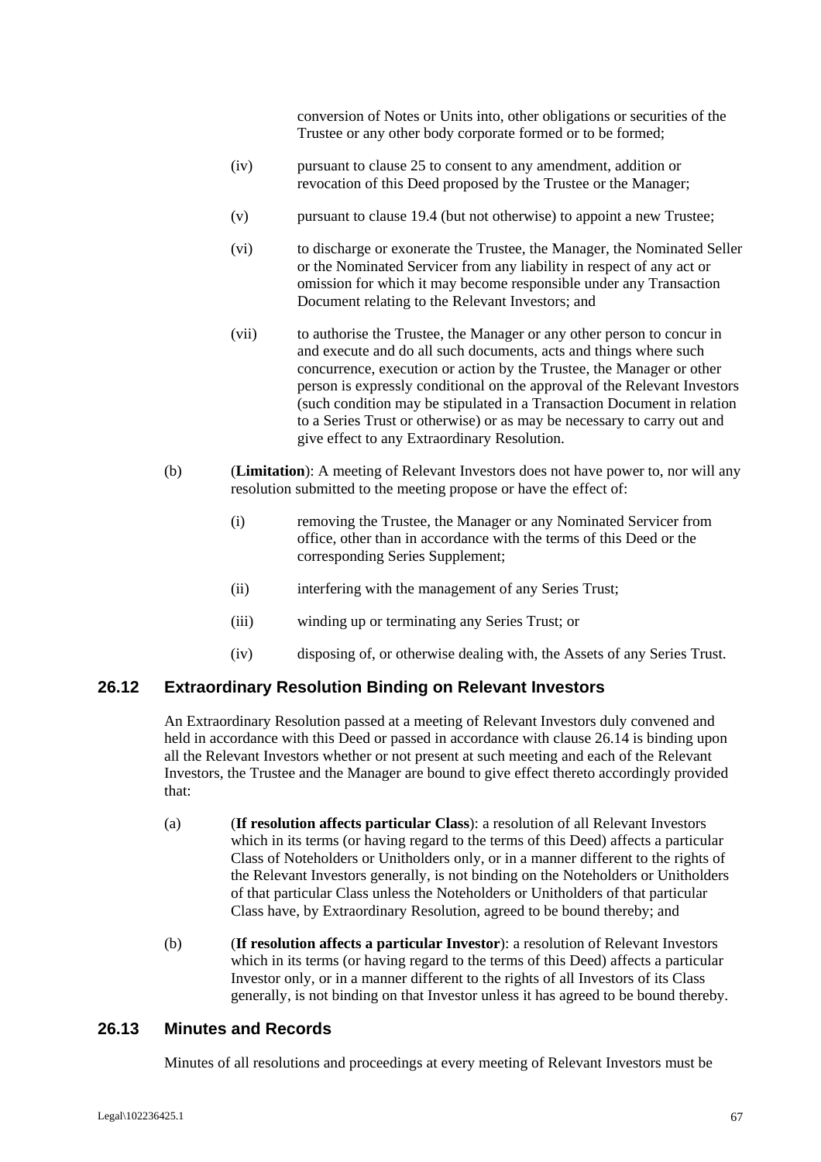conversion of Notes or Units into, other obligations or securities of the Trustee or any other body corporate formed or to be formed;

- (iv) pursuant to clause 25 to consent to any amendment, addition or revocation of this Deed proposed by the Trustee or the Manager;
- (v) pursuant to clause 19.4 (but not otherwise) to appoint a new Trustee;
- (vi) to discharge or exonerate the Trustee, the Manager, the Nominated Seller or the Nominated Servicer from any liability in respect of any act or omission for which it may become responsible under any Transaction Document relating to the Relevant Investors; and
- (vii) to authorise the Trustee, the Manager or any other person to concur in and execute and do all such documents, acts and things where such concurrence, execution or action by the Trustee, the Manager or other person is expressly conditional on the approval of the Relevant Investors (such condition may be stipulated in a Transaction Document in relation to a Series Trust or otherwise) or as may be necessary to carry out and give effect to any Extraordinary Resolution.
- (b) (**Limitation**): A meeting of Relevant Investors does not have power to, nor will any resolution submitted to the meeting propose or have the effect of:
	- (i) removing the Trustee, the Manager or any Nominated Servicer from office, other than in accordance with the terms of this Deed or the corresponding Series Supplement;
	- (ii) interfering with the management of any Series Trust;
	- (iii) winding up or terminating any Series Trust; or
	- (iv) disposing of, or otherwise dealing with, the Assets of any Series Trust.

## **26.12 Extraordinary Resolution Binding on Relevant Investors**

An Extraordinary Resolution passed at a meeting of Relevant Investors duly convened and held in accordance with this Deed or passed in accordance with clause 26.14 is binding upon all the Relevant Investors whether or not present at such meeting and each of the Relevant Investors, the Trustee and the Manager are bound to give effect thereto accordingly provided that:

- (a) (**If resolution affects particular Class**): a resolution of all Relevant Investors which in its terms (or having regard to the terms of this Deed) affects a particular Class of Noteholders or Unitholders only, or in a manner different to the rights of the Relevant Investors generally, is not binding on the Noteholders or Unitholders of that particular Class unless the Noteholders or Unitholders of that particular Class have, by Extraordinary Resolution, agreed to be bound thereby; and
- (b) (**If resolution affects a particular Investor**): a resolution of Relevant Investors which in its terms (or having regard to the terms of this Deed) affects a particular Investor only, or in a manner different to the rights of all Investors of its Class generally, is not binding on that Investor unless it has agreed to be bound thereby.

## **26.13 Minutes and Records**

Minutes of all resolutions and proceedings at every meeting of Relevant Investors must be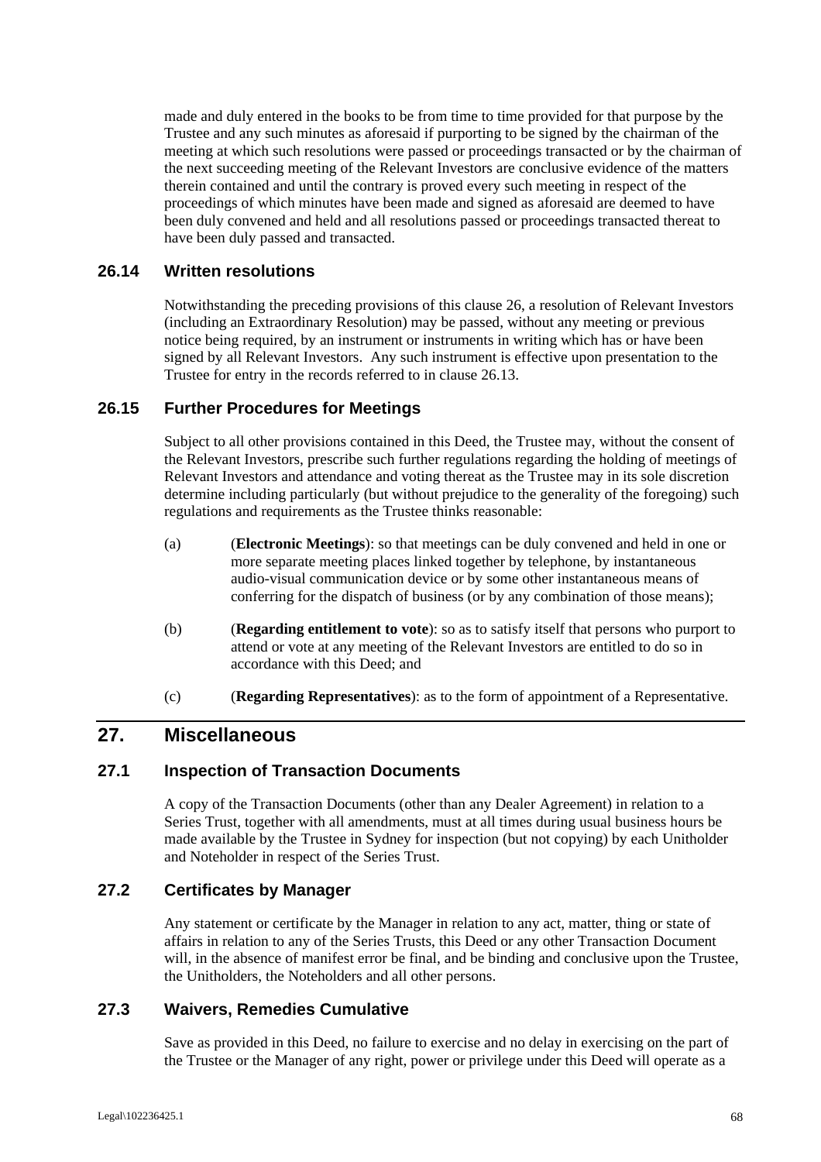made and duly entered in the books to be from time to time provided for that purpose by the Trustee and any such minutes as aforesaid if purporting to be signed by the chairman of the meeting at which such resolutions were passed or proceedings transacted or by the chairman of the next succeeding meeting of the Relevant Investors are conclusive evidence of the matters therein contained and until the contrary is proved every such meeting in respect of the proceedings of which minutes have been made and signed as aforesaid are deemed to have been duly convened and held and all resolutions passed or proceedings transacted thereat to have been duly passed and transacted.

### **26.14 Written resolutions**

Notwithstanding the preceding provisions of this clause 26, a resolution of Relevant Investors (including an Extraordinary Resolution) may be passed, without any meeting or previous notice being required, by an instrument or instruments in writing which has or have been signed by all Relevant Investors. Any such instrument is effective upon presentation to the Trustee for entry in the records referred to in clause 26.13.

### **26.15 Further Procedures for Meetings**

Subject to all other provisions contained in this Deed, the Trustee may, without the consent of the Relevant Investors, prescribe such further regulations regarding the holding of meetings of Relevant Investors and attendance and voting thereat as the Trustee may in its sole discretion determine including particularly (but without prejudice to the generality of the foregoing) such regulations and requirements as the Trustee thinks reasonable:

- (a) (**Electronic Meetings**): so that meetings can be duly convened and held in one or more separate meeting places linked together by telephone, by instantaneous audio-visual communication device or by some other instantaneous means of conferring for the dispatch of business (or by any combination of those means);
- (b) (**Regarding entitlement to vote**): so as to satisfy itself that persons who purport to attend or vote at any meeting of the Relevant Investors are entitled to do so in accordance with this Deed; and
- (c) (**Regarding Representatives**): as to the form of appointment of a Representative.

# **27. Miscellaneous**

### **27.1 Inspection of Transaction Documents**

A copy of the Transaction Documents (other than any Dealer Agreement) in relation to a Series Trust, together with all amendments, must at all times during usual business hours be made available by the Trustee in Sydney for inspection (but not copying) by each Unitholder and Noteholder in respect of the Series Trust.

### **27.2 Certificates by Manager**

Any statement or certificate by the Manager in relation to any act, matter, thing or state of affairs in relation to any of the Series Trusts, this Deed or any other Transaction Document will, in the absence of manifest error be final, and be binding and conclusive upon the Trustee, the Unitholders, the Noteholders and all other persons.

### **27.3 Waivers, Remedies Cumulative**

Save as provided in this Deed, no failure to exercise and no delay in exercising on the part of the Trustee or the Manager of any right, power or privilege under this Deed will operate as a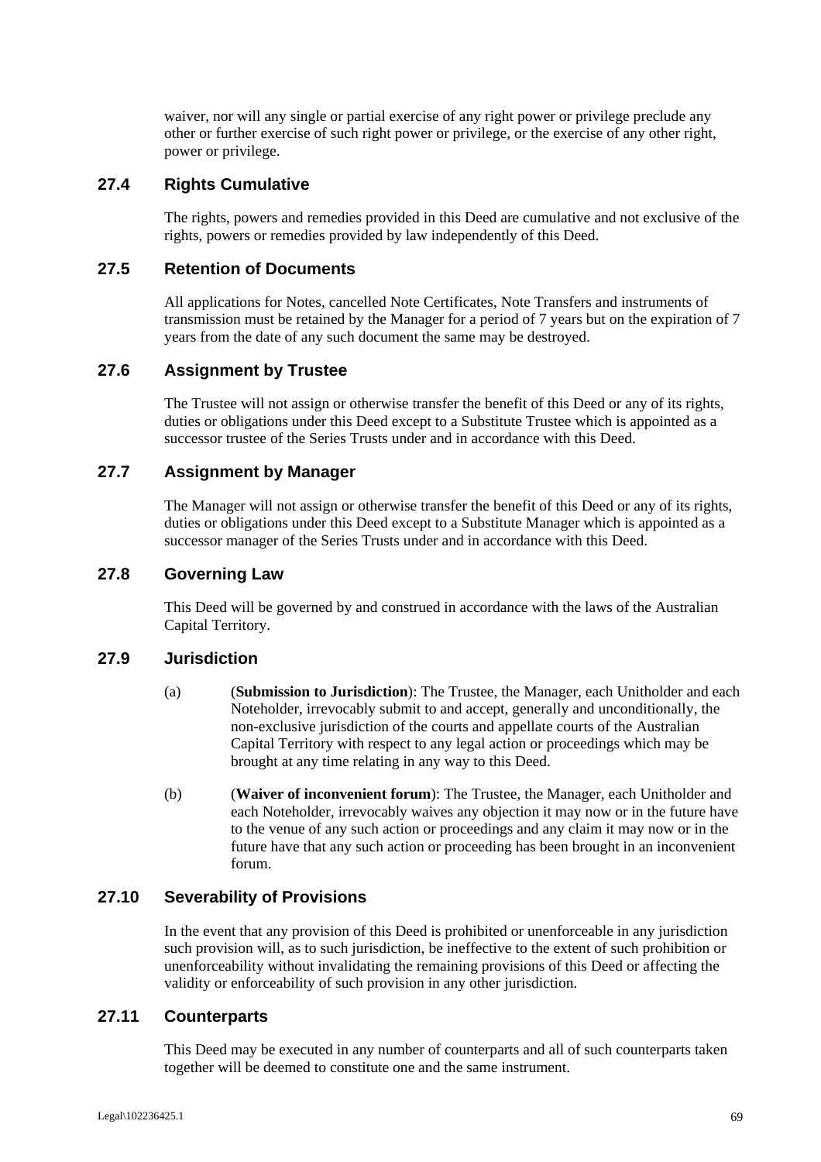waiver, nor will any single or partial exercise of any right power or privilege preclude any other or further exercise of such right power or privilege, or the exercise of any other right, power or privilege.

## **27.4 Rights Cumulative**

The rights, powers and remedies provided in this Deed are cumulative and not exclusive of the rights, powers or remedies provided by law independently of this Deed.

### **27.5 Retention of Documents**

All applications for Notes, cancelled Note Certificates, Note Transfers and instruments of transmission must be retained by the Manager for a period of 7 years but on the expiration of 7 years from the date of any such document the same may be destroyed.

### **27.6 Assignment by Trustee**

The Trustee will not assign or otherwise transfer the benefit of this Deed or any of its rights, duties or obligations under this Deed except to a Substitute Trustee which is appointed as a successor trustee of the Series Trusts under and in accordance with this Deed.

## **27.7 Assignment by Manager**

The Manager will not assign or otherwise transfer the benefit of this Deed or any of its rights, duties or obligations under this Deed except to a Substitute Manager which is appointed as a successor manager of the Series Trusts under and in accordance with this Deed.

### **27.8 Governing Law**

This Deed will be governed by and construed in accordance with the laws of the Australian Capital Territory.

### **27.9 Jurisdiction**

- (a) (**Submission to Jurisdiction**): The Trustee, the Manager, each Unitholder and each Noteholder, irrevocably submit to and accept, generally and unconditionally, the non-exclusive jurisdiction of the courts and appellate courts of the Australian Capital Territory with respect to any legal action or proceedings which may be brought at any time relating in any way to this Deed.
- (b) (**Waiver of inconvenient forum**): The Trustee, the Manager, each Unitholder and each Noteholder, irrevocably waives any objection it may now or in the future have to the venue of any such action or proceedings and any claim it may now or in the future have that any such action or proceeding has been brought in an inconvenient forum.

#### **27.10 Severability of Provisions**

In the event that any provision of this Deed is prohibited or unenforceable in any jurisdiction such provision will, as to such jurisdiction, be ineffective to the extent of such prohibition or unenforceability without invalidating the remaining provisions of this Deed or affecting the validity or enforceability of such provision in any other jurisdiction.

### **27.11 Counterparts**

This Deed may be executed in any number of counterparts and all of such counterparts taken together will be deemed to constitute one and the same instrument.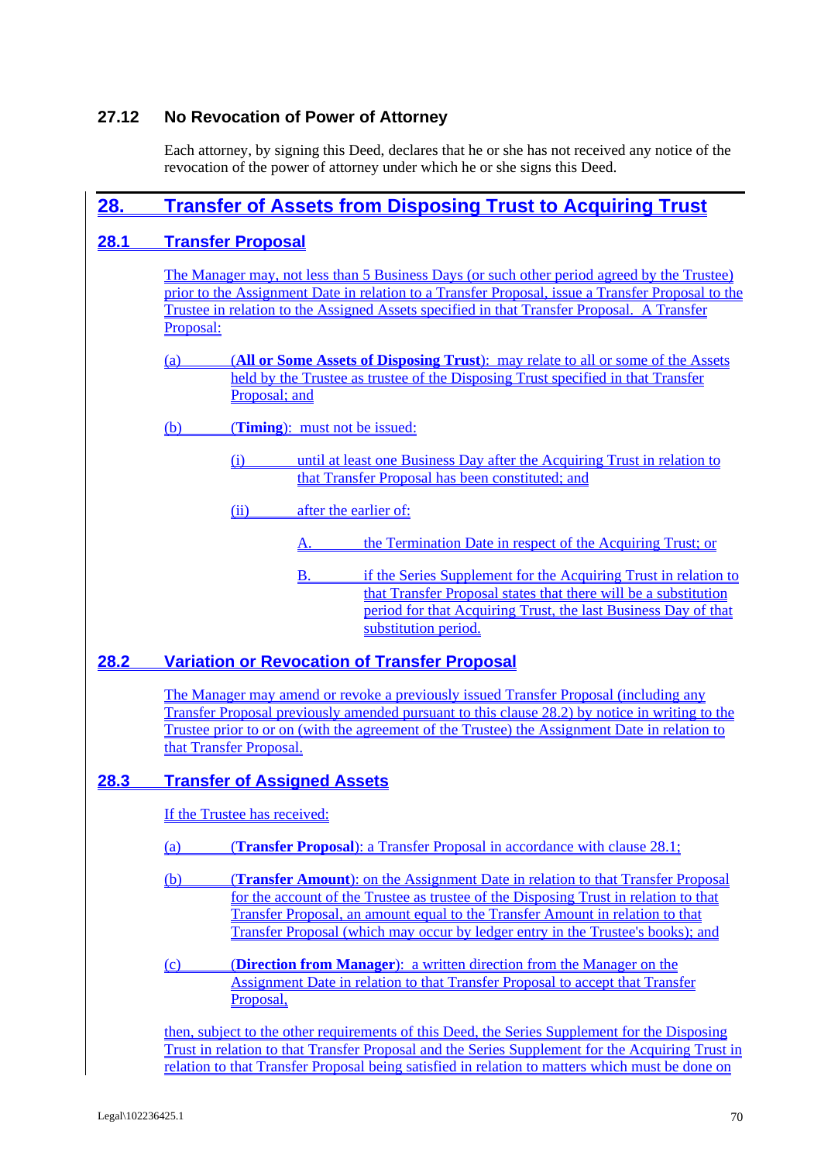## **27.12 No Revocation of Power of Attorney**

Each attorney, by signing this Deed, declares that he or she has not received any notice of the revocation of the power of attorney under which he or she signs this Deed.

# **28. Transfer of Assets from Disposing Trust to Acquiring Trust**

## **28.1 Transfer Proposal**

The Manager may, not less than 5 Business Days (or such other period agreed by the Trustee) prior to the Assignment Date in relation to a Transfer Proposal, issue a Transfer Proposal to the Trustee in relation to the Assigned Assets specified in that Transfer Proposal. A Transfer Proposal:

- (a) (**All or Some Assets of Disposing Trust**): may relate to all or some of the Assets held by the Trustee as trustee of the Disposing Trust specified in that Transfer Proposal; and
- (b) (**Timing**): must not be issued:
	- (i) until at least one Business Day after the Acquiring Trust in relation to that Transfer Proposal has been constituted; and
	- (ii) after the earlier of:
		- A. the Termination Date in respect of the Acquiring Trust; or
		- B. if the Series Supplement for the Acquiring Trust in relation to that Transfer Proposal states that there will be a substitution period for that Acquiring Trust, the last Business Day of that substitution period.

## **28.2 Variation or Revocation of Transfer Proposal**

The Manager may amend or revoke a previously issued Transfer Proposal (including any Transfer Proposal previously amended pursuant to this clause 28.2) by notice in writing to the Trustee prior to or on (with the agreement of the Trustee) the Assignment Date in relation to that Transfer Proposal.

# **28.3 Transfer of Assigned Assets**

If the Trustee has received:

- (a) (**Transfer Proposal**): a Transfer Proposal in accordance with clause 28.1;
- (b) (**Transfer Amount**): on the Assignment Date in relation to that Transfer Proposal for the account of the Trustee as trustee of the Disposing Trust in relation to that Transfer Proposal, an amount equal to the Transfer Amount in relation to that Transfer Proposal (which may occur by ledger entry in the Trustee's books); and
- (c) (**Direction from Manager**): a written direction from the Manager on the Assignment Date in relation to that Transfer Proposal to accept that Transfer Proposal.

then, subject to the other requirements of this Deed, the Series Supplement for the Disposing Trust in relation to that Transfer Proposal and the Series Supplement for the Acquiring Trust in relation to that Transfer Proposal being satisfied in relation to matters which must be done on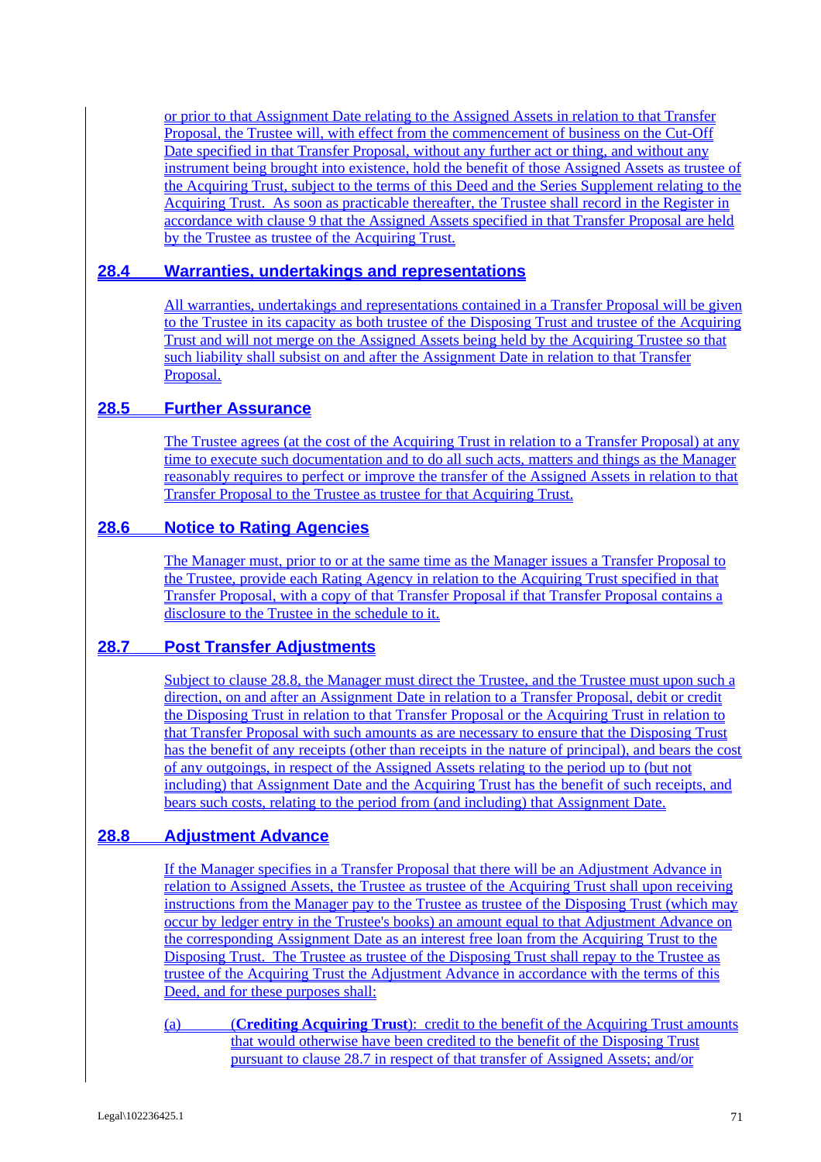or prior to that Assignment Date relating to the Assigned Assets in relation to that Transfer Proposal, the Trustee will, with effect from the commencement of business on the Cut-Off Date specified in that Transfer Proposal, without any further act or thing, and without any instrument being brought into existence, hold the benefit of those Assigned Assets as trustee of the Acquiring Trust, subject to the terms of this Deed and the Series Supplement relating to the Acquiring Trust. As soon as practicable thereafter, the Trustee shall record in the Register in accordance with clause 9 that the Assigned Assets specified in that Transfer Proposal are held by the Trustee as trustee of the Acquiring Trust.

## **28.4 Warranties, undertakings and representations**

All warranties, undertakings and representations contained in a Transfer Proposal will be given to the Trustee in its capacity as both trustee of the Disposing Trust and trustee of the Acquiring Trust and will not merge on the Assigned Assets being held by the Acquiring Trustee so that such liability shall subsist on and after the Assignment Date in relation to that Transfer Proposal.

## **28.5 Further Assurance**

The Trustee agrees (at the cost of the Acquiring Trust in relation to a Transfer Proposal) at any time to execute such documentation and to do all such acts, matters and things as the Manager reasonably requires to perfect or improve the transfer of the Assigned Assets in relation to that Transfer Proposal to the Trustee as trustee for that Acquiring Trust.

## **28.6 Notice to Rating Agencies**

The Manager must, prior to or at the same time as the Manager issues a Transfer Proposal to the Trustee, provide each Rating Agency in relation to the Acquiring Trust specified in that Transfer Proposal, with a copy of that Transfer Proposal if that Transfer Proposal contains a disclosure to the Trustee in the schedule to it.

## **28.7 Post Transfer Adjustments**

Subject to clause 28.8, the Manager must direct the Trustee, and the Trustee must upon such a direction, on and after an Assignment Date in relation to a Transfer Proposal, debit or credit the Disposing Trust in relation to that Transfer Proposal or the Acquiring Trust in relation to that Transfer Proposal with such amounts as are necessary to ensure that the Disposing Trust has the benefit of any receipts (other than receipts in the nature of principal), and bears the cost of any outgoings, in respect of the Assigned Assets relating to the period up to (but not including) that Assignment Date and the Acquiring Trust has the benefit of such receipts, and bears such costs, relating to the period from (and including) that Assignment Date.

## **28.8 Adjustment Advance**

If the Manager specifies in a Transfer Proposal that there will be an Adjustment Advance in relation to Assigned Assets, the Trustee as trustee of the Acquiring Trust shall upon receiving instructions from the Manager pay to the Trustee as trustee of the Disposing Trust (which may occur by ledger entry in the Trustee's books) an amount equal to that Adjustment Advance on the corresponding Assignment Date as an interest free loan from the Acquiring Trust to the Disposing Trust. The Trustee as trustee of the Disposing Trust shall repay to the Trustee as trustee of the Acquiring Trust the Adjustment Advance in accordance with the terms of this Deed, and for these purposes shall:

(a) (**Crediting Acquiring Trust**): credit to the benefit of the Acquiring Trust amounts that would otherwise have been credited to the benefit of the Disposing Trust pursuant to clause 28.7 in respect of that transfer of Assigned Assets; and/or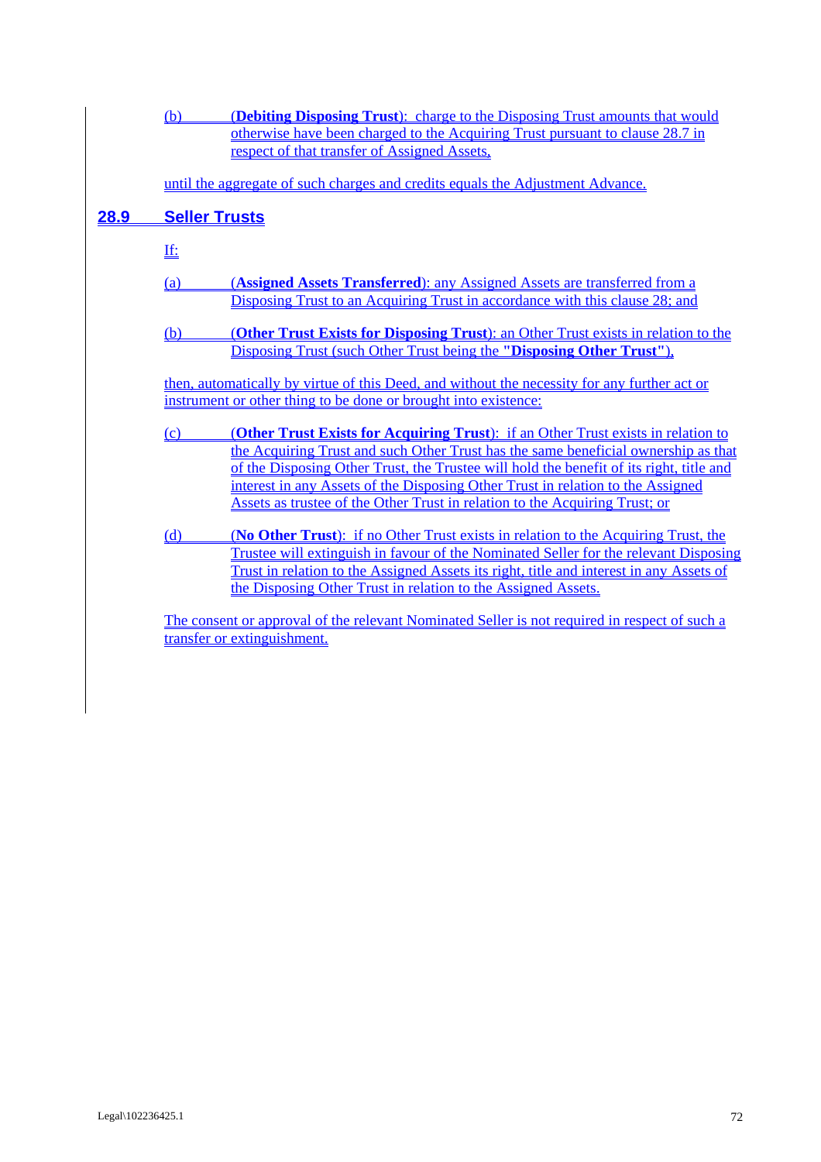|      | <b>(Debiting Disposing Trust):</b> charge to the Disposing Trust amounts that would<br>(b)<br>otherwise have been charged to the Acquiring Trust pursuant to clause 28.7 in<br>respect of that transfer of Assigned Assets, |                                                                                                                                                                                                                                                                                                                                                 |  |  |  |  |  |  |
|------|-----------------------------------------------------------------------------------------------------------------------------------------------------------------------------------------------------------------------------|-------------------------------------------------------------------------------------------------------------------------------------------------------------------------------------------------------------------------------------------------------------------------------------------------------------------------------------------------|--|--|--|--|--|--|
|      |                                                                                                                                                                                                                             | until the aggregate of such charges and credits equals the Adjustment Advance.                                                                                                                                                                                                                                                                  |  |  |  |  |  |  |
| 28.9 | <b>Seller Trusts</b>                                                                                                                                                                                                        |                                                                                                                                                                                                                                                                                                                                                 |  |  |  |  |  |  |
|      | <u>If:</u>                                                                                                                                                                                                                  |                                                                                                                                                                                                                                                                                                                                                 |  |  |  |  |  |  |
|      | (a)                                                                                                                                                                                                                         | (Assigned Assets Transferred): any Assigned Assets are transferred from a<br>Disposing Trust to an Acquiring Trust in accordance with this clause 28; and                                                                                                                                                                                       |  |  |  |  |  |  |
|      | (b)                                                                                                                                                                                                                         | <b>(Other Trust Exists for Disposing Trust</b> ): an Other Trust exists in relation to the<br>Disposing Trust (such Other Trust being the "Disposing Other Trust"),                                                                                                                                                                             |  |  |  |  |  |  |
|      | then, automatically by virtue of this Deed, and without the necessity for any further act or<br>instrument or other thing to be done or brought into existence:                                                             |                                                                                                                                                                                                                                                                                                                                                 |  |  |  |  |  |  |
|      | (c)                                                                                                                                                                                                                         | (Other Trust Exists for Acquiring Trust): if an Other Trust exists in relation to                                                                                                                                                                                                                                                               |  |  |  |  |  |  |
|      |                                                                                                                                                                                                                             | the Acquiring Trust and such Other Trust has the same beneficial ownership as that<br>of the Disposing Other Trust, the Trustee will hold the benefit of its right, title and<br>interest in any Assets of the Disposing Other Trust in relation to the Assigned<br>Assets as trustee of the Other Trust in relation to the Acquiring Trust; or |  |  |  |  |  |  |
|      | (d)                                                                                                                                                                                                                         | (No Other Trust): if no Other Trust exists in relation to the Acquiring Trust, the<br><u>Trustee will extinguish in favour of the Nominated Seller for the relevant Disposing</u><br>Trust in relation to the Assigned Assets its right, title and interest in any Assets of<br>the Disposing Other Trust in relation to the Assigned Assets.   |  |  |  |  |  |  |
|      |                                                                                                                                                                                                                             | The consent or approval of the relevant Nominated Seller is not required in respect of such a                                                                                                                                                                                                                                                   |  |  |  |  |  |  |
|      |                                                                                                                                                                                                                             | transfer or extinguishment.                                                                                                                                                                                                                                                                                                                     |  |  |  |  |  |  |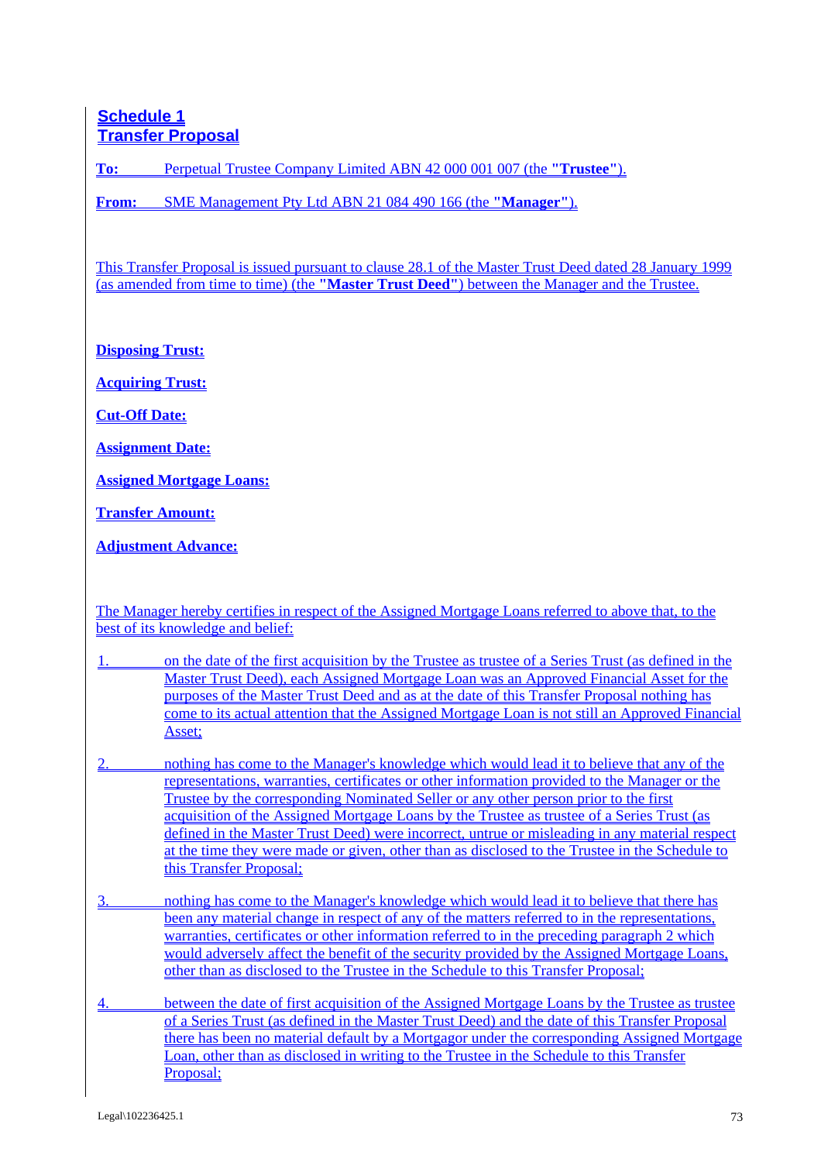# **Schedule 1 Transfer Proposal**

**To:** Perpetual Trustee Company Limited ABN 42 000 001 007 (the **"Trustee"**).

**From:** SME Management Pty Ltd ABN 21 084 490 166 (the **"Manager"**).

This Transfer Proposal is issued pursuant to clause 28.1 of the Master Trust Deed dated 28 January 1999 (as amended from time to time) (the **"Master Trust Deed"**) between the Manager and the Trustee.

**Disposing Trust:**

**Acquiring Trust:**

**Cut-Off Date:**

**Assignment Date:**

**Assigned Mortgage Loans:**

**Transfer Amount:**

**Adjustment Advance:**

The Manager hereby certifies in respect of the Assigned Mortgage Loans referred to above that, to the best of its knowledge and belief:

- 1. on the date of the first acquisition by the Trustee as trustee of a Series Trust (as defined in the Master Trust Deed), each Assigned Mortgage Loan was an Approved Financial Asset for the purposes of the Master Trust Deed and as at the date of this Transfer Proposal nothing has come to its actual attention that the Assigned Mortgage Loan is not still an Approved Financial Asset;
- 2. nothing has come to the Manager's knowledge which would lead it to believe that any of the representations, warranties, certificates or other information provided to the Manager or the Trustee by the corresponding Nominated Seller or any other person prior to the first acquisition of the Assigned Mortgage Loans by the Trustee as trustee of a Series Trust (as defined in the Master Trust Deed) were incorrect, untrue or misleading in any material respect at the time they were made or given, other than as disclosed to the Trustee in the Schedule to this Transfer Proposal;
- nothing has come to the Manager's knowledge which would lead it to believe that there has been any material change in respect of any of the matters referred to in the representations, warranties, certificates or other information referred to in the preceding paragraph 2 which would adversely affect the benefit of the security provided by the Assigned Mortgage Loans, other than as disclosed to the Trustee in the Schedule to this Transfer Proposal;
- 4. between the date of first acquisition of the Assigned Mortgage Loans by the Trustee as trustee of a Series Trust (as defined in the Master Trust Deed) and the date of this Transfer Proposal there has been no material default by a Mortgagor under the corresponding Assigned Mortgage Loan, other than as disclosed in writing to the Trustee in the Schedule to this Transfer Proposal;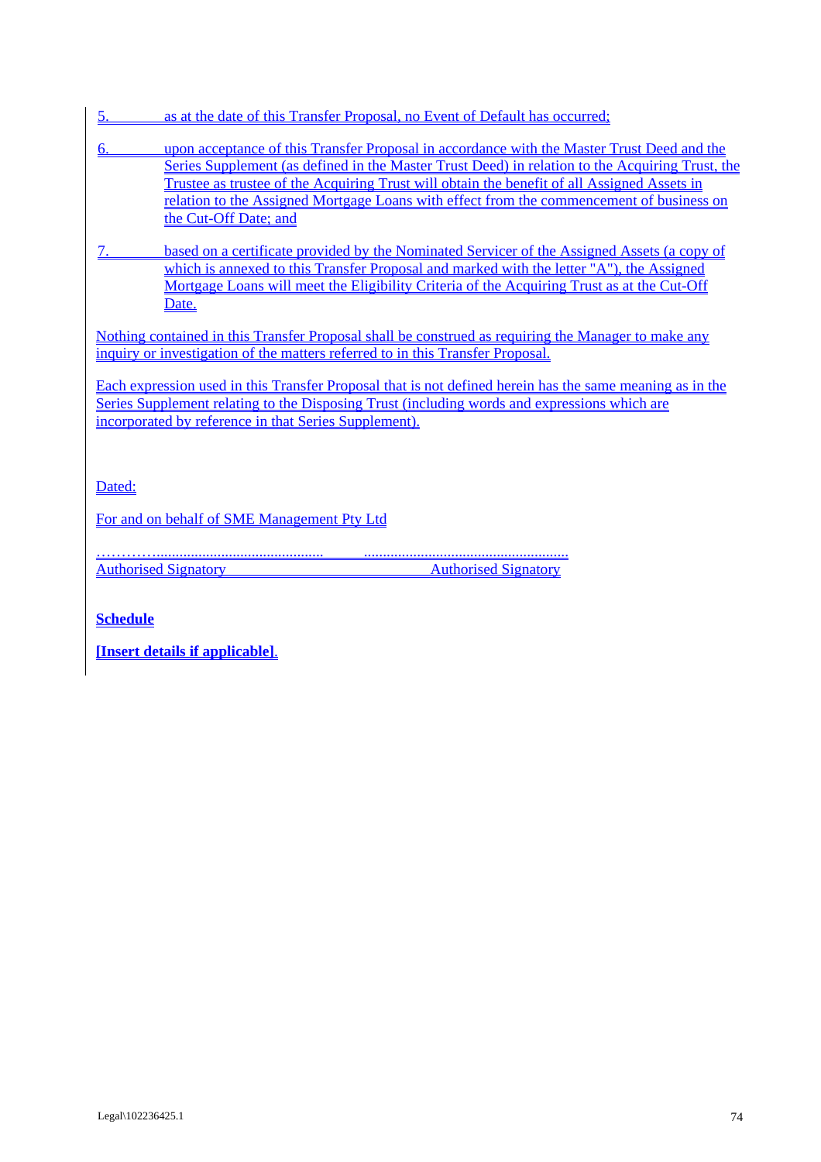| as at the date of this Transfer Proposal, no Event of Default has occurred; |  |  |  |  |
|-----------------------------------------------------------------------------|--|--|--|--|
|                                                                             |  |  |  |  |

- 6. upon acceptance of this Transfer Proposal in accordance with the Master Trust Deed and the Series Supplement (as defined in the Master Trust Deed) in relation to the Acquiring Trust, the Trustee as trustee of the Acquiring Trust will obtain the benefit of all Assigned Assets in relation to the Assigned Mortgage Loans with effect from the commencement of business on the Cut-Off Date; and
- 7. based on a certificate provided by the Nominated Servicer of the Assigned Assets (a copy of which is annexed to this Transfer Proposal and marked with the letter "A"), the Assigned Mortgage Loans will meet the Eligibility Criteria of the Acquiring Trust as at the Cut-Off Date.

Nothing contained in this Transfer Proposal shall be construed as requiring the Manager to make any inquiry or investigation of the matters referred to in this Transfer Proposal.

Each expression used in this Transfer Proposal that is not defined herein has the same meaning as in the Series Supplement relating to the Disposing Trust (including words and expressions which are incorporated by reference in that Series Supplement).

Dated:

For and on behalf of SME Management Pty Ltd

…………............................................ ......................................................

Authorised Signatory Authorised Signatory

**Schedule**

**[Insert details if applicable]**.